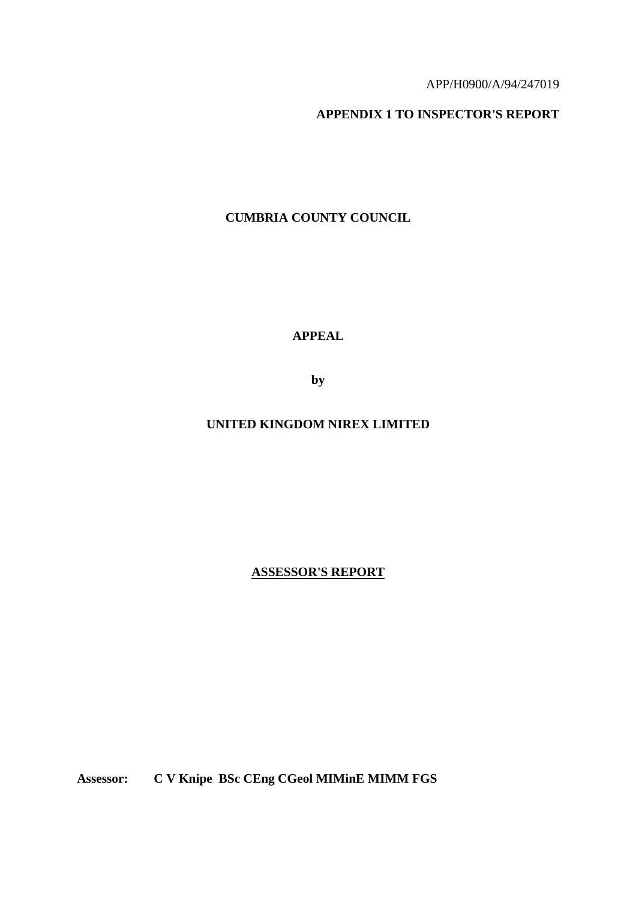#### APP/H0900/A/94/247019

### **APPENDIX 1 TO INSPECTOR'S REPORT**

# **CUMBRIA COUNTY COUNCIL**

**APPEAL** 

**by** 

# **UNITED KINGDOM NIREX LIMITED**

**ASSESSOR'S REPORT**

**Assessor: C V Knipe BSc CEng CGeol MIMinE MIMM FGS**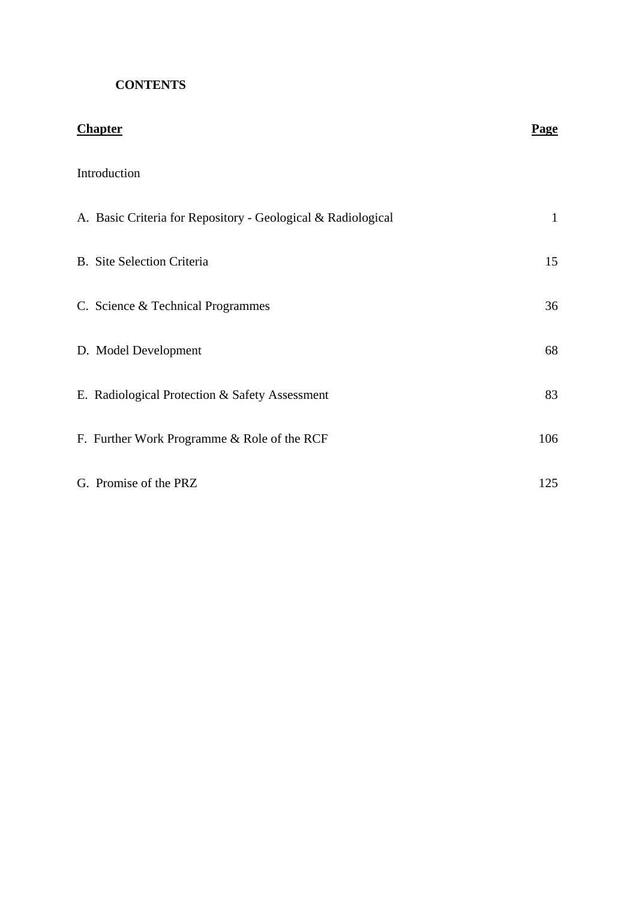# **CONTENTS**

| <b>Chapter</b>                                               | Page         |
|--------------------------------------------------------------|--------------|
| Introduction                                                 |              |
| A. Basic Criteria for Repository - Geological & Radiological | $\mathbf{1}$ |
| <b>B.</b> Site Selection Criteria                            | 15           |
| C. Science & Technical Programmes                            | 36           |
| D. Model Development                                         | 68           |
| E. Radiological Protection & Safety Assessment               | 83           |
| F. Further Work Programme & Role of the RCF                  | 106          |
| G. Promise of the PRZ                                        | 125          |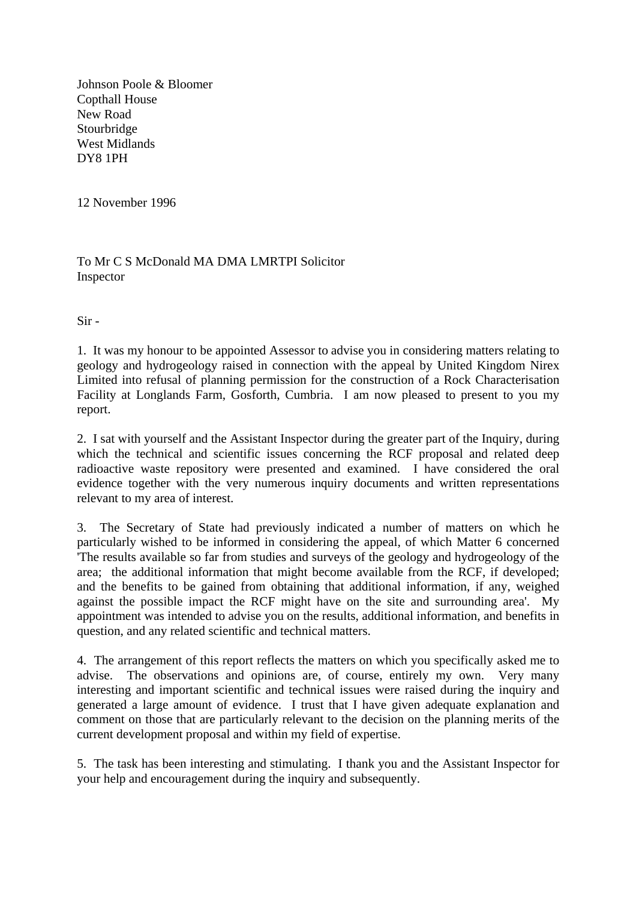Johnson Poole & Bloomer Copthall House New Road Stourbridge West Midlands DY8 1PH

12 November 1996

To Mr C S McDonald MA DMA LMRTPI Solicitor **Inspector** 

Sir -

1. It was my honour to be appointed Assessor to advise you in considering matters relating to geology and hydrogeology raised in connection with the appeal by United Kingdom Nirex Limited into refusal of planning permission for the construction of a Rock Characterisation Facility at Longlands Farm, Gosforth, Cumbria. I am now pleased to present to you my report.

2. I sat with yourself and the Assistant Inspector during the greater part of the Inquiry, during which the technical and scientific issues concerning the RCF proposal and related deep radioactive waste repository were presented and examined. I have considered the oral evidence together with the very numerous inquiry documents and written representations relevant to my area of interest.

3. The Secretary of State had previously indicated a number of matters on which he particularly wished to be informed in considering the appeal, of which Matter 6 concerned 'The results available so far from studies and surveys of the geology and hydrogeology of the area; the additional information that might become available from the RCF, if developed; and the benefits to be gained from obtaining that additional information, if any, weighed against the possible impact the RCF might have on the site and surrounding area'. My appointment was intended to advise you on the results, additional information, and benefits in question, and any related scientific and technical matters.

4. The arrangement of this report reflects the matters on which you specifically asked me to advise. The observations and opinions are, of course, entirely my own. Very many interesting and important scientific and technical issues were raised during the inquiry and generated a large amount of evidence. I trust that I have given adequate explanation and comment on those that are particularly relevant to the decision on the planning merits of the current development proposal and within my field of expertise.

5. The task has been interesting and stimulating. I thank you and the Assistant Inspector for your help and encouragement during the inquiry and subsequently.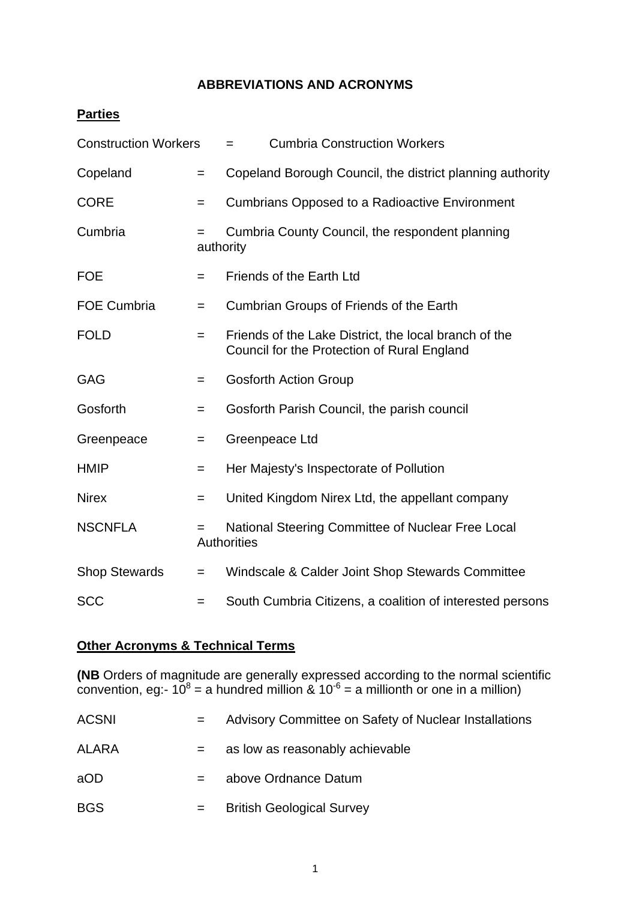# **ABBREVIATIONS AND ACRONYMS**

# **Parties**

| <b>Construction Workers</b> |                  | <b>Cumbria Construction Workers</b><br>$=$                                                           |
|-----------------------------|------------------|------------------------------------------------------------------------------------------------------|
| Copeland                    | $=$              | Copeland Borough Council, the district planning authority                                            |
| <b>CORE</b>                 | $=$              | <b>Cumbrians Opposed to a Radioactive Environment</b>                                                |
| Cumbria                     | $=$<br>authority | Cumbria County Council, the respondent planning                                                      |
| <b>FOE</b>                  | $=$              | <b>Friends of the Earth Ltd</b>                                                                      |
| FOE Cumbria                 | $=$              | Cumbrian Groups of Friends of the Earth                                                              |
| <b>FOLD</b>                 | $=$              | Friends of the Lake District, the local branch of the<br>Council for the Protection of Rural England |
| <b>GAG</b>                  | $=$              | <b>Gosforth Action Group</b>                                                                         |
| Gosforth                    | $=$              | Gosforth Parish Council, the parish council                                                          |
| Greenpeace                  | $=$              | Greenpeace Ltd                                                                                       |
| <b>HMIP</b>                 | $=$              | Her Majesty's Inspectorate of Pollution                                                              |
| <b>Nirex</b>                | $=$              | United Kingdom Nirex Ltd, the appellant company                                                      |
| <b>NSCNFLA</b>              | $=$              | National Steering Committee of Nuclear Free Local<br><b>Authorities</b>                              |
| <b>Shop Stewards</b>        | $=$              | Windscale & Calder Joint Shop Stewards Committee                                                     |
| <b>SCC</b>                  | $=$              | South Cumbria Citizens, a coalition of interested persons                                            |

# **Other Acronyms & Technical Terms**

**(NB** Orders of magnitude are generally expressed according to the normal scientific convention, eg:-  $10^8$  = a hundred million &  $10^{-6}$  = a millionth or one in a million)

| <b>ACSNI</b> | $=$ | Advisory Committee on Safety of Nuclear Installations |
|--------------|-----|-------------------------------------------------------|
| <b>ALARA</b> | $=$ | as low as reasonably achievable                       |
| aOD          | $=$ | above Ordnance Datum                                  |
| <b>BGS</b>   | $=$ | <b>British Geological Survey</b>                      |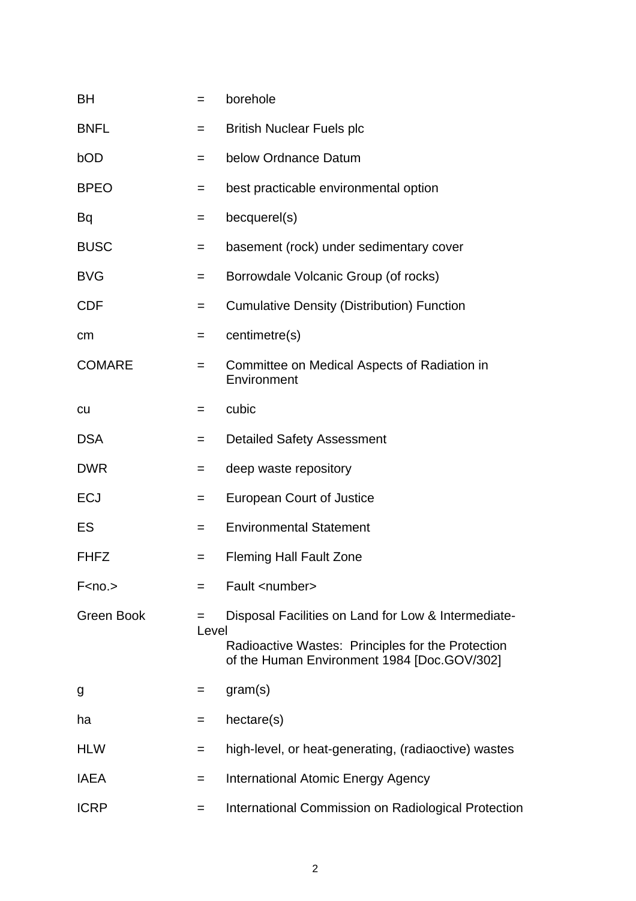| BH                                                             | =     | borehole                                                                                         |
|----------------------------------------------------------------|-------|--------------------------------------------------------------------------------------------------|
| <b>BNFL</b>                                                    | $=$   | <b>British Nuclear Fuels plc</b>                                                                 |
| bOD                                                            | $=$   | below Ordnance Datum                                                                             |
| <b>BPEO</b>                                                    | $=$   | best practicable environmental option                                                            |
| Bq                                                             | $=$   | becquerel(s)                                                                                     |
| <b>BUSC</b>                                                    | $=$   | basement (rock) under sedimentary cover                                                          |
| <b>BVG</b>                                                     | $=$   | Borrowdale Volcanic Group (of rocks)                                                             |
| <b>CDF</b>                                                     | $=$   | <b>Cumulative Density (Distribution) Function</b>                                                |
| cm                                                             | $=$   | centimetre(s)                                                                                    |
| <b>COMARE</b>                                                  | $=$   | Committee on Medical Aspects of Radiation in<br>Environment                                      |
| <b>CU</b>                                                      | =     | cubic                                                                                            |
| <b>DSA</b>                                                     | =     | <b>Detailed Safety Assessment</b>                                                                |
| <b>DWR</b>                                                     | $=$   | deep waste repository                                                                            |
| <b>ECJ</b>                                                     | $=$   | <b>European Court of Justice</b>                                                                 |
| ES                                                             | $=$   | <b>Environmental Statement</b>                                                                   |
| <b>FHFZ</b>                                                    | $=$   | <b>Fleming Hall Fault Zone</b>                                                                   |
| F <no.< td=""><td></td><td>Fault <number></number></td></no.<> |       | Fault <number></number>                                                                          |
| Green Book                                                     | Level | Disposal Facilities on Land for Low & Intermediate-                                              |
|                                                                |       | Radioactive Wastes: Principles for the Protection<br>of the Human Environment 1984 [Doc.GOV/302] |
| g                                                              | =     | gram(s)                                                                                          |
| ha                                                             | $=$   | hectare(s)                                                                                       |
| <b>HLW</b>                                                     | $=$   | high-level, or heat-generating, (radiaoctive) wastes                                             |
| <b>IAEA</b>                                                    | =     | <b>International Atomic Energy Agency</b>                                                        |
| <b>ICRP</b>                                                    | $=$   | International Commission on Radiological Protection                                              |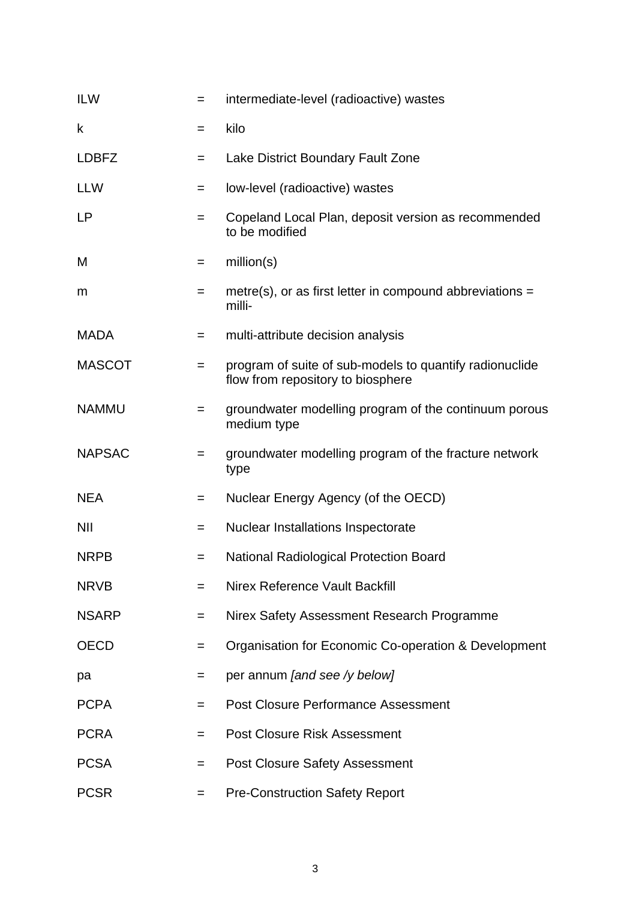| <b>ILW</b>    | $=$ | intermediate-level (radioactive) wastes                                                      |
|---------------|-----|----------------------------------------------------------------------------------------------|
| $\mathsf k$   | $=$ | kilo                                                                                         |
| <b>LDBFZ</b>  | $=$ | Lake District Boundary Fault Zone                                                            |
| <b>LLW</b>    | $=$ | low-level (radioactive) wastes                                                               |
| <b>LP</b>     | $=$ | Copeland Local Plan, deposit version as recommended<br>to be modified                        |
| M             | $=$ | million(s)                                                                                   |
| m             | $=$ | metre(s), or as first letter in compound abbreviations $=$<br>milli-                         |
| <b>MADA</b>   | $=$ | multi-attribute decision analysis                                                            |
| <b>MASCOT</b> | $=$ | program of suite of sub-models to quantify radionuclide<br>flow from repository to biosphere |
| <b>NAMMU</b>  | $=$ | groundwater modelling program of the continuum porous<br>medium type                         |
| <b>NAPSAC</b> | $=$ | groundwater modelling program of the fracture network<br>type                                |
| <b>NEA</b>    | $=$ | Nuclear Energy Agency (of the OECD)                                                          |
| <b>NII</b>    | $=$ | <b>Nuclear Installations Inspectorate</b>                                                    |
| <b>NRPB</b>   | $=$ | <b>National Radiological Protection Board</b>                                                |
| <b>NRVB</b>   | $=$ | Nirex Reference Vault Backfill                                                               |
| <b>NSARP</b>  | $=$ | Nirex Safety Assessment Research Programme                                                   |
| <b>OECD</b>   | $=$ | Organisation for Economic Co-operation & Development                                         |
| pa            | $=$ | per annum [and see /y below]                                                                 |
| <b>PCPA</b>   | $=$ | <b>Post Closure Performance Assessment</b>                                                   |
| <b>PCRA</b>   | $=$ | <b>Post Closure Risk Assessment</b>                                                          |
| <b>PCSA</b>   | $=$ | <b>Post Closure Safety Assessment</b>                                                        |
| <b>PCSR</b>   | $=$ | <b>Pre-Construction Safety Report</b>                                                        |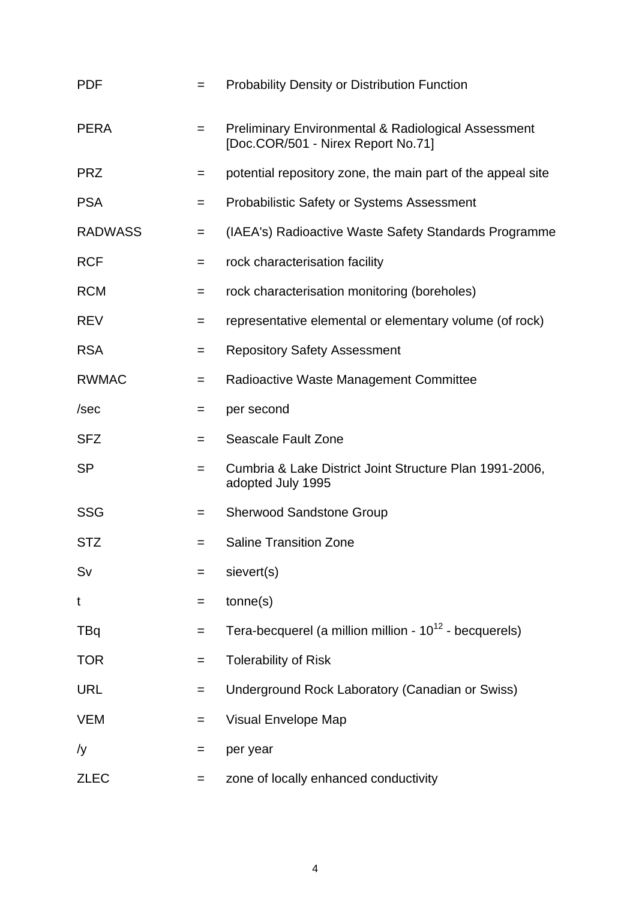| <b>PDF</b>     | $=$ | <b>Probability Density or Distribution Function</b>                                                  |
|----------------|-----|------------------------------------------------------------------------------------------------------|
| <b>PERA</b>    | $=$ | <b>Preliminary Environmental &amp; Radiological Assessment</b><br>[Doc.COR/501 - Nirex Report No.71] |
| <b>PRZ</b>     | $=$ | potential repository zone, the main part of the appeal site                                          |
| <b>PSA</b>     | $=$ | <b>Probabilistic Safety or Systems Assessment</b>                                                    |
| <b>RADWASS</b> | $=$ | (IAEA's) Radioactive Waste Safety Standards Programme                                                |
| <b>RCF</b>     | $=$ | rock characterisation facility                                                                       |
| <b>RCM</b>     | $=$ | rock characterisation monitoring (boreholes)                                                         |
| <b>REV</b>     | $=$ | representative elemental or elementary volume (of rock)                                              |
| <b>RSA</b>     | $=$ | <b>Repository Safety Assessment</b>                                                                  |
| <b>RWMAC</b>   | $=$ | Radioactive Waste Management Committee                                                               |
| /sec           | $=$ | per second                                                                                           |
| <b>SFZ</b>     | $=$ | <b>Seascale Fault Zone</b>                                                                           |
| <b>SP</b>      | $=$ | Cumbria & Lake District Joint Structure Plan 1991-2006,<br>adopted July 1995                         |
| <b>SSG</b>     | $=$ | <b>Sherwood Sandstone Group</b>                                                                      |
| <b>STZ</b>     | $=$ | <b>Saline Transition Zone</b>                                                                        |
| Sv             | $=$ | sievert(s)                                                                                           |
| t              | $=$ | tonne(s)                                                                                             |
| TBq            | $=$ | Tera-becquerel (a million million - $10^{12}$ - becquerels)                                          |
| <b>TOR</b>     | $=$ | <b>Tolerability of Risk</b>                                                                          |
| <b>URL</b>     | $=$ | Underground Rock Laboratory (Canadian or Swiss)                                                      |
| <b>VEM</b>     | $=$ | <b>Visual Envelope Map</b>                                                                           |
| /y             | $=$ | per year                                                                                             |
| <b>ZLEC</b>    | $=$ | zone of locally enhanced conductivity                                                                |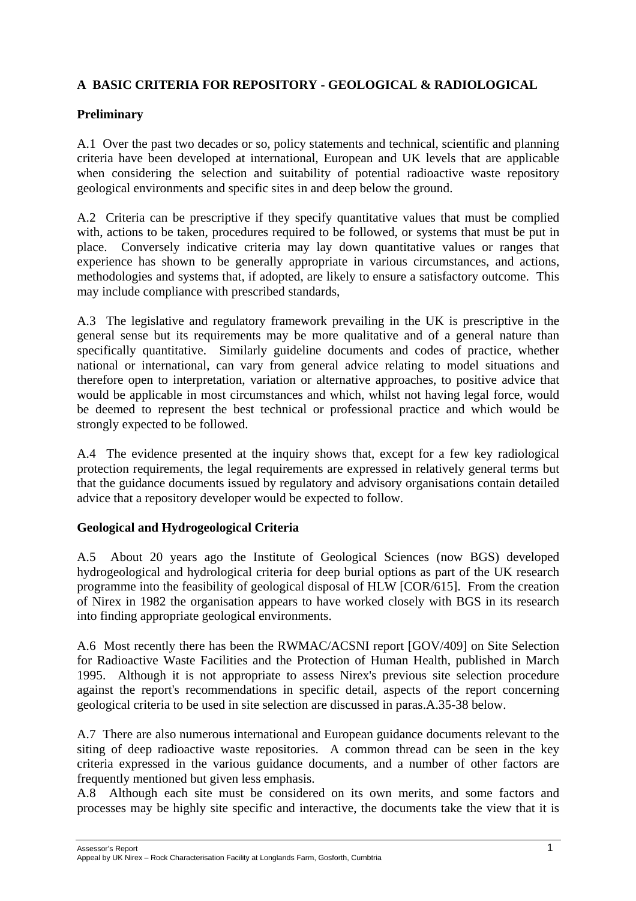# **A BASIC CRITERIA FOR REPOSITORY - GEOLOGICAL & RADIOLOGICAL**

## **Preliminary**

A.1 Over the past two decades or so, policy statements and technical, scientific and planning criteria have been developed at international, European and UK levels that are applicable when considering the selection and suitability of potential radioactive waste repository geological environments and specific sites in and deep below the ground.

A.2 Criteria can be prescriptive if they specify quantitative values that must be complied with, actions to be taken, procedures required to be followed, or systems that must be put in place. Conversely indicative criteria may lay down quantitative values or ranges that experience has shown to be generally appropriate in various circumstances, and actions, methodologies and systems that, if adopted, are likely to ensure a satisfactory outcome. This may include compliance with prescribed standards,

A.3 The legislative and regulatory framework prevailing in the UK is prescriptive in the general sense but its requirements may be more qualitative and of a general nature than specifically quantitative. Similarly guideline documents and codes of practice, whether national or international, can vary from general advice relating to model situations and therefore open to interpretation, variation or alternative approaches, to positive advice that would be applicable in most circumstances and which, whilst not having legal force, would be deemed to represent the best technical or professional practice and which would be strongly expected to be followed.

A.4 The evidence presented at the inquiry shows that, except for a few key radiological protection requirements, the legal requirements are expressed in relatively general terms but that the guidance documents issued by regulatory and advisory organisations contain detailed advice that a repository developer would be expected to follow.

#### **Geological and Hydrogeological Criteria**

A.5 About 20 years ago the Institute of Geological Sciences (now BGS) developed hydrogeological and hydrological criteria for deep burial options as part of the UK research programme into the feasibility of geological disposal of HLW [COR/615]. From the creation of Nirex in 1982 the organisation appears to have worked closely with BGS in its research into finding appropriate geological environments.

A.6 Most recently there has been the RWMAC/ACSNI report [GOV/409] on Site Selection for Radioactive Waste Facilities and the Protection of Human Health, published in March 1995. Although it is not appropriate to assess Nirex's previous site selection procedure against the report's recommendations in specific detail, aspects of the report concerning geological criteria to be used in site selection are discussed in paras.A.35-38 below.

A.7 There are also numerous international and European guidance documents relevant to the siting of deep radioactive waste repositories. A common thread can be seen in the key criteria expressed in the various guidance documents, and a number of other factors are frequently mentioned but given less emphasis.

A.8 Although each site must be considered on its own merits, and some factors and processes may be highly site specific and interactive, the documents take the view that it is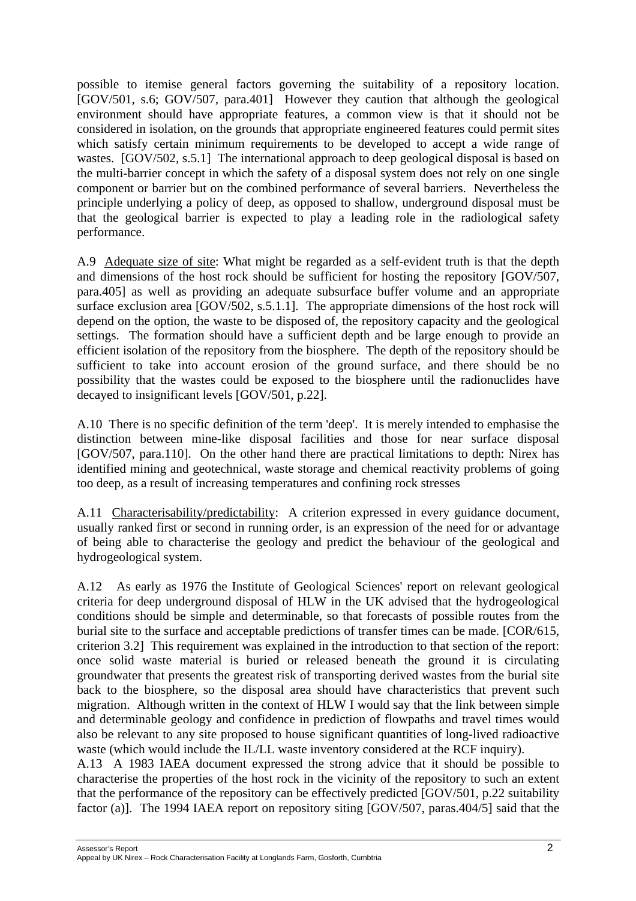possible to itemise general factors governing the suitability of a repository location. [GOV/501, s.6; GOV/507, para.401] However they caution that although the geological environment should have appropriate features, a common view is that it should not be considered in isolation, on the grounds that appropriate engineered features could permit sites which satisfy certain minimum requirements to be developed to accept a wide range of wastes. [GOV/502, s.5.1] The international approach to deep geological disposal is based on the multi-barrier concept in which the safety of a disposal system does not rely on one single component or barrier but on the combined performance of several barriers. Nevertheless the principle underlying a policy of deep, as opposed to shallow, underground disposal must be that the geological barrier is expected to play a leading role in the radiological safety performance.

A.9 Adequate size of site: What might be regarded as a self-evident truth is that the depth and dimensions of the host rock should be sufficient for hosting the repository [GOV/507, para.405] as well as providing an adequate subsurface buffer volume and an appropriate surface exclusion area [GOV/502, s.5.1.1]. The appropriate dimensions of the host rock will depend on the option, the waste to be disposed of, the repository capacity and the geological settings. The formation should have a sufficient depth and be large enough to provide an efficient isolation of the repository from the biosphere. The depth of the repository should be sufficient to take into account erosion of the ground surface, and there should be no possibility that the wastes could be exposed to the biosphere until the radionuclides have decayed to insignificant levels [GOV/501, p.22].

A.10 There is no specific definition of the term 'deep'. It is merely intended to emphasise the distinction between mine-like disposal facilities and those for near surface disposal [GOV/507, para.110]. On the other hand there are practical limitations to depth: Nirex has identified mining and geotechnical, waste storage and chemical reactivity problems of going too deep, as a result of increasing temperatures and confining rock stresses

A.11 Characterisability/predictability: A criterion expressed in every guidance document, usually ranked first or second in running order, is an expression of the need for or advantage of being able to characterise the geology and predict the behaviour of the geological and hydrogeological system.

A.12 As early as 1976 the Institute of Geological Sciences' report on relevant geological criteria for deep underground disposal of HLW in the UK advised that the hydrogeological conditions should be simple and determinable, so that forecasts of possible routes from the burial site to the surface and acceptable predictions of transfer times can be made. [COR/615, criterion 3.2] This requirement was explained in the introduction to that section of the report: once solid waste material is buried or released beneath the ground it is circulating groundwater that presents the greatest risk of transporting derived wastes from the burial site back to the biosphere, so the disposal area should have characteristics that prevent such migration. Although written in the context of HLW I would say that the link between simple and determinable geology and confidence in prediction of flowpaths and travel times would also be relevant to any site proposed to house significant quantities of long-lived radioactive waste (which would include the IL/LL waste inventory considered at the RCF inquiry).

A.13 A 1983 IAEA document expressed the strong advice that it should be possible to characterise the properties of the host rock in the vicinity of the repository to such an extent that the performance of the repository can be effectively predicted [GOV/501, p.22 suitability factor (a)]. The 1994 IAEA report on repository siting [GOV/507, paras.404/5] said that the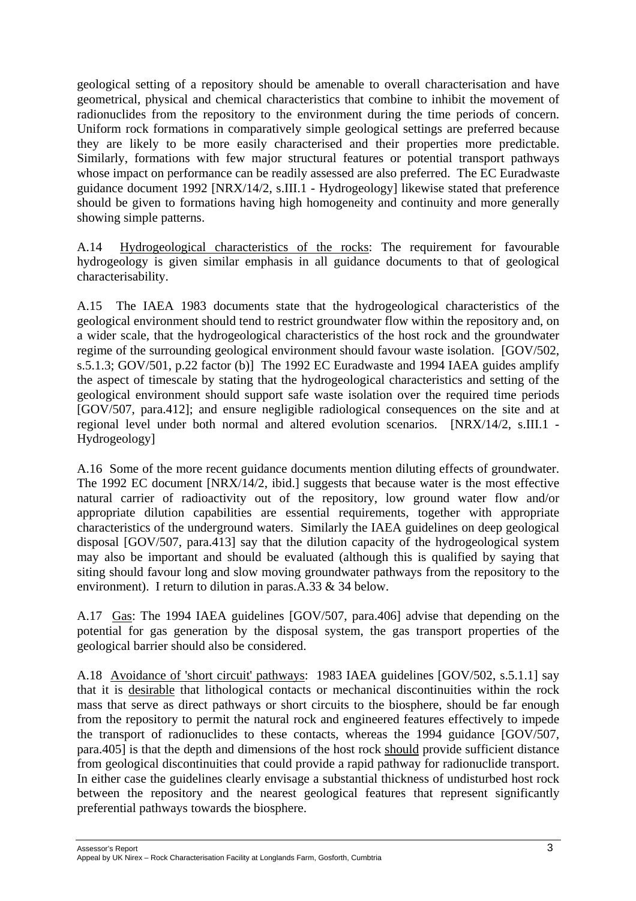geological setting of a repository should be amenable to overall characterisation and have geometrical, physical and chemical characteristics that combine to inhibit the movement of radionuclides from the repository to the environment during the time periods of concern. Uniform rock formations in comparatively simple geological settings are preferred because they are likely to be more easily characterised and their properties more predictable. Similarly, formations with few major structural features or potential transport pathways whose impact on performance can be readily assessed are also preferred. The EC Euradwaste guidance document 1992 [NRX/14/2, s.III.1 - Hydrogeology] likewise stated that preference should be given to formations having high homogeneity and continuity and more generally showing simple patterns.

A.14 Hydrogeological characteristics of the rocks: The requirement for favourable hydrogeology is given similar emphasis in all guidance documents to that of geological characterisability.

A.15 The IAEA 1983 documents state that the hydrogeological characteristics of the geological environment should tend to restrict groundwater flow within the repository and, on a wider scale, that the hydrogeological characteristics of the host rock and the groundwater regime of the surrounding geological environment should favour waste isolation. [GOV/502, s.5.1.3; GOV/501, p.22 factor (b)] The 1992 EC Euradwaste and 1994 IAEA guides amplify the aspect of timescale by stating that the hydrogeological characteristics and setting of the geological environment should support safe waste isolation over the required time periods [GOV/507, para.412]; and ensure negligible radiological consequences on the site and at regional level under both normal and altered evolution scenarios. [NRX/14/2, s.III.1 - Hydrogeology]

A.16 Some of the more recent guidance documents mention diluting effects of groundwater. The 1992 EC document [NRX/14/2, ibid.] suggests that because water is the most effective natural carrier of radioactivity out of the repository, low ground water flow and/or appropriate dilution capabilities are essential requirements, together with appropriate characteristics of the underground waters. Similarly the IAEA guidelines on deep geological disposal [GOV/507, para.413] say that the dilution capacity of the hydrogeological system may also be important and should be evaluated (although this is qualified by saying that siting should favour long and slow moving groundwater pathways from the repository to the environment). I return to dilution in paras.A.33 & 34 below.

A.17 Gas: The 1994 IAEA guidelines [GOV/507, para.406] advise that depending on the potential for gas generation by the disposal system, the gas transport properties of the geological barrier should also be considered.

A.18 Avoidance of 'short circuit' pathways: 1983 IAEA guidelines [GOV/502, s.5.1.1] say that it is desirable that lithological contacts or mechanical discontinuities within the rock mass that serve as direct pathways or short circuits to the biosphere, should be far enough from the repository to permit the natural rock and engineered features effectively to impede the transport of radionuclides to these contacts, whereas the 1994 guidance [GOV/507, para.405] is that the depth and dimensions of the host rock should provide sufficient distance from geological discontinuities that could provide a rapid pathway for radionuclide transport. In either case the guidelines clearly envisage a substantial thickness of undisturbed host rock between the repository and the nearest geological features that represent significantly preferential pathways towards the biosphere.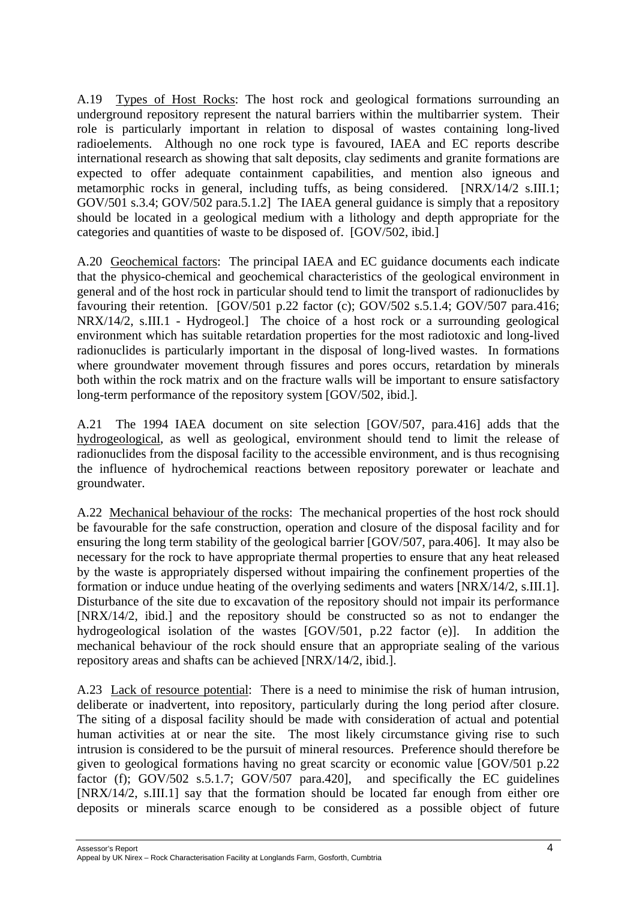A.19 Types of Host Rocks: The host rock and geological formations surrounding an underground repository represent the natural barriers within the multibarrier system. Their role is particularly important in relation to disposal of wastes containing long-lived radioelements. Although no one rock type is favoured, IAEA and EC reports describe international research as showing that salt deposits, clay sediments and granite formations are expected to offer adequate containment capabilities, and mention also igneous and metamorphic rocks in general, including tuffs, as being considered. [NRX/14/2 s.III.1; GOV/501 s.3.4; GOV/502 para.5.1.2] The IAEA general guidance is simply that a repository should be located in a geological medium with a lithology and depth appropriate for the categories and quantities of waste to be disposed of. [GOV/502, ibid.]

A.20 Geochemical factors: The principal IAEA and EC guidance documents each indicate that the physico-chemical and geochemical characteristics of the geological environment in general and of the host rock in particular should tend to limit the transport of radionuclides by favouring their retention.  $[GOV/501 p.22$  factor (c);  $GOV/502 s.5.1.4$ ;  $GOV/507 para.416$ ; NRX/14/2, s.III.1 - Hydrogeol.] The choice of a host rock or a surrounding geological environment which has suitable retardation properties for the most radiotoxic and long-lived radionuclides is particularly important in the disposal of long-lived wastes. In formations where groundwater movement through fissures and pores occurs, retardation by minerals both within the rock matrix and on the fracture walls will be important to ensure satisfactory long-term performance of the repository system [GOV/502, ibid.].

A.21 The 1994 IAEA document on site selection [GOV/507, para.416] adds that the hydrogeological, as well as geological, environment should tend to limit the release of radionuclides from the disposal facility to the accessible environment, and is thus recognising the influence of hydrochemical reactions between repository porewater or leachate and groundwater.

A.22 Mechanical behaviour of the rocks: The mechanical properties of the host rock should be favourable for the safe construction, operation and closure of the disposal facility and for ensuring the long term stability of the geological barrier [GOV/507, para.406]. It may also be necessary for the rock to have appropriate thermal properties to ensure that any heat released by the waste is appropriately dispersed without impairing the confinement properties of the formation or induce undue heating of the overlying sediments and waters [NRX/14/2, s.III.1]. Disturbance of the site due to excavation of the repository should not impair its performance [NRX/14/2, ibid.] and the repository should be constructed so as not to endanger the hydrogeological isolation of the wastes [GOV/501, p.22 factor (e)]. In addition the mechanical behaviour of the rock should ensure that an appropriate sealing of the various repository areas and shafts can be achieved [NRX/14/2, ibid.].

A.23 Lack of resource potential: There is a need to minimise the risk of human intrusion, deliberate or inadvertent, into repository, particularly during the long period after closure. The siting of a disposal facility should be made with consideration of actual and potential human activities at or near the site. The most likely circumstance giving rise to such intrusion is considered to be the pursuit of mineral resources. Preference should therefore be given to geological formations having no great scarcity or economic value [GOV/501 p.22 factor (f); GOV/502 s.5.1.7; GOV/507 para.420], and specifically the EC guidelines [NRX/14/2, s.III.1] say that the formation should be located far enough from either ore deposits or minerals scarce enough to be considered as a possible object of future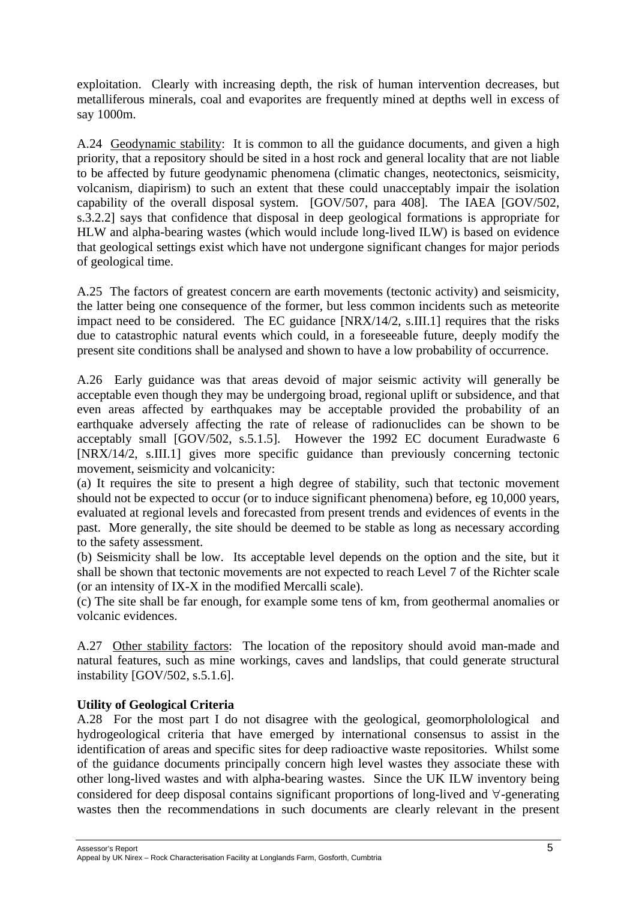exploitation. Clearly with increasing depth, the risk of human intervention decreases, but metalliferous minerals, coal and evaporites are frequently mined at depths well in excess of say 1000m.

A.24 Geodynamic stability: It is common to all the guidance documents, and given a high priority, that a repository should be sited in a host rock and general locality that are not liable to be affected by future geodynamic phenomena (climatic changes, neotectonics, seismicity, volcanism, diapirism) to such an extent that these could unacceptably impair the isolation capability of the overall disposal system. [GOV/507, para 408]. The IAEA [GOV/502, s.3.2.2] says that confidence that disposal in deep geological formations is appropriate for HLW and alpha-bearing wastes (which would include long-lived ILW) is based on evidence that geological settings exist which have not undergone significant changes for major periods of geological time.

A.25 The factors of greatest concern are earth movements (tectonic activity) and seismicity, the latter being one consequence of the former, but less common incidents such as meteorite impact need to be considered. The EC guidance [NRX/14/2, s.III.1] requires that the risks due to catastrophic natural events which could, in a foreseeable future, deeply modify the present site conditions shall be analysed and shown to have a low probability of occurrence.

A.26 Early guidance was that areas devoid of major seismic activity will generally be acceptable even though they may be undergoing broad, regional uplift or subsidence, and that even areas affected by earthquakes may be acceptable provided the probability of an earthquake adversely affecting the rate of release of radionuclides can be shown to be acceptably small [GOV/502, s.5.1.5]. However the 1992 EC document Euradwaste 6 [NRX/14/2, s.III.1] gives more specific guidance than previously concerning tectonic movement, seismicity and volcanicity:

(a) It requires the site to present a high degree of stability, such that tectonic movement should not be expected to occur (or to induce significant phenomena) before, eg 10,000 years, evaluated at regional levels and forecasted from present trends and evidences of events in the past. More generally, the site should be deemed to be stable as long as necessary according to the safety assessment.

(b) Seismicity shall be low. Its acceptable level depends on the option and the site, but it shall be shown that tectonic movements are not expected to reach Level 7 of the Richter scale (or an intensity of IX-X in the modified Mercalli scale).

(c) The site shall be far enough, for example some tens of km, from geothermal anomalies or volcanic evidences.

A.27 Other stability factors: The location of the repository should avoid man-made and natural features, such as mine workings, caves and landslips, that could generate structural instability [GOV/502, s.5.1.6].

#### **Utility of Geological Criteria**

A.28 For the most part I do not disagree with the geological, geomorpholological and hydrogeological criteria that have emerged by international consensus to assist in the identification of areas and specific sites for deep radioactive waste repositories. Whilst some of the guidance documents principally concern high level wastes they associate these with other long-lived wastes and with alpha-bearing wastes. Since the UK ILW inventory being considered for deep disposal contains significant proportions of long-lived and ∀-generating wastes then the recommendations in such documents are clearly relevant in the present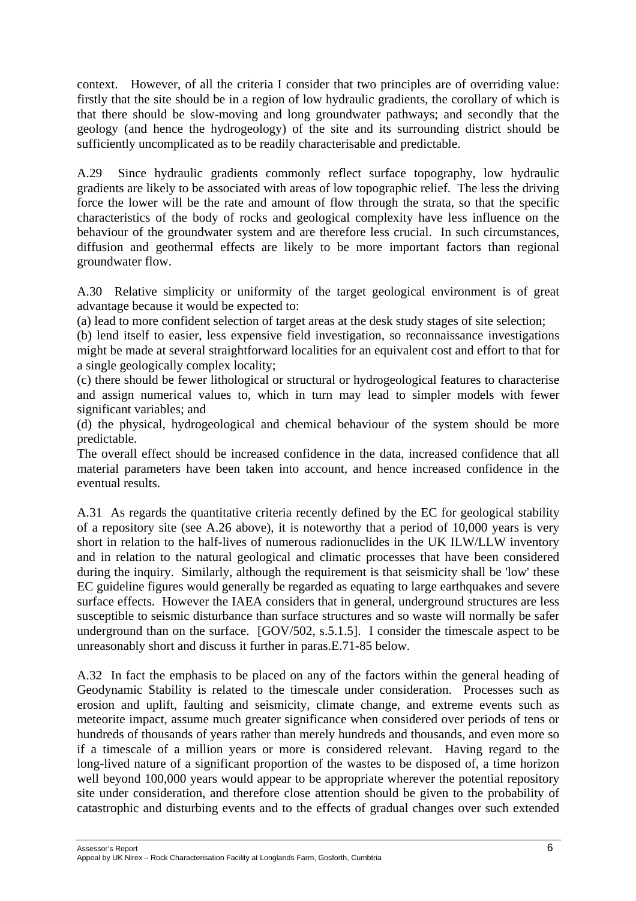context. However, of all the criteria I consider that two principles are of overriding value: firstly that the site should be in a region of low hydraulic gradients, the corollary of which is that there should be slow-moving and long groundwater pathways; and secondly that the geology (and hence the hydrogeology) of the site and its surrounding district should be sufficiently uncomplicated as to be readily characterisable and predictable.

A.29 Since hydraulic gradients commonly reflect surface topography, low hydraulic gradients are likely to be associated with areas of low topographic relief. The less the driving force the lower will be the rate and amount of flow through the strata, so that the specific characteristics of the body of rocks and geological complexity have less influence on the behaviour of the groundwater system and are therefore less crucial. In such circumstances, diffusion and geothermal effects are likely to be more important factors than regional groundwater flow.

A.30 Relative simplicity or uniformity of the target geological environment is of great advantage because it would be expected to:

(a) lead to more confident selection of target areas at the desk study stages of site selection;

(b) lend itself to easier, less expensive field investigation, so reconnaissance investigations might be made at several straightforward localities for an equivalent cost and effort to that for a single geologically complex locality;

(c) there should be fewer lithological or structural or hydrogeological features to characterise and assign numerical values to, which in turn may lead to simpler models with fewer significant variables; and

(d) the physical, hydrogeological and chemical behaviour of the system should be more predictable.

The overall effect should be increased confidence in the data, increased confidence that all material parameters have been taken into account, and hence increased confidence in the eventual results.

A.31 As regards the quantitative criteria recently defined by the EC for geological stability of a repository site (see A.26 above), it is noteworthy that a period of 10,000 years is very short in relation to the half-lives of numerous radionuclides in the UK ILW/LLW inventory and in relation to the natural geological and climatic processes that have been considered during the inquiry. Similarly, although the requirement is that seismicity shall be 'low' these EC guideline figures would generally be regarded as equating to large earthquakes and severe surface effects. However the IAEA considers that in general, underground structures are less susceptible to seismic disturbance than surface structures and so waste will normally be safer underground than on the surface. [GOV/502, s.5.1.5]. I consider the timescale aspect to be unreasonably short and discuss it further in paras.E.71-85 below.

A.32 In fact the emphasis to be placed on any of the factors within the general heading of Geodynamic Stability is related to the timescale under consideration. Processes such as erosion and uplift, faulting and seismicity, climate change, and extreme events such as meteorite impact, assume much greater significance when considered over periods of tens or hundreds of thousands of years rather than merely hundreds and thousands, and even more so if a timescale of a million years or more is considered relevant. Having regard to the long-lived nature of a significant proportion of the wastes to be disposed of, a time horizon well beyond 100,000 years would appear to be appropriate wherever the potential repository site under consideration, and therefore close attention should be given to the probability of catastrophic and disturbing events and to the effects of gradual changes over such extended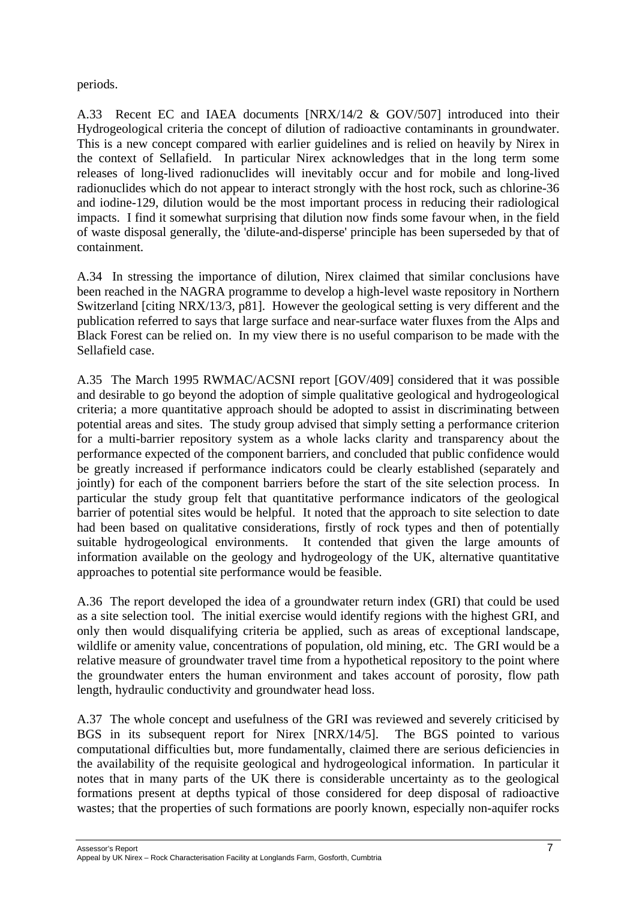periods.

A.33 Recent EC and IAEA documents [NRX/14/2 & GOV/507] introduced into their Hydrogeological criteria the concept of dilution of radioactive contaminants in groundwater. This is a new concept compared with earlier guidelines and is relied on heavily by Nirex in the context of Sellafield. In particular Nirex acknowledges that in the long term some releases of long-lived radionuclides will inevitably occur and for mobile and long-lived radionuclides which do not appear to interact strongly with the host rock, such as chlorine-36 and iodine-129, dilution would be the most important process in reducing their radiological impacts. I find it somewhat surprising that dilution now finds some favour when, in the field of waste disposal generally, the 'dilute-and-disperse' principle has been superseded by that of containment.

A.34 In stressing the importance of dilution, Nirex claimed that similar conclusions have been reached in the NAGRA programme to develop a high-level waste repository in Northern Switzerland [citing NRX/13/3, p81]. However the geological setting is very different and the publication referred to says that large surface and near-surface water fluxes from the Alps and Black Forest can be relied on. In my view there is no useful comparison to be made with the Sellafield case.

A.35 The March 1995 RWMAC/ACSNI report [GOV/409] considered that it was possible and desirable to go beyond the adoption of simple qualitative geological and hydrogeological criteria; a more quantitative approach should be adopted to assist in discriminating between potential areas and sites. The study group advised that simply setting a performance criterion for a multi-barrier repository system as a whole lacks clarity and transparency about the performance expected of the component barriers, and concluded that public confidence would be greatly increased if performance indicators could be clearly established (separately and jointly) for each of the component barriers before the start of the site selection process. In particular the study group felt that quantitative performance indicators of the geological barrier of potential sites would be helpful. It noted that the approach to site selection to date had been based on qualitative considerations, firstly of rock types and then of potentially suitable hydrogeological environments. It contended that given the large amounts of information available on the geology and hydrogeology of the UK, alternative quantitative approaches to potential site performance would be feasible.

A.36 The report developed the idea of a groundwater return index (GRI) that could be used as a site selection tool. The initial exercise would identify regions with the highest GRI, and only then would disqualifying criteria be applied, such as areas of exceptional landscape, wildlife or amenity value, concentrations of population, old mining, etc. The GRI would be a relative measure of groundwater travel time from a hypothetical repository to the point where the groundwater enters the human environment and takes account of porosity, flow path length, hydraulic conductivity and groundwater head loss.

A.37 The whole concept and usefulness of the GRI was reviewed and severely criticised by BGS in its subsequent report for Nirex [NRX/14/5]. The BGS pointed to various computational difficulties but, more fundamentally, claimed there are serious deficiencies in the availability of the requisite geological and hydrogeological information. In particular it notes that in many parts of the UK there is considerable uncertainty as to the geological formations present at depths typical of those considered for deep disposal of radioactive wastes; that the properties of such formations are poorly known, especially non-aquifer rocks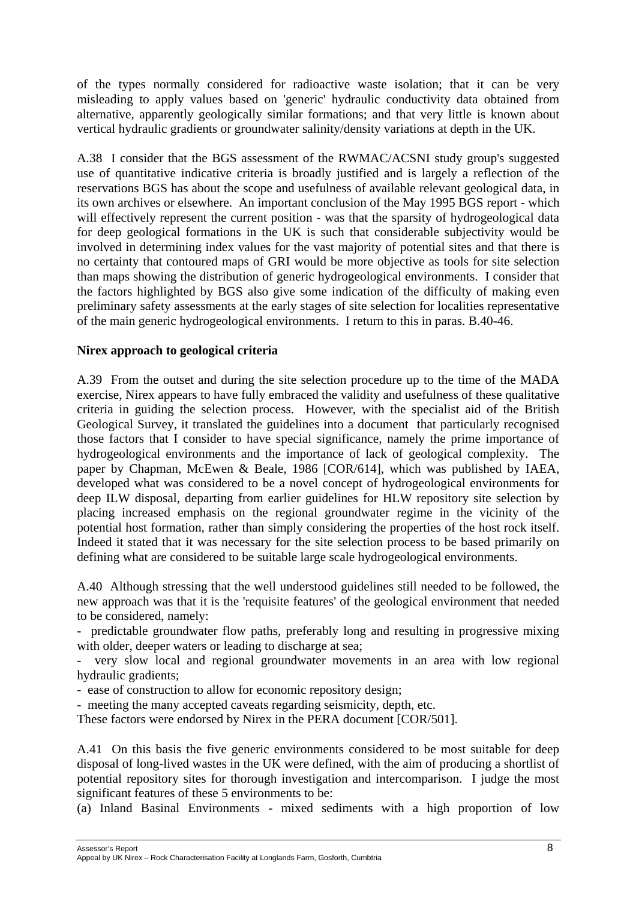of the types normally considered for radioactive waste isolation; that it can be very misleading to apply values based on 'generic' hydraulic conductivity data obtained from alternative, apparently geologically similar formations; and that very little is known about vertical hydraulic gradients or groundwater salinity/density variations at depth in the UK.

A.38 I consider that the BGS assessment of the RWMAC/ACSNI study group's suggested use of quantitative indicative criteria is broadly justified and is largely a reflection of the reservations BGS has about the scope and usefulness of available relevant geological data, in its own archives or elsewhere. An important conclusion of the May 1995 BGS report - which will effectively represent the current position - was that the sparsity of hydrogeological data for deep geological formations in the UK is such that considerable subjectivity would be involved in determining index values for the vast majority of potential sites and that there is no certainty that contoured maps of GRI would be more objective as tools for site selection than maps showing the distribution of generic hydrogeological environments. I consider that the factors highlighted by BGS also give some indication of the difficulty of making even preliminary safety assessments at the early stages of site selection for localities representative of the main generic hydrogeological environments. I return to this in paras. B.40-46.

#### **Nirex approach to geological criteria**

A.39 From the outset and during the site selection procedure up to the time of the MADA exercise, Nirex appears to have fully embraced the validity and usefulness of these qualitative criteria in guiding the selection process. However, with the specialist aid of the British Geological Survey, it translated the guidelines into a document that particularly recognised those factors that I consider to have special significance, namely the prime importance of hydrogeological environments and the importance of lack of geological complexity. The paper by Chapman, McEwen & Beale, 1986 [COR/614], which was published by IAEA, developed what was considered to be a novel concept of hydrogeological environments for deep ILW disposal, departing from earlier guidelines for HLW repository site selection by placing increased emphasis on the regional groundwater regime in the vicinity of the potential host formation, rather than simply considering the properties of the host rock itself. Indeed it stated that it was necessary for the site selection process to be based primarily on defining what are considered to be suitable large scale hydrogeological environments.

A.40 Although stressing that the well understood guidelines still needed to be followed, the new approach was that it is the 'requisite features' of the geological environment that needed to be considered, namely:

- predictable groundwater flow paths, preferably long and resulting in progressive mixing with older, deeper waters or leading to discharge at sea;

- very slow local and regional groundwater movements in an area with low regional hydraulic gradients;

- ease of construction to allow for economic repository design;

- meeting the many accepted caveats regarding seismicity, depth, etc.

These factors were endorsed by Nirex in the PERA document [COR/501].

A.41 On this basis the five generic environments considered to be most suitable for deep disposal of long-lived wastes in the UK were defined, with the aim of producing a shortlist of potential repository sites for thorough investigation and intercomparison. I judge the most significant features of these 5 environments to be:

(a) Inland Basinal Environments - mixed sediments with a high proportion of low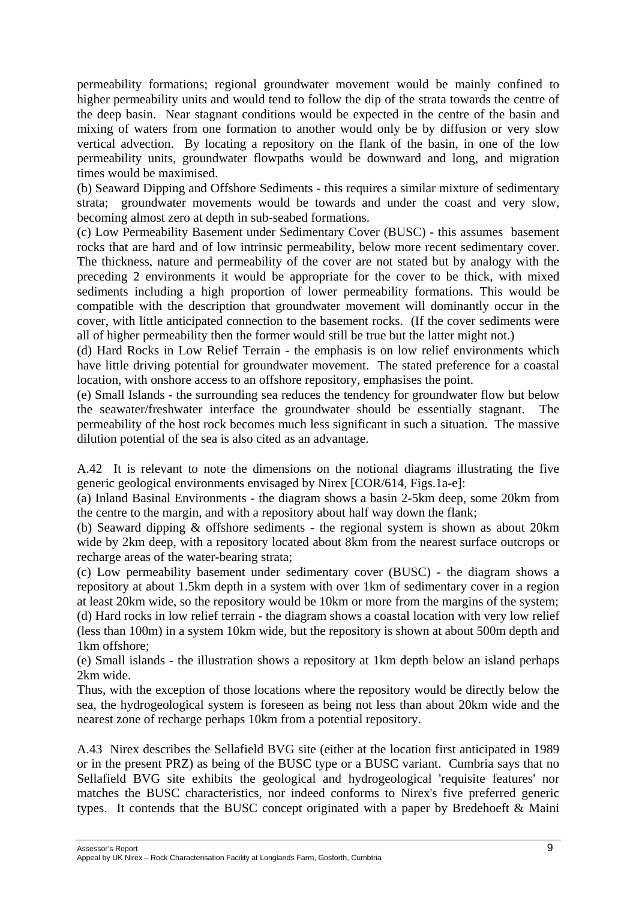permeability formations; regional groundwater movement would be mainly confined to higher permeability units and would tend to follow the dip of the strata towards the centre of the deep basin. Near stagnant conditions would be expected in the centre of the basin and mixing of waters from one formation to another would only be by diffusion or very slow vertical advection. By locating a repository on the flank of the basin, in one of the low permeability units, groundwater flowpaths would be downward and long, and migration times would be maximised.

(b) Seaward Dipping and Offshore Sediments - this requires a similar mixture of sedimentary strata; groundwater movements would be towards and under the coast and very slow, becoming almost zero at depth in sub-seabed formations.

(c) Low Permeability Basement under Sedimentary Cover (BUSC) - this assumes basement rocks that are hard and of low intrinsic permeability, below more recent sedimentary cover. The thickness, nature and permeability of the cover are not stated but by analogy with the preceding 2 environments it would be appropriate for the cover to be thick, with mixed sediments including a high proportion of lower permeability formations. This would be compatible with the description that groundwater movement will dominantly occur in the cover, with little anticipated connection to the basement rocks. (If the cover sediments were all of higher permeability then the former would still be true but the latter might not.)

(d) Hard Rocks in Low Relief Terrain - the emphasis is on low relief environments which have little driving potential for groundwater movement. The stated preference for a coastal location, with onshore access to an offshore repository, emphasises the point.

(e) Small Islands - the surrounding sea reduces the tendency for groundwater flow but below the seawater/freshwater interface the groundwater should be essentially stagnant. The permeability of the host rock becomes much less significant in such a situation. The massive dilution potential of the sea is also cited as an advantage.

A.42 It is relevant to note the dimensions on the notional diagrams illustrating the five generic geological environments envisaged by Nirex [COR/614, Figs.1a-e]:

(a) Inland Basinal Environments - the diagram shows a basin 2-5km deep, some 20km from the centre to the margin, and with a repository about half way down the flank;

(b) Seaward dipping & offshore sediments - the regional system is shown as about 20km wide by 2km deep, with a repository located about 8km from the nearest surface outcrops or recharge areas of the water-bearing strata;

(c) Low permeability basement under sedimentary cover (BUSC) - the diagram shows a repository at about 1.5km depth in a system with over 1km of sedimentary cover in a region at least 20km wide, so the repository would be 10km or more from the margins of the system; (d) Hard rocks in low relief terrain - the diagram shows a coastal location with very low relief (less than 100m) in a system 10km wide, but the repository is shown at about 500m depth and 1km offshore;

(e) Small islands - the illustration shows a repository at 1km depth below an island perhaps 2km wide.

Thus, with the exception of those locations where the repository would be directly below the sea, the hydrogeological system is foreseen as being not less than about 20km wide and the nearest zone of recharge perhaps 10km from a potential repository.

A.43 Nirex describes the Sellafield BVG site (either at the location first anticipated in 1989 or in the present PRZ) as being of the BUSC type or a BUSC variant. Cumbria says that no Sellafield BVG site exhibits the geological and hydrogeological 'requisite features' nor matches the BUSC characteristics, nor indeed conforms to Nirex's five preferred generic types. It contends that the BUSC concept originated with a paper by Bredehoeft & Maini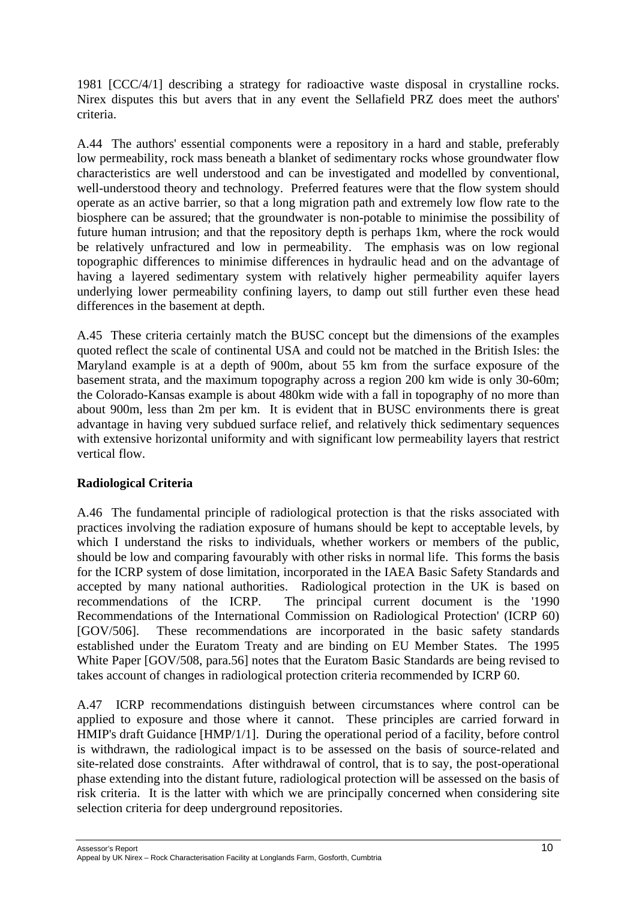1981 [CCC/4/1] describing a strategy for radioactive waste disposal in crystalline rocks. Nirex disputes this but avers that in any event the Sellafield PRZ does meet the authors' criteria.

A.44 The authors' essential components were a repository in a hard and stable, preferably low permeability, rock mass beneath a blanket of sedimentary rocks whose groundwater flow characteristics are well understood and can be investigated and modelled by conventional, well-understood theory and technology. Preferred features were that the flow system should operate as an active barrier, so that a long migration path and extremely low flow rate to the biosphere can be assured; that the groundwater is non-potable to minimise the possibility of future human intrusion; and that the repository depth is perhaps 1km, where the rock would be relatively unfractured and low in permeability. The emphasis was on low regional topographic differences to minimise differences in hydraulic head and on the advantage of having a layered sedimentary system with relatively higher permeability aquifer layers underlying lower permeability confining layers, to damp out still further even these head differences in the basement at depth.

A.45 These criteria certainly match the BUSC concept but the dimensions of the examples quoted reflect the scale of continental USA and could not be matched in the British Isles: the Maryland example is at a depth of 900m, about 55 km from the surface exposure of the basement strata, and the maximum topography across a region 200 km wide is only 30-60m; the Colorado-Kansas example is about 480km wide with a fall in topography of no more than about 900m, less than 2m per km. It is evident that in BUSC environments there is great advantage in having very subdued surface relief, and relatively thick sedimentary sequences with extensive horizontal uniformity and with significant low permeability layers that restrict vertical flow.

# **Radiological Criteria**

A.46 The fundamental principle of radiological protection is that the risks associated with practices involving the radiation exposure of humans should be kept to acceptable levels, by which I understand the risks to individuals, whether workers or members of the public, should be low and comparing favourably with other risks in normal life. This forms the basis for the ICRP system of dose limitation, incorporated in the IAEA Basic Safety Standards and accepted by many national authorities. Radiological protection in the UK is based on recommendations of the ICRP. The principal current document is the '1990 Recommendations of the International Commission on Radiological Protection' (ICRP 60) [GOV/506]. These recommendations are incorporated in the basic safety standards established under the Euratom Treaty and are binding on EU Member States. The 1995 White Paper [GOV/508, para.56] notes that the Euratom Basic Standards are being revised to takes account of changes in radiological protection criteria recommended by ICRP 60.

A.47 ICRP recommendations distinguish between circumstances where control can be applied to exposure and those where it cannot. These principles are carried forward in HMIP's draft Guidance [HMP/1/1]. During the operational period of a facility, before control is withdrawn, the radiological impact is to be assessed on the basis of source-related and site-related dose constraints. After withdrawal of control, that is to say, the post-operational phase extending into the distant future, radiological protection will be assessed on the basis of risk criteria. It is the latter with which we are principally concerned when considering site selection criteria for deep underground repositories.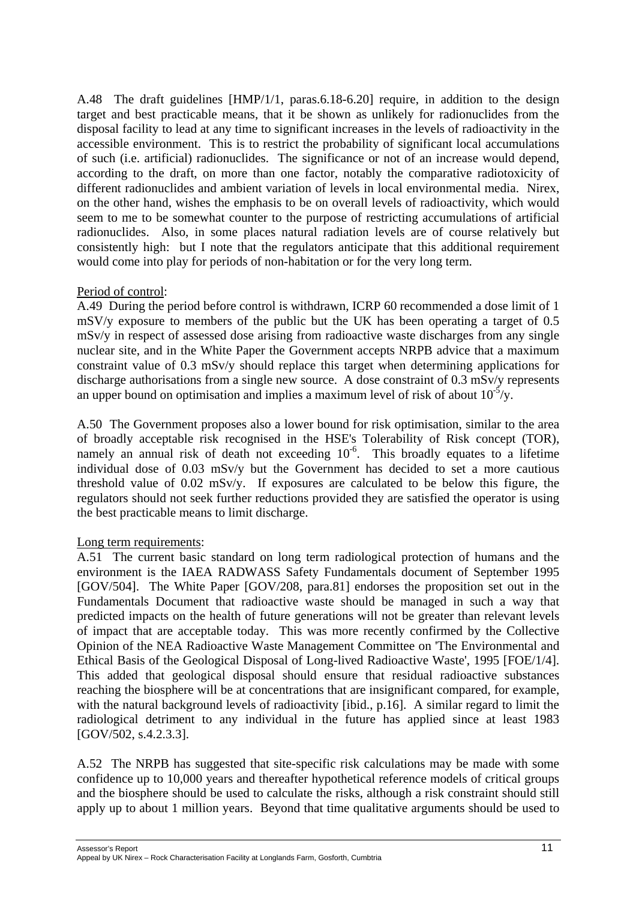A.48 The draft guidelines [HMP/1/1, paras.6.18-6.20] require, in addition to the design target and best practicable means, that it be shown as unlikely for radionuclides from the disposal facility to lead at any time to significant increases in the levels of radioactivity in the accessible environment. This is to restrict the probability of significant local accumulations of such (i.e. artificial) radionuclides. The significance or not of an increase would depend, according to the draft, on more than one factor, notably the comparative radiotoxicity of different radionuclides and ambient variation of levels in local environmental media. Nirex, on the other hand, wishes the emphasis to be on overall levels of radioactivity, which would seem to me to be somewhat counter to the purpose of restricting accumulations of artificial radionuclides. Also, in some places natural radiation levels are of course relatively but consistently high: but I note that the regulators anticipate that this additional requirement would come into play for periods of non-habitation or for the very long term.

### Period of control:

A.49 During the period before control is withdrawn, ICRP 60 recommended a dose limit of 1 mSV/y exposure to members of the public but the UK has been operating a target of 0.5 mSv/y in respect of assessed dose arising from radioactive waste discharges from any single nuclear site, and in the White Paper the Government accepts NRPB advice that a maximum constraint value of 0.3 mSv/y should replace this target when determining applications for discharge authorisations from a single new source. A dose constraint of 0.3 mSv/y represents an upper bound on optimisation and implies a maximum level of risk of about  $10^{-5}/y$ .

A.50 The Government proposes also a lower bound for risk optimisation, similar to the area of broadly acceptable risk recognised in the HSE's Tolerability of Risk concept (TOR), namely an annual risk of death not exceeding  $10^{-6}$ . This broadly equates to a lifetime individual dose of 0.03 mSv/y but the Government has decided to set a more cautious threshold value of 0.02 mSv/y. If exposures are calculated to be below this figure, the regulators should not seek further reductions provided they are satisfied the operator is using the best practicable means to limit discharge.

# Long term requirements:

A.51 The current basic standard on long term radiological protection of humans and the environment is the IAEA RADWASS Safety Fundamentals document of September 1995 [GOV/504]. The White Paper [GOV/208, para.81] endorses the proposition set out in the Fundamentals Document that radioactive waste should be managed in such a way that predicted impacts on the health of future generations will not be greater than relevant levels of impact that are acceptable today. This was more recently confirmed by the Collective Opinion of the NEA Radioactive Waste Management Committee on 'The Environmental and Ethical Basis of the Geological Disposal of Long-lived Radioactive Waste', 1995 [FOE/1/4]. This added that geological disposal should ensure that residual radioactive substances reaching the biosphere will be at concentrations that are insignificant compared, for example, with the natural background levels of radioactivity [ibid., p.16]. A similar regard to limit the radiological detriment to any individual in the future has applied since at least 1983 [GOV/502, s.4.2.3.3].

A.52 The NRPB has suggested that site-specific risk calculations may be made with some confidence up to 10,000 years and thereafter hypothetical reference models of critical groups and the biosphere should be used to calculate the risks, although a risk constraint should still apply up to about 1 million years. Beyond that time qualitative arguments should be used to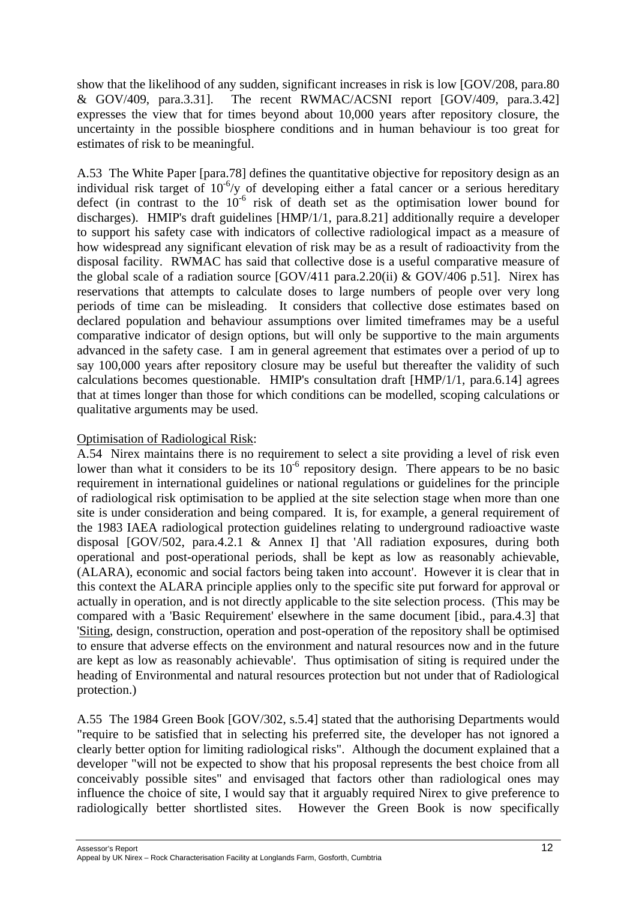show that the likelihood of any sudden, significant increases in risk is low [GOV/208, para.80 & GOV/409, para.3.31]. The recent RWMAC/ACSNI report [GOV/409, para.3.42] expresses the view that for times beyond about 10,000 years after repository closure, the uncertainty in the possible biosphere conditions and in human behaviour is too great for estimates of risk to be meaningful.

A.53 The White Paper [para.78] defines the quantitative objective for repository design as an individual risk target of  $10^{-6}/y$  of developing either a fatal cancer or a serious hereditary defect (in contrast to the  $10^{-6}$  risk of death set as the optimisation lower bound for discharges). HMIP's draft guidelines [HMP/1/1, para.8.21] additionally require a developer to support his safety case with indicators of collective radiological impact as a measure of how widespread any significant elevation of risk may be as a result of radioactivity from the disposal facility. RWMAC has said that collective dose is a useful comparative measure of the global scale of a radiation source  $(GOV/411)$  para.2.20(ii) &  $GOV/406$  p.51]. Nirex has reservations that attempts to calculate doses to large numbers of people over very long periods of time can be misleading. It considers that collective dose estimates based on declared population and behaviour assumptions over limited timeframes may be a useful comparative indicator of design options, but will only be supportive to the main arguments advanced in the safety case. I am in general agreement that estimates over a period of up to say 100,000 years after repository closure may be useful but thereafter the validity of such calculations becomes questionable. HMIP's consultation draft [HMP/1/1, para.6.14] agrees that at times longer than those for which conditions can be modelled, scoping calculations or qualitative arguments may be used.

### Optimisation of Radiological Risk:

A.54 Nirex maintains there is no requirement to select a site providing a level of risk even lower than what it considers to be its  $10^{-6}$  repository design. There appears to be no basic requirement in international guidelines or national regulations or guidelines for the principle of radiological risk optimisation to be applied at the site selection stage when more than one site is under consideration and being compared. It is, for example, a general requirement of the 1983 IAEA radiological protection guidelines relating to underground radioactive waste disposal [GOV/502, para.4.2.1 & Annex I] that 'All radiation exposures, during both operational and post-operational periods, shall be kept as low as reasonably achievable, (ALARA), economic and social factors being taken into account'. However it is clear that in this context the ALARA principle applies only to the specific site put forward for approval or actually in operation, and is not directly applicable to the site selection process. (This may be compared with a 'Basic Requirement' elsewhere in the same document [ibid., para.4.3] that 'Siting, design, construction, operation and post-operation of the repository shall be optimised to ensure that adverse effects on the environment and natural resources now and in the future are kept as low as reasonably achievable'. Thus optimisation of siting is required under the heading of Environmental and natural resources protection but not under that of Radiological protection.)

A.55 The 1984 Green Book [GOV/302, s.5.4] stated that the authorising Departments would "require to be satisfied that in selecting his preferred site, the developer has not ignored a clearly better option for limiting radiological risks". Although the document explained that a developer "will not be expected to show that his proposal represents the best choice from all conceivably possible sites" and envisaged that factors other than radiological ones may influence the choice of site, I would say that it arguably required Nirex to give preference to radiologically better shortlisted sites. However the Green Book is now specifically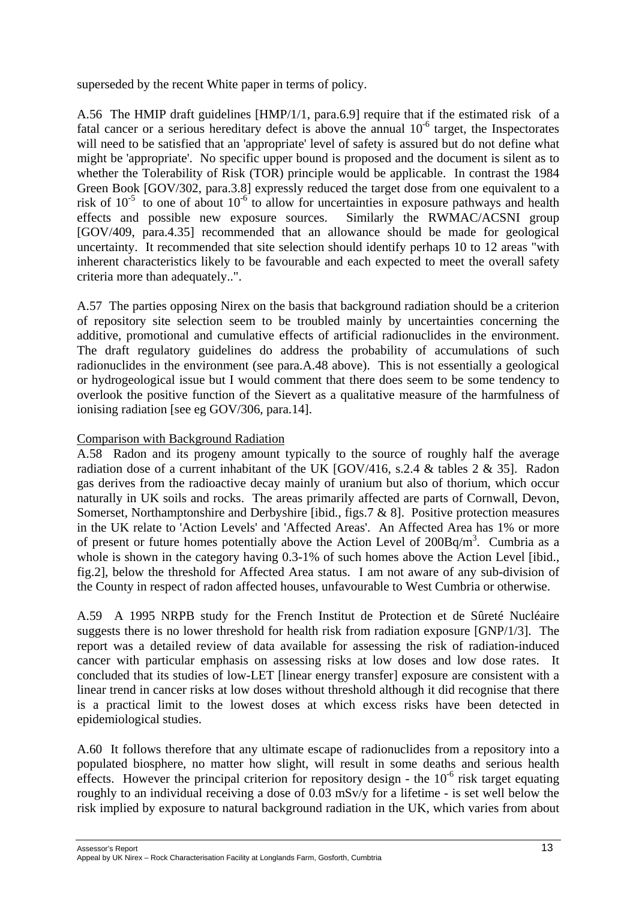superseded by the recent White paper in terms of policy.

A.56 The HMIP draft guidelines [HMP/1/1, para.6.9] require that if the estimated risk of a fatal cancer or a serious hereditary defect is above the annual  $10^{-6}$  target, the Inspectorates will need to be satisfied that an 'appropriate' level of safety is assured but do not define what might be 'appropriate'. No specific upper bound is proposed and the document is silent as to whether the Tolerability of Risk (TOR) principle would be applicable. In contrast the 1984 Green Book [GOV/302, para.3.8] expressly reduced the target dose from one equivalent to a risk of  $10^{-5}$  to one of about  $10^{-6}$  to allow for uncertainties in exposure pathways and health effects and possible new exposure sources. Similarly the RWMAC/ACSNI group [GOV/409, para.4.35] recommended that an allowance should be made for geological uncertainty. It recommended that site selection should identify perhaps 10 to 12 areas "with inherent characteristics likely to be favourable and each expected to meet the overall safety criteria more than adequately..".

A.57 The parties opposing Nirex on the basis that background radiation should be a criterion of repository site selection seem to be troubled mainly by uncertainties concerning the additive, promotional and cumulative effects of artificial radionuclides in the environment. The draft regulatory guidelines do address the probability of accumulations of such radionuclides in the environment (see para.A.48 above). This is not essentially a geological or hydrogeological issue but I would comment that there does seem to be some tendency to overlook the positive function of the Sievert as a qualitative measure of the harmfulness of ionising radiation [see eg GOV/306, para.14].

### Comparison with Background Radiation

A.58 Radon and its progeny amount typically to the source of roughly half the average radiation dose of a current inhabitant of the UK [GOV/416, s.2.4 & tables 2 & 35]. Radon gas derives from the radioactive decay mainly of uranium but also of thorium, which occur naturally in UK soils and rocks. The areas primarily affected are parts of Cornwall, Devon, Somerset, Northamptonshire and Derbyshire [ibid., figs.7 & 8]. Positive protection measures in the UK relate to 'Action Levels' and 'Affected Areas'. An Affected Area has 1% or more of present or future homes potentially above the Action Level of  $200Bq/m<sup>3</sup>$ . Cumbria as a whole is shown in the category having 0.3-1% of such homes above the Action Level [ibid., fig.2], below the threshold for Affected Area status. I am not aware of any sub-division of the County in respect of radon affected houses, unfavourable to West Cumbria or otherwise.

A.59 A 1995 NRPB study for the French Institut de Protection et de Sûreté Nucléaire suggests there is no lower threshold for health risk from radiation exposure [GNP/1/3]. The report was a detailed review of data available for assessing the risk of radiation-induced cancer with particular emphasis on assessing risks at low doses and low dose rates. It concluded that its studies of low-LET [linear energy transfer] exposure are consistent with a linear trend in cancer risks at low doses without threshold although it did recognise that there is a practical limit to the lowest doses at which excess risks have been detected in epidemiological studies.

A.60 It follows therefore that any ultimate escape of radionuclides from a repository into a populated biosphere, no matter how slight, will result in some deaths and serious health effects. However the principal criterion for repository design - the  $10^{-6}$  risk target equating roughly to an individual receiving a dose of 0.03 mSv/y for a lifetime - is set well below the risk implied by exposure to natural background radiation in the UK, which varies from about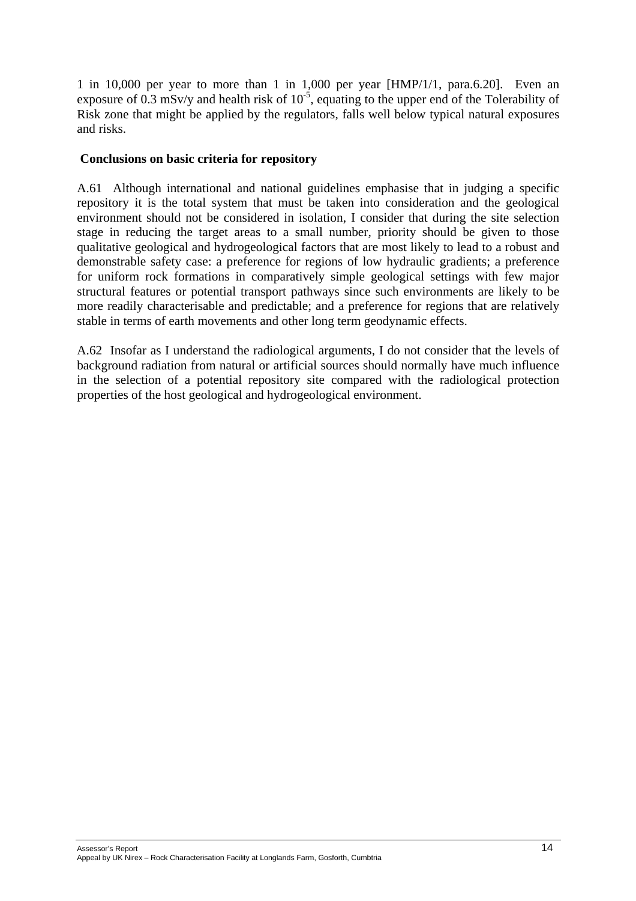1 in 10,000 per year to more than 1 in 1,000 per year [HMP/1/1, para.6.20]. Even an exposure of  $0.3$  mSv/y and health risk of  $10^{-5}$ , equating to the upper end of the Tolerability of Risk zone that might be applied by the regulators, falls well below typical natural exposures and risks.

#### **Conclusions on basic criteria for repository**

A.61 Although international and national guidelines emphasise that in judging a specific repository it is the total system that must be taken into consideration and the geological environment should not be considered in isolation, I consider that during the site selection stage in reducing the target areas to a small number, priority should be given to those qualitative geological and hydrogeological factors that are most likely to lead to a robust and demonstrable safety case: a preference for regions of low hydraulic gradients; a preference for uniform rock formations in comparatively simple geological settings with few major structural features or potential transport pathways since such environments are likely to be more readily characterisable and predictable; and a preference for regions that are relatively stable in terms of earth movements and other long term geodynamic effects.

A.62 Insofar as I understand the radiological arguments, I do not consider that the levels of background radiation from natural or artificial sources should normally have much influence in the selection of a potential repository site compared with the radiological protection properties of the host geological and hydrogeological environment.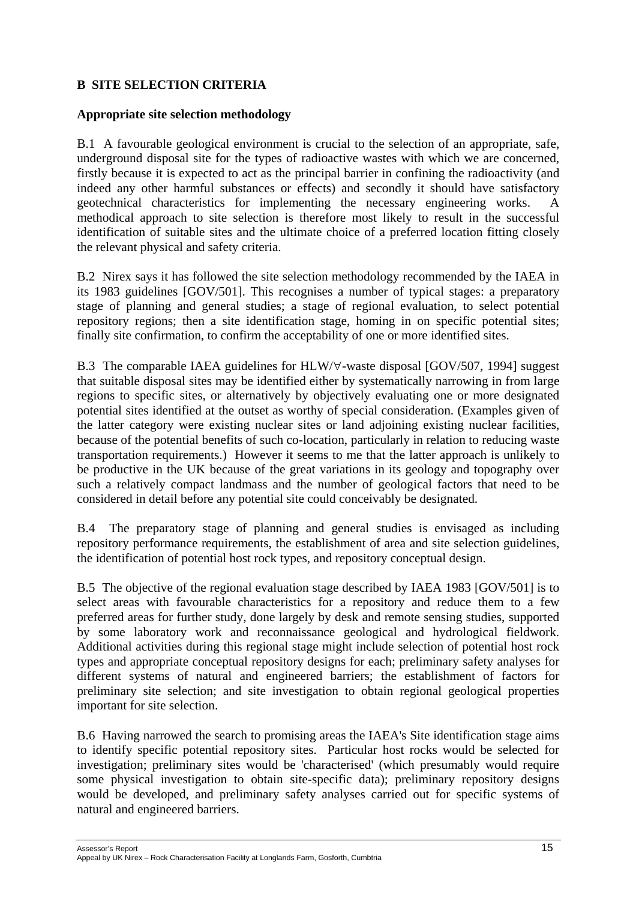# **B SITE SELECTION CRITERIA**

#### **Appropriate site selection methodology**

B.1 A favourable geological environment is crucial to the selection of an appropriate, safe, underground disposal site for the types of radioactive wastes with which we are concerned, firstly because it is expected to act as the principal barrier in confining the radioactivity (and indeed any other harmful substances or effects) and secondly it should have satisfactory geotechnical characteristics for implementing the necessary engineering works. A methodical approach to site selection is therefore most likely to result in the successful identification of suitable sites and the ultimate choice of a preferred location fitting closely the relevant physical and safety criteria.

B.2 Nirex says it has followed the site selection methodology recommended by the IAEA in its 1983 guidelines [GOV/501]. This recognises a number of typical stages: a preparatory stage of planning and general studies; a stage of regional evaluation, to select potential repository regions; then a site identification stage, homing in on specific potential sites; finally site confirmation, to confirm the acceptability of one or more identified sites.

B.3 The comparable IAEA guidelines for HLW/∀-waste disposal [GOV/507, 1994] suggest that suitable disposal sites may be identified either by systematically narrowing in from large regions to specific sites, or alternatively by objectively evaluating one or more designated potential sites identified at the outset as worthy of special consideration. (Examples given of the latter category were existing nuclear sites or land adjoining existing nuclear facilities, because of the potential benefits of such co-location, particularly in relation to reducing waste transportation requirements.) However it seems to me that the latter approach is unlikely to be productive in the UK because of the great variations in its geology and topography over such a relatively compact landmass and the number of geological factors that need to be considered in detail before any potential site could conceivably be designated.

B.4 The preparatory stage of planning and general studies is envisaged as including repository performance requirements, the establishment of area and site selection guidelines, the identification of potential host rock types, and repository conceptual design.

B.5 The objective of the regional evaluation stage described by IAEA 1983 [GOV/501] is to select areas with favourable characteristics for a repository and reduce them to a few preferred areas for further study, done largely by desk and remote sensing studies, supported by some laboratory work and reconnaissance geological and hydrological fieldwork. Additional activities during this regional stage might include selection of potential host rock types and appropriate conceptual repository designs for each; preliminary safety analyses for different systems of natural and engineered barriers; the establishment of factors for preliminary site selection; and site investigation to obtain regional geological properties important for site selection.

B.6 Having narrowed the search to promising areas the IAEA's Site identification stage aims to identify specific potential repository sites. Particular host rocks would be selected for investigation; preliminary sites would be 'characterised' (which presumably would require some physical investigation to obtain site-specific data); preliminary repository designs would be developed, and preliminary safety analyses carried out for specific systems of natural and engineered barriers.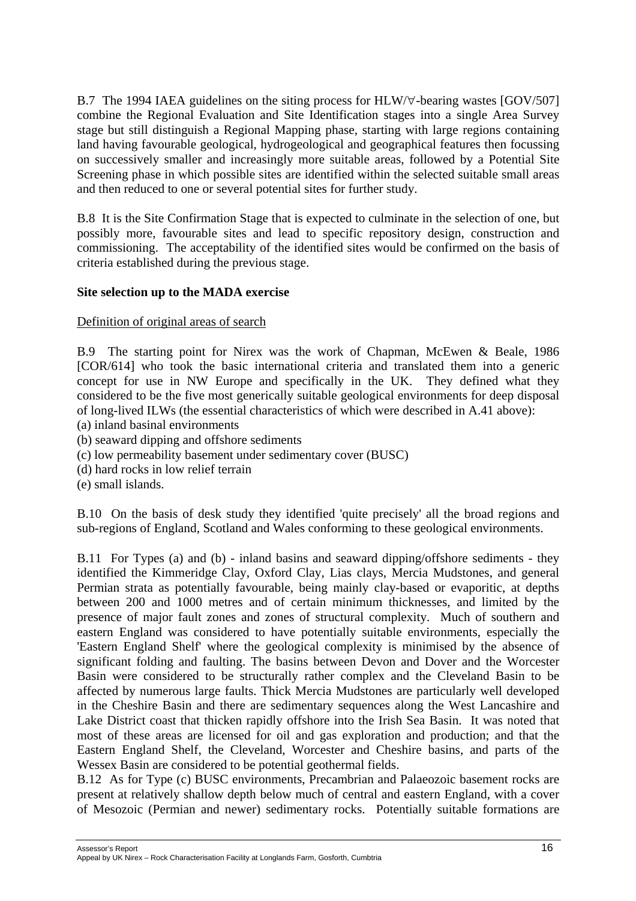B.7 The 1994 IAEA guidelines on the siting process for HLW/∀-bearing wastes [GOV/507] combine the Regional Evaluation and Site Identification stages into a single Area Survey stage but still distinguish a Regional Mapping phase, starting with large regions containing land having favourable geological, hydrogeological and geographical features then focussing on successively smaller and increasingly more suitable areas, followed by a Potential Site Screening phase in which possible sites are identified within the selected suitable small areas and then reduced to one or several potential sites for further study.

B.8 It is the Site Confirmation Stage that is expected to culminate in the selection of one, but possibly more, favourable sites and lead to specific repository design, construction and commissioning. The acceptability of the identified sites would be confirmed on the basis of criteria established during the previous stage.

### **Site selection up to the MADA exercise**

### Definition of original areas of search

B.9 The starting point for Nirex was the work of Chapman, McEwen & Beale, 1986 [COR/614] who took the basic international criteria and translated them into a generic concept for use in NW Europe and specifically in the UK. They defined what they considered to be the five most generically suitable geological environments for deep disposal of long-lived ILWs (the essential characteristics of which were described in A.41 above):

- (a) inland basinal environments
- (b) seaward dipping and offshore sediments
- (c) low permeability basement under sedimentary cover (BUSC)
- (d) hard rocks in low relief terrain
- (e) small islands.

B.10 On the basis of desk study they identified 'quite precisely' all the broad regions and sub-regions of England, Scotland and Wales conforming to these geological environments.

B.11 For Types (a) and (b) - inland basins and seaward dipping/offshore sediments - they identified the Kimmeridge Clay, Oxford Clay, Lias clays, Mercia Mudstones, and general Permian strata as potentially favourable, being mainly clay-based or evaporitic, at depths between 200 and 1000 metres and of certain minimum thicknesses, and limited by the presence of major fault zones and zones of structural complexity. Much of southern and eastern England was considered to have potentially suitable environments, especially the 'Eastern England Shelf' where the geological complexity is minimised by the absence of significant folding and faulting. The basins between Devon and Dover and the Worcester Basin were considered to be structurally rather complex and the Cleveland Basin to be affected by numerous large faults. Thick Mercia Mudstones are particularly well developed in the Cheshire Basin and there are sedimentary sequences along the West Lancashire and Lake District coast that thicken rapidly offshore into the Irish Sea Basin. It was noted that most of these areas are licensed for oil and gas exploration and production; and that the Eastern England Shelf, the Cleveland, Worcester and Cheshire basins, and parts of the Wessex Basin are considered to be potential geothermal fields.

B.12 As for Type (c) BUSC environments, Precambrian and Palaeozoic basement rocks are present at relatively shallow depth below much of central and eastern England, with a cover of Mesozoic (Permian and newer) sedimentary rocks. Potentially suitable formations are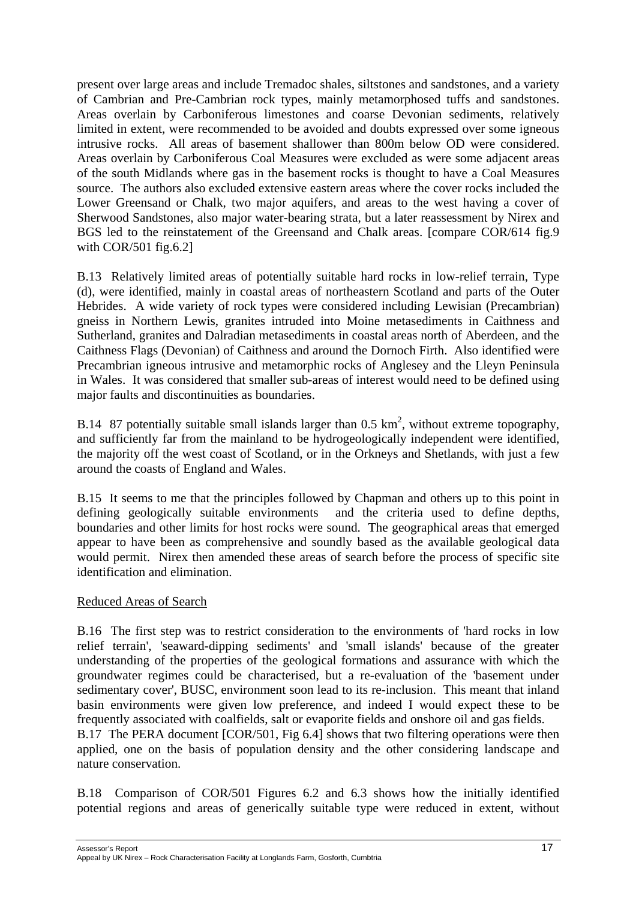present over large areas and include Tremadoc shales, siltstones and sandstones, and a variety of Cambrian and Pre-Cambrian rock types, mainly metamorphosed tuffs and sandstones. Areas overlain by Carboniferous limestones and coarse Devonian sediments, relatively limited in extent, were recommended to be avoided and doubts expressed over some igneous intrusive rocks. All areas of basement shallower than 800m below OD were considered. Areas overlain by Carboniferous Coal Measures were excluded as were some adjacent areas of the south Midlands where gas in the basement rocks is thought to have a Coal Measures source. The authors also excluded extensive eastern areas where the cover rocks included the Lower Greensand or Chalk, two major aquifers, and areas to the west having a cover of Sherwood Sandstones, also major water-bearing strata, but a later reassessment by Nirex and BGS led to the reinstatement of the Greensand and Chalk areas. [compare COR/614 fig.9 with  $COR/501$  fig.6.2]

B.13 Relatively limited areas of potentially suitable hard rocks in low-relief terrain, Type (d), were identified, mainly in coastal areas of northeastern Scotland and parts of the Outer Hebrides. A wide variety of rock types were considered including Lewisian (Precambrian) gneiss in Northern Lewis, granites intruded into Moine metasediments in Caithness and Sutherland, granites and Dalradian metasediments in coastal areas north of Aberdeen, and the Caithness Flags (Devonian) of Caithness and around the Dornoch Firth. Also identified were Precambrian igneous intrusive and metamorphic rocks of Anglesey and the Lleyn Peninsula in Wales. It was considered that smaller sub-areas of interest would need to be defined using major faults and discontinuities as boundaries.

B.14 87 potentially suitable small islands larger than 0.5  $km^2$ , without extreme topography, and sufficiently far from the mainland to be hydrogeologically independent were identified, the majority off the west coast of Scotland, or in the Orkneys and Shetlands, with just a few around the coasts of England and Wales.

B.15 It seems to me that the principles followed by Chapman and others up to this point in defining geologically suitable environments and the criteria used to define depths, boundaries and other limits for host rocks were sound. The geographical areas that emerged appear to have been as comprehensive and soundly based as the available geological data would permit. Nirex then amended these areas of search before the process of specific site identification and elimination.

#### Reduced Areas of Search

nature conservation.

B.16 The first step was to restrict consideration to the environments of 'hard rocks in low relief terrain', 'seaward-dipping sediments' and 'small islands' because of the greater understanding of the properties of the geological formations and assurance with which the groundwater regimes could be characterised, but a re-evaluation of the 'basement under sedimentary cover', BUSC, environment soon lead to its re-inclusion. This meant that inland basin environments were given low preference, and indeed I would expect these to be frequently associated with coalfields, salt or evaporite fields and onshore oil and gas fields. B.17 The PERA document [COR/501, Fig 6.4] shows that two filtering operations were then applied, one on the basis of population density and the other considering landscape and

B.18 Comparison of COR/501 Figures 6.2 and 6.3 shows how the initially identified potential regions and areas of generically suitable type were reduced in extent, without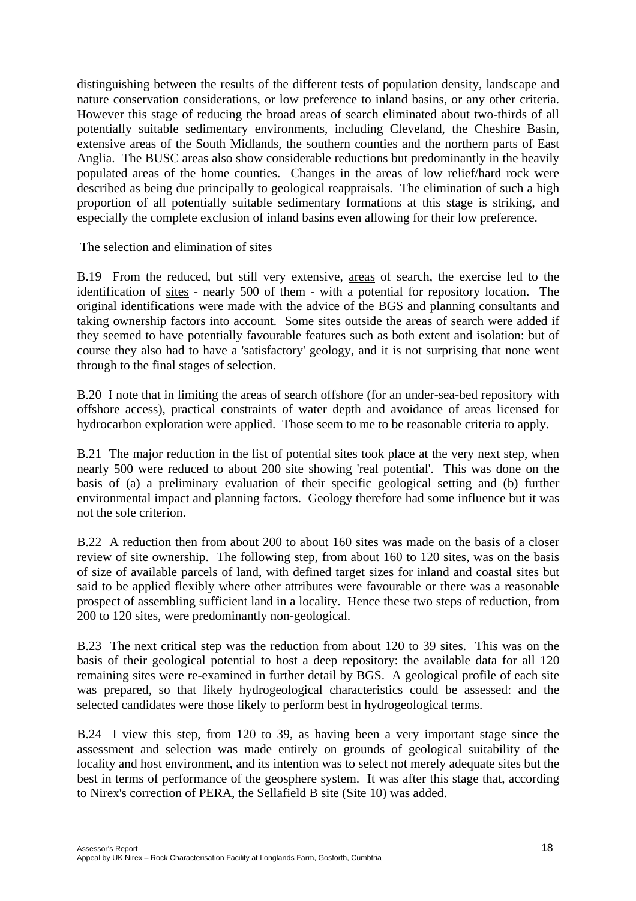distinguishing between the results of the different tests of population density, landscape and nature conservation considerations, or low preference to inland basins, or any other criteria. However this stage of reducing the broad areas of search eliminated about two-thirds of all potentially suitable sedimentary environments, including Cleveland, the Cheshire Basin, extensive areas of the South Midlands, the southern counties and the northern parts of East Anglia. The BUSC areas also show considerable reductions but predominantly in the heavily populated areas of the home counties. Changes in the areas of low relief/hard rock were described as being due principally to geological reappraisals. The elimination of such a high proportion of all potentially suitable sedimentary formations at this stage is striking, and especially the complete exclusion of inland basins even allowing for their low preference.

#### The selection and elimination of sites

B.19 From the reduced, but still very extensive, areas of search, the exercise led to the identification of sites - nearly 500 of them - with a potential for repository location. The original identifications were made with the advice of the BGS and planning consultants and taking ownership factors into account. Some sites outside the areas of search were added if they seemed to have potentially favourable features such as both extent and isolation: but of course they also had to have a 'satisfactory' geology, and it is not surprising that none went through to the final stages of selection.

B.20 I note that in limiting the areas of search offshore (for an under-sea-bed repository with offshore access), practical constraints of water depth and avoidance of areas licensed for hydrocarbon exploration were applied. Those seem to me to be reasonable criteria to apply.

B.21 The major reduction in the list of potential sites took place at the very next step, when nearly 500 were reduced to about 200 site showing 'real potential'. This was done on the basis of (a) a preliminary evaluation of their specific geological setting and (b) further environmental impact and planning factors. Geology therefore had some influence but it was not the sole criterion.

B.22 A reduction then from about 200 to about 160 sites was made on the basis of a closer review of site ownership. The following step, from about 160 to 120 sites, was on the basis of size of available parcels of land, with defined target sizes for inland and coastal sites but said to be applied flexibly where other attributes were favourable or there was a reasonable prospect of assembling sufficient land in a locality. Hence these two steps of reduction, from 200 to 120 sites, were predominantly non-geological.

B.23 The next critical step was the reduction from about 120 to 39 sites. This was on the basis of their geological potential to host a deep repository: the available data for all 120 remaining sites were re-examined in further detail by BGS. A geological profile of each site was prepared, so that likely hydrogeological characteristics could be assessed: and the selected candidates were those likely to perform best in hydrogeological terms.

B.24 I view this step, from 120 to 39, as having been a very important stage since the assessment and selection was made entirely on grounds of geological suitability of the locality and host environment, and its intention was to select not merely adequate sites but the best in terms of performance of the geosphere system. It was after this stage that, according to Nirex's correction of PERA, the Sellafield B site (Site 10) was added.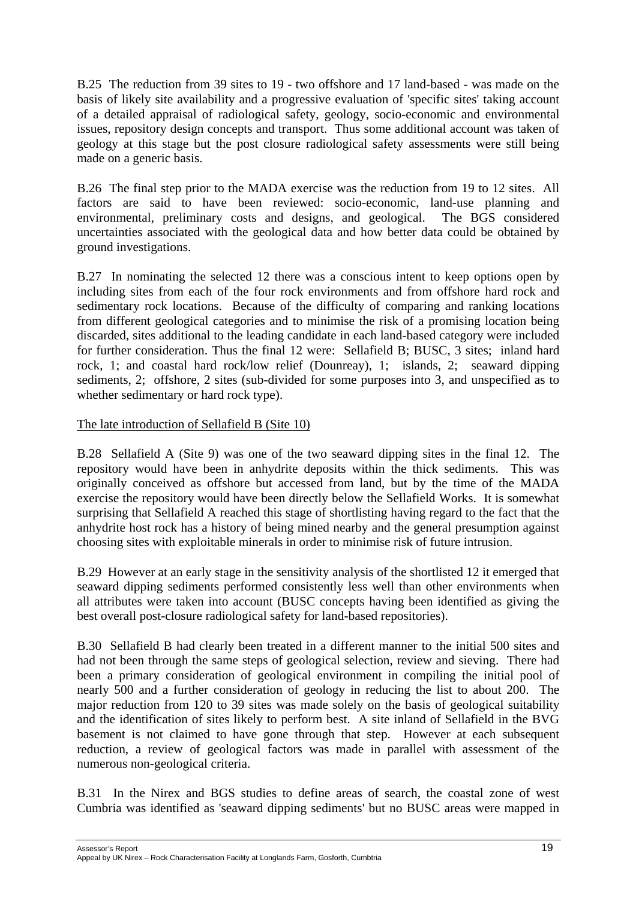B.25 The reduction from 39 sites to 19 - two offshore and 17 land-based - was made on the basis of likely site availability and a progressive evaluation of 'specific sites' taking account of a detailed appraisal of radiological safety, geology, socio-economic and environmental issues, repository design concepts and transport. Thus some additional account was taken of geology at this stage but the post closure radiological safety assessments were still being made on a generic basis.

B.26 The final step prior to the MADA exercise was the reduction from 19 to 12 sites. All factors are said to have been reviewed: socio-economic, land-use planning and environmental, preliminary costs and designs, and geological. The BGS considered uncertainties associated with the geological data and how better data could be obtained by ground investigations.

B.27 In nominating the selected 12 there was a conscious intent to keep options open by including sites from each of the four rock environments and from offshore hard rock and sedimentary rock locations. Because of the difficulty of comparing and ranking locations from different geological categories and to minimise the risk of a promising location being discarded, sites additional to the leading candidate in each land-based category were included for further consideration. Thus the final 12 were: Sellafield B; BUSC, 3 sites; inland hard rock, 1; and coastal hard rock/low relief (Dounreay), 1; islands, 2; seaward dipping sediments, 2; offshore, 2 sites (sub-divided for some purposes into 3, and unspecified as to whether sedimentary or hard rock type).

#### The late introduction of Sellafield B (Site 10)

B.28 Sellafield A (Site 9) was one of the two seaward dipping sites in the final 12. The repository would have been in anhydrite deposits within the thick sediments. This was originally conceived as offshore but accessed from land, but by the time of the MADA exercise the repository would have been directly below the Sellafield Works. It is somewhat surprising that Sellafield A reached this stage of shortlisting having regard to the fact that the anhydrite host rock has a history of being mined nearby and the general presumption against choosing sites with exploitable minerals in order to minimise risk of future intrusion.

B.29 However at an early stage in the sensitivity analysis of the shortlisted 12 it emerged that seaward dipping sediments performed consistently less well than other environments when all attributes were taken into account (BUSC concepts having been identified as giving the best overall post-closure radiological safety for land-based repositories).

B.30 Sellafield B had clearly been treated in a different manner to the initial 500 sites and had not been through the same steps of geological selection, review and sieving. There had been a primary consideration of geological environment in compiling the initial pool of nearly 500 and a further consideration of geology in reducing the list to about 200. The major reduction from 120 to 39 sites was made solely on the basis of geological suitability and the identification of sites likely to perform best. A site inland of Sellafield in the BVG basement is not claimed to have gone through that step. However at each subsequent reduction, a review of geological factors was made in parallel with assessment of the numerous non-geological criteria.

B.31 In the Nirex and BGS studies to define areas of search, the coastal zone of west Cumbria was identified as 'seaward dipping sediments' but no BUSC areas were mapped in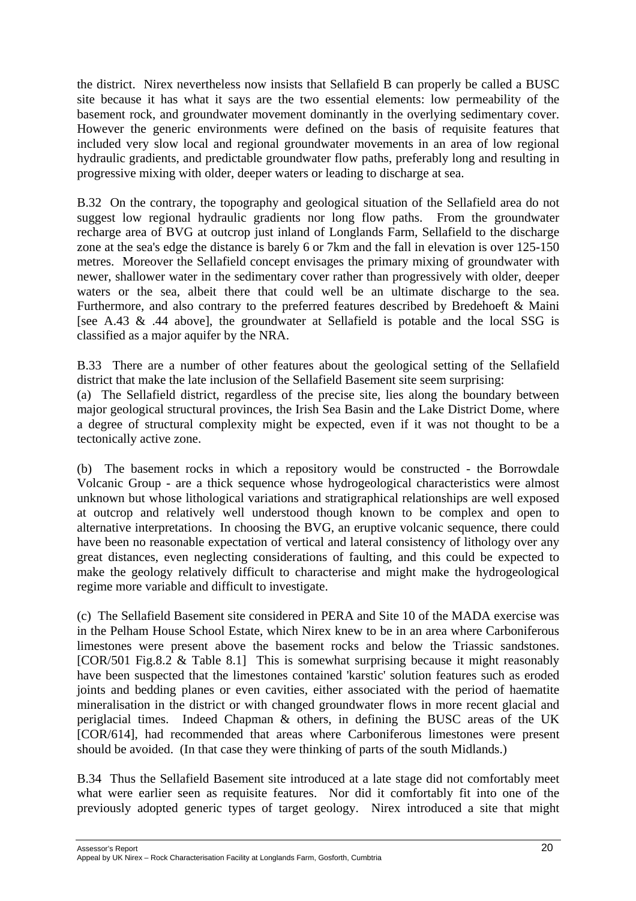the district. Nirex nevertheless now insists that Sellafield B can properly be called a BUSC site because it has what it says are the two essential elements: low permeability of the basement rock, and groundwater movement dominantly in the overlying sedimentary cover. However the generic environments were defined on the basis of requisite features that included very slow local and regional groundwater movements in an area of low regional hydraulic gradients, and predictable groundwater flow paths, preferably long and resulting in progressive mixing with older, deeper waters or leading to discharge at sea.

B.32 On the contrary, the topography and geological situation of the Sellafield area do not suggest low regional hydraulic gradients nor long flow paths. From the groundwater recharge area of BVG at outcrop just inland of Longlands Farm, Sellafield to the discharge zone at the sea's edge the distance is barely 6 or 7km and the fall in elevation is over 125-150 metres. Moreover the Sellafield concept envisages the primary mixing of groundwater with newer, shallower water in the sedimentary cover rather than progressively with older, deeper waters or the sea, albeit there that could well be an ultimate discharge to the sea. Furthermore, and also contrary to the preferred features described by Bredehoeft & Maini [see A.43 & .44 above], the groundwater at Sellafield is potable and the local SSG is classified as a major aquifer by the NRA.

B.33 There are a number of other features about the geological setting of the Sellafield district that make the late inclusion of the Sellafield Basement site seem surprising:

(a) The Sellafield district, regardless of the precise site, lies along the boundary between major geological structural provinces, the Irish Sea Basin and the Lake District Dome, where a degree of structural complexity might be expected, even if it was not thought to be a tectonically active zone.

(b) The basement rocks in which a repository would be constructed - the Borrowdale Volcanic Group - are a thick sequence whose hydrogeological characteristics were almost unknown but whose lithological variations and stratigraphical relationships are well exposed at outcrop and relatively well understood though known to be complex and open to alternative interpretations. In choosing the BVG, an eruptive volcanic sequence, there could have been no reasonable expectation of vertical and lateral consistency of lithology over any great distances, even neglecting considerations of faulting, and this could be expected to make the geology relatively difficult to characterise and might make the hydrogeological regime more variable and difficult to investigate.

(c) The Sellafield Basement site considered in PERA and Site 10 of the MADA exercise was in the Pelham House School Estate, which Nirex knew to be in an area where Carboniferous limestones were present above the basement rocks and below the Triassic sandstones. [COR/501 Fig.8.2 & Table 8.1] This is somewhat surprising because it might reasonably have been suspected that the limestones contained 'karstic' solution features such as eroded joints and bedding planes or even cavities, either associated with the period of haematite mineralisation in the district or with changed groundwater flows in more recent glacial and periglacial times. Indeed Chapman & others, in defining the BUSC areas of the UK [COR/614], had recommended that areas where Carboniferous limestones were present should be avoided. (In that case they were thinking of parts of the south Midlands.)

B.34 Thus the Sellafield Basement site introduced at a late stage did not comfortably meet what were earlier seen as requisite features. Nor did it comfortably fit into one of the previously adopted generic types of target geology. Nirex introduced a site that might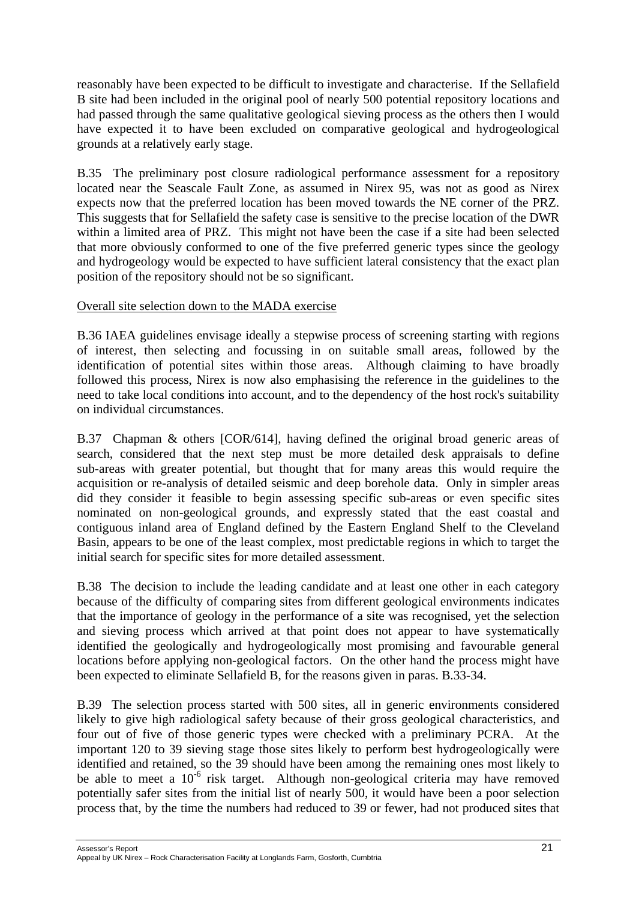reasonably have been expected to be difficult to investigate and characterise. If the Sellafield B site had been included in the original pool of nearly 500 potential repository locations and had passed through the same qualitative geological sieving process as the others then I would have expected it to have been excluded on comparative geological and hydrogeological grounds at a relatively early stage.

B.35 The preliminary post closure radiological performance assessment for a repository located near the Seascale Fault Zone, as assumed in Nirex 95, was not as good as Nirex expects now that the preferred location has been moved towards the NE corner of the PRZ. This suggests that for Sellafield the safety case is sensitive to the precise location of the DWR within a limited area of PRZ. This might not have been the case if a site had been selected that more obviously conformed to one of the five preferred generic types since the geology and hydrogeology would be expected to have sufficient lateral consistency that the exact plan position of the repository should not be so significant.

### Overall site selection down to the MADA exercise

B.36 IAEA guidelines envisage ideally a stepwise process of screening starting with regions of interest, then selecting and focussing in on suitable small areas, followed by the identification of potential sites within those areas. Although claiming to have broadly followed this process, Nirex is now also emphasising the reference in the guidelines to the need to take local conditions into account, and to the dependency of the host rock's suitability on individual circumstances.

B.37 Chapman & others [COR/614], having defined the original broad generic areas of search, considered that the next step must be more detailed desk appraisals to define sub-areas with greater potential, but thought that for many areas this would require the acquisition or re-analysis of detailed seismic and deep borehole data. Only in simpler areas did they consider it feasible to begin assessing specific sub-areas or even specific sites nominated on non-geological grounds, and expressly stated that the east coastal and contiguous inland area of England defined by the Eastern England Shelf to the Cleveland Basin, appears to be one of the least complex, most predictable regions in which to target the initial search for specific sites for more detailed assessment.

B.38 The decision to include the leading candidate and at least one other in each category because of the difficulty of comparing sites from different geological environments indicates that the importance of geology in the performance of a site was recognised, yet the selection and sieving process which arrived at that point does not appear to have systematically identified the geologically and hydrogeologically most promising and favourable general locations before applying non-geological factors. On the other hand the process might have been expected to eliminate Sellafield B, for the reasons given in paras. B.33-34.

B.39 The selection process started with 500 sites, all in generic environments considered likely to give high radiological safety because of their gross geological characteristics, and four out of five of those generic types were checked with a preliminary PCRA. At the important 120 to 39 sieving stage those sites likely to perform best hydrogeologically were identified and retained, so the 39 should have been among the remaining ones most likely to be able to meet a  $10^{-6}$  risk target. Although non-geological criteria may have removed potentially safer sites from the initial list of nearly 500, it would have been a poor selection process that, by the time the numbers had reduced to 39 or fewer, had not produced sites that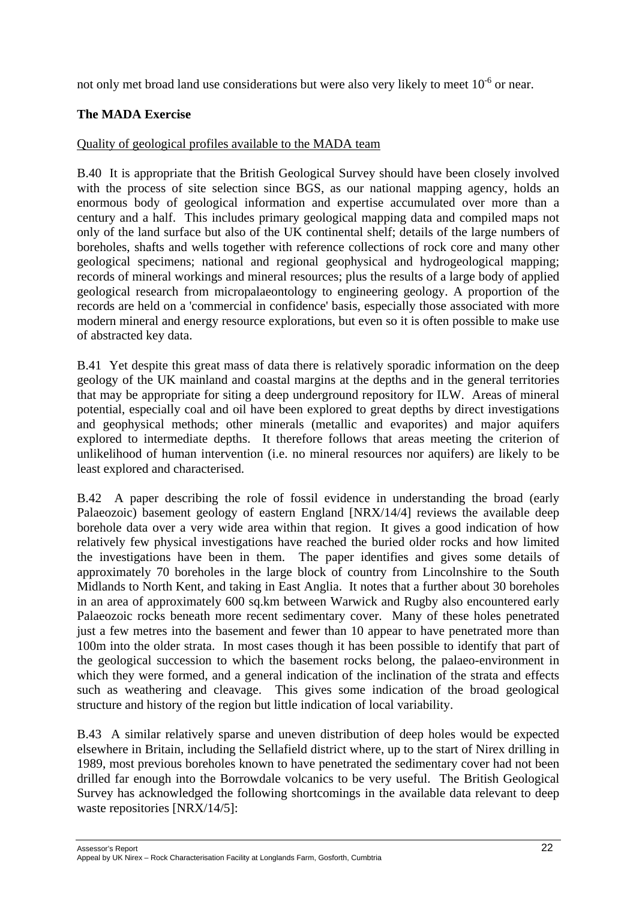not only met broad land use considerations but were also very likely to meet 10-6 or near.

# **The MADA Exercise**

### Quality of geological profiles available to the MADA team

B.40 It is appropriate that the British Geological Survey should have been closely involved with the process of site selection since BGS, as our national mapping agency, holds an enormous body of geological information and expertise accumulated over more than a century and a half. This includes primary geological mapping data and compiled maps not only of the land surface but also of the UK continental shelf; details of the large numbers of boreholes, shafts and wells together with reference collections of rock core and many other geological specimens; national and regional geophysical and hydrogeological mapping; records of mineral workings and mineral resources; plus the results of a large body of applied geological research from micropalaeontology to engineering geology. A proportion of the records are held on a 'commercial in confidence' basis, especially those associated with more modern mineral and energy resource explorations, but even so it is often possible to make use of abstracted key data.

B.41 Yet despite this great mass of data there is relatively sporadic information on the deep geology of the UK mainland and coastal margins at the depths and in the general territories that may be appropriate for siting a deep underground repository for ILW. Areas of mineral potential, especially coal and oil have been explored to great depths by direct investigations and geophysical methods; other minerals (metallic and evaporites) and major aquifers explored to intermediate depths. It therefore follows that areas meeting the criterion of unlikelihood of human intervention (i.e. no mineral resources nor aquifers) are likely to be least explored and characterised.

B.42 A paper describing the role of fossil evidence in understanding the broad (early Palaeozoic) basement geology of eastern England [NRX/14/4] reviews the available deep borehole data over a very wide area within that region. It gives a good indication of how relatively few physical investigations have reached the buried older rocks and how limited the investigations have been in them. The paper identifies and gives some details of approximately 70 boreholes in the large block of country from Lincolnshire to the South Midlands to North Kent, and taking in East Anglia. It notes that a further about 30 boreholes in an area of approximately 600 sq.km between Warwick and Rugby also encountered early Palaeozoic rocks beneath more recent sedimentary cover. Many of these holes penetrated just a few metres into the basement and fewer than 10 appear to have penetrated more than 100m into the older strata. In most cases though it has been possible to identify that part of the geological succession to which the basement rocks belong, the palaeo-environment in which they were formed, and a general indication of the inclination of the strata and effects such as weathering and cleavage. This gives some indication of the broad geological structure and history of the region but little indication of local variability.

B.43 A similar relatively sparse and uneven distribution of deep holes would be expected elsewhere in Britain, including the Sellafield district where, up to the start of Nirex drilling in 1989, most previous boreholes known to have penetrated the sedimentary cover had not been drilled far enough into the Borrowdale volcanics to be very useful. The British Geological Survey has acknowledged the following shortcomings in the available data relevant to deep waste repositories [NRX/14/5]: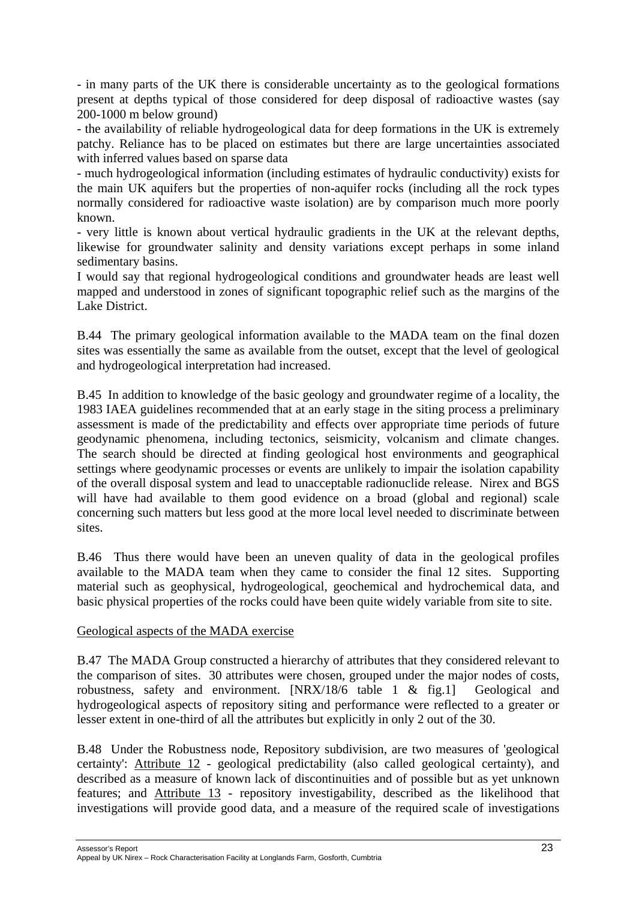- in many parts of the UK there is considerable uncertainty as to the geological formations present at depths typical of those considered for deep disposal of radioactive wastes (say 200-1000 m below ground)

- the availability of reliable hydrogeological data for deep formations in the UK is extremely patchy. Reliance has to be placed on estimates but there are large uncertainties associated with inferred values based on sparse data

- much hydrogeological information (including estimates of hydraulic conductivity) exists for the main UK aquifers but the properties of non-aquifer rocks (including all the rock types normally considered for radioactive waste isolation) are by comparison much more poorly known.

- very little is known about vertical hydraulic gradients in the UK at the relevant depths, likewise for groundwater salinity and density variations except perhaps in some inland sedimentary basins.

I would say that regional hydrogeological conditions and groundwater heads are least well mapped and understood in zones of significant topographic relief such as the margins of the Lake District.

B.44 The primary geological information available to the MADA team on the final dozen sites was essentially the same as available from the outset, except that the level of geological and hydrogeological interpretation had increased.

B.45 In addition to knowledge of the basic geology and groundwater regime of a locality, the 1983 IAEA guidelines recommended that at an early stage in the siting process a preliminary assessment is made of the predictability and effects over appropriate time periods of future geodynamic phenomena, including tectonics, seismicity, volcanism and climate changes. The search should be directed at finding geological host environments and geographical settings where geodynamic processes or events are unlikely to impair the isolation capability of the overall disposal system and lead to unacceptable radionuclide release. Nirex and BGS will have had available to them good evidence on a broad (global and regional) scale concerning such matters but less good at the more local level needed to discriminate between sites.

B.46 Thus there would have been an uneven quality of data in the geological profiles available to the MADA team when they came to consider the final 12 sites. Supporting material such as geophysical, hydrogeological, geochemical and hydrochemical data, and basic physical properties of the rocks could have been quite widely variable from site to site.

#### Geological aspects of the MADA exercise

B.47 The MADA Group constructed a hierarchy of attributes that they considered relevant to the comparison of sites. 30 attributes were chosen, grouped under the major nodes of costs, robustness, safety and environment. [NRX/18/6 table 1 & fig.1] Geological and hydrogeological aspects of repository siting and performance were reflected to a greater or lesser extent in one-third of all the attributes but explicitly in only 2 out of the 30.

B.48 Under the Robustness node, Repository subdivision, are two measures of 'geological certainty': Attribute 12 - geological predictability (also called geological certainty), and described as a measure of known lack of discontinuities and of possible but as yet unknown features; and Attribute 13 - repository investigability, described as the likelihood that investigations will provide good data, and a measure of the required scale of investigations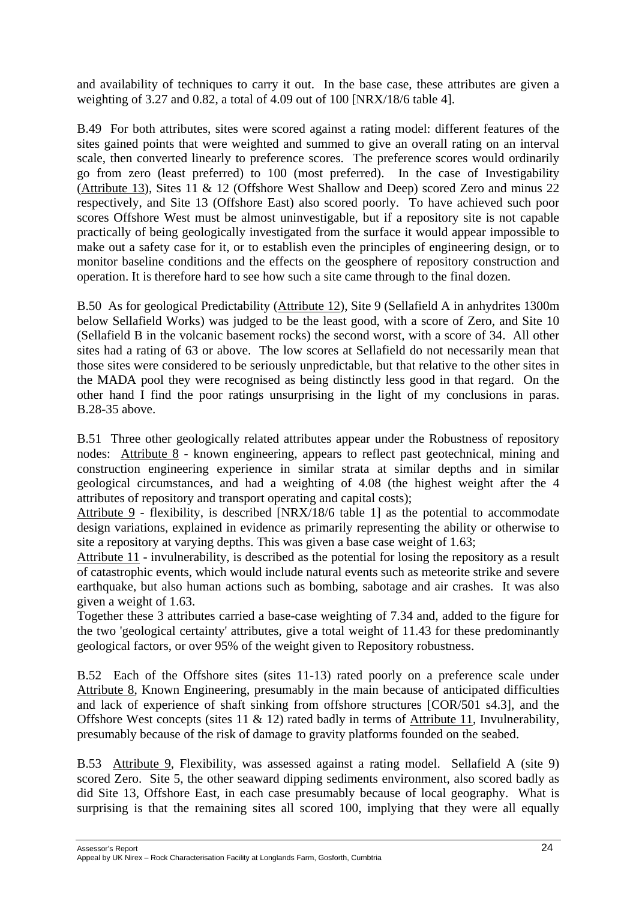and availability of techniques to carry it out. In the base case, these attributes are given a weighting of 3.27 and 0.82, a total of 4.09 out of 100 [NRX/18/6 table 4].

B.49 For both attributes, sites were scored against a rating model: different features of the sites gained points that were weighted and summed to give an overall rating on an interval scale, then converted linearly to preference scores. The preference scores would ordinarily go from zero (least preferred) to 100 (most preferred). In the case of Investigability (Attribute 13), Sites 11 & 12 (Offshore West Shallow and Deep) scored Zero and minus 22 respectively, and Site 13 (Offshore East) also scored poorly. To have achieved such poor scores Offshore West must be almost uninvestigable, but if a repository site is not capable practically of being geologically investigated from the surface it would appear impossible to make out a safety case for it, or to establish even the principles of engineering design, or to monitor baseline conditions and the effects on the geosphere of repository construction and operation. It is therefore hard to see how such a site came through to the final dozen.

B.50 As for geological Predictability (Attribute 12), Site 9 (Sellafield A in anhydrites 1300m below Sellafield Works) was judged to be the least good, with a score of Zero, and Site 10 (Sellafield B in the volcanic basement rocks) the second worst, with a score of 34. All other sites had a rating of 63 or above. The low scores at Sellafield do not necessarily mean that those sites were considered to be seriously unpredictable, but that relative to the other sites in the MADA pool they were recognised as being distinctly less good in that regard. On the other hand I find the poor ratings unsurprising in the light of my conclusions in paras. B.28-35 above.

B.51 Three other geologically related attributes appear under the Robustness of repository nodes: Attribute 8 - known engineering, appears to reflect past geotechnical, mining and construction engineering experience in similar strata at similar depths and in similar geological circumstances, and had a weighting of 4.08 (the highest weight after the 4 attributes of repository and transport operating and capital costs);

Attribute 9 - flexibility, is described [NRX/18/6 table 1] as the potential to accommodate design variations, explained in evidence as primarily representing the ability or otherwise to site a repository at varying depths. This was given a base case weight of 1.63;

Attribute 11 - invulnerability, is described as the potential for losing the repository as a result of catastrophic events, which would include natural events such as meteorite strike and severe earthquake, but also human actions such as bombing, sabotage and air crashes. It was also given a weight of 1.63.

Together these 3 attributes carried a base-case weighting of 7.34 and, added to the figure for the two 'geological certainty' attributes, give a total weight of 11.43 for these predominantly geological factors, or over 95% of the weight given to Repository robustness.

B.52 Each of the Offshore sites (sites 11-13) rated poorly on a preference scale under Attribute 8, Known Engineering, presumably in the main because of anticipated difficulties and lack of experience of shaft sinking from offshore structures [COR/501 s4.3], and the Offshore West concepts (sites 11  $\&$  12) rated badly in terms of Attribute 11, Invulnerability, presumably because of the risk of damage to gravity platforms founded on the seabed.

B.53 Attribute 9, Flexibility, was assessed against a rating model. Sellafield A (site 9) scored Zero. Site 5, the other seaward dipping sediments environment, also scored badly as did Site 13, Offshore East, in each case presumably because of local geography. What is surprising is that the remaining sites all scored 100, implying that they were all equally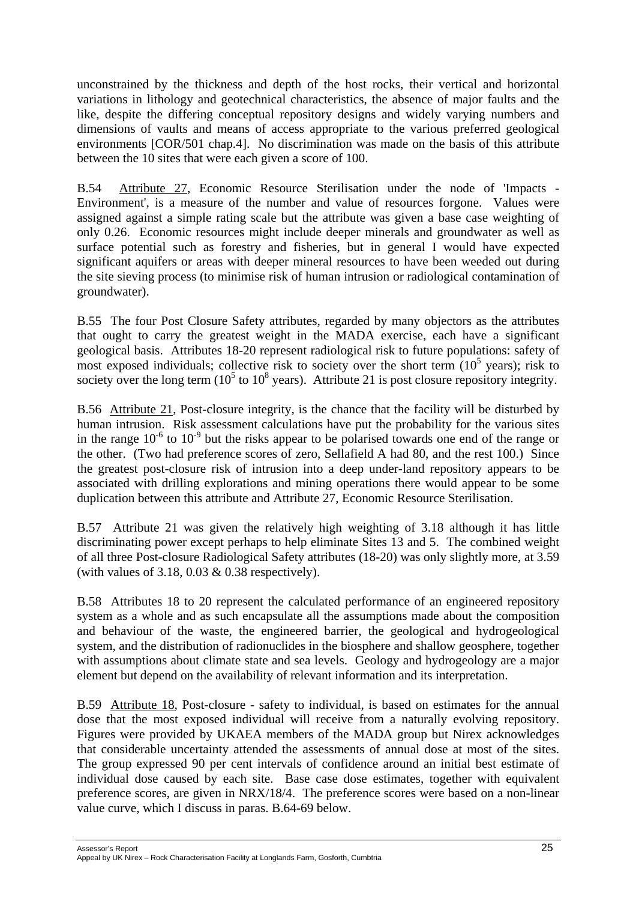unconstrained by the thickness and depth of the host rocks, their vertical and horizontal variations in lithology and geotechnical characteristics, the absence of major faults and the like, despite the differing conceptual repository designs and widely varying numbers and dimensions of vaults and means of access appropriate to the various preferred geological environments [COR/501 chap.4]. No discrimination was made on the basis of this attribute between the 10 sites that were each given a score of 100.

B.54 Attribute 27, Economic Resource Sterilisation under the node of 'Impacts - Environment', is a measure of the number and value of resources forgone. Values were assigned against a simple rating scale but the attribute was given a base case weighting of only 0.26. Economic resources might include deeper minerals and groundwater as well as surface potential such as forestry and fisheries, but in general I would have expected significant aquifers or areas with deeper mineral resources to have been weeded out during the site sieving process (to minimise risk of human intrusion or radiological contamination of groundwater).

B.55 The four Post Closure Safety attributes, regarded by many objectors as the attributes that ought to carry the greatest weight in the MADA exercise, each have a significant geological basis. Attributes 18-20 represent radiological risk to future populations: safety of most exposed individuals; collective risk to society over the short term  $(10<sup>5</sup>$  years); risk to society over the long term  $(10^5 \text{ to } 10^8 \text{ years})$ . Attribute 21 is post closure repository integrity.

B.56 Attribute 21, Post-closure integrity, is the chance that the facility will be disturbed by human intrusion. Risk assessment calculations have put the probability for the various sites in the range  $10^{-6}$  to  $10^{-9}$  but the risks appear to be polarised towards one end of the range or the other. (Two had preference scores of zero, Sellafield A had 80, and the rest 100.) Since the greatest post-closure risk of intrusion into a deep under-land repository appears to be associated with drilling explorations and mining operations there would appear to be some duplication between this attribute and Attribute 27, Economic Resource Sterilisation.

B.57 Attribute 21 was given the relatively high weighting of 3.18 although it has little discriminating power except perhaps to help eliminate Sites 13 and 5. The combined weight of all three Post-closure Radiological Safety attributes (18-20) was only slightly more, at 3.59 (with values of 3.18, 0.03  $&$  0.38 respectively).

B.58 Attributes 18 to 20 represent the calculated performance of an engineered repository system as a whole and as such encapsulate all the assumptions made about the composition and behaviour of the waste, the engineered barrier, the geological and hydrogeological system, and the distribution of radionuclides in the biosphere and shallow geosphere, together with assumptions about climate state and sea levels. Geology and hydrogeology are a major element but depend on the availability of relevant information and its interpretation.

B.59 Attribute 18, Post-closure - safety to individual, is based on estimates for the annual dose that the most exposed individual will receive from a naturally evolving repository. Figures were provided by UKAEA members of the MADA group but Nirex acknowledges that considerable uncertainty attended the assessments of annual dose at most of the sites. The group expressed 90 per cent intervals of confidence around an initial best estimate of individual dose caused by each site. Base case dose estimates, together with equivalent preference scores, are given in NRX/18/4. The preference scores were based on a non-linear value curve, which I discuss in paras. B.64-69 below.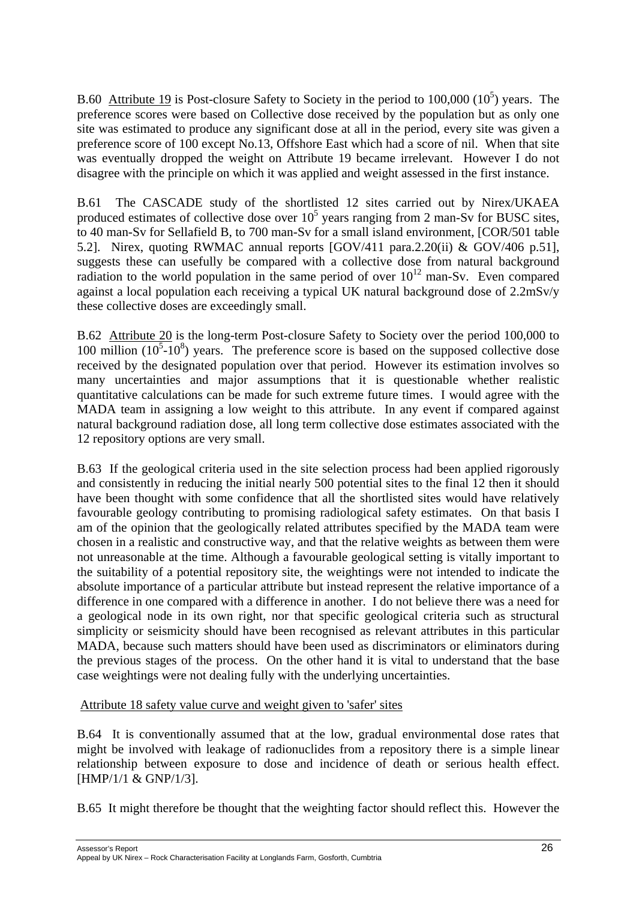B.60 Attribute 19 is Post-closure Safety to Society in the period to 100,000 ( $10<sup>5</sup>$ ) years. The preference scores were based on Collective dose received by the population but as only one site was estimated to produce any significant dose at all in the period, every site was given a preference score of 100 except No.13, Offshore East which had a score of nil. When that site was eventually dropped the weight on Attribute 19 became irrelevant. However I do not disagree with the principle on which it was applied and weight assessed in the first instance.

B.61 The CASCADE study of the shortlisted 12 sites carried out by Nirex/UKAEA produced estimates of collective dose over  $10^5$  years ranging from 2 man-Sv for BUSC sites, to 40 man-Sv for Sellafield B, to 700 man-Sv for a small island environment, [COR/501 table 5.2]. Nirex, quoting RWMAC annual reports [GOV/411 para.2.20(ii) & GOV/406 p.51], suggests these can usefully be compared with a collective dose from natural background radiation to the world population in the same period of over  $10^{12}$  man-Sv. Even compared against a local population each receiving a typical UK natural background dose of 2.2mSv/y these collective doses are exceedingly small.

B.62 Attribute 20 is the long-term Post-closure Safety to Society over the period 100,000 to 100 million  $(10^5 \text{-} 10^8)$  years. The preference score is based on the supposed collective dose received by the designated population over that period. However its estimation involves so many uncertainties and major assumptions that it is questionable whether realistic quantitative calculations can be made for such extreme future times. I would agree with the MADA team in assigning a low weight to this attribute. In any event if compared against natural background radiation dose, all long term collective dose estimates associated with the 12 repository options are very small.

B.63 If the geological criteria used in the site selection process had been applied rigorously and consistently in reducing the initial nearly 500 potential sites to the final 12 then it should have been thought with some confidence that all the shortlisted sites would have relatively favourable geology contributing to promising radiological safety estimates. On that basis I am of the opinion that the geologically related attributes specified by the MADA team were chosen in a realistic and constructive way, and that the relative weights as between them were not unreasonable at the time. Although a favourable geological setting is vitally important to the suitability of a potential repository site, the weightings were not intended to indicate the absolute importance of a particular attribute but instead represent the relative importance of a difference in one compared with a difference in another. I do not believe there was a need for a geological node in its own right, nor that specific geological criteria such as structural simplicity or seismicity should have been recognised as relevant attributes in this particular MADA, because such matters should have been used as discriminators or eliminators during the previous stages of the process. On the other hand it is vital to understand that the base case weightings were not dealing fully with the underlying uncertainties.

Attribute 18 safety value curve and weight given to 'safer' sites

B.64 It is conventionally assumed that at the low, gradual environmental dose rates that might be involved with leakage of radionuclides from a repository there is a simple linear relationship between exposure to dose and incidence of death or serious health effect. [HMP/1/1 & GNP/1/3].

B.65 It might therefore be thought that the weighting factor should reflect this. However the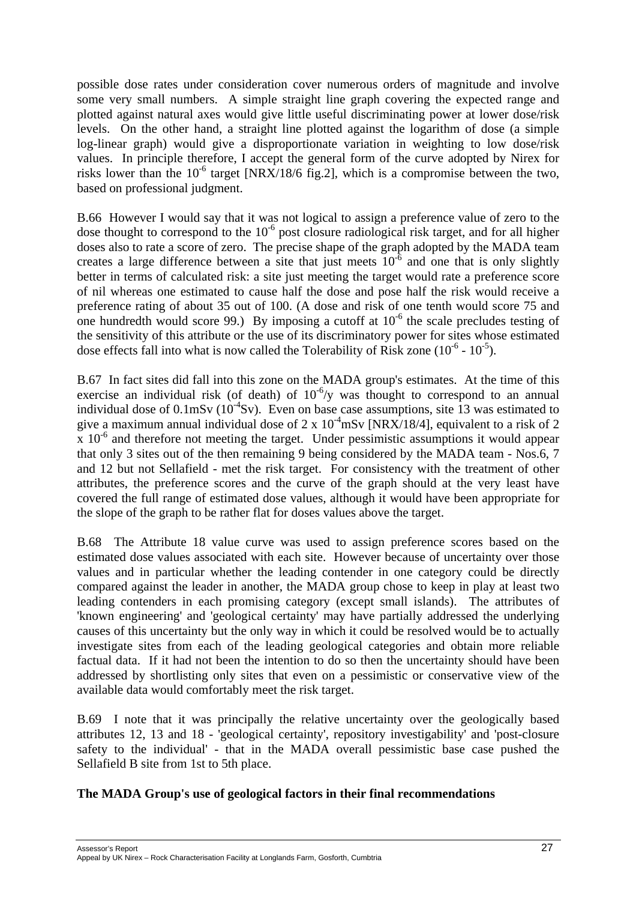possible dose rates under consideration cover numerous orders of magnitude and involve some very small numbers. A simple straight line graph covering the expected range and plotted against natural axes would give little useful discriminating power at lower dose/risk levels. On the other hand, a straight line plotted against the logarithm of dose (a simple log-linear graph) would give a disproportionate variation in weighting to low dose/risk values. In principle therefore, I accept the general form of the curve adopted by Nirex for risks lower than the  $10^{-6}$  target [NRX/18/6 fig.2], which is a compromise between the two, based on professional judgment.

B.66 However I would say that it was not logical to assign a preference value of zero to the dose thought to correspond to the  $10^{-6}$  post closure radiological risk target, and for all higher doses also to rate a score of zero. The precise shape of the graph adopted by the MADA team creates a large difference between a site that just meets  $10^{-6}$  and one that is only slightly better in terms of calculated risk: a site just meeting the target would rate a preference score of nil whereas one estimated to cause half the dose and pose half the risk would receive a preference rating of about 35 out of 100. (A dose and risk of one tenth would score 75 and one hundredth would score 99.) By imposing a cutoff at  $10^{-6}$  the scale precludes testing of the sensitivity of this attribute or the use of its discriminatory power for sites whose estimated dose effects fall into what is now called the Tolerability of Risk zone  $(10^{-6} - 10^{-5})$ .

B.67 In fact sites did fall into this zone on the MADA group's estimates. At the time of this exercise an individual risk (of death) of  $10^{-6}/v$  was thought to correspond to an annual individual dose of  $0.1 \text{mSv}$  ( $10^{-4} \text{Sv}$ ). Even on base case assumptions, site 13 was estimated to give a maximum annual individual dose of 2 x  $10^{-4}$ mSv [NRX/18/4], equivalent to a risk of 2  $x 10^{-6}$  and therefore not meeting the target. Under pessimistic assumptions it would appear that only 3 sites out of the then remaining 9 being considered by the MADA team - Nos.6, 7 and 12 but not Sellafield - met the risk target. For consistency with the treatment of other attributes, the preference scores and the curve of the graph should at the very least have covered the full range of estimated dose values, although it would have been appropriate for the slope of the graph to be rather flat for doses values above the target.

B.68 The Attribute 18 value curve was used to assign preference scores based on the estimated dose values associated with each site. However because of uncertainty over those values and in particular whether the leading contender in one category could be directly compared against the leader in another, the MADA group chose to keep in play at least two leading contenders in each promising category (except small islands). The attributes of 'known engineering' and 'geological certainty' may have partially addressed the underlying causes of this uncertainty but the only way in which it could be resolved would be to actually investigate sites from each of the leading geological categories and obtain more reliable factual data. If it had not been the intention to do so then the uncertainty should have been addressed by shortlisting only sites that even on a pessimistic or conservative view of the available data would comfortably meet the risk target.

B.69 I note that it was principally the relative uncertainty over the geologically based attributes 12, 13 and 18 - 'geological certainty', repository investigability' and 'post-closure safety to the individual' - that in the MADA overall pessimistic base case pushed the Sellafield B site from 1st to 5th place.

#### **The MADA Group's use of geological factors in their final recommendations**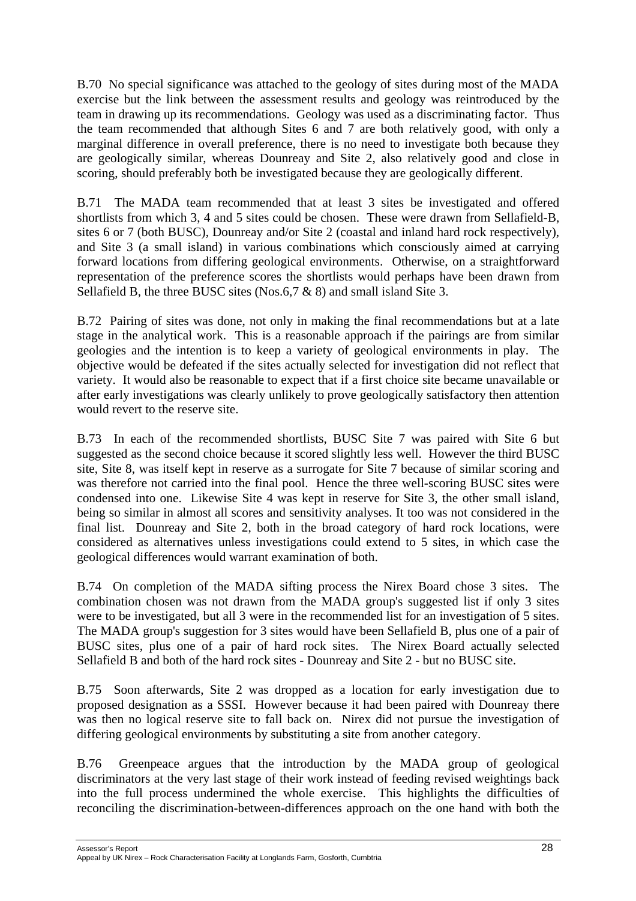B.70 No special significance was attached to the geology of sites during most of the MADA exercise but the link between the assessment results and geology was reintroduced by the team in drawing up its recommendations. Geology was used as a discriminating factor. Thus the team recommended that although Sites 6 and 7 are both relatively good, with only a marginal difference in overall preference, there is no need to investigate both because they are geologically similar, whereas Dounreay and Site 2, also relatively good and close in scoring, should preferably both be investigated because they are geologically different.

B.71 The MADA team recommended that at least 3 sites be investigated and offered shortlists from which 3, 4 and 5 sites could be chosen. These were drawn from Sellafield-B, sites 6 or 7 (both BUSC), Dounreay and/or Site 2 (coastal and inland hard rock respectively), and Site 3 (a small island) in various combinations which consciously aimed at carrying forward locations from differing geological environments. Otherwise, on a straightforward representation of the preference scores the shortlists would perhaps have been drawn from Sellafield B, the three BUSC sites (Nos.6,7 & 8) and small island Site 3.

B.72 Pairing of sites was done, not only in making the final recommendations but at a late stage in the analytical work. This is a reasonable approach if the pairings are from similar geologies and the intention is to keep a variety of geological environments in play. The objective would be defeated if the sites actually selected for investigation did not reflect that variety. It would also be reasonable to expect that if a first choice site became unavailable or after early investigations was clearly unlikely to prove geologically satisfactory then attention would revert to the reserve site.

B.73 In each of the recommended shortlists, BUSC Site 7 was paired with Site 6 but suggested as the second choice because it scored slightly less well. However the third BUSC site, Site 8, was itself kept in reserve as a surrogate for Site 7 because of similar scoring and was therefore not carried into the final pool. Hence the three well-scoring BUSC sites were condensed into one. Likewise Site 4 was kept in reserve for Site 3, the other small island, being so similar in almost all scores and sensitivity analyses. It too was not considered in the final list. Dounreay and Site 2, both in the broad category of hard rock locations, were considered as alternatives unless investigations could extend to 5 sites, in which case the geological differences would warrant examination of both.

B.74 On completion of the MADA sifting process the Nirex Board chose 3 sites. The combination chosen was not drawn from the MADA group's suggested list if only 3 sites were to be investigated, but all 3 were in the recommended list for an investigation of 5 sites. The MADA group's suggestion for 3 sites would have been Sellafield B, plus one of a pair of BUSC sites, plus one of a pair of hard rock sites. The Nirex Board actually selected Sellafield B and both of the hard rock sites - Dounreay and Site 2 - but no BUSC site.

B.75 Soon afterwards, Site 2 was dropped as a location for early investigation due to proposed designation as a SSSI. However because it had been paired with Dounreay there was then no logical reserve site to fall back on. Nirex did not pursue the investigation of differing geological environments by substituting a site from another category.

B.76 Greenpeace argues that the introduction by the MADA group of geological discriminators at the very last stage of their work instead of feeding revised weightings back into the full process undermined the whole exercise. This highlights the difficulties of reconciling the discrimination-between-differences approach on the one hand with both the

Assessor's Report 28 Appeal by UK Nirex – Rock Characterisation Facility at Longlands Farm, Gosforth, Cumbtria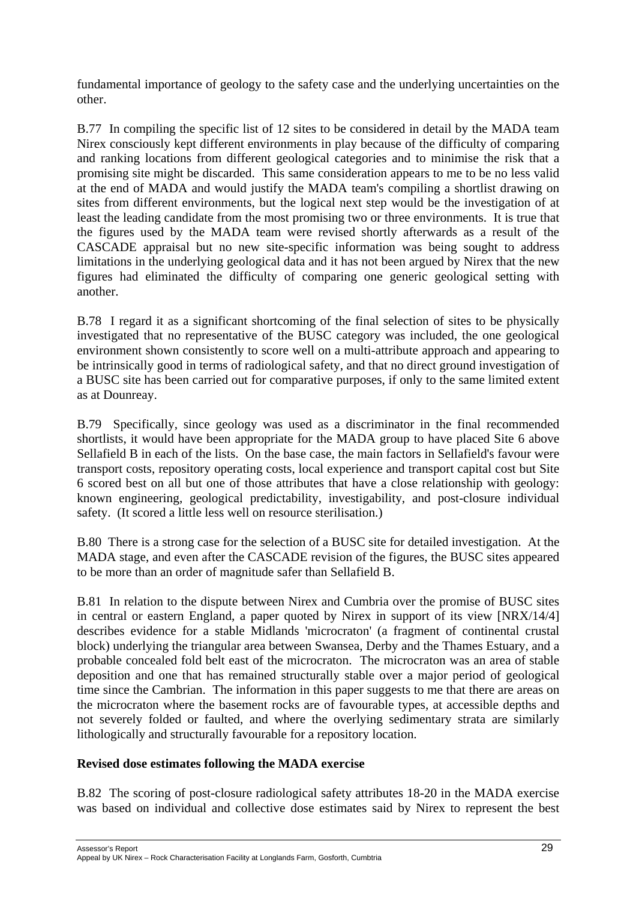fundamental importance of geology to the safety case and the underlying uncertainties on the other.

B.77 In compiling the specific list of 12 sites to be considered in detail by the MADA team Nirex consciously kept different environments in play because of the difficulty of comparing and ranking locations from different geological categories and to minimise the risk that a promising site might be discarded. This same consideration appears to me to be no less valid at the end of MADA and would justify the MADA team's compiling a shortlist drawing on sites from different environments, but the logical next step would be the investigation of at least the leading candidate from the most promising two or three environments. It is true that the figures used by the MADA team were revised shortly afterwards as a result of the CASCADE appraisal but no new site-specific information was being sought to address limitations in the underlying geological data and it has not been argued by Nirex that the new figures had eliminated the difficulty of comparing one generic geological setting with another.

B.78 I regard it as a significant shortcoming of the final selection of sites to be physically investigated that no representative of the BUSC category was included, the one geological environment shown consistently to score well on a multi-attribute approach and appearing to be intrinsically good in terms of radiological safety, and that no direct ground investigation of a BUSC site has been carried out for comparative purposes, if only to the same limited extent as at Dounreay.

B.79 Specifically, since geology was used as a discriminator in the final recommended shortlists, it would have been appropriate for the MADA group to have placed Site 6 above Sellafield B in each of the lists. On the base case, the main factors in Sellafield's favour were transport costs, repository operating costs, local experience and transport capital cost but Site 6 scored best on all but one of those attributes that have a close relationship with geology: known engineering, geological predictability, investigability, and post-closure individual safety. (It scored a little less well on resource sterilisation.)

B.80 There is a strong case for the selection of a BUSC site for detailed investigation. At the MADA stage, and even after the CASCADE revision of the figures, the BUSC sites appeared to be more than an order of magnitude safer than Sellafield B.

B.81 In relation to the dispute between Nirex and Cumbria over the promise of BUSC sites in central or eastern England, a paper quoted by Nirex in support of its view [NRX/14/4] describes evidence for a stable Midlands 'microcraton' (a fragment of continental crustal block) underlying the triangular area between Swansea, Derby and the Thames Estuary, and a probable concealed fold belt east of the microcraton. The microcraton was an area of stable deposition and one that has remained structurally stable over a major period of geological time since the Cambrian. The information in this paper suggests to me that there are areas on the microcraton where the basement rocks are of favourable types, at accessible depths and not severely folded or faulted, and where the overlying sedimentary strata are similarly lithologically and structurally favourable for a repository location.

# **Revised dose estimates following the MADA exercise**

B.82 The scoring of post-closure radiological safety attributes 18-20 in the MADA exercise was based on individual and collective dose estimates said by Nirex to represent the best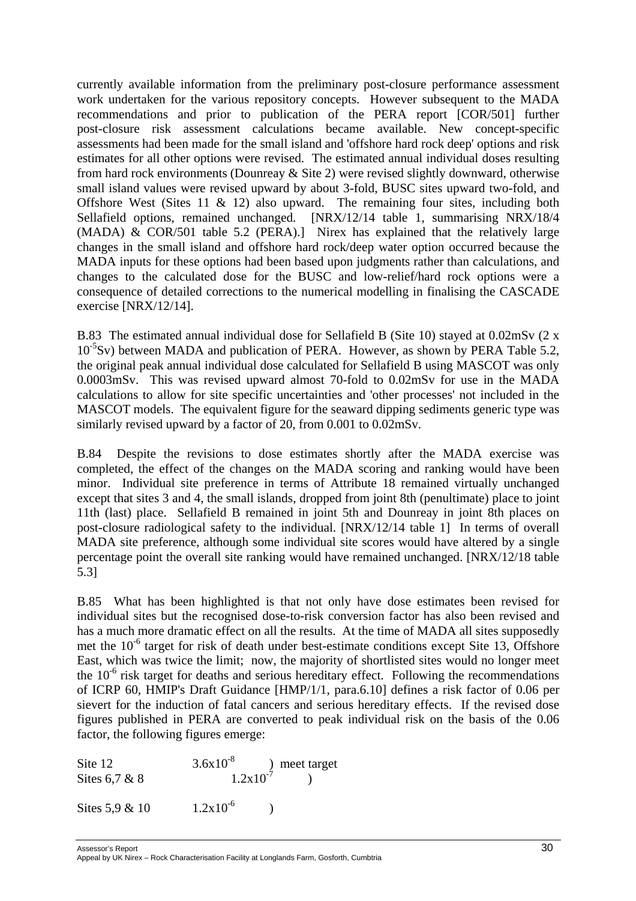currently available information from the preliminary post-closure performance assessment work undertaken for the various repository concepts. However subsequent to the MADA recommendations and prior to publication of the PERA report [COR/501] further post-closure risk assessment calculations became available. New concept-specific assessments had been made for the small island and 'offshore hard rock deep' options and risk estimates for all other options were revised. The estimated annual individual doses resulting from hard rock environments (Dounreay & Site 2) were revised slightly downward, otherwise small island values were revised upward by about 3-fold, BUSC sites upward two-fold, and Offshore West (Sites 11  $\&$  12) also upward. The remaining four sites, including both Sellafield options, remained unchanged. [NRX/12/14 table 1, summarising NRX/18/4 (MADA) & COR/501 table 5.2 (PERA).] Nirex has explained that the relatively large changes in the small island and offshore hard rock/deep water option occurred because the MADA inputs for these options had been based upon judgments rather than calculations, and changes to the calculated dose for the BUSC and low-relief/hard rock options were a consequence of detailed corrections to the numerical modelling in finalising the CASCADE exercise [NRX/12/14].

B.83 The estimated annual individual dose for Sellafield B (Site 10) stayed at 0.02mSv (2 x  $10^{-5}$ Sv) between MADA and publication of PERA. However, as shown by PERA Table 5.2, the original peak annual individual dose calculated for Sellafield B using MASCOT was only 0.0003mSv. This was revised upward almost 70-fold to 0.02mSv for use in the MADA calculations to allow for site specific uncertainties and 'other processes' not included in the MASCOT models. The equivalent figure for the seaward dipping sediments generic type was similarly revised upward by a factor of 20, from 0.001 to 0.02mSv.

B.84 Despite the revisions to dose estimates shortly after the MADA exercise was completed, the effect of the changes on the MADA scoring and ranking would have been minor. Individual site preference in terms of Attribute 18 remained virtually unchanged except that sites 3 and 4, the small islands, dropped from joint 8th (penultimate) place to joint 11th (last) place. Sellafield B remained in joint 5th and Dounreay in joint 8th places on post-closure radiological safety to the individual. [NRX/12/14 table 1] In terms of overall MADA site preference, although some individual site scores would have altered by a single percentage point the overall site ranking would have remained unchanged. [NRX/12/18 table 5.3]

B.85 What has been highlighted is that not only have dose estimates been revised for individual sites but the recognised dose-to-risk conversion factor has also been revised and has a much more dramatic effect on all the results. At the time of MADA all sites supposedly met the  $10^{-6}$  target for risk of death under best-estimate conditions except Site 13, Offshore East, which was twice the limit; now, the majority of shortlisted sites would no longer meet the  $10^{-6}$  risk target for deaths and serious hereditary effect. Following the recommendations of ICRP 60, HMIP's Draft Guidance [HMP/1/1, para.6.10] defines a risk factor of 0.06 per sievert for the induction of fatal cancers and serious hereditary effects. If the revised dose figures published in PERA are converted to peak individual risk on the basis of the 0.06 factor, the following figures emerge:

Site 12  $3.6x10^{-8}$  ) meet target Sites 6,7 & 8  $1.2x10^{-7}$  ) Sites  $5.9 \& 10$   $1.2 \times 10^{-6}$  )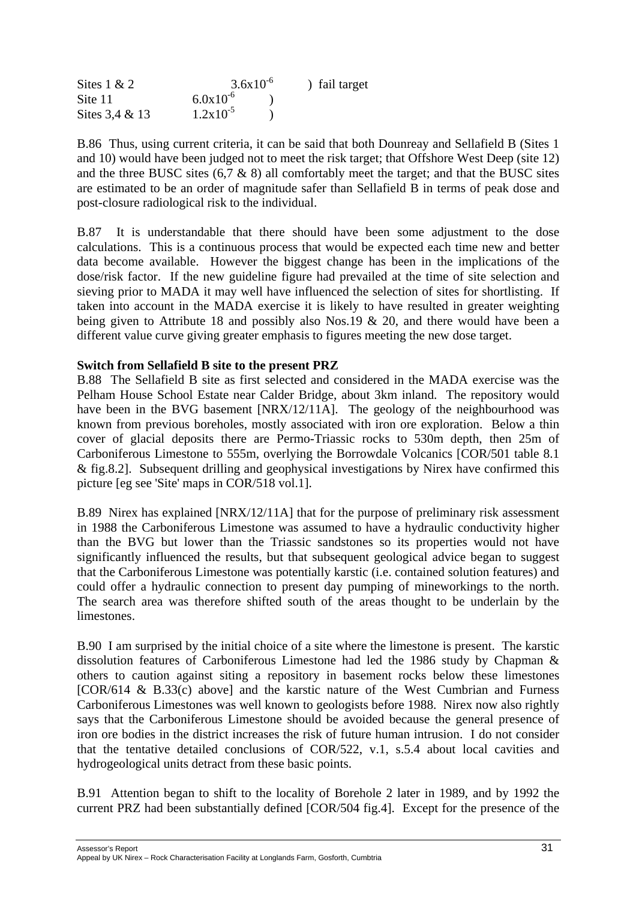| Sites $1 & 2$     | $3.6x10^{-6}$ | ) fail target |
|-------------------|---------------|---------------|
| Site 11           | $6.0x10^{-6}$ |               |
| Sites $3.4 \& 13$ | $1.2x10^{-5}$ |               |

B.86 Thus, using current criteria, it can be said that both Dounreay and Sellafield B (Sites 1 and 10) would have been judged not to meet the risk target; that Offshore West Deep (site 12) and the three BUSC sites  $(6.7 \& 8)$  all comfortably meet the target; and that the BUSC sites are estimated to be an order of magnitude safer than Sellafield B in terms of peak dose and post-closure radiological risk to the individual.

B.87 It is understandable that there should have been some adjustment to the dose calculations. This is a continuous process that would be expected each time new and better data become available. However the biggest change has been in the implications of the dose/risk factor. If the new guideline figure had prevailed at the time of site selection and sieving prior to MADA it may well have influenced the selection of sites for shortlisting. If taken into account in the MADA exercise it is likely to have resulted in greater weighting being given to Attribute 18 and possibly also Nos.19 & 20, and there would have been a different value curve giving greater emphasis to figures meeting the new dose target.

## **Switch from Sellafield B site to the present PRZ**

B.88 The Sellafield B site as first selected and considered in the MADA exercise was the Pelham House School Estate near Calder Bridge, about 3km inland. The repository would have been in the BVG basement [NRX/12/11A]. The geology of the neighbourhood was known from previous boreholes, mostly associated with iron ore exploration. Below a thin cover of glacial deposits there are Permo-Triassic rocks to 530m depth, then 25m of Carboniferous Limestone to 555m, overlying the Borrowdale Volcanics [COR/501 table 8.1 & fig.8.2]. Subsequent drilling and geophysical investigations by Nirex have confirmed this picture [eg see 'Site' maps in COR/518 vol.1].

B.89 Nirex has explained [NRX/12/11A] that for the purpose of preliminary risk assessment in 1988 the Carboniferous Limestone was assumed to have a hydraulic conductivity higher than the BVG but lower than the Triassic sandstones so its properties would not have significantly influenced the results, but that subsequent geological advice began to suggest that the Carboniferous Limestone was potentially karstic (i.e. contained solution features) and could offer a hydraulic connection to present day pumping of mineworkings to the north. The search area was therefore shifted south of the areas thought to be underlain by the limestones.

B.90 I am surprised by the initial choice of a site where the limestone is present. The karstic dissolution features of Carboniferous Limestone had led the 1986 study by Chapman & others to caution against siting a repository in basement rocks below these limestones [COR/614 & B.33(c) above] and the karstic nature of the West Cumbrian and Furness Carboniferous Limestones was well known to geologists before 1988. Nirex now also rightly says that the Carboniferous Limestone should be avoided because the general presence of iron ore bodies in the district increases the risk of future human intrusion. I do not consider that the tentative detailed conclusions of COR/522, v.1, s.5.4 about local cavities and hydrogeological units detract from these basic points.

B.91 Attention began to shift to the locality of Borehole 2 later in 1989, and by 1992 the current PRZ had been substantially defined [COR/504 fig.4]. Except for the presence of the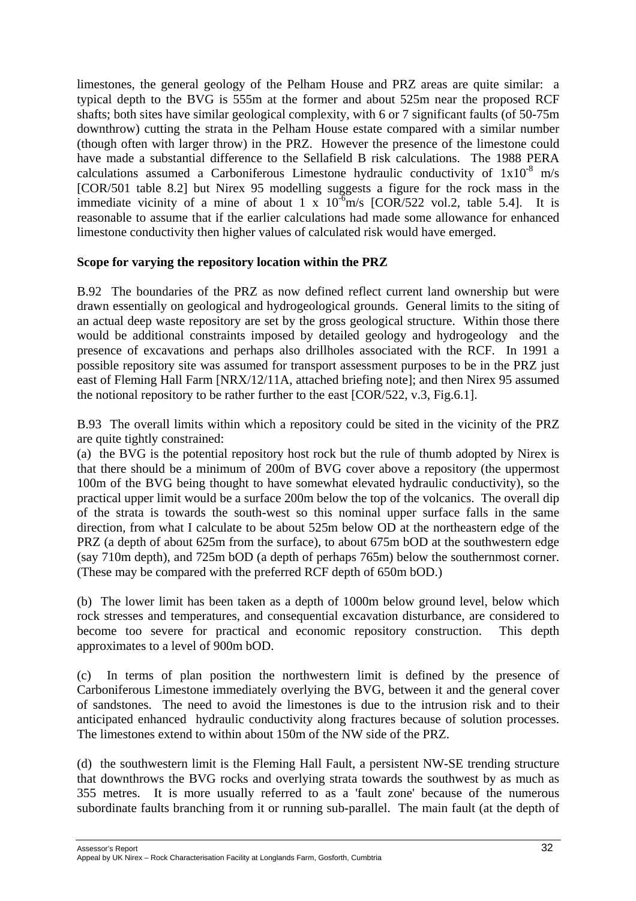limestones, the general geology of the Pelham House and PRZ areas are quite similar: a typical depth to the BVG is 555m at the former and about 525m near the proposed RCF shafts; both sites have similar geological complexity, with 6 or 7 significant faults (of 50-75m downthrow) cutting the strata in the Pelham House estate compared with a similar number (though often with larger throw) in the PRZ. However the presence of the limestone could have made a substantial difference to the Sellafield B risk calculations. The 1988 PERA calculations assumed a Carboniferous Limestone hydraulic conductivity of  $1x10^{-8}$  m/s [COR/501 table 8.2] but Nirex 95 modelling suggests a figure for the rock mass in the immediate vicinity of a mine of about 1 x  $10^{-6}$ m/s  $[COR/522 \text{ vol.2}]$ , table 5.4. reasonable to assume that if the earlier calculations had made some allowance for enhanced limestone conductivity then higher values of calculated risk would have emerged.

## **Scope for varying the repository location within the PRZ**

B.92 The boundaries of the PRZ as now defined reflect current land ownership but were drawn essentially on geological and hydrogeological grounds. General limits to the siting of an actual deep waste repository are set by the gross geological structure. Within those there would be additional constraints imposed by detailed geology and hydrogeology and the presence of excavations and perhaps also drillholes associated with the RCF. In 1991 a possible repository site was assumed for transport assessment purposes to be in the PRZ just east of Fleming Hall Farm [NRX/12/11A, attached briefing note]; and then Nirex 95 assumed the notional repository to be rather further to the east [COR/522, v.3, Fig.6.1].

B.93 The overall limits within which a repository could be sited in the vicinity of the PRZ are quite tightly constrained:

(a) the BVG is the potential repository host rock but the rule of thumb adopted by Nirex is that there should be a minimum of 200m of BVG cover above a repository (the uppermost 100m of the BVG being thought to have somewhat elevated hydraulic conductivity), so the practical upper limit would be a surface 200m below the top of the volcanics. The overall dip of the strata is towards the south-west so this nominal upper surface falls in the same direction, from what I calculate to be about 525m below OD at the northeastern edge of the PRZ (a depth of about 625m from the surface), to about 675m bOD at the southwestern edge (say 710m depth), and 725m bOD (a depth of perhaps 765m) below the southernmost corner. (These may be compared with the preferred RCF depth of 650m bOD.)

(b) The lower limit has been taken as a depth of 1000m below ground level, below which rock stresses and temperatures, and consequential excavation disturbance, are considered to become too severe for practical and economic repository construction. This depth approximates to a level of 900m bOD.

(c) In terms of plan position the northwestern limit is defined by the presence of Carboniferous Limestone immediately overlying the BVG, between it and the general cover of sandstones. The need to avoid the limestones is due to the intrusion risk and to their anticipated enhanced hydraulic conductivity along fractures because of solution processes. The limestones extend to within about 150m of the NW side of the PRZ.

(d) the southwestern limit is the Fleming Hall Fault, a persistent NW-SE trending structure that downthrows the BVG rocks and overlying strata towards the southwest by as much as 355 metres. It is more usually referred to as a 'fault zone' because of the numerous subordinate faults branching from it or running sub-parallel. The main fault (at the depth of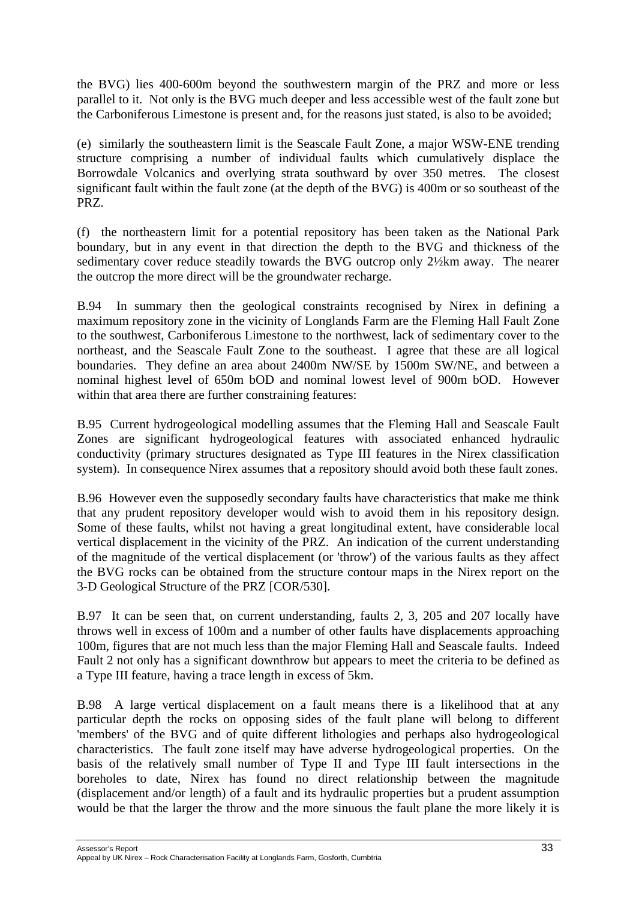the BVG) lies 400-600m beyond the southwestern margin of the PRZ and more or less parallel to it. Not only is the BVG much deeper and less accessible west of the fault zone but the Carboniferous Limestone is present and, for the reasons just stated, is also to be avoided;

(e) similarly the southeastern limit is the Seascale Fault Zone, a major WSW-ENE trending structure comprising a number of individual faults which cumulatively displace the Borrowdale Volcanics and overlying strata southward by over 350 metres. The closest significant fault within the fault zone (at the depth of the BVG) is 400m or so southeast of the PRZ.

(f) the northeastern limit for a potential repository has been taken as the National Park boundary, but in any event in that direction the depth to the BVG and thickness of the sedimentary cover reduce steadily towards the BVG outcrop only 2½km away. The nearer the outcrop the more direct will be the groundwater recharge.

B.94 In summary then the geological constraints recognised by Nirex in defining a maximum repository zone in the vicinity of Longlands Farm are the Fleming Hall Fault Zone to the southwest, Carboniferous Limestone to the northwest, lack of sedimentary cover to the northeast, and the Seascale Fault Zone to the southeast. I agree that these are all logical boundaries. They define an area about 2400m NW/SE by 1500m SW/NE, and between a nominal highest level of 650m bOD and nominal lowest level of 900m bOD. However within that area there are further constraining features:

B.95 Current hydrogeological modelling assumes that the Fleming Hall and Seascale Fault Zones are significant hydrogeological features with associated enhanced hydraulic conductivity (primary structures designated as Type III features in the Nirex classification system). In consequence Nirex assumes that a repository should avoid both these fault zones.

B.96 However even the supposedly secondary faults have characteristics that make me think that any prudent repository developer would wish to avoid them in his repository design. Some of these faults, whilst not having a great longitudinal extent, have considerable local vertical displacement in the vicinity of the PRZ. An indication of the current understanding of the magnitude of the vertical displacement (or 'throw') of the various faults as they affect the BVG rocks can be obtained from the structure contour maps in the Nirex report on the 3-D Geological Structure of the PRZ [COR/530].

B.97 It can be seen that, on current understanding, faults 2, 3, 205 and 207 locally have throws well in excess of 100m and a number of other faults have displacements approaching 100m, figures that are not much less than the major Fleming Hall and Seascale faults. Indeed Fault 2 not only has a significant downthrow but appears to meet the criteria to be defined as a Type III feature, having a trace length in excess of 5km.

B.98 A large vertical displacement on a fault means there is a likelihood that at any particular depth the rocks on opposing sides of the fault plane will belong to different 'members' of the BVG and of quite different lithologies and perhaps also hydrogeological characteristics. The fault zone itself may have adverse hydrogeological properties. On the basis of the relatively small number of Type II and Type III fault intersections in the boreholes to date, Nirex has found no direct relationship between the magnitude (displacement and/or length) of a fault and its hydraulic properties but a prudent assumption would be that the larger the throw and the more sinuous the fault plane the more likely it is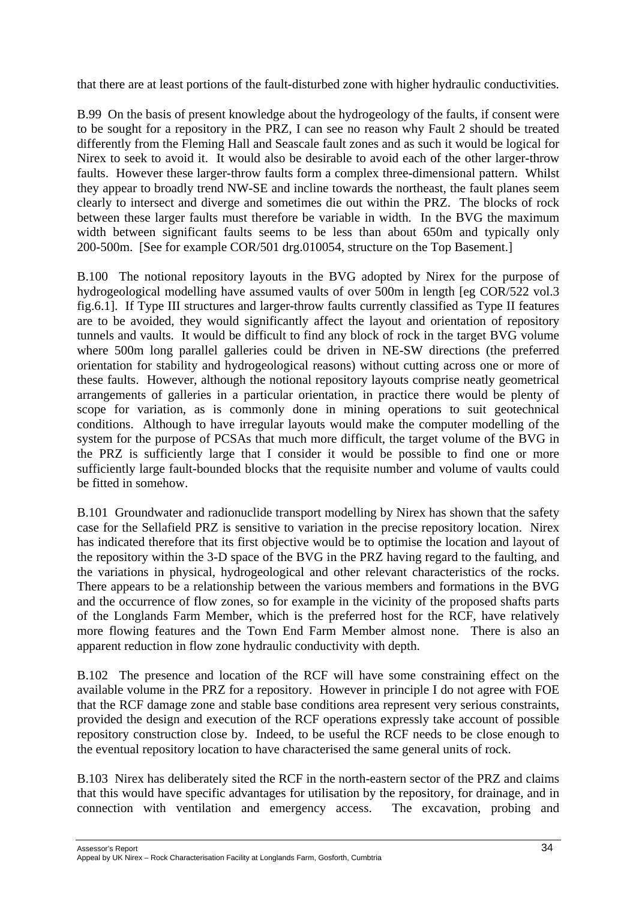that there are at least portions of the fault-disturbed zone with higher hydraulic conductivities.

B.99 On the basis of present knowledge about the hydrogeology of the faults, if consent were to be sought for a repository in the PRZ, I can see no reason why Fault 2 should be treated differently from the Fleming Hall and Seascale fault zones and as such it would be logical for Nirex to seek to avoid it. It would also be desirable to avoid each of the other larger-throw faults. However these larger-throw faults form a complex three-dimensional pattern. Whilst they appear to broadly trend NW-SE and incline towards the northeast, the fault planes seem clearly to intersect and diverge and sometimes die out within the PRZ. The blocks of rock between these larger faults must therefore be variable in width. In the BVG the maximum width between significant faults seems to be less than about 650m and typically only 200-500m. [See for example COR/501 drg.010054, structure on the Top Basement.]

B.100 The notional repository layouts in the BVG adopted by Nirex for the purpose of hydrogeological modelling have assumed vaults of over 500m in length [eg COR/522 vol.3 fig.6.1]. If Type III structures and larger-throw faults currently classified as Type II features are to be avoided, they would significantly affect the layout and orientation of repository tunnels and vaults. It would be difficult to find any block of rock in the target BVG volume where 500m long parallel galleries could be driven in NE-SW directions (the preferred orientation for stability and hydrogeological reasons) without cutting across one or more of these faults. However, although the notional repository layouts comprise neatly geometrical arrangements of galleries in a particular orientation, in practice there would be plenty of scope for variation, as is commonly done in mining operations to suit geotechnical conditions. Although to have irregular layouts would make the computer modelling of the system for the purpose of PCSAs that much more difficult, the target volume of the BVG in the PRZ is sufficiently large that I consider it would be possible to find one or more sufficiently large fault-bounded blocks that the requisite number and volume of vaults could be fitted in somehow.

B.101 Groundwater and radionuclide transport modelling by Nirex has shown that the safety case for the Sellafield PRZ is sensitive to variation in the precise repository location. Nirex has indicated therefore that its first objective would be to optimise the location and layout of the repository within the 3-D space of the BVG in the PRZ having regard to the faulting, and the variations in physical, hydrogeological and other relevant characteristics of the rocks. There appears to be a relationship between the various members and formations in the BVG and the occurrence of flow zones, so for example in the vicinity of the proposed shafts parts of the Longlands Farm Member, which is the preferred host for the RCF, have relatively more flowing features and the Town End Farm Member almost none. There is also an apparent reduction in flow zone hydraulic conductivity with depth.

B.102 The presence and location of the RCF will have some constraining effect on the available volume in the PRZ for a repository. However in principle I do not agree with FOE that the RCF damage zone and stable base conditions area represent very serious constraints, provided the design and execution of the RCF operations expressly take account of possible repository construction close by. Indeed, to be useful the RCF needs to be close enough to the eventual repository location to have characterised the same general units of rock.

B.103 Nirex has deliberately sited the RCF in the north-eastern sector of the PRZ and claims that this would have specific advantages for utilisation by the repository, for drainage, and in connection with ventilation and emergency access. The excavation, probing and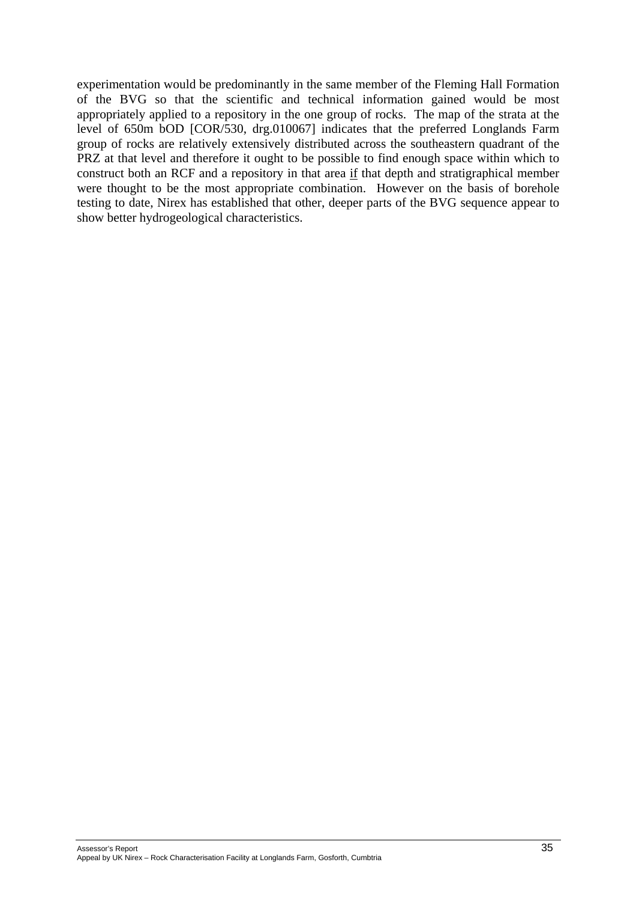experimentation would be predominantly in the same member of the Fleming Hall Formation of the BVG so that the scientific and technical information gained would be most appropriately applied to a repository in the one group of rocks. The map of the strata at the level of 650m bOD [COR/530, drg.010067] indicates that the preferred Longlands Farm group of rocks are relatively extensively distributed across the southeastern quadrant of the PRZ at that level and therefore it ought to be possible to find enough space within which to construct both an RCF and a repository in that area if that depth and stratigraphical member were thought to be the most appropriate combination. However on the basis of borehole testing to date, Nirex has established that other, deeper parts of the BVG sequence appear to show better hydrogeological characteristics.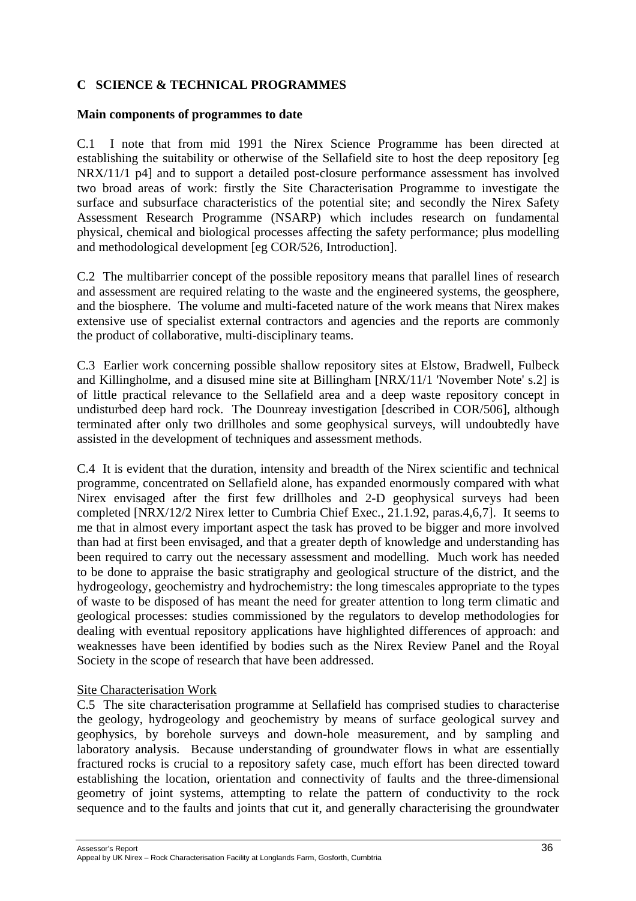# **C SCIENCE & TECHNICAL PROGRAMMES**

#### **Main components of programmes to date**

C.1 I note that from mid 1991 the Nirex Science Programme has been directed at establishing the suitability or otherwise of the Sellafield site to host the deep repository [eg NRX/11/1 p4] and to support a detailed post-closure performance assessment has involved two broad areas of work: firstly the Site Characterisation Programme to investigate the surface and subsurface characteristics of the potential site; and secondly the Nirex Safety Assessment Research Programme (NSARP) which includes research on fundamental physical, chemical and biological processes affecting the safety performance; plus modelling and methodological development [eg COR/526, Introduction].

C.2 The multibarrier concept of the possible repository means that parallel lines of research and assessment are required relating to the waste and the engineered systems, the geosphere, and the biosphere. The volume and multi-faceted nature of the work means that Nirex makes extensive use of specialist external contractors and agencies and the reports are commonly the product of collaborative, multi-disciplinary teams.

C.3 Earlier work concerning possible shallow repository sites at Elstow, Bradwell, Fulbeck and Killingholme, and a disused mine site at Billingham [NRX/11/1 'November Note' s.2] is of little practical relevance to the Sellafield area and a deep waste repository concept in undisturbed deep hard rock. The Dounreay investigation [described in COR/506], although terminated after only two drillholes and some geophysical surveys, will undoubtedly have assisted in the development of techniques and assessment methods.

C.4 It is evident that the duration, intensity and breadth of the Nirex scientific and technical programme, concentrated on Sellafield alone, has expanded enormously compared with what Nirex envisaged after the first few drillholes and 2-D geophysical surveys had been completed [NRX/12/2 Nirex letter to Cumbria Chief Exec., 21.1.92, paras.4,6,7]. It seems to me that in almost every important aspect the task has proved to be bigger and more involved than had at first been envisaged, and that a greater depth of knowledge and understanding has been required to carry out the necessary assessment and modelling. Much work has needed to be done to appraise the basic stratigraphy and geological structure of the district, and the hydrogeology, geochemistry and hydrochemistry: the long timescales appropriate to the types of waste to be disposed of has meant the need for greater attention to long term climatic and geological processes: studies commissioned by the regulators to develop methodologies for dealing with eventual repository applications have highlighted differences of approach: and weaknesses have been identified by bodies such as the Nirex Review Panel and the Royal Society in the scope of research that have been addressed.

#### Site Characterisation Work

C.5 The site characterisation programme at Sellafield has comprised studies to characterise the geology, hydrogeology and geochemistry by means of surface geological survey and geophysics, by borehole surveys and down-hole measurement, and by sampling and laboratory analysis. Because understanding of groundwater flows in what are essentially fractured rocks is crucial to a repository safety case, much effort has been directed toward establishing the location, orientation and connectivity of faults and the three-dimensional geometry of joint systems, attempting to relate the pattern of conductivity to the rock sequence and to the faults and joints that cut it, and generally characterising the groundwater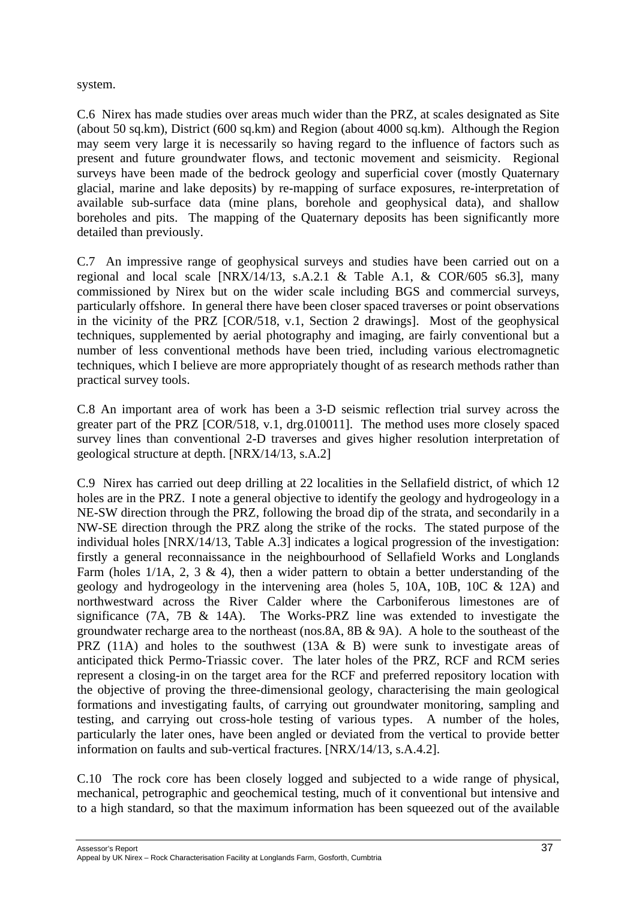#### system.

C.6 Nirex has made studies over areas much wider than the PRZ, at scales designated as Site (about 50 sq.km), District (600 sq.km) and Region (about 4000 sq.km). Although the Region may seem very large it is necessarily so having regard to the influence of factors such as present and future groundwater flows, and tectonic movement and seismicity. Regional surveys have been made of the bedrock geology and superficial cover (mostly Quaternary glacial, marine and lake deposits) by re-mapping of surface exposures, re-interpretation of available sub-surface data (mine plans, borehole and geophysical data), and shallow boreholes and pits. The mapping of the Quaternary deposits has been significantly more detailed than previously.

C.7 An impressive range of geophysical surveys and studies have been carried out on a regional and local scale [NRX/14/13, s.A.2.1 & Table A.1, & COR/605 s6.3], many commissioned by Nirex but on the wider scale including BGS and commercial surveys, particularly offshore. In general there have been closer spaced traverses or point observations in the vicinity of the PRZ [COR/518, v.1, Section 2 drawings]. Most of the geophysical techniques, supplemented by aerial photography and imaging, are fairly conventional but a number of less conventional methods have been tried, including various electromagnetic techniques, which I believe are more appropriately thought of as research methods rather than practical survey tools.

C.8 An important area of work has been a 3-D seismic reflection trial survey across the greater part of the PRZ [COR/518, v.1, drg.010011]. The method uses more closely spaced survey lines than conventional 2-D traverses and gives higher resolution interpretation of geological structure at depth. [NRX/14/13, s.A.2]

C.9 Nirex has carried out deep drilling at 22 localities in the Sellafield district, of which 12 holes are in the PRZ. I note a general objective to identify the geology and hydrogeology in a NE-SW direction through the PRZ, following the broad dip of the strata, and secondarily in a NW-SE direction through the PRZ along the strike of the rocks. The stated purpose of the individual holes [NRX/14/13, Table A.3] indicates a logical progression of the investigation: firstly a general reconnaissance in the neighbourhood of Sellafield Works and Longlands Farm (holes  $1/1A$ , 2, 3 & 4), then a wider pattern to obtain a better understanding of the geology and hydrogeology in the intervening area (holes 5, 10A, 10B, 10C & 12A) and northwestward across the River Calder where the Carboniferous limestones are of significance (7A, 7B  $\&$  14A). The Works-PRZ line was extended to investigate the groundwater recharge area to the northeast (nos.8A, 8B & 9A). A hole to the southeast of the PRZ (11A) and holes to the southwest (13A  $\&$  B) were sunk to investigate areas of anticipated thick Permo-Triassic cover. The later holes of the PRZ, RCF and RCM series represent a closing-in on the target area for the RCF and preferred repository location with the objective of proving the three-dimensional geology, characterising the main geological formations and investigating faults, of carrying out groundwater monitoring, sampling and testing, and carrying out cross-hole testing of various types. A number of the holes, particularly the later ones, have been angled or deviated from the vertical to provide better information on faults and sub-vertical fractures. [NRX/14/13, s.A.4.2].

C.10 The rock core has been closely logged and subjected to a wide range of physical, mechanical, petrographic and geochemical testing, much of it conventional but intensive and to a high standard, so that the maximum information has been squeezed out of the available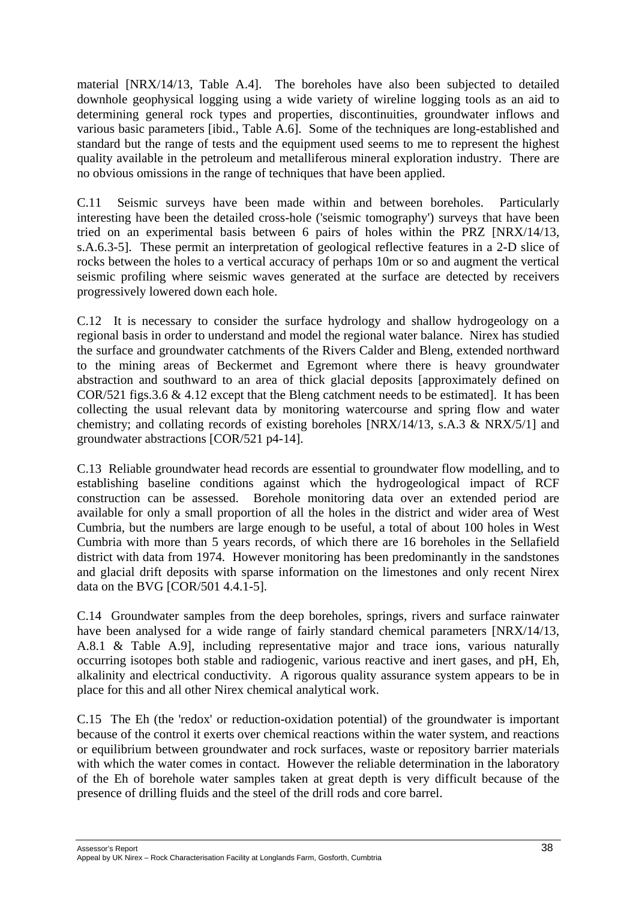material [NRX/14/13, Table A.4]. The boreholes have also been subjected to detailed downhole geophysical logging using a wide variety of wireline logging tools as an aid to determining general rock types and properties, discontinuities, groundwater inflows and various basic parameters [ibid., Table A.6]. Some of the techniques are long-established and standard but the range of tests and the equipment used seems to me to represent the highest quality available in the petroleum and metalliferous mineral exploration industry. There are no obvious omissions in the range of techniques that have been applied.

C.11 Seismic surveys have been made within and between boreholes. Particularly interesting have been the detailed cross-hole ('seismic tomography') surveys that have been tried on an experimental basis between 6 pairs of holes within the PRZ [NRX/14/13, s.A.6.3-5]. These permit an interpretation of geological reflective features in a 2-D slice of rocks between the holes to a vertical accuracy of perhaps 10m or so and augment the vertical seismic profiling where seismic waves generated at the surface are detected by receivers progressively lowered down each hole.

C.12 It is necessary to consider the surface hydrology and shallow hydrogeology on a regional basis in order to understand and model the regional water balance. Nirex has studied the surface and groundwater catchments of the Rivers Calder and Bleng, extended northward to the mining areas of Beckermet and Egremont where there is heavy groundwater abstraction and southward to an area of thick glacial deposits [approximately defined on COR/521 figs.3.6 & 4.12 except that the Bleng catchment needs to be estimated]. It has been collecting the usual relevant data by monitoring watercourse and spring flow and water chemistry; and collating records of existing boreholes [NRX/14/13, s.A.3 & NRX/5/1] and groundwater abstractions [COR/521 p4-14].

C.13 Reliable groundwater head records are essential to groundwater flow modelling, and to establishing baseline conditions against which the hydrogeological impact of RCF construction can be assessed. Borehole monitoring data over an extended period are available for only a small proportion of all the holes in the district and wider area of West Cumbria, but the numbers are large enough to be useful, a total of about 100 holes in West Cumbria with more than 5 years records, of which there are 16 boreholes in the Sellafield district with data from 1974. However monitoring has been predominantly in the sandstones and glacial drift deposits with sparse information on the limestones and only recent Nirex data on the BVG [COR/501 4.4.1-5].

C.14 Groundwater samples from the deep boreholes, springs, rivers and surface rainwater have been analysed for a wide range of fairly standard chemical parameters [NRX/14/13, A.8.1 & Table A.9], including representative major and trace ions, various naturally occurring isotopes both stable and radiogenic, various reactive and inert gases, and pH, Eh, alkalinity and electrical conductivity. A rigorous quality assurance system appears to be in place for this and all other Nirex chemical analytical work.

C.15 The Eh (the 'redox' or reduction-oxidation potential) of the groundwater is important because of the control it exerts over chemical reactions within the water system, and reactions or equilibrium between groundwater and rock surfaces, waste or repository barrier materials with which the water comes in contact. However the reliable determination in the laboratory of the Eh of borehole water samples taken at great depth is very difficult because of the presence of drilling fluids and the steel of the drill rods and core barrel.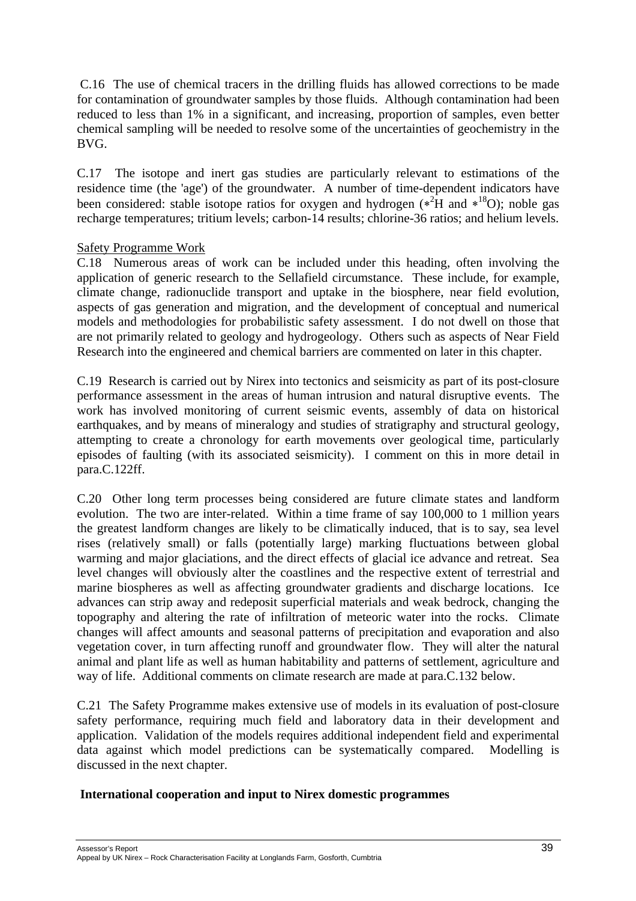C.16 The use of chemical tracers in the drilling fluids has allowed corrections to be made for contamination of groundwater samples by those fluids. Although contamination had been reduced to less than 1% in a significant, and increasing, proportion of samples, even better chemical sampling will be needed to resolve some of the uncertainties of geochemistry in the BVG.

C.17 The isotope and inert gas studies are particularly relevant to estimations of the residence time (the 'age') of the groundwater. A number of time-dependent indicators have been considered: stable isotope ratios for oxygen and hydrogen ( $*^2H$  and  $*^{18}O$ ); noble gas recharge temperatures; tritium levels; carbon-14 results; chlorine-36 ratios; and helium levels.

## Safety Programme Work

C.18 Numerous areas of work can be included under this heading, often involving the application of generic research to the Sellafield circumstance. These include, for example, climate change, radionuclide transport and uptake in the biosphere, near field evolution, aspects of gas generation and migration, and the development of conceptual and numerical models and methodologies for probabilistic safety assessment. I do not dwell on those that are not primarily related to geology and hydrogeology. Others such as aspects of Near Field Research into the engineered and chemical barriers are commented on later in this chapter.

C.19 Research is carried out by Nirex into tectonics and seismicity as part of its post-closure performance assessment in the areas of human intrusion and natural disruptive events. The work has involved monitoring of current seismic events, assembly of data on historical earthquakes, and by means of mineralogy and studies of stratigraphy and structural geology, attempting to create a chronology for earth movements over geological time, particularly episodes of faulting (with its associated seismicity). I comment on this in more detail in para.C.122ff.

C.20 Other long term processes being considered are future climate states and landform evolution. The two are inter-related. Within a time frame of say 100,000 to 1 million years the greatest landform changes are likely to be climatically induced, that is to say, sea level rises (relatively small) or falls (potentially large) marking fluctuations between global warming and major glaciations, and the direct effects of glacial ice advance and retreat. Sea level changes will obviously alter the coastlines and the respective extent of terrestrial and marine biospheres as well as affecting groundwater gradients and discharge locations. Ice advances can strip away and redeposit superficial materials and weak bedrock, changing the topography and altering the rate of infiltration of meteoric water into the rocks. Climate changes will affect amounts and seasonal patterns of precipitation and evaporation and also vegetation cover, in turn affecting runoff and groundwater flow. They will alter the natural animal and plant life as well as human habitability and patterns of settlement, agriculture and way of life. Additional comments on climate research are made at para.C.132 below.

C.21 The Safety Programme makes extensive use of models in its evaluation of post-closure safety performance, requiring much field and laboratory data in their development and application. Validation of the models requires additional independent field and experimental data against which model predictions can be systematically compared. Modelling is discussed in the next chapter.

## **International cooperation and input to Nirex domestic programmes**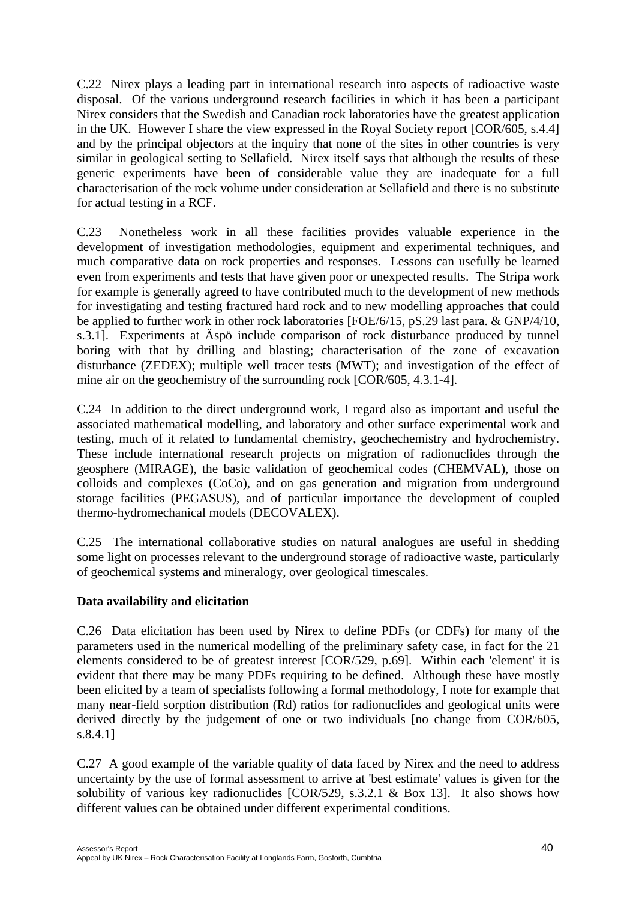C.22 Nirex plays a leading part in international research into aspects of radioactive waste disposal. Of the various underground research facilities in which it has been a participant Nirex considers that the Swedish and Canadian rock laboratories have the greatest application in the UK. However I share the view expressed in the Royal Society report [COR/605, s.4.4] and by the principal objectors at the inquiry that none of the sites in other countries is very similar in geological setting to Sellafield. Nirex itself says that although the results of these generic experiments have been of considerable value they are inadequate for a full characterisation of the rock volume under consideration at Sellafield and there is no substitute for actual testing in a RCF.

C.23 Nonetheless work in all these facilities provides valuable experience in the development of investigation methodologies, equipment and experimental techniques, and much comparative data on rock properties and responses. Lessons can usefully be learned even from experiments and tests that have given poor or unexpected results. The Stripa work for example is generally agreed to have contributed much to the development of new methods for investigating and testing fractured hard rock and to new modelling approaches that could be applied to further work in other rock laboratories [FOE/6/15, pS.29 last para. & GNP/4/10, s.3.1]. Experiments at Äspö include comparison of rock disturbance produced by tunnel boring with that by drilling and blasting; characterisation of the zone of excavation disturbance (ZEDEX); multiple well tracer tests (MWT); and investigation of the effect of mine air on the geochemistry of the surrounding rock [COR/605, 4.3.1-4].

C.24 In addition to the direct underground work, I regard also as important and useful the associated mathematical modelling, and laboratory and other surface experimental work and testing, much of it related to fundamental chemistry, geochechemistry and hydrochemistry. These include international research projects on migration of radionuclides through the geosphere (MIRAGE), the basic validation of geochemical codes (CHEMVAL), those on colloids and complexes (CoCo), and on gas generation and migration from underground storage facilities (PEGASUS), and of particular importance the development of coupled thermo-hydromechanical models (DECOVALEX).

C.25 The international collaborative studies on natural analogues are useful in shedding some light on processes relevant to the underground storage of radioactive waste, particularly of geochemical systems and mineralogy, over geological timescales.

# **Data availability and elicitation**

C.26 Data elicitation has been used by Nirex to define PDFs (or CDFs) for many of the parameters used in the numerical modelling of the preliminary safety case, in fact for the 21 elements considered to be of greatest interest [COR/529, p.69]. Within each 'element' it is evident that there may be many PDFs requiring to be defined. Although these have mostly been elicited by a team of specialists following a formal methodology, I note for example that many near-field sorption distribution (Rd) ratios for radionuclides and geological units were derived directly by the judgement of one or two individuals [no change from COR/605, s.8.4.1]

C.27 A good example of the variable quality of data faced by Nirex and the need to address uncertainty by the use of formal assessment to arrive at 'best estimate' values is given for the solubility of various key radionuclides [COR/529, s.3.2.1 & Box 13]. It also shows how different values can be obtained under different experimental conditions.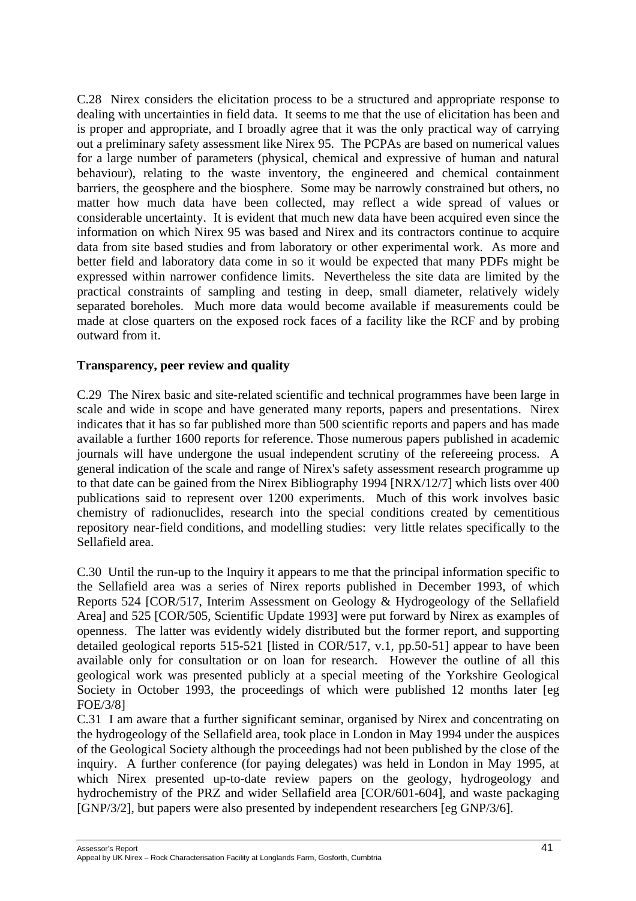C.28 Nirex considers the elicitation process to be a structured and appropriate response to dealing with uncertainties in field data. It seems to me that the use of elicitation has been and is proper and appropriate, and I broadly agree that it was the only practical way of carrying out a preliminary safety assessment like Nirex 95. The PCPAs are based on numerical values for a large number of parameters (physical, chemical and expressive of human and natural behaviour), relating to the waste inventory, the engineered and chemical containment barriers, the geosphere and the biosphere. Some may be narrowly constrained but others, no matter how much data have been collected, may reflect a wide spread of values or considerable uncertainty. It is evident that much new data have been acquired even since the information on which Nirex 95 was based and Nirex and its contractors continue to acquire data from site based studies and from laboratory or other experimental work. As more and better field and laboratory data come in so it would be expected that many PDFs might be expressed within narrower confidence limits. Nevertheless the site data are limited by the practical constraints of sampling and testing in deep, small diameter, relatively widely separated boreholes. Much more data would become available if measurements could be made at close quarters on the exposed rock faces of a facility like the RCF and by probing outward from it.

## **Transparency, peer review and quality**

C.29 The Nirex basic and site-related scientific and technical programmes have been large in scale and wide in scope and have generated many reports, papers and presentations. Nirex indicates that it has so far published more than 500 scientific reports and papers and has made available a further 1600 reports for reference. Those numerous papers published in academic journals will have undergone the usual independent scrutiny of the refereeing process. A general indication of the scale and range of Nirex's safety assessment research programme up to that date can be gained from the Nirex Bibliography 1994 [NRX/12/7] which lists over 400 publications said to represent over 1200 experiments. Much of this work involves basic chemistry of radionuclides, research into the special conditions created by cementitious repository near-field conditions, and modelling studies: very little relates specifically to the Sellafield area.

C.30 Until the run-up to the Inquiry it appears to me that the principal information specific to the Sellafield area was a series of Nirex reports published in December 1993, of which Reports 524 [COR/517, Interim Assessment on Geology & Hydrogeology of the Sellafield Area] and 525 [COR/505, Scientific Update 1993] were put forward by Nirex as examples of openness. The latter was evidently widely distributed but the former report, and supporting detailed geological reports 515-521 [listed in COR/517, v.1, pp.50-51] appear to have been available only for consultation or on loan for research. However the outline of all this geological work was presented publicly at a special meeting of the Yorkshire Geological Society in October 1993, the proceedings of which were published 12 months later [eg FOE/3/8]

C.31 I am aware that a further significant seminar, organised by Nirex and concentrating on the hydrogeology of the Sellafield area, took place in London in May 1994 under the auspices of the Geological Society although the proceedings had not been published by the close of the inquiry. A further conference (for paying delegates) was held in London in May 1995, at which Nirex presented up-to-date review papers on the geology, hydrogeology and hydrochemistry of the PRZ and wider Sellafield area [COR/601-604], and waste packaging [GNP/3/2], but papers were also presented by independent researchers [eg GNP/3/6].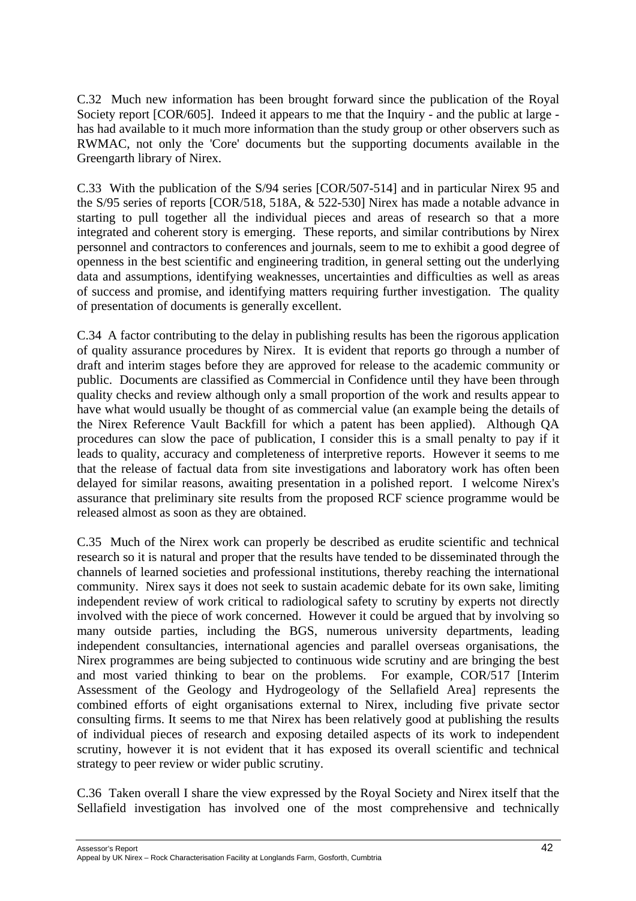C.32 Much new information has been brought forward since the publication of the Royal Society report [COR/605]. Indeed it appears to me that the Inquiry - and the public at large has had available to it much more information than the study group or other observers such as RWMAC, not only the 'Core' documents but the supporting documents available in the Greengarth library of Nirex.

C.33 With the publication of the S/94 series [COR/507-514] and in particular Nirex 95 and the S/95 series of reports [COR/518, 518A, & 522-530] Nirex has made a notable advance in starting to pull together all the individual pieces and areas of research so that a more integrated and coherent story is emerging. These reports, and similar contributions by Nirex personnel and contractors to conferences and journals, seem to me to exhibit a good degree of openness in the best scientific and engineering tradition, in general setting out the underlying data and assumptions, identifying weaknesses, uncertainties and difficulties as well as areas of success and promise, and identifying matters requiring further investigation. The quality of presentation of documents is generally excellent.

C.34 A factor contributing to the delay in publishing results has been the rigorous application of quality assurance procedures by Nirex. It is evident that reports go through a number of draft and interim stages before they are approved for release to the academic community or public. Documents are classified as Commercial in Confidence until they have been through quality checks and review although only a small proportion of the work and results appear to have what would usually be thought of as commercial value (an example being the details of the Nirex Reference Vault Backfill for which a patent has been applied). Although QA procedures can slow the pace of publication, I consider this is a small penalty to pay if it leads to quality, accuracy and completeness of interpretive reports. However it seems to me that the release of factual data from site investigations and laboratory work has often been delayed for similar reasons, awaiting presentation in a polished report. I welcome Nirex's assurance that preliminary site results from the proposed RCF science programme would be released almost as soon as they are obtained.

C.35 Much of the Nirex work can properly be described as erudite scientific and technical research so it is natural and proper that the results have tended to be disseminated through the channels of learned societies and professional institutions, thereby reaching the international community. Nirex says it does not seek to sustain academic debate for its own sake, limiting independent review of work critical to radiological safety to scrutiny by experts not directly involved with the piece of work concerned. However it could be argued that by involving so many outside parties, including the BGS, numerous university departments, leading independent consultancies, international agencies and parallel overseas organisations, the Nirex programmes are being subjected to continuous wide scrutiny and are bringing the best and most varied thinking to bear on the problems. For example, COR/517 [Interim Assessment of the Geology and Hydrogeology of the Sellafield Area] represents the combined efforts of eight organisations external to Nirex, including five private sector consulting firms. It seems to me that Nirex has been relatively good at publishing the results of individual pieces of research and exposing detailed aspects of its work to independent scrutiny, however it is not evident that it has exposed its overall scientific and technical strategy to peer review or wider public scrutiny.

C.36 Taken overall I share the view expressed by the Royal Society and Nirex itself that the Sellafield investigation has involved one of the most comprehensive and technically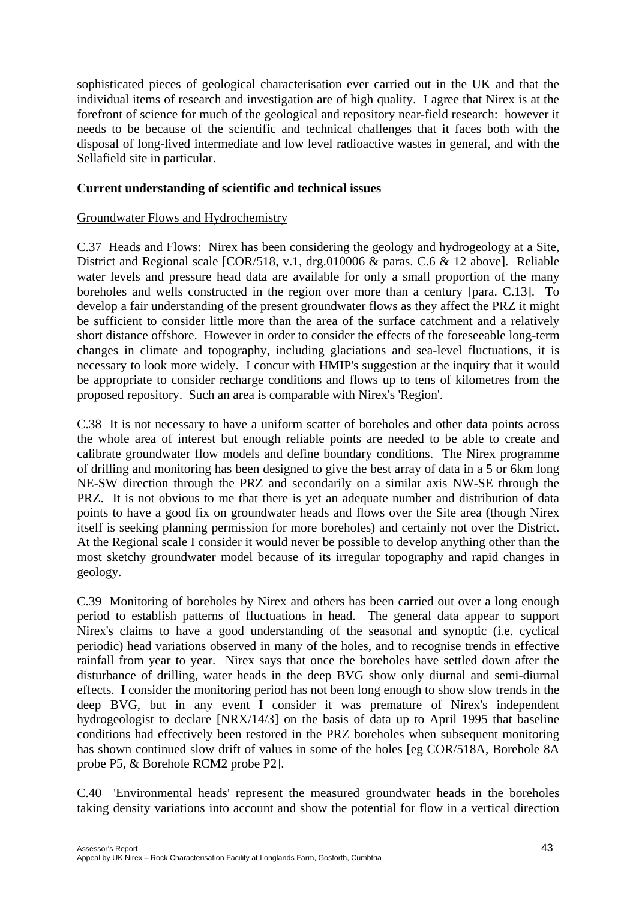sophisticated pieces of geological characterisation ever carried out in the UK and that the individual items of research and investigation are of high quality. I agree that Nirex is at the forefront of science for much of the geological and repository near-field research: however it needs to be because of the scientific and technical challenges that it faces both with the disposal of long-lived intermediate and low level radioactive wastes in general, and with the Sellafield site in particular.

# **Current understanding of scientific and technical issues**

# Groundwater Flows and Hydrochemistry

C.37 Heads and Flows: Nirex has been considering the geology and hydrogeology at a Site, District and Regional scale [COR/518, v.1, drg.010006 & paras. C.6 & 12 above]. Reliable water levels and pressure head data are available for only a small proportion of the many boreholes and wells constructed in the region over more than a century [para. C.13]. To develop a fair understanding of the present groundwater flows as they affect the PRZ it might be sufficient to consider little more than the area of the surface catchment and a relatively short distance offshore. However in order to consider the effects of the foreseeable long-term changes in climate and topography, including glaciations and sea-level fluctuations, it is necessary to look more widely. I concur with HMIP's suggestion at the inquiry that it would be appropriate to consider recharge conditions and flows up to tens of kilometres from the proposed repository. Such an area is comparable with Nirex's 'Region'.

C.38 It is not necessary to have a uniform scatter of boreholes and other data points across the whole area of interest but enough reliable points are needed to be able to create and calibrate groundwater flow models and define boundary conditions. The Nirex programme of drilling and monitoring has been designed to give the best array of data in a 5 or 6km long NE-SW direction through the PRZ and secondarily on a similar axis NW-SE through the PRZ. It is not obvious to me that there is yet an adequate number and distribution of data points to have a good fix on groundwater heads and flows over the Site area (though Nirex itself is seeking planning permission for more boreholes) and certainly not over the District. At the Regional scale I consider it would never be possible to develop anything other than the most sketchy groundwater model because of its irregular topography and rapid changes in geology.

C.39 Monitoring of boreholes by Nirex and others has been carried out over a long enough period to establish patterns of fluctuations in head. The general data appear to support Nirex's claims to have a good understanding of the seasonal and synoptic (i.e. cyclical periodic) head variations observed in many of the holes, and to recognise trends in effective rainfall from year to year. Nirex says that once the boreholes have settled down after the disturbance of drilling, water heads in the deep BVG show only diurnal and semi-diurnal effects. I consider the monitoring period has not been long enough to show slow trends in the deep BVG, but in any event I consider it was premature of Nirex's independent hydrogeologist to declare [NRX/14/3] on the basis of data up to April 1995 that baseline conditions had effectively been restored in the PRZ boreholes when subsequent monitoring has shown continued slow drift of values in some of the holes [eg COR/518A, Borehole 8A probe P5, & Borehole RCM2 probe P2].

C.40 'Environmental heads' represent the measured groundwater heads in the boreholes taking density variations into account and show the potential for flow in a vertical direction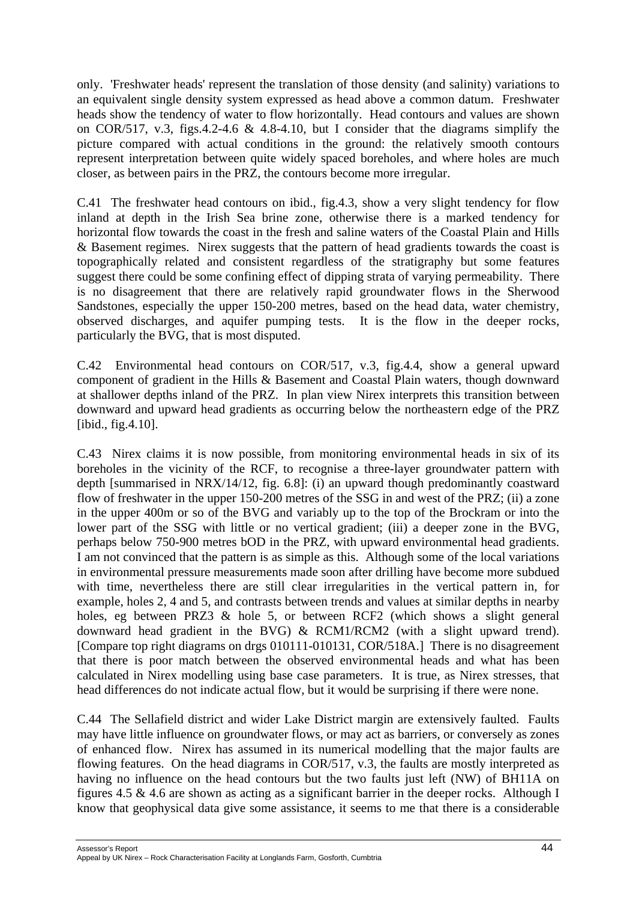only. 'Freshwater heads' represent the translation of those density (and salinity) variations to an equivalent single density system expressed as head above a common datum. Freshwater heads show the tendency of water to flow horizontally. Head contours and values are shown on COR/517, v.3, figs.4.2-4.6 & 4.8-4.10, but I consider that the diagrams simplify the picture compared with actual conditions in the ground: the relatively smooth contours represent interpretation between quite widely spaced boreholes, and where holes are much closer, as between pairs in the PRZ, the contours become more irregular.

C.41 The freshwater head contours on ibid., fig.4.3, show a very slight tendency for flow inland at depth in the Irish Sea brine zone, otherwise there is a marked tendency for horizontal flow towards the coast in the fresh and saline waters of the Coastal Plain and Hills & Basement regimes. Nirex suggests that the pattern of head gradients towards the coast is topographically related and consistent regardless of the stratigraphy but some features suggest there could be some confining effect of dipping strata of varying permeability. There is no disagreement that there are relatively rapid groundwater flows in the Sherwood Sandstones, especially the upper 150-200 metres, based on the head data, water chemistry, observed discharges, and aquifer pumping tests. It is the flow in the deeper rocks, particularly the BVG, that is most disputed.

C.42 Environmental head contours on COR/517, v.3, fig.4.4, show a general upward component of gradient in the Hills & Basement and Coastal Plain waters, though downward at shallower depths inland of the PRZ. In plan view Nirex interprets this transition between downward and upward head gradients as occurring below the northeastern edge of the PRZ [ibid., fig.4.10].

C.43 Nirex claims it is now possible, from monitoring environmental heads in six of its boreholes in the vicinity of the RCF, to recognise a three-layer groundwater pattern with depth [summarised in NRX/14/12, fig. 6.8]: (i) an upward though predominantly coastward flow of freshwater in the upper 150-200 metres of the SSG in and west of the PRZ; (ii) a zone in the upper 400m or so of the BVG and variably up to the top of the Brockram or into the lower part of the SSG with little or no vertical gradient; (iii) a deeper zone in the BVG, perhaps below 750-900 metres bOD in the PRZ, with upward environmental head gradients. I am not convinced that the pattern is as simple as this. Although some of the local variations in environmental pressure measurements made soon after drilling have become more subdued with time, nevertheless there are still clear irregularities in the vertical pattern in, for example, holes 2, 4 and 5, and contrasts between trends and values at similar depths in nearby holes, eg between PRZ3 & hole 5, or between RCF2 (which shows a slight general downward head gradient in the BVG) & RCM1/RCM2 (with a slight upward trend). [Compare top right diagrams on drgs 010111-010131, COR/518A.] There is no disagreement that there is poor match between the observed environmental heads and what has been calculated in Nirex modelling using base case parameters. It is true, as Nirex stresses, that head differences do not indicate actual flow, but it would be surprising if there were none.

C.44 The Sellafield district and wider Lake District margin are extensively faulted. Faults may have little influence on groundwater flows, or may act as barriers, or conversely as zones of enhanced flow. Nirex has assumed in its numerical modelling that the major faults are flowing features. On the head diagrams in COR/517, v.3, the faults are mostly interpreted as having no influence on the head contours but the two faults just left (NW) of BH11A on figures 4.5 & 4.6 are shown as acting as a significant barrier in the deeper rocks. Although I know that geophysical data give some assistance, it seems to me that there is a considerable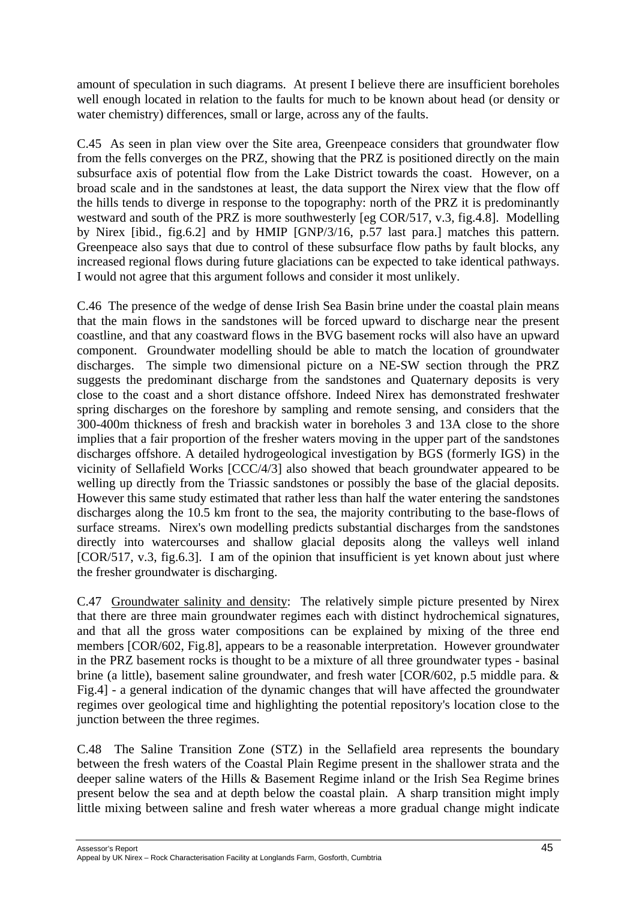amount of speculation in such diagrams. At present I believe there are insufficient boreholes well enough located in relation to the faults for much to be known about head (or density or water chemistry) differences, small or large, across any of the faults.

C.45 As seen in plan view over the Site area, Greenpeace considers that groundwater flow from the fells converges on the PRZ, showing that the PRZ is positioned directly on the main subsurface axis of potential flow from the Lake District towards the coast. However, on a broad scale and in the sandstones at least, the data support the Nirex view that the flow off the hills tends to diverge in response to the topography: north of the PRZ it is predominantly westward and south of the PRZ is more southwesterly [eg COR/517, v.3, fig.4.8]. Modelling by Nirex [ibid., fig.6.2] and by HMIP [GNP/3/16, p.57 last para.] matches this pattern. Greenpeace also says that due to control of these subsurface flow paths by fault blocks, any increased regional flows during future glaciations can be expected to take identical pathways. I would not agree that this argument follows and consider it most unlikely.

C.46 The presence of the wedge of dense Irish Sea Basin brine under the coastal plain means that the main flows in the sandstones will be forced upward to discharge near the present coastline, and that any coastward flows in the BVG basement rocks will also have an upward component. Groundwater modelling should be able to match the location of groundwater discharges. The simple two dimensional picture on a NE-SW section through the PRZ suggests the predominant discharge from the sandstones and Quaternary deposits is very close to the coast and a short distance offshore. Indeed Nirex has demonstrated freshwater spring discharges on the foreshore by sampling and remote sensing, and considers that the 300-400m thickness of fresh and brackish water in boreholes 3 and 13A close to the shore implies that a fair proportion of the fresher waters moving in the upper part of the sandstones discharges offshore. A detailed hydrogeological investigation by BGS (formerly IGS) in the vicinity of Sellafield Works [CCC/4/3] also showed that beach groundwater appeared to be welling up directly from the Triassic sandstones or possibly the base of the glacial deposits. However this same study estimated that rather less than half the water entering the sandstones discharges along the 10.5 km front to the sea, the majority contributing to the base-flows of surface streams. Nirex's own modelling predicts substantial discharges from the sandstones directly into watercourses and shallow glacial deposits along the valleys well inland [COR/517, v.3, fig.6.3]. I am of the opinion that insufficient is yet known about just where the fresher groundwater is discharging.

C.47 Groundwater salinity and density: The relatively simple picture presented by Nirex that there are three main groundwater regimes each with distinct hydrochemical signatures, and that all the gross water compositions can be explained by mixing of the three end members [COR/602, Fig.8], appears to be a reasonable interpretation. However groundwater in the PRZ basement rocks is thought to be a mixture of all three groundwater types - basinal brine (a little), basement saline groundwater, and fresh water [COR/602, p.5 middle para. & Fig.4] - a general indication of the dynamic changes that will have affected the groundwater regimes over geological time and highlighting the potential repository's location close to the junction between the three regimes.

C.48 The Saline Transition Zone (STZ) in the Sellafield area represents the boundary between the fresh waters of the Coastal Plain Regime present in the shallower strata and the deeper saline waters of the Hills & Basement Regime inland or the Irish Sea Regime brines present below the sea and at depth below the coastal plain. A sharp transition might imply little mixing between saline and fresh water whereas a more gradual change might indicate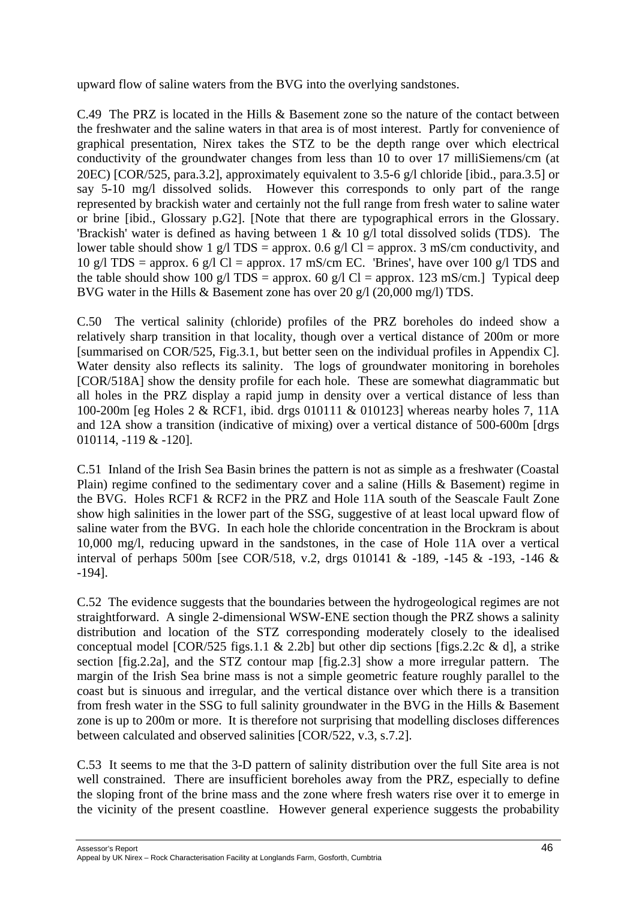upward flow of saline waters from the BVG into the overlying sandstones.

C.49 The PRZ is located in the Hills & Basement zone so the nature of the contact between the freshwater and the saline waters in that area is of most interest. Partly for convenience of graphical presentation, Nirex takes the STZ to be the depth range over which electrical conductivity of the groundwater changes from less than 10 to over 17 milliSiemens/cm (at 20ΕC) [COR/525, para.3.2], approximately equivalent to 3.5-6 g/l chloride [ibid., para.3.5] or say 5-10 mg/l dissolved solids. However this corresponds to only part of the range represented by brackish water and certainly not the full range from fresh water to saline water or brine [ibid., Glossary p.G2]. [Note that there are typographical errors in the Glossary. 'Brackish' water is defined as having between 1 & 10 g/l total dissolved solids (TDS). The lower table should show 1 g/l TDS = approx. 0.6 g/l Cl = approx. 3 mS/cm conductivity, and 10 g/l TDS = approx. 6 g/l Cl = approx. 17 mS/cm EC. 'Brines', have over 100 g/l TDS and the table should show 100 g/l TDS = approx. 60 g/l Cl = approx. 123 mS/cm.] Typical deep BVG water in the Hills & Basement zone has over 20 g/l (20,000 mg/l) TDS.

C.50 The vertical salinity (chloride) profiles of the PRZ boreholes do indeed show a relatively sharp transition in that locality, though over a vertical distance of 200m or more [summarised on COR/525, Fig.3.1, but better seen on the individual profiles in Appendix C]. Water density also reflects its salinity. The logs of groundwater monitoring in boreholes [COR/518A] show the density profile for each hole. These are somewhat diagrammatic but all holes in the PRZ display a rapid jump in density over a vertical distance of less than 100-200m [eg Holes 2 & RCF1, ibid. drgs 010111 & 010123] whereas nearby holes 7, 11A and 12A show a transition (indicative of mixing) over a vertical distance of 500-600m [drgs 010114, -119 & -120].

C.51 Inland of the Irish Sea Basin brines the pattern is not as simple as a freshwater (Coastal Plain) regime confined to the sedimentary cover and a saline (Hills & Basement) regime in the BVG. Holes RCF1 & RCF2 in the PRZ and Hole 11A south of the Seascale Fault Zone show high salinities in the lower part of the SSG, suggestive of at least local upward flow of saline water from the BVG. In each hole the chloride concentration in the Brockram is about 10,000 mg/l, reducing upward in the sandstones, in the case of Hole 11A over a vertical interval of perhaps 500m [see COR/518, v.2, drgs 010141 & -189, -145 & -193, -146 & -194].

C.52 The evidence suggests that the boundaries between the hydrogeological regimes are not straightforward. A single 2-dimensional WSW-ENE section though the PRZ shows a salinity distribution and location of the STZ corresponding moderately closely to the idealised conceptual model  $[COR/525$  figs.1.1 & 2.2b] but other dip sections  $[figs.2.2c \& d]$ , a strike section [fig.2.2a], and the STZ contour map [fig.2.3] show a more irregular pattern. The margin of the Irish Sea brine mass is not a simple geometric feature roughly parallel to the coast but is sinuous and irregular, and the vertical distance over which there is a transition from fresh water in the SSG to full salinity groundwater in the BVG in the Hills & Basement zone is up to 200m or more. It is therefore not surprising that modelling discloses differences between calculated and observed salinities [COR/522, v.3, s.7.2].

C.53 It seems to me that the 3-D pattern of salinity distribution over the full Site area is not well constrained. There are insufficient boreholes away from the PRZ, especially to define the sloping front of the brine mass and the zone where fresh waters rise over it to emerge in the vicinity of the present coastline. However general experience suggests the probability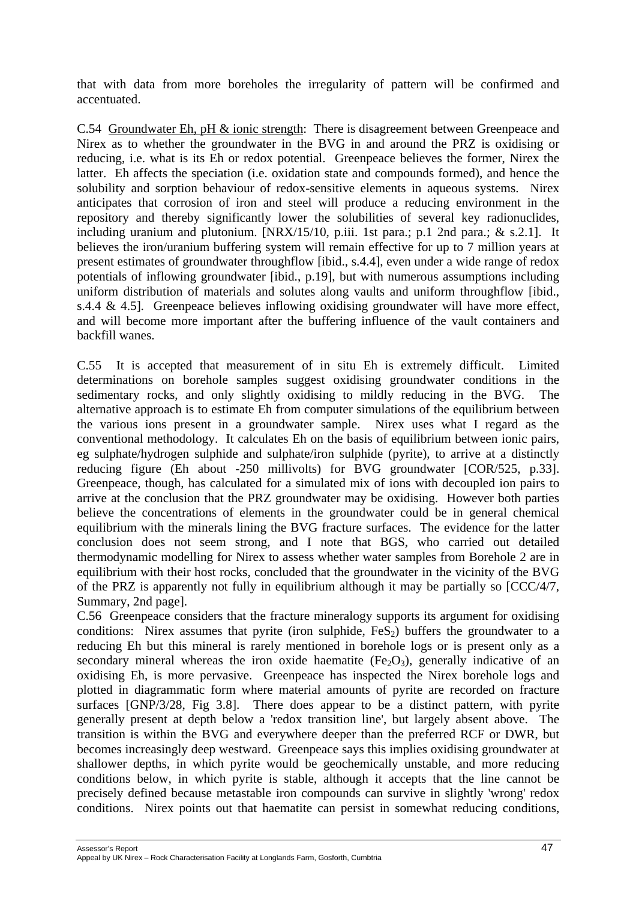that with data from more boreholes the irregularity of pattern will be confirmed and accentuated.

C.54 Groundwater Eh, pH & ionic strength: There is disagreement between Greenpeace and Nirex as to whether the groundwater in the BVG in and around the PRZ is oxidising or reducing, i.e. what is its Eh or redox potential. Greenpeace believes the former, Nirex the latter. Eh affects the speciation (i.e. oxidation state and compounds formed), and hence the solubility and sorption behaviour of redox-sensitive elements in aqueous systems. Nirex anticipates that corrosion of iron and steel will produce a reducing environment in the repository and thereby significantly lower the solubilities of several key radionuclides, including uranium and plutonium. [NRX/15/10, p.iii. 1st para.; p.1 2nd para.; & s.2.1]. It believes the iron/uranium buffering system will remain effective for up to 7 million years at present estimates of groundwater throughflow [ibid., s.4.4], even under a wide range of redox potentials of inflowing groundwater [ibid., p.19], but with numerous assumptions including uniform distribution of materials and solutes along vaults and uniform throughflow [ibid., s.4.4 & 4.5]. Greenpeace believes inflowing oxidising groundwater will have more effect, and will become more important after the buffering influence of the vault containers and backfill wanes.

C.55 It is accepted that measurement of in situ Eh is extremely difficult. Limited determinations on borehole samples suggest oxidising groundwater conditions in the sedimentary rocks, and only slightly oxidising to mildly reducing in the BVG. The alternative approach is to estimate Eh from computer simulations of the equilibrium between the various ions present in a groundwater sample. Nirex uses what I regard as the conventional methodology. It calculates Eh on the basis of equilibrium between ionic pairs, eg sulphate/hydrogen sulphide and sulphate/iron sulphide (pyrite), to arrive at a distinctly reducing figure (Eh about -250 millivolts) for BVG groundwater [COR/525, p.33]. Greenpeace, though, has calculated for a simulated mix of ions with decoupled ion pairs to arrive at the conclusion that the PRZ groundwater may be oxidising. However both parties believe the concentrations of elements in the groundwater could be in general chemical equilibrium with the minerals lining the BVG fracture surfaces. The evidence for the latter conclusion does not seem strong, and I note that BGS, who carried out detailed thermodynamic modelling for Nirex to assess whether water samples from Borehole 2 are in equilibrium with their host rocks, concluded that the groundwater in the vicinity of the BVG of the PRZ is apparently not fully in equilibrium although it may be partially so [CCC/4/7, Summary, 2nd page].

C.56 Greenpeace considers that the fracture mineralogy supports its argument for oxidising conditions: Nirex assumes that pyrite (iron sulphide,  $FeS<sub>2</sub>$ ) buffers the groundwater to a reducing Eh but this mineral is rarely mentioned in borehole logs or is present only as a secondary mineral whereas the iron oxide haematite  $(Fe<sub>2</sub>O<sub>3</sub>)$ , generally indicative of an oxidising Eh, is more pervasive. Greenpeace has inspected the Nirex borehole logs and plotted in diagrammatic form where material amounts of pyrite are recorded on fracture surfaces [GNP/3/28, Fig 3.8]. There does appear to be a distinct pattern, with pyrite generally present at depth below a 'redox transition line', but largely absent above. The transition is within the BVG and everywhere deeper than the preferred RCF or DWR, but becomes increasingly deep westward. Greenpeace says this implies oxidising groundwater at shallower depths, in which pyrite would be geochemically unstable, and more reducing conditions below, in which pyrite is stable, although it accepts that the line cannot be precisely defined because metastable iron compounds can survive in slightly 'wrong' redox conditions. Nirex points out that haematite can persist in somewhat reducing conditions,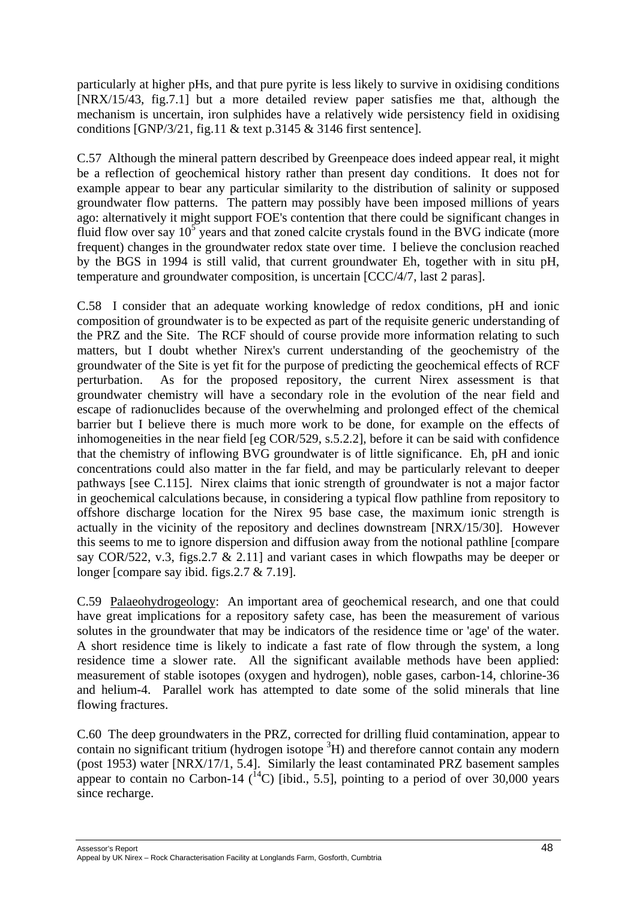particularly at higher pHs, and that pure pyrite is less likely to survive in oxidising conditions [NRX/15/43, fig.7.1] but a more detailed review paper satisfies me that, although the mechanism is uncertain, iron sulphides have a relatively wide persistency field in oxidising conditions [GNP/3/21, fig.11 & text p.3145 & 3146 first sentence].

C.57 Although the mineral pattern described by Greenpeace does indeed appear real, it might be a reflection of geochemical history rather than present day conditions. It does not for example appear to bear any particular similarity to the distribution of salinity or supposed groundwater flow patterns. The pattern may possibly have been imposed millions of years ago: alternatively it might support FOE's contention that there could be significant changes in fluid flow over say  $10^5$  years and that zoned calcite crystals found in the BVG indicate (more frequent) changes in the groundwater redox state over time. I believe the conclusion reached by the BGS in 1994 is still valid, that current groundwater Eh, together with in situ pH, temperature and groundwater composition, is uncertain [CCC/4/7, last 2 paras].

C.58 I consider that an adequate working knowledge of redox conditions, pH and ionic composition of groundwater is to be expected as part of the requisite generic understanding of the PRZ and the Site. The RCF should of course provide more information relating to such matters, but I doubt whether Nirex's current understanding of the geochemistry of the groundwater of the Site is yet fit for the purpose of predicting the geochemical effects of RCF perturbation. As for the proposed repository, the current Nirex assessment is that groundwater chemistry will have a secondary role in the evolution of the near field and escape of radionuclides because of the overwhelming and prolonged effect of the chemical barrier but I believe there is much more work to be done, for example on the effects of inhomogeneities in the near field [eg COR/529, s.5.2.2], before it can be said with confidence that the chemistry of inflowing BVG groundwater is of little significance. Eh, pH and ionic concentrations could also matter in the far field, and may be particularly relevant to deeper pathways [see C.115]. Nirex claims that ionic strength of groundwater is not a major factor in geochemical calculations because, in considering a typical flow pathline from repository to offshore discharge location for the Nirex 95 base case, the maximum ionic strength is actually in the vicinity of the repository and declines downstream [NRX/15/30]. However this seems to me to ignore dispersion and diffusion away from the notional pathline [compare say COR/522, v.3, figs.2.7 & 2.11] and variant cases in which flowpaths may be deeper or longer [compare say ibid. figs.  $2.7 \& 7.19$ ].

C.59 Palaeohydrogeology: An important area of geochemical research, and one that could have great implications for a repository safety case, has been the measurement of various solutes in the groundwater that may be indicators of the residence time or 'age' of the water. A short residence time is likely to indicate a fast rate of flow through the system, a long residence time a slower rate. All the significant available methods have been applied: measurement of stable isotopes (oxygen and hydrogen), noble gases, carbon-14, chlorine-36 and helium-4. Parallel work has attempted to date some of the solid minerals that line flowing fractures.

C.60 The deep groundwaters in the PRZ, corrected for drilling fluid contamination, appear to contain no significant tritium (hydrogen isotope  ${}^{3}H$ ) and therefore cannot contain any modern (post 1953) water [NRX/17/1, 5.4]. Similarly the least contaminated PRZ basement samples appear to contain no Carbon-14  $\binom{14}{1}$  [ibid., 5.5], pointing to a period of over 30,000 years since recharge.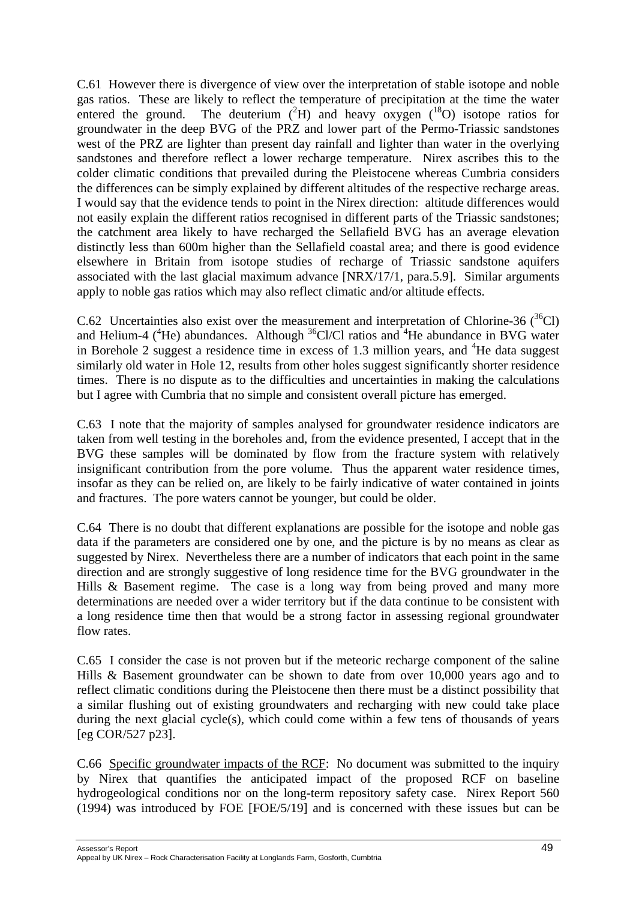C.61 However there is divergence of view over the interpretation of stable isotope and noble gas ratios. These are likely to reflect the temperature of precipitation at the time the water entered the ground. The deuterium  $(^{2}H)$  and heavy oxygen  $(^{18}O)$  isotope ratios for groundwater in the deep BVG of the PRZ and lower part of the Permo-Triassic sandstones west of the PRZ are lighter than present day rainfall and lighter than water in the overlying sandstones and therefore reflect a lower recharge temperature. Nirex ascribes this to the colder climatic conditions that prevailed during the Pleistocene whereas Cumbria considers the differences can be simply explained by different altitudes of the respective recharge areas. I would say that the evidence tends to point in the Nirex direction: altitude differences would not easily explain the different ratios recognised in different parts of the Triassic sandstones; the catchment area likely to have recharged the Sellafield BVG has an average elevation distinctly less than 600m higher than the Sellafield coastal area; and there is good evidence elsewhere in Britain from isotope studies of recharge of Triassic sandstone aquifers associated with the last glacial maximum advance [NRX/17/1, para.5.9]. Similar arguments apply to noble gas ratios which may also reflect climatic and/or altitude effects.

C.62 Uncertainties also exist over the measurement and interpretation of Chlorine-36  $(^{36}Cl)$ and Helium-4 ( ${}^{4}$ He) abundances. Although  ${}^{36}$ Cl/Cl ratios and  ${}^{4}$ He abundance in BVG water in Borehole 2 suggest a residence time in excess of 1.3 million years, and  ${}^{4}$ He data suggest similarly old water in Hole 12, results from other holes suggest significantly shorter residence times. There is no dispute as to the difficulties and uncertainties in making the calculations but I agree with Cumbria that no simple and consistent overall picture has emerged.

C.63 I note that the majority of samples analysed for groundwater residence indicators are taken from well testing in the boreholes and, from the evidence presented, I accept that in the BVG these samples will be dominated by flow from the fracture system with relatively insignificant contribution from the pore volume. Thus the apparent water residence times, insofar as they can be relied on, are likely to be fairly indicative of water contained in joints and fractures. The pore waters cannot be younger, but could be older.

C.64 There is no doubt that different explanations are possible for the isotope and noble gas data if the parameters are considered one by one, and the picture is by no means as clear as suggested by Nirex. Nevertheless there are a number of indicators that each point in the same direction and are strongly suggestive of long residence time for the BVG groundwater in the Hills & Basement regime. The case is a long way from being proved and many more determinations are needed over a wider territory but if the data continue to be consistent with a long residence time then that would be a strong factor in assessing regional groundwater flow rates.

C.65 I consider the case is not proven but if the meteoric recharge component of the saline Hills & Basement groundwater can be shown to date from over 10,000 years ago and to reflect climatic conditions during the Pleistocene then there must be a distinct possibility that a similar flushing out of existing groundwaters and recharging with new could take place during the next glacial cycle(s), which could come within a few tens of thousands of years [eg COR/527 p23].

C.66 Specific groundwater impacts of the RCF: No document was submitted to the inquiry by Nirex that quantifies the anticipated impact of the proposed RCF on baseline hydrogeological conditions nor on the long-term repository safety case. Nirex Report 560 (1994) was introduced by FOE [FOE/5/19] and is concerned with these issues but can be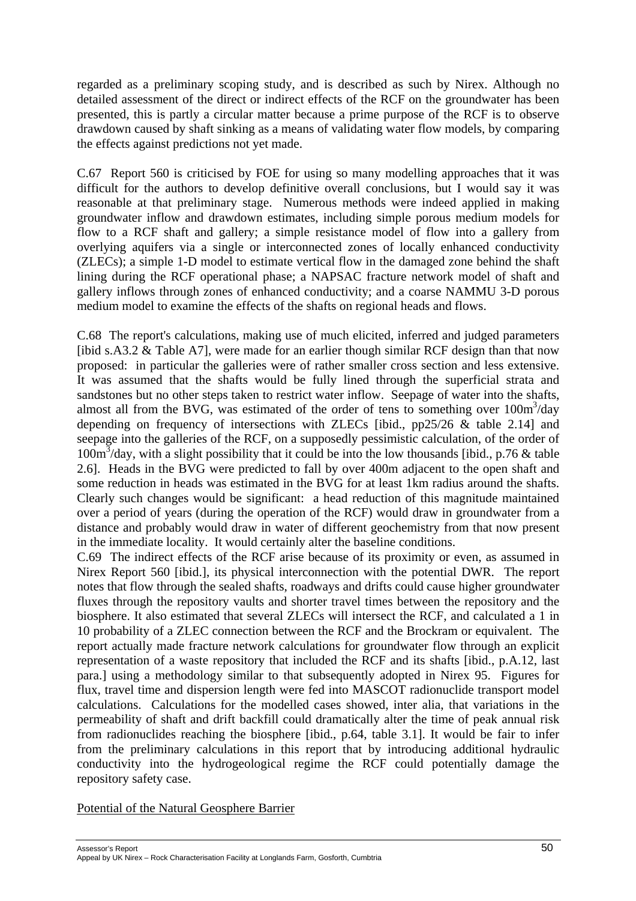regarded as a preliminary scoping study, and is described as such by Nirex. Although no detailed assessment of the direct or indirect effects of the RCF on the groundwater has been presented, this is partly a circular matter because a prime purpose of the RCF is to observe drawdown caused by shaft sinking as a means of validating water flow models, by comparing the effects against predictions not yet made.

C.67 Report 560 is criticised by FOE for using so many modelling approaches that it was difficult for the authors to develop definitive overall conclusions, but I would say it was reasonable at that preliminary stage. Numerous methods were indeed applied in making groundwater inflow and drawdown estimates, including simple porous medium models for flow to a RCF shaft and gallery; a simple resistance model of flow into a gallery from overlying aquifers via a single or interconnected zones of locally enhanced conductivity (ZLECs); a simple 1-D model to estimate vertical flow in the damaged zone behind the shaft lining during the RCF operational phase; a NAPSAC fracture network model of shaft and gallery inflows through zones of enhanced conductivity; and a coarse NAMMU 3-D porous medium model to examine the effects of the shafts on regional heads and flows.

C.68 The report's calculations, making use of much elicited, inferred and judged parameters [ibid s.A3.2  $\&$  Table A7], were made for an earlier though similar RCF design than that now proposed: in particular the galleries were of rather smaller cross section and less extensive. It was assumed that the shafts would be fully lined through the superficial strata and sandstones but no other steps taken to restrict water inflow. Seepage of water into the shafts, almost all from the BVG, was estimated of the order of tens to something over  $100m<sup>3</sup>/day$ depending on frequency of intersections with ZLECs [ibid., pp25/26 & table 2.14] and seepage into the galleries of the RCF, on a supposedly pessimistic calculation, of the order of 100m3 /day, with a slight possibility that it could be into the low thousands [ibid., p.76 & table 2.6]. Heads in the BVG were predicted to fall by over 400m adjacent to the open shaft and some reduction in heads was estimated in the BVG for at least 1km radius around the shafts. Clearly such changes would be significant: a head reduction of this magnitude maintained over a period of years (during the operation of the RCF) would draw in groundwater from a distance and probably would draw in water of different geochemistry from that now present in the immediate locality. It would certainly alter the baseline conditions.

C.69 The indirect effects of the RCF arise because of its proximity or even, as assumed in Nirex Report 560 [ibid.], its physical interconnection with the potential DWR. The report notes that flow through the sealed shafts, roadways and drifts could cause higher groundwater fluxes through the repository vaults and shorter travel times between the repository and the biosphere. It also estimated that several ZLECs will intersect the RCF, and calculated a 1 in 10 probability of a ZLEC connection between the RCF and the Brockram or equivalent. The report actually made fracture network calculations for groundwater flow through an explicit representation of a waste repository that included the RCF and its shafts [ibid., p.A.12, last para.] using a methodology similar to that subsequently adopted in Nirex 95. Figures for flux, travel time and dispersion length were fed into MASCOT radionuclide transport model calculations. Calculations for the modelled cases showed, inter alia, that variations in the permeability of shaft and drift backfill could dramatically alter the time of peak annual risk from radionuclides reaching the biosphere [ibid., p.64, table 3.1]. It would be fair to infer from the preliminary calculations in this report that by introducing additional hydraulic conductivity into the hydrogeological regime the RCF could potentially damage the repository safety case.

## Potential of the Natural Geosphere Barrier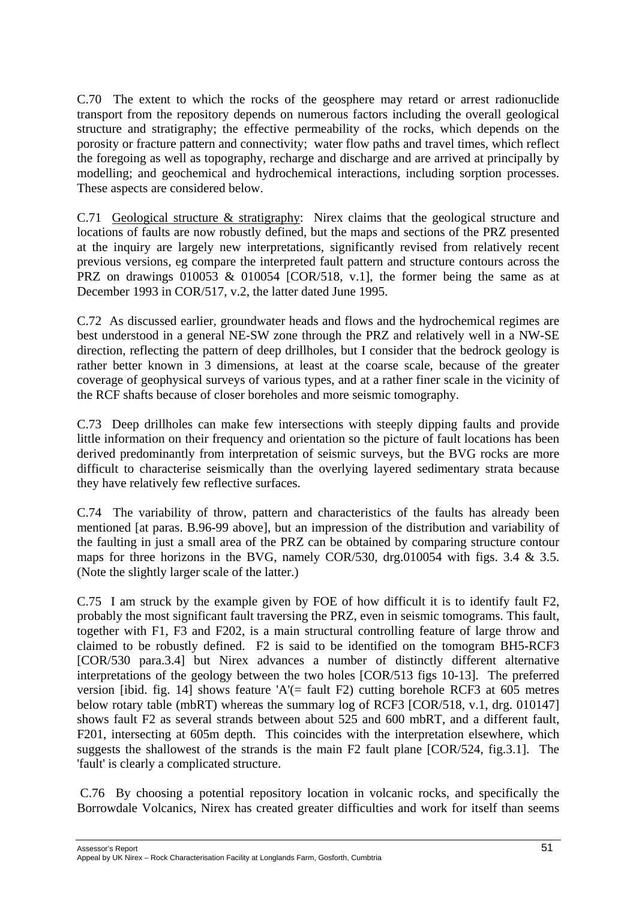C.70 The extent to which the rocks of the geosphere may retard or arrest radionuclide transport from the repository depends on numerous factors including the overall geological structure and stratigraphy; the effective permeability of the rocks, which depends on the porosity or fracture pattern and connectivity; water flow paths and travel times, which reflect the foregoing as well as topography, recharge and discharge and are arrived at principally by modelling; and geochemical and hydrochemical interactions, including sorption processes. These aspects are considered below.

C.71 Geological structure & stratigraphy: Nirex claims that the geological structure and locations of faults are now robustly defined, but the maps and sections of the PRZ presented at the inquiry are largely new interpretations, significantly revised from relatively recent previous versions, eg compare the interpreted fault pattern and structure contours across the PRZ on drawings 010053 & 010054 [COR/518, v.1], the former being the same as at December 1993 in COR/517, v.2, the latter dated June 1995.

C.72 As discussed earlier, groundwater heads and flows and the hydrochemical regimes are best understood in a general NE-SW zone through the PRZ and relatively well in a NW-SE direction, reflecting the pattern of deep drillholes, but I consider that the bedrock geology is rather better known in 3 dimensions, at least at the coarse scale, because of the greater coverage of geophysical surveys of various types, and at a rather finer scale in the vicinity of the RCF shafts because of closer boreholes and more seismic tomography.

C.73 Deep drillholes can make few intersections with steeply dipping faults and provide little information on their frequency and orientation so the picture of fault locations has been derived predominantly from interpretation of seismic surveys, but the BVG rocks are more difficult to characterise seismically than the overlying layered sedimentary strata because they have relatively few reflective surfaces.

C.74 The variability of throw, pattern and characteristics of the faults has already been mentioned [at paras. B.96-99 above], but an impression of the distribution and variability of the faulting in just a small area of the PRZ can be obtained by comparing structure contour maps for three horizons in the BVG, namely COR/530, drg.010054 with figs. 3.4 & 3.5. (Note the slightly larger scale of the latter.)

C.75 I am struck by the example given by FOE of how difficult it is to identify fault F2, probably the most significant fault traversing the PRZ, even in seismic tomograms. This fault, together with F1, F3 and F202, is a main structural controlling feature of large throw and claimed to be robustly defined. F2 is said to be identified on the tomogram BH5-RCF3 [COR/530 para.3.4] but Nirex advances a number of distinctly different alternative interpretations of the geology between the two holes [COR/513 figs 10-13]. The preferred version [ibid. fig. 14] shows feature 'A'(= fault F2) cutting borehole RCF3 at 605 metres below rotary table (mbRT) whereas the summary log of RCF3 [COR/518, v.1, drg. 010147] shows fault F2 as several strands between about 525 and 600 mbRT, and a different fault, F201, intersecting at 605m depth. This coincides with the interpretation elsewhere, which suggests the shallowest of the strands is the main F2 fault plane [COR/524, fig.3.1]. The 'fault' is clearly a complicated structure.

C.76 By choosing a potential repository location in volcanic rocks, and specifically the Borrowdale Volcanics, Nirex has created greater difficulties and work for itself than seems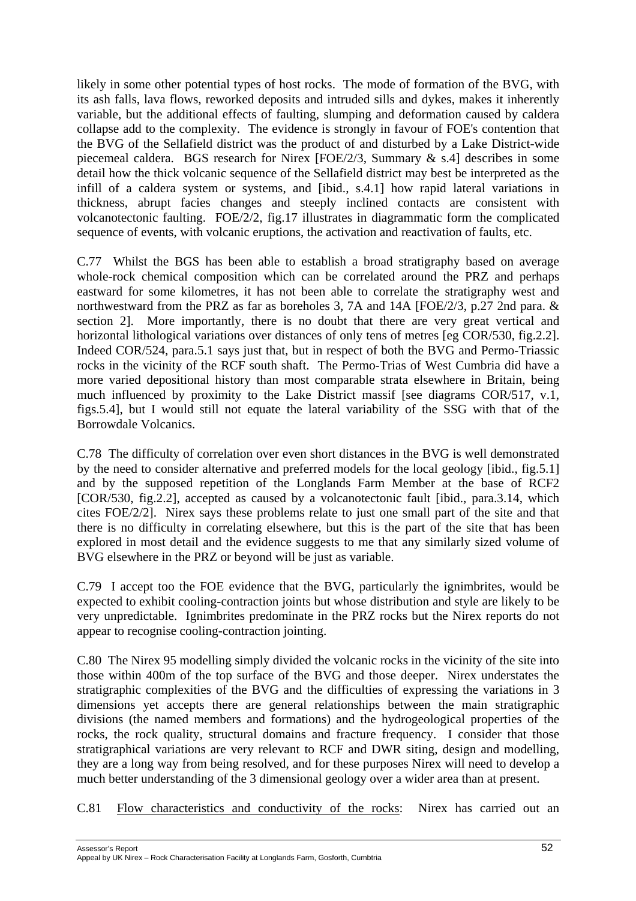likely in some other potential types of host rocks. The mode of formation of the BVG, with its ash falls, lava flows, reworked deposits and intruded sills and dykes, makes it inherently variable, but the additional effects of faulting, slumping and deformation caused by caldera collapse add to the complexity. The evidence is strongly in favour of FOE's contention that the BVG of the Sellafield district was the product of and disturbed by a Lake District-wide piecemeal caldera. BGS research for Nirex [FOE/2/3, Summary & s.4] describes in some detail how the thick volcanic sequence of the Sellafield district may best be interpreted as the infill of a caldera system or systems, and [ibid., s.4.1] how rapid lateral variations in thickness, abrupt facies changes and steeply inclined contacts are consistent with volcanotectonic faulting. FOE/2/2, fig.17 illustrates in diagrammatic form the complicated sequence of events, with volcanic eruptions, the activation and reactivation of faults, etc.

C.77 Whilst the BGS has been able to establish a broad stratigraphy based on average whole-rock chemical composition which can be correlated around the PRZ and perhaps eastward for some kilometres, it has not been able to correlate the stratigraphy west and northwestward from the PRZ as far as boreholes 3, 7A and 14A [FOE/2/3, p.27 2nd para. & section 2]. More importantly, there is no doubt that there are very great vertical and horizontal lithological variations over distances of only tens of metres [eg COR/530, fig. 2.2]. Indeed COR/524, para.5.1 says just that, but in respect of both the BVG and Permo-Triassic rocks in the vicinity of the RCF south shaft. The Permo-Trias of West Cumbria did have a more varied depositional history than most comparable strata elsewhere in Britain, being much influenced by proximity to the Lake District massif [see diagrams COR/517, v.1, figs.5.4], but I would still not equate the lateral variability of the SSG with that of the Borrowdale Volcanics.

C.78 The difficulty of correlation over even short distances in the BVG is well demonstrated by the need to consider alternative and preferred models for the local geology [ibid., fig.5.1] and by the supposed repetition of the Longlands Farm Member at the base of RCF2 [COR/530, fig.2.2], accepted as caused by a volcanotectonic fault [ibid., para.3.14, which cites FOE/2/2]. Nirex says these problems relate to just one small part of the site and that there is no difficulty in correlating elsewhere, but this is the part of the site that has been explored in most detail and the evidence suggests to me that any similarly sized volume of BVG elsewhere in the PRZ or beyond will be just as variable.

C.79 I accept too the FOE evidence that the BVG, particularly the ignimbrites, would be expected to exhibit cooling-contraction joints but whose distribution and style are likely to be very unpredictable. Ignimbrites predominate in the PRZ rocks but the Nirex reports do not appear to recognise cooling-contraction jointing.

C.80 The Nirex 95 modelling simply divided the volcanic rocks in the vicinity of the site into those within 400m of the top surface of the BVG and those deeper. Nirex understates the stratigraphic complexities of the BVG and the difficulties of expressing the variations in 3 dimensions yet accepts there are general relationships between the main stratigraphic divisions (the named members and formations) and the hydrogeological properties of the rocks, the rock quality, structural domains and fracture frequency. I consider that those stratigraphical variations are very relevant to RCF and DWR siting, design and modelling, they are a long way from being resolved, and for these purposes Nirex will need to develop a much better understanding of the 3 dimensional geology over a wider area than at present.

C.81 Flow characteristics and conductivity of the rocks: Nirex has carried out an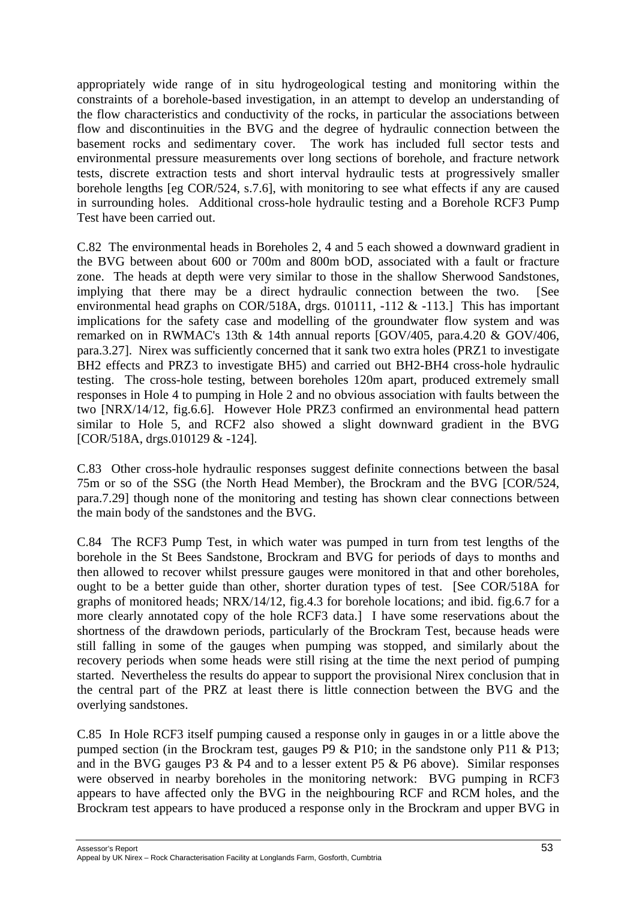appropriately wide range of in situ hydrogeological testing and monitoring within the constraints of a borehole-based investigation, in an attempt to develop an understanding of the flow characteristics and conductivity of the rocks, in particular the associations between flow and discontinuities in the BVG and the degree of hydraulic connection between the basement rocks and sedimentary cover. The work has included full sector tests and environmental pressure measurements over long sections of borehole, and fracture network tests, discrete extraction tests and short interval hydraulic tests at progressively smaller borehole lengths [eg COR/524, s.7.6], with monitoring to see what effects if any are caused in surrounding holes. Additional cross-hole hydraulic testing and a Borehole RCF3 Pump Test have been carried out.

C.82 The environmental heads in Boreholes 2, 4 and 5 each showed a downward gradient in the BVG between about 600 or 700m and 800m bOD, associated with a fault or fracture zone. The heads at depth were very similar to those in the shallow Sherwood Sandstones, implying that there may be a direct hydraulic connection between the two. [See environmental head graphs on COR/518A, drgs. 010111, -112 & -113.] This has important implications for the safety case and modelling of the groundwater flow system and was remarked on in RWMAC's 13th & 14th annual reports [GOV/405, para.4.20 & GOV/406, para.3.27]. Nirex was sufficiently concerned that it sank two extra holes (PRZ1 to investigate BH2 effects and PRZ3 to investigate BH5) and carried out BH2-BH4 cross-hole hydraulic testing. The cross-hole testing, between boreholes 120m apart, produced extremely small responses in Hole 4 to pumping in Hole 2 and no obvious association with faults between the two [NRX/14/12, fig.6.6]. However Hole PRZ3 confirmed an environmental head pattern similar to Hole 5, and RCF2 also showed a slight downward gradient in the BVG [COR/518A, drgs.010129 & -124].

C.83 Other cross-hole hydraulic responses suggest definite connections between the basal 75m or so of the SSG (the North Head Member), the Brockram and the BVG [COR/524, para.7.29] though none of the monitoring and testing has shown clear connections between the main body of the sandstones and the BVG.

C.84 The RCF3 Pump Test, in which water was pumped in turn from test lengths of the borehole in the St Bees Sandstone, Brockram and BVG for periods of days to months and then allowed to recover whilst pressure gauges were monitored in that and other boreholes, ought to be a better guide than other, shorter duration types of test. [See COR/518A for graphs of monitored heads; NRX/14/12, fig.4.3 for borehole locations; and ibid. fig.6.7 for a more clearly annotated copy of the hole RCF3 data.] I have some reservations about the shortness of the drawdown periods, particularly of the Brockram Test, because heads were still falling in some of the gauges when pumping was stopped, and similarly about the recovery periods when some heads were still rising at the time the next period of pumping started. Nevertheless the results do appear to support the provisional Nirex conclusion that in the central part of the PRZ at least there is little connection between the BVG and the overlying sandstones.

C.85 In Hole RCF3 itself pumping caused a response only in gauges in or a little above the pumped section (in the Brockram test, gauges P9 & P10; in the sandstone only P11 & P13; and in the BVG gauges P3 & P4 and to a lesser extent P5 & P6 above). Similar responses were observed in nearby boreholes in the monitoring network: BVG pumping in RCF3 appears to have affected only the BVG in the neighbouring RCF and RCM holes, and the Brockram test appears to have produced a response only in the Brockram and upper BVG in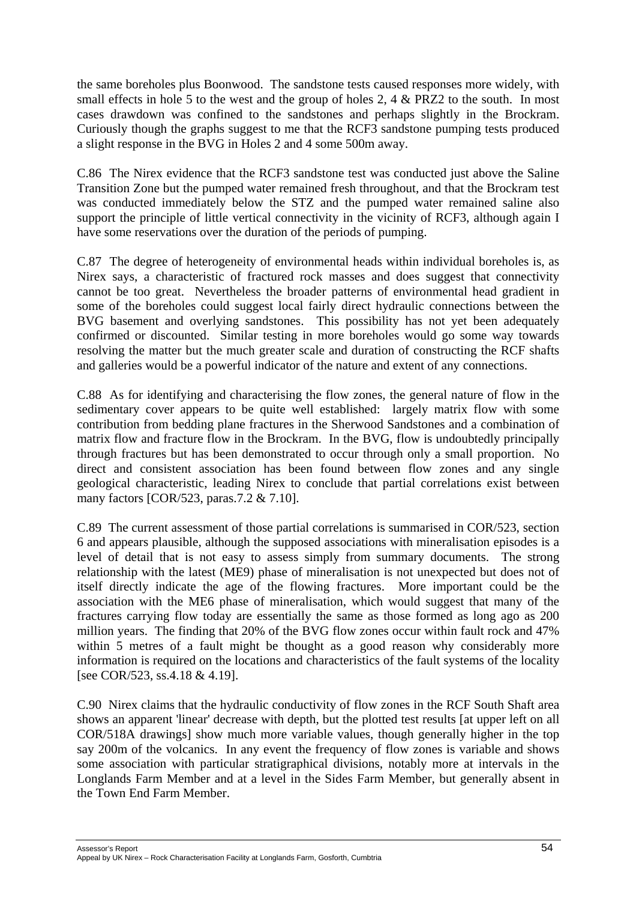the same boreholes plus Boonwood. The sandstone tests caused responses more widely, with small effects in hole 5 to the west and the group of holes 2, 4 & PRZ2 to the south. In most cases drawdown was confined to the sandstones and perhaps slightly in the Brockram. Curiously though the graphs suggest to me that the RCF3 sandstone pumping tests produced a slight response in the BVG in Holes 2 and 4 some 500m away.

C.86 The Nirex evidence that the RCF3 sandstone test was conducted just above the Saline Transition Zone but the pumped water remained fresh throughout, and that the Brockram test was conducted immediately below the STZ and the pumped water remained saline also support the principle of little vertical connectivity in the vicinity of RCF3, although again I have some reservations over the duration of the periods of pumping.

C.87 The degree of heterogeneity of environmental heads within individual boreholes is, as Nirex says, a characteristic of fractured rock masses and does suggest that connectivity cannot be too great. Nevertheless the broader patterns of environmental head gradient in some of the boreholes could suggest local fairly direct hydraulic connections between the BVG basement and overlying sandstones. This possibility has not yet been adequately confirmed or discounted. Similar testing in more boreholes would go some way towards resolving the matter but the much greater scale and duration of constructing the RCF shafts and galleries would be a powerful indicator of the nature and extent of any connections.

C.88 As for identifying and characterising the flow zones, the general nature of flow in the sedimentary cover appears to be quite well established: largely matrix flow with some contribution from bedding plane fractures in the Sherwood Sandstones and a combination of matrix flow and fracture flow in the Brockram. In the BVG, flow is undoubtedly principally through fractures but has been demonstrated to occur through only a small proportion. No direct and consistent association has been found between flow zones and any single geological characteristic, leading Nirex to conclude that partial correlations exist between many factors [COR/523, paras.7.2 & 7.10].

C.89 The current assessment of those partial correlations is summarised in COR/523, section 6 and appears plausible, although the supposed associations with mineralisation episodes is a level of detail that is not easy to assess simply from summary documents. The strong relationship with the latest (ME9) phase of mineralisation is not unexpected but does not of itself directly indicate the age of the flowing fractures. More important could be the association with the ME6 phase of mineralisation, which would suggest that many of the fractures carrying flow today are essentially the same as those formed as long ago as 200 million years. The finding that 20% of the BVG flow zones occur within fault rock and 47% within 5 metres of a fault might be thought as a good reason why considerably more information is required on the locations and characteristics of the fault systems of the locality [see COR/523, ss.4.18 & 4.19].

C.90 Nirex claims that the hydraulic conductivity of flow zones in the RCF South Shaft area shows an apparent 'linear' decrease with depth, but the plotted test results [at upper left on all COR/518A drawings] show much more variable values, though generally higher in the top say 200m of the volcanics. In any event the frequency of flow zones is variable and shows some association with particular stratigraphical divisions, notably more at intervals in the Longlands Farm Member and at a level in the Sides Farm Member, but generally absent in the Town End Farm Member.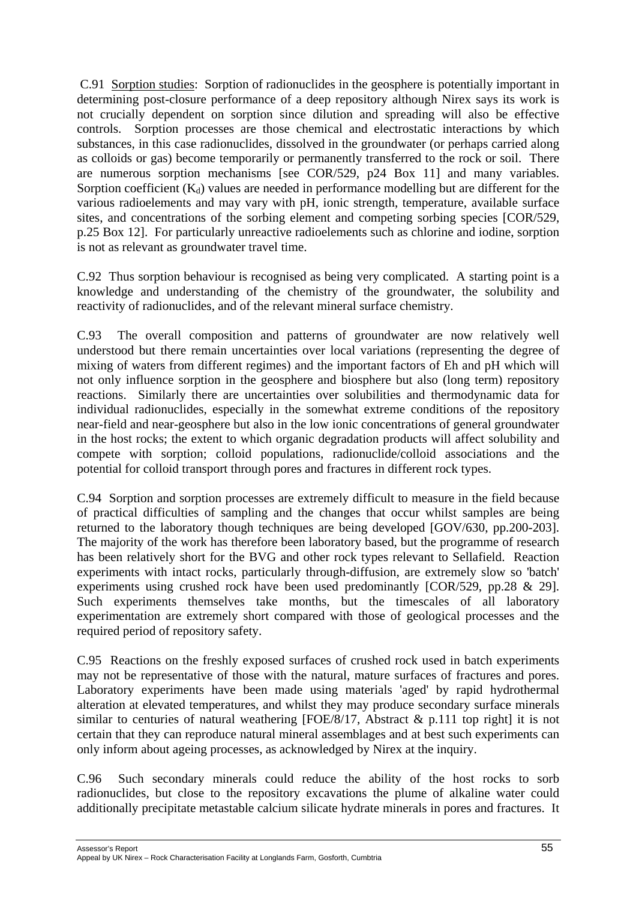C.91 Sorption studies: Sorption of radionuclides in the geosphere is potentially important in determining post-closure performance of a deep repository although Nirex says its work is not crucially dependent on sorption since dilution and spreading will also be effective controls. Sorption processes are those chemical and electrostatic interactions by which substances, in this case radionuclides, dissolved in the groundwater (or perhaps carried along as colloids or gas) become temporarily or permanently transferred to the rock or soil. There are numerous sorption mechanisms [see COR/529, p24 Box 11] and many variables. Sorption coefficient  $(K_d)$  values are needed in performance modelling but are different for the various radioelements and may vary with pH, ionic strength, temperature, available surface sites, and concentrations of the sorbing element and competing sorbing species [COR/529, p.25 Box 12]. For particularly unreactive radioelements such as chlorine and iodine, sorption is not as relevant as groundwater travel time.

C.92 Thus sorption behaviour is recognised as being very complicated. A starting point is a knowledge and understanding of the chemistry of the groundwater, the solubility and reactivity of radionuclides, and of the relevant mineral surface chemistry.

C.93 The overall composition and patterns of groundwater are now relatively well understood but there remain uncertainties over local variations (representing the degree of mixing of waters from different regimes) and the important factors of Eh and pH which will not only influence sorption in the geosphere and biosphere but also (long term) repository reactions. Similarly there are uncertainties over solubilities and thermodynamic data for individual radionuclides, especially in the somewhat extreme conditions of the repository near-field and near-geosphere but also in the low ionic concentrations of general groundwater in the host rocks; the extent to which organic degradation products will affect solubility and compete with sorption; colloid populations, radionuclide/colloid associations and the potential for colloid transport through pores and fractures in different rock types.

C.94 Sorption and sorption processes are extremely difficult to measure in the field because of practical difficulties of sampling and the changes that occur whilst samples are being returned to the laboratory though techniques are being developed [GOV/630, pp.200-203]. The majority of the work has therefore been laboratory based, but the programme of research has been relatively short for the BVG and other rock types relevant to Sellafield. Reaction experiments with intact rocks, particularly through-diffusion, are extremely slow so 'batch' experiments using crushed rock have been used predominantly [COR/529, pp.28 & 29]. Such experiments themselves take months, but the timescales of all laboratory experimentation are extremely short compared with those of geological processes and the required period of repository safety.

C.95 Reactions on the freshly exposed surfaces of crushed rock used in batch experiments may not be representative of those with the natural, mature surfaces of fractures and pores. Laboratory experiments have been made using materials 'aged' by rapid hydrothermal alteration at elevated temperatures, and whilst they may produce secondary surface minerals similar to centuries of natural weathering [FOE/8/17, Abstract  $\&$  p.111 top right] it is not certain that they can reproduce natural mineral assemblages and at best such experiments can only inform about ageing processes, as acknowledged by Nirex at the inquiry.

C.96 Such secondary minerals could reduce the ability of the host rocks to sorb radionuclides, but close to the repository excavations the plume of alkaline water could additionally precipitate metastable calcium silicate hydrate minerals in pores and fractures. It

Assessor's Report 55 Appeal by UK Nirex – Rock Characterisation Facility at Longlands Farm, Gosforth, Cumbtria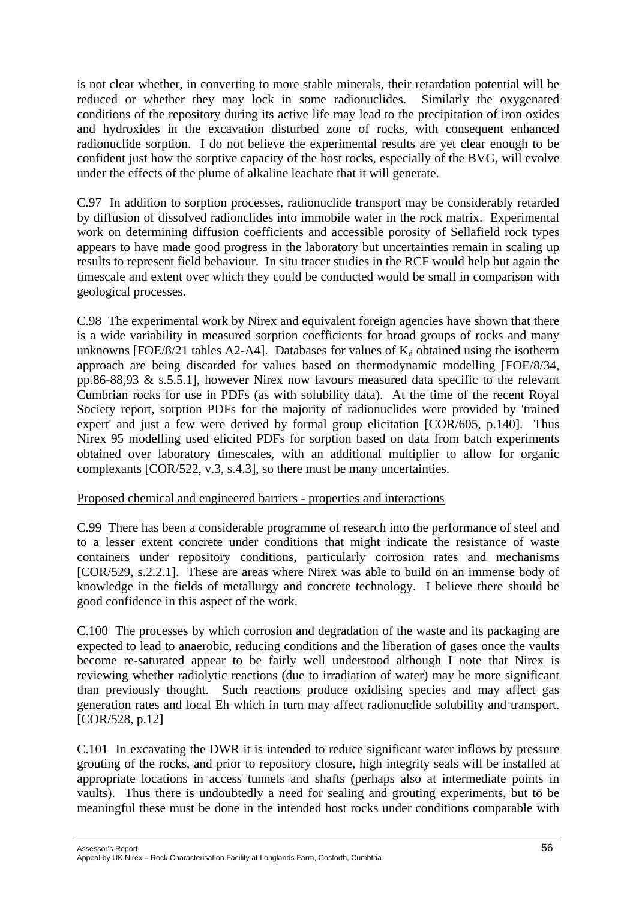is not clear whether, in converting to more stable minerals, their retardation potential will be reduced or whether they may lock in some radionuclides. Similarly the oxygenated conditions of the repository during its active life may lead to the precipitation of iron oxides and hydroxides in the excavation disturbed zone of rocks, with consequent enhanced radionuclide sorption. I do not believe the experimental results are yet clear enough to be confident just how the sorptive capacity of the host rocks, especially of the BVG, will evolve under the effects of the plume of alkaline leachate that it will generate.

C.97 In addition to sorption processes, radionuclide transport may be considerably retarded by diffusion of dissolved radionclides into immobile water in the rock matrix. Experimental work on determining diffusion coefficients and accessible porosity of Sellafield rock types appears to have made good progress in the laboratory but uncertainties remain in scaling up results to represent field behaviour. In situ tracer studies in the RCF would help but again the timescale and extent over which they could be conducted would be small in comparison with geological processes.

C.98 The experimental work by Nirex and equivalent foreign agencies have shown that there is a wide variability in measured sorption coefficients for broad groups of rocks and many unknowns [FOE/8/21 tables A2-A4]. Databases for values of  $K_d$  obtained using the isotherm approach are being discarded for values based on thermodynamic modelling [FOE/8/34, pp.86-88,93 & s.5.5.1], however Nirex now favours measured data specific to the relevant Cumbrian rocks for use in PDFs (as with solubility data). At the time of the recent Royal Society report, sorption PDFs for the majority of radionuclides were provided by 'trained expert' and just a few were derived by formal group elicitation [COR/605, p.140]. Thus Nirex 95 modelling used elicited PDFs for sorption based on data from batch experiments obtained over laboratory timescales, with an additional multiplier to allow for organic complexants [COR/522, v.3, s.4.3], so there must be many uncertainties.

## Proposed chemical and engineered barriers - properties and interactions

C.99 There has been a considerable programme of research into the performance of steel and to a lesser extent concrete under conditions that might indicate the resistance of waste containers under repository conditions, particularly corrosion rates and mechanisms [COR/529, s.2.2.1]. These are areas where Nirex was able to build on an immense body of knowledge in the fields of metallurgy and concrete technology. I believe there should be good confidence in this aspect of the work.

C.100 The processes by which corrosion and degradation of the waste and its packaging are expected to lead to anaerobic, reducing conditions and the liberation of gases once the vaults become re-saturated appear to be fairly well understood although I note that Nirex is reviewing whether radiolytic reactions (due to irradiation of water) may be more significant than previously thought. Such reactions produce oxidising species and may affect gas generation rates and local Eh which in turn may affect radionuclide solubility and transport. [COR/528, p.12]

C.101 In excavating the DWR it is intended to reduce significant water inflows by pressure grouting of the rocks, and prior to repository closure, high integrity seals will be installed at appropriate locations in access tunnels and shafts (perhaps also at intermediate points in vaults). Thus there is undoubtedly a need for sealing and grouting experiments, but to be meaningful these must be done in the intended host rocks under conditions comparable with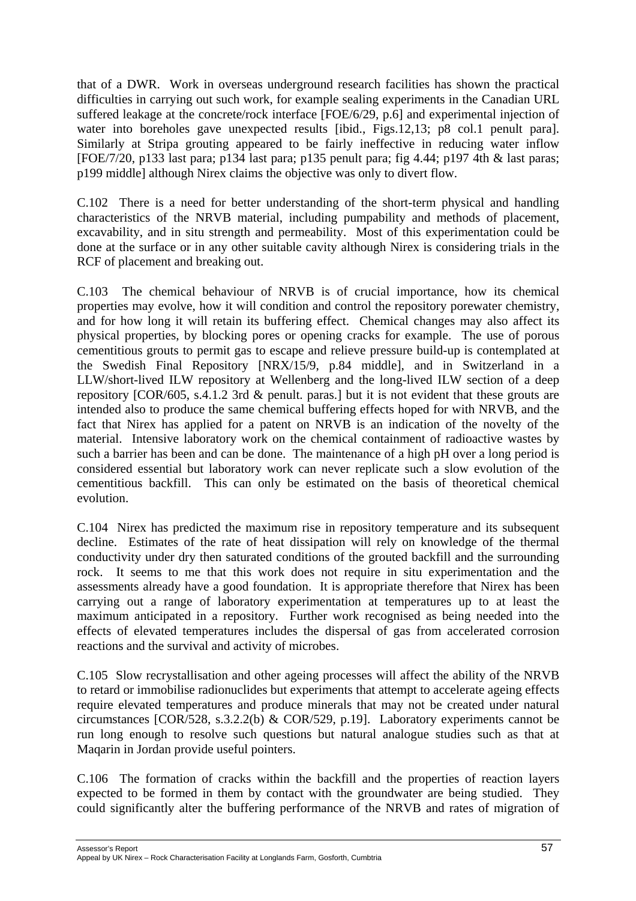that of a DWR. Work in overseas underground research facilities has shown the practical difficulties in carrying out such work, for example sealing experiments in the Canadian URL suffered leakage at the concrete/rock interface [FOE/6/29, p.6] and experimental injection of water into boreholes gave unexpected results [ibid., Figs.12,13; p8 col.1 penult para]. Similarly at Stripa grouting appeared to be fairly ineffective in reducing water inflow [FOE/7/20, p133 last para; p134 last para; p135 penult para; fig 4.44; p197 4th & last paras; p199 middle] although Nirex claims the objective was only to divert flow.

C.102 There is a need for better understanding of the short-term physical and handling characteristics of the NRVB material, including pumpability and methods of placement, excavability, and in situ strength and permeability. Most of this experimentation could be done at the surface or in any other suitable cavity although Nirex is considering trials in the RCF of placement and breaking out.

C.103 The chemical behaviour of NRVB is of crucial importance, how its chemical properties may evolve, how it will condition and control the repository porewater chemistry, and for how long it will retain its buffering effect. Chemical changes may also affect its physical properties, by blocking pores or opening cracks for example. The use of porous cementitious grouts to permit gas to escape and relieve pressure build-up is contemplated at the Swedish Final Repository [NRX/15/9, p.84 middle], and in Switzerland in a LLW/short-lived ILW repository at Wellenberg and the long-lived ILW section of a deep repository [COR/605, s.4.1.2 3rd & penult. paras.] but it is not evident that these grouts are intended also to produce the same chemical buffering effects hoped for with NRVB, and the fact that Nirex has applied for a patent on NRVB is an indication of the novelty of the material. Intensive laboratory work on the chemical containment of radioactive wastes by such a barrier has been and can be done. The maintenance of a high pH over a long period is considered essential but laboratory work can never replicate such a slow evolution of the cementitious backfill. This can only be estimated on the basis of theoretical chemical evolution.

C.104 Nirex has predicted the maximum rise in repository temperature and its subsequent decline. Estimates of the rate of heat dissipation will rely on knowledge of the thermal conductivity under dry then saturated conditions of the grouted backfill and the surrounding rock. It seems to me that this work does not require in situ experimentation and the assessments already have a good foundation. It is appropriate therefore that Nirex has been carrying out a range of laboratory experimentation at temperatures up to at least the maximum anticipated in a repository. Further work recognised as being needed into the effects of elevated temperatures includes the dispersal of gas from accelerated corrosion reactions and the survival and activity of microbes.

C.105 Slow recrystallisation and other ageing processes will affect the ability of the NRVB to retard or immobilise radionuclides but experiments that attempt to accelerate ageing effects require elevated temperatures and produce minerals that may not be created under natural circumstances [COR/528, s.3.2.2(b) & COR/529, p.19]. Laboratory experiments cannot be run long enough to resolve such questions but natural analogue studies such as that at Maqarin in Jordan provide useful pointers.

C.106 The formation of cracks within the backfill and the properties of reaction layers expected to be formed in them by contact with the groundwater are being studied. They could significantly alter the buffering performance of the NRVB and rates of migration of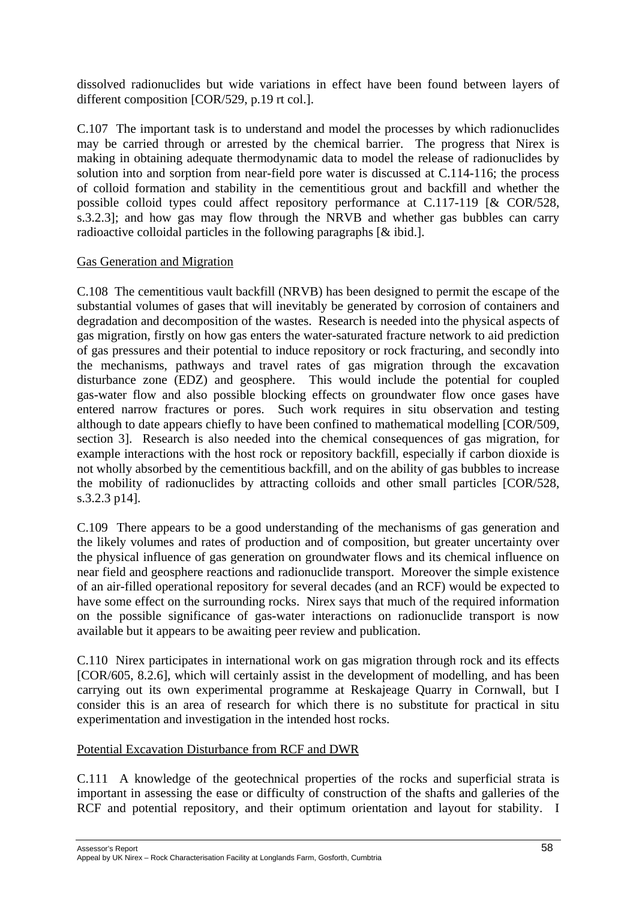dissolved radionuclides but wide variations in effect have been found between layers of different composition [COR/529, p.19 rt col.].

C.107 The important task is to understand and model the processes by which radionuclides may be carried through or arrested by the chemical barrier. The progress that Nirex is making in obtaining adequate thermodynamic data to model the release of radionuclides by solution into and sorption from near-field pore water is discussed at C.114-116; the process of colloid formation and stability in the cementitious grout and backfill and whether the possible colloid types could affect repository performance at C.117-119 [& COR/528, s.3.2.3]; and how gas may flow through the NRVB and whether gas bubbles can carry radioactive colloidal particles in the following paragraphs [& ibid.].

# Gas Generation and Migration

C.108 The cementitious vault backfill (NRVB) has been designed to permit the escape of the substantial volumes of gases that will inevitably be generated by corrosion of containers and degradation and decomposition of the wastes. Research is needed into the physical aspects of gas migration, firstly on how gas enters the water-saturated fracture network to aid prediction of gas pressures and their potential to induce repository or rock fracturing, and secondly into the mechanisms, pathways and travel rates of gas migration through the excavation disturbance zone (EDZ) and geosphere. This would include the potential for coupled gas-water flow and also possible blocking effects on groundwater flow once gases have entered narrow fractures or pores. Such work requires in situ observation and testing although to date appears chiefly to have been confined to mathematical modelling [COR/509, section 3]. Research is also needed into the chemical consequences of gas migration, for example interactions with the host rock or repository backfill, especially if carbon dioxide is not wholly absorbed by the cementitious backfill, and on the ability of gas bubbles to increase the mobility of radionuclides by attracting colloids and other small particles [COR/528, s.3.2.3 p14].

C.109 There appears to be a good understanding of the mechanisms of gas generation and the likely volumes and rates of production and of composition, but greater uncertainty over the physical influence of gas generation on groundwater flows and its chemical influence on near field and geosphere reactions and radionuclide transport. Moreover the simple existence of an air-filled operational repository for several decades (and an RCF) would be expected to have some effect on the surrounding rocks. Nirex says that much of the required information on the possible significance of gas-water interactions on radionuclide transport is now available but it appears to be awaiting peer review and publication.

C.110 Nirex participates in international work on gas migration through rock and its effects [COR/605, 8.2.6], which will certainly assist in the development of modelling, and has been carrying out its own experimental programme at Reskajeage Quarry in Cornwall, but I consider this is an area of research for which there is no substitute for practical in situ experimentation and investigation in the intended host rocks.

## Potential Excavation Disturbance from RCF and DWR

C.111 A knowledge of the geotechnical properties of the rocks and superficial strata is important in assessing the ease or difficulty of construction of the shafts and galleries of the RCF and potential repository, and their optimum orientation and layout for stability. I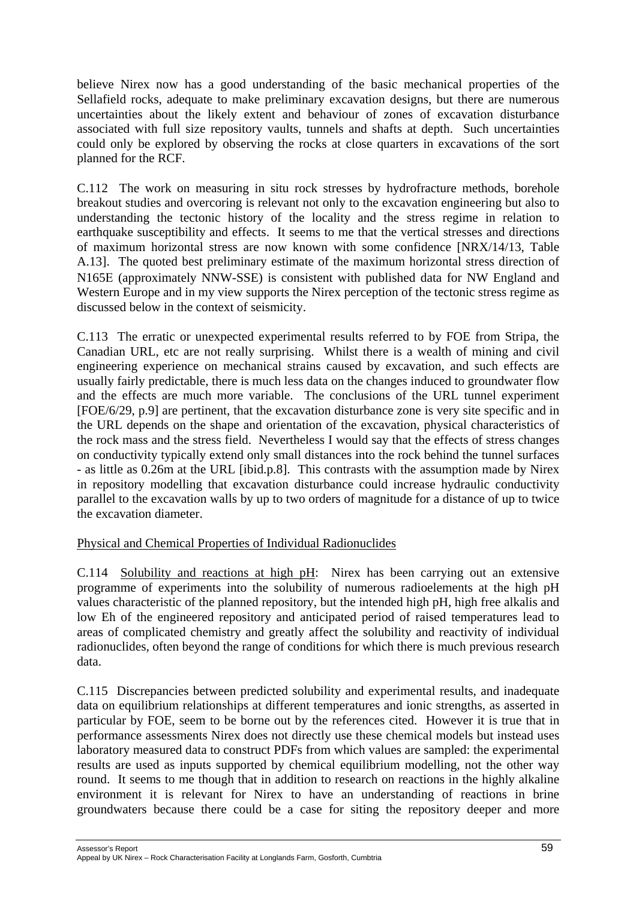believe Nirex now has a good understanding of the basic mechanical properties of the Sellafield rocks, adequate to make preliminary excavation designs, but there are numerous uncertainties about the likely extent and behaviour of zones of excavation disturbance associated with full size repository vaults, tunnels and shafts at depth. Such uncertainties could only be explored by observing the rocks at close quarters in excavations of the sort planned for the RCF.

C.112 The work on measuring in situ rock stresses by hydrofracture methods, borehole breakout studies and overcoring is relevant not only to the excavation engineering but also to understanding the tectonic history of the locality and the stress regime in relation to earthquake susceptibility and effects. It seems to me that the vertical stresses and directions of maximum horizontal stress are now known with some confidence [NRX/14/13, Table A.13]. The quoted best preliminary estimate of the maximum horizontal stress direction of N165E (approximately NNW-SSE) is consistent with published data for NW England and Western Europe and in my view supports the Nirex perception of the tectonic stress regime as discussed below in the context of seismicity.

C.113 The erratic or unexpected experimental results referred to by FOE from Stripa, the Canadian URL, etc are not really surprising. Whilst there is a wealth of mining and civil engineering experience on mechanical strains caused by excavation, and such effects are usually fairly predictable, there is much less data on the changes induced to groundwater flow and the effects are much more variable. The conclusions of the URL tunnel experiment [FOE/6/29, p.9] are pertinent, that the excavation disturbance zone is very site specific and in the URL depends on the shape and orientation of the excavation, physical characteristics of the rock mass and the stress field. Nevertheless I would say that the effects of stress changes on conductivity typically extend only small distances into the rock behind the tunnel surfaces - as little as 0.26m at the URL [ibid.p.8]. This contrasts with the assumption made by Nirex in repository modelling that excavation disturbance could increase hydraulic conductivity parallel to the excavation walls by up to two orders of magnitude for a distance of up to twice the excavation diameter.

# Physical and Chemical Properties of Individual Radionuclides

C.114 Solubility and reactions at high pH: Nirex has been carrying out an extensive programme of experiments into the solubility of numerous radioelements at the high pH values characteristic of the planned repository, but the intended high pH, high free alkalis and low Eh of the engineered repository and anticipated period of raised temperatures lead to areas of complicated chemistry and greatly affect the solubility and reactivity of individual radionuclides, often beyond the range of conditions for which there is much previous research data.

C.115 Discrepancies between predicted solubility and experimental results, and inadequate data on equilibrium relationships at different temperatures and ionic strengths, as asserted in particular by FOE, seem to be borne out by the references cited. However it is true that in performance assessments Nirex does not directly use these chemical models but instead uses laboratory measured data to construct PDFs from which values are sampled: the experimental results are used as inputs supported by chemical equilibrium modelling, not the other way round. It seems to me though that in addition to research on reactions in the highly alkaline environment it is relevant for Nirex to have an understanding of reactions in brine groundwaters because there could be a case for siting the repository deeper and more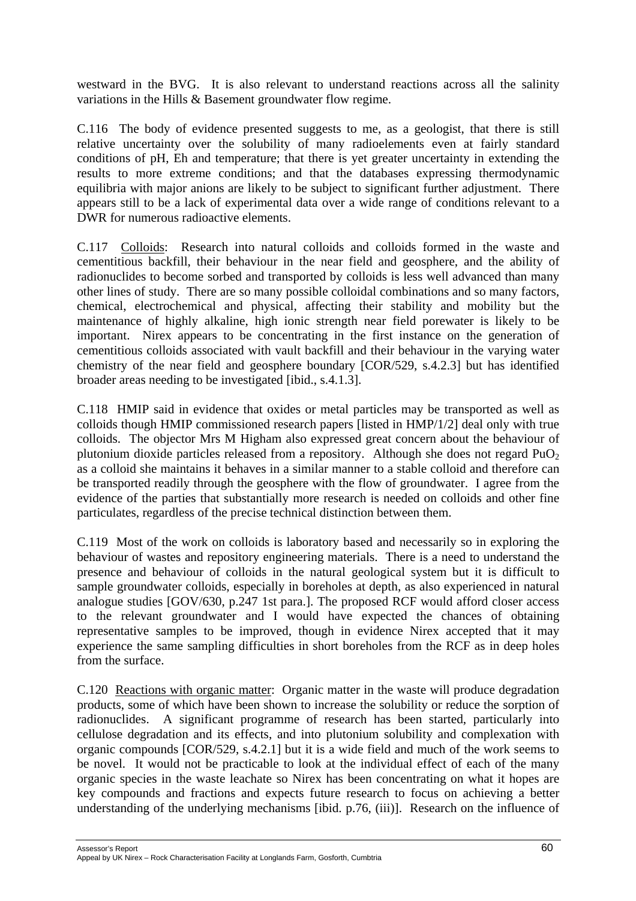westward in the BVG. It is also relevant to understand reactions across all the salinity variations in the Hills & Basement groundwater flow regime.

C.116 The body of evidence presented suggests to me, as a geologist, that there is still relative uncertainty over the solubility of many radioelements even at fairly standard conditions of pH, Eh and temperature; that there is yet greater uncertainty in extending the results to more extreme conditions; and that the databases expressing thermodynamic equilibria with major anions are likely to be subject to significant further adjustment. There appears still to be a lack of experimental data over a wide range of conditions relevant to a DWR for numerous radioactive elements.

C.117 Colloids: Research into natural colloids and colloids formed in the waste and cementitious backfill, their behaviour in the near field and geosphere, and the ability of radionuclides to become sorbed and transported by colloids is less well advanced than many other lines of study. There are so many possible colloidal combinations and so many factors, chemical, electrochemical and physical, affecting their stability and mobility but the maintenance of highly alkaline, high ionic strength near field porewater is likely to be important. Nirex appears to be concentrating in the first instance on the generation of cementitious colloids associated with vault backfill and their behaviour in the varying water chemistry of the near field and geosphere boundary [COR/529, s.4.2.3] but has identified broader areas needing to be investigated [ibid., s.4.1.3].

C.118 HMIP said in evidence that oxides or metal particles may be transported as well as colloids though HMIP commissioned research papers [listed in HMP/1/2] deal only with true colloids. The objector Mrs M Higham also expressed great concern about the behaviour of plutonium dioxide particles released from a repository. Although she does not regard  $PuO<sub>2</sub>$ as a colloid she maintains it behaves in a similar manner to a stable colloid and therefore can be transported readily through the geosphere with the flow of groundwater. I agree from the evidence of the parties that substantially more research is needed on colloids and other fine particulates, regardless of the precise technical distinction between them.

C.119 Most of the work on colloids is laboratory based and necessarily so in exploring the behaviour of wastes and repository engineering materials. There is a need to understand the presence and behaviour of colloids in the natural geological system but it is difficult to sample groundwater colloids, especially in boreholes at depth, as also experienced in natural analogue studies [GOV/630, p.247 1st para.]. The proposed RCF would afford closer access to the relevant groundwater and I would have expected the chances of obtaining representative samples to be improved, though in evidence Nirex accepted that it may experience the same sampling difficulties in short boreholes from the RCF as in deep holes from the surface.

C.120 Reactions with organic matter: Organic matter in the waste will produce degradation products, some of which have been shown to increase the solubility or reduce the sorption of radionuclides. A significant programme of research has been started, particularly into cellulose degradation and its effects, and into plutonium solubility and complexation with organic compounds [COR/529, s.4.2.1] but it is a wide field and much of the work seems to be novel. It would not be practicable to look at the individual effect of each of the many organic species in the waste leachate so Nirex has been concentrating on what it hopes are key compounds and fractions and expects future research to focus on achieving a better understanding of the underlying mechanisms [ibid. p.76, (iii)]. Research on the influence of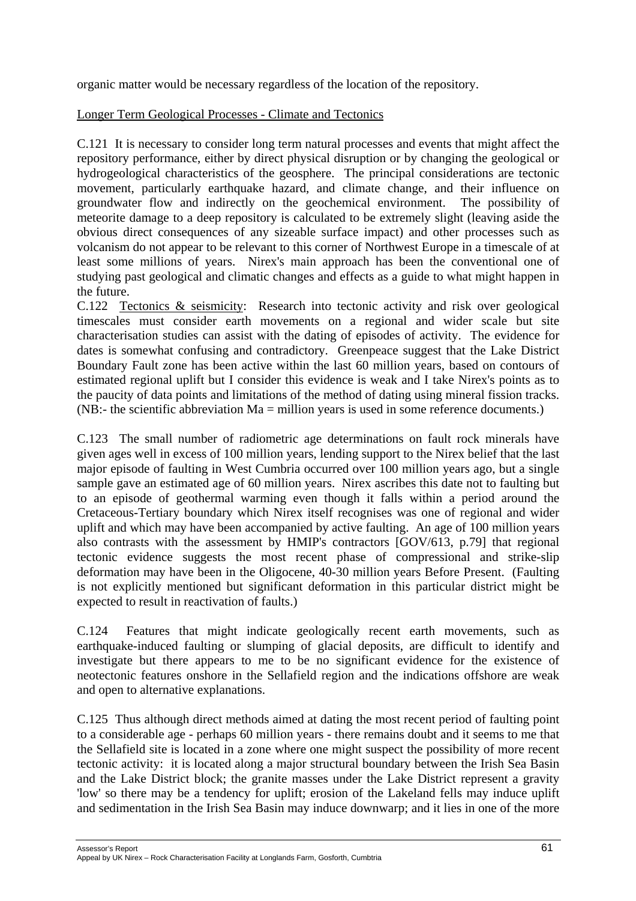organic matter would be necessary regardless of the location of the repository.

# Longer Term Geological Processes - Climate and Tectonics

C.121 It is necessary to consider long term natural processes and events that might affect the repository performance, either by direct physical disruption or by changing the geological or hydrogeological characteristics of the geosphere. The principal considerations are tectonic movement, particularly earthquake hazard, and climate change, and their influence on groundwater flow and indirectly on the geochemical environment. The possibility of meteorite damage to a deep repository is calculated to be extremely slight (leaving aside the obvious direct consequences of any sizeable surface impact) and other processes such as volcanism do not appear to be relevant to this corner of Northwest Europe in a timescale of at least some millions of years. Nirex's main approach has been the conventional one of studying past geological and climatic changes and effects as a guide to what might happen in the future.

C.122 Tectonics & seismicity: Research into tectonic activity and risk over geological timescales must consider earth movements on a regional and wider scale but site characterisation studies can assist with the dating of episodes of activity. The evidence for dates is somewhat confusing and contradictory. Greenpeace suggest that the Lake District Boundary Fault zone has been active within the last 60 million years, based on contours of estimated regional uplift but I consider this evidence is weak and I take Nirex's points as to the paucity of data points and limitations of the method of dating using mineral fission tracks. (NB:- the scientific abbreviation Ma = million years is used in some reference documents.)

C.123 The small number of radiometric age determinations on fault rock minerals have given ages well in excess of 100 million years, lending support to the Nirex belief that the last major episode of faulting in West Cumbria occurred over 100 million years ago, but a single sample gave an estimated age of 60 million years. Nirex ascribes this date not to faulting but to an episode of geothermal warming even though it falls within a period around the Cretaceous-Tertiary boundary which Nirex itself recognises was one of regional and wider uplift and which may have been accompanied by active faulting. An age of 100 million years also contrasts with the assessment by HMIP's contractors [GOV/613, p.79] that regional tectonic evidence suggests the most recent phase of compressional and strike-slip deformation may have been in the Oligocene, 40-30 million years Before Present. (Faulting is not explicitly mentioned but significant deformation in this particular district might be expected to result in reactivation of faults.)

C.124 Features that might indicate geologically recent earth movements, such as earthquake-induced faulting or slumping of glacial deposits, are difficult to identify and investigate but there appears to me to be no significant evidence for the existence of neotectonic features onshore in the Sellafield region and the indications offshore are weak and open to alternative explanations.

C.125 Thus although direct methods aimed at dating the most recent period of faulting point to a considerable age - perhaps 60 million years - there remains doubt and it seems to me that the Sellafield site is located in a zone where one might suspect the possibility of more recent tectonic activity: it is located along a major structural boundary between the Irish Sea Basin and the Lake District block; the granite masses under the Lake District represent a gravity 'low' so there may be a tendency for uplift; erosion of the Lakeland fells may induce uplift and sedimentation in the Irish Sea Basin may induce downwarp; and it lies in one of the more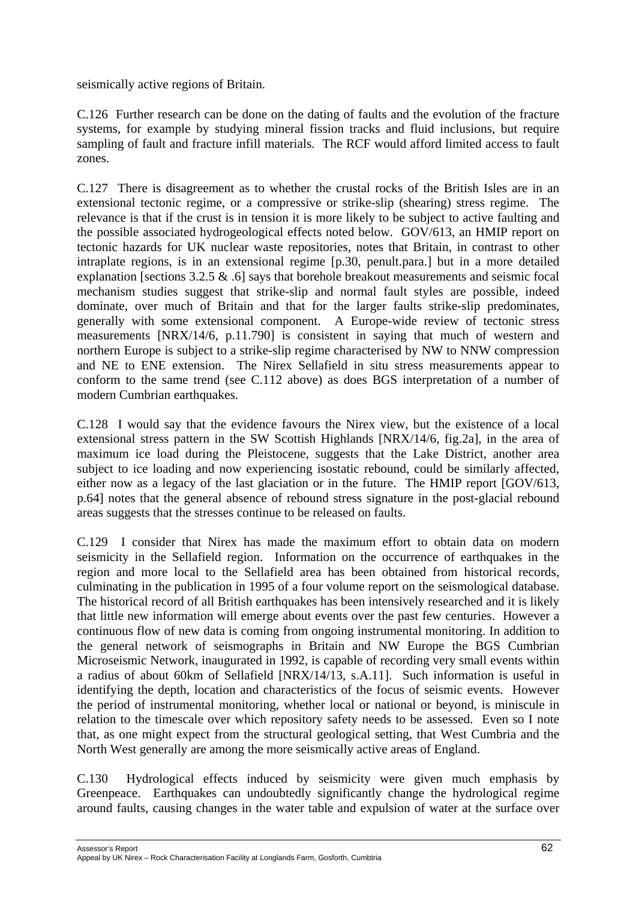seismically active regions of Britain.

C.126 Further research can be done on the dating of faults and the evolution of the fracture systems, for example by studying mineral fission tracks and fluid inclusions, but require sampling of fault and fracture infill materials. The RCF would afford limited access to fault zones.

C.127 There is disagreement as to whether the crustal rocks of the British Isles are in an extensional tectonic regime, or a compressive or strike-slip (shearing) stress regime. The relevance is that if the crust is in tension it is more likely to be subject to active faulting and the possible associated hydrogeological effects noted below. GOV/613, an HMIP report on tectonic hazards for UK nuclear waste repositories, notes that Britain, in contrast to other intraplate regions, is in an extensional regime [p.30, penult.para.] but in a more detailed explanation [sections 3.2.5 & .6] says that borehole breakout measurements and seismic focal mechanism studies suggest that strike-slip and normal fault styles are possible, indeed dominate, over much of Britain and that for the larger faults strike-slip predominates, generally with some extensional component. A Europe-wide review of tectonic stress measurements [NRX/14/6, p.11.790] is consistent in saying that much of western and northern Europe is subject to a strike-slip regime characterised by NW to NNW compression and NE to ENE extension. The Nirex Sellafield in situ stress measurements appear to conform to the same trend (see C.112 above) as does BGS interpretation of a number of modern Cumbrian earthquakes.

C.128 I would say that the evidence favours the Nirex view, but the existence of a local extensional stress pattern in the SW Scottish Highlands [NRX/14/6, fig.2a], in the area of maximum ice load during the Pleistocene, suggests that the Lake District, another area subject to ice loading and now experiencing isostatic rebound, could be similarly affected, either now as a legacy of the last glaciation or in the future. The HMIP report [GOV/613, p.64] notes that the general absence of rebound stress signature in the post-glacial rebound areas suggests that the stresses continue to be released on faults.

C.129 I consider that Nirex has made the maximum effort to obtain data on modern seismicity in the Sellafield region. Information on the occurrence of earthquakes in the region and more local to the Sellafield area has been obtained from historical records, culminating in the publication in 1995 of a four volume report on the seismological database. The historical record of all British earthquakes has been intensively researched and it is likely that little new information will emerge about events over the past few centuries. However a continuous flow of new data is coming from ongoing instrumental monitoring. In addition to the general network of seismographs in Britain and NW Europe the BGS Cumbrian Microseismic Network, inaugurated in 1992, is capable of recording very small events within a radius of about 60km of Sellafield [NRX/14/13, s.A.11]. Such information is useful in identifying the depth, location and characteristics of the focus of seismic events. However the period of instrumental monitoring, whether local or national or beyond, is miniscule in relation to the timescale over which repository safety needs to be assessed. Even so I note that, as one might expect from the structural geological setting, that West Cumbria and the North West generally are among the more seismically active areas of England.

C.130 Hydrological effects induced by seismicity were given much emphasis by Greenpeace. Earthquakes can undoubtedly significantly change the hydrological regime around faults, causing changes in the water table and expulsion of water at the surface over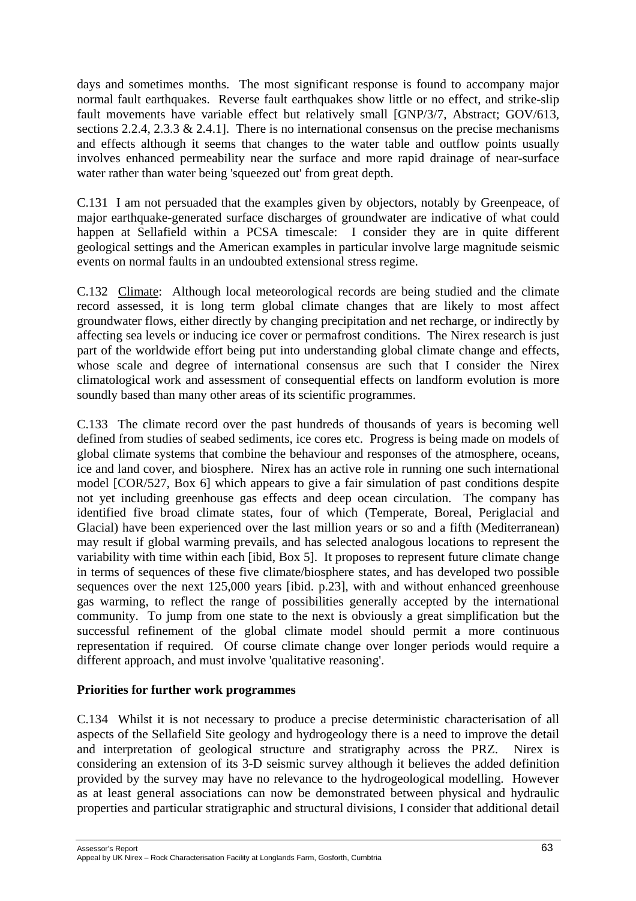days and sometimes months. The most significant response is found to accompany major normal fault earthquakes. Reverse fault earthquakes show little or no effect, and strike-slip fault movements have variable effect but relatively small [GNP/3/7, Abstract; GOV/613, sections 2.2.4, 2.3.3 & 2.4.1]. There is no international consensus on the precise mechanisms and effects although it seems that changes to the water table and outflow points usually involves enhanced permeability near the surface and more rapid drainage of near-surface water rather than water being 'squeezed out' from great depth.

C.131 I am not persuaded that the examples given by objectors, notably by Greenpeace, of major earthquake-generated surface discharges of groundwater are indicative of what could happen at Sellafield within a PCSA timescale: I consider they are in quite different geological settings and the American examples in particular involve large magnitude seismic events on normal faults in an undoubted extensional stress regime.

C.132 Climate: Although local meteorological records are being studied and the climate record assessed, it is long term global climate changes that are likely to most affect groundwater flows, either directly by changing precipitation and net recharge, or indirectly by affecting sea levels or inducing ice cover or permafrost conditions. The Nirex research is just part of the worldwide effort being put into understanding global climate change and effects, whose scale and degree of international consensus are such that I consider the Nirex climatological work and assessment of consequential effects on landform evolution is more soundly based than many other areas of its scientific programmes.

C.133 The climate record over the past hundreds of thousands of years is becoming well defined from studies of seabed sediments, ice cores etc. Progress is being made on models of global climate systems that combine the behaviour and responses of the atmosphere, oceans, ice and land cover, and biosphere. Nirex has an active role in running one such international model [COR/527, Box 6] which appears to give a fair simulation of past conditions despite not yet including greenhouse gas effects and deep ocean circulation. The company has identified five broad climate states, four of which (Temperate, Boreal, Periglacial and Glacial) have been experienced over the last million years or so and a fifth (Mediterranean) may result if global warming prevails, and has selected analogous locations to represent the variability with time within each [ibid, Box 5]. It proposes to represent future climate change in terms of sequences of these five climate/biosphere states, and has developed two possible sequences over the next 125,000 years [ibid. p.23], with and without enhanced greenhouse gas warming, to reflect the range of possibilities generally accepted by the international community. To jump from one state to the next is obviously a great simplification but the successful refinement of the global climate model should permit a more continuous representation if required. Of course climate change over longer periods would require a different approach, and must involve 'qualitative reasoning'.

# **Priorities for further work programmes**

C.134 Whilst it is not necessary to produce a precise deterministic characterisation of all aspects of the Sellafield Site geology and hydrogeology there is a need to improve the detail and interpretation of geological structure and stratigraphy across the PRZ. Nirex is considering an extension of its 3-D seismic survey although it believes the added definition provided by the survey may have no relevance to the hydrogeological modelling. However as at least general associations can now be demonstrated between physical and hydraulic properties and particular stratigraphic and structural divisions, I consider that additional detail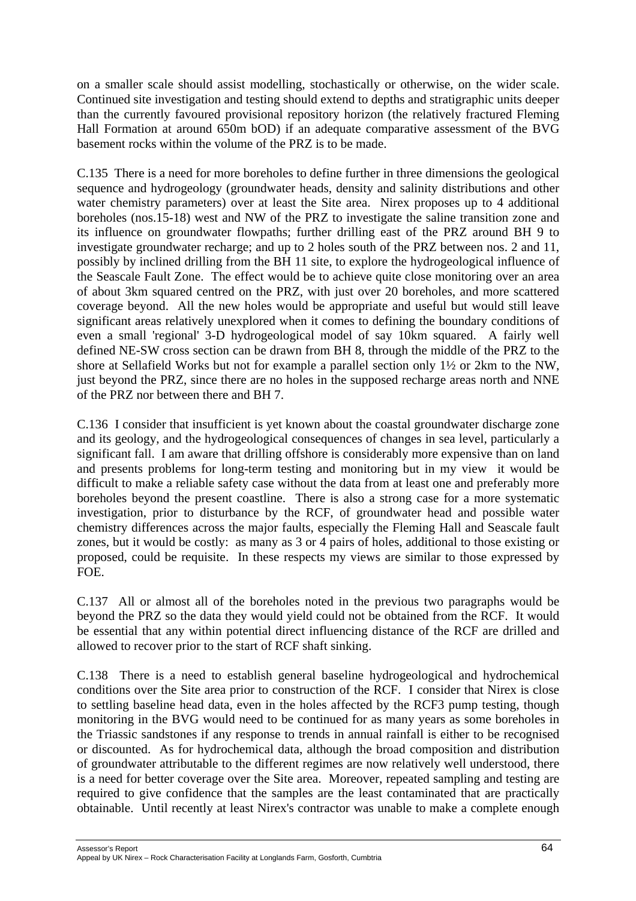on a smaller scale should assist modelling, stochastically or otherwise, on the wider scale. Continued site investigation and testing should extend to depths and stratigraphic units deeper than the currently favoured provisional repository horizon (the relatively fractured Fleming Hall Formation at around 650m bOD) if an adequate comparative assessment of the BVG basement rocks within the volume of the PRZ is to be made.

C.135 There is a need for more boreholes to define further in three dimensions the geological sequence and hydrogeology (groundwater heads, density and salinity distributions and other water chemistry parameters) over at least the Site area. Nirex proposes up to 4 additional boreholes (nos.15-18) west and NW of the PRZ to investigate the saline transition zone and its influence on groundwater flowpaths; further drilling east of the PRZ around BH 9 to investigate groundwater recharge; and up to 2 holes south of the PRZ between nos. 2 and 11, possibly by inclined drilling from the BH 11 site, to explore the hydrogeological influence of the Seascale Fault Zone. The effect would be to achieve quite close monitoring over an area of about 3km squared centred on the PRZ, with just over 20 boreholes, and more scattered coverage beyond. All the new holes would be appropriate and useful but would still leave significant areas relatively unexplored when it comes to defining the boundary conditions of even a small 'regional' 3-D hydrogeological model of say 10km squared. A fairly well defined NE-SW cross section can be drawn from BH 8, through the middle of the PRZ to the shore at Sellafield Works but not for example a parallel section only 1½ or 2km to the NW, just beyond the PRZ, since there are no holes in the supposed recharge areas north and NNE of the PRZ nor between there and BH 7.

C.136 I consider that insufficient is yet known about the coastal groundwater discharge zone and its geology, and the hydrogeological consequences of changes in sea level, particularly a significant fall. I am aware that drilling offshore is considerably more expensive than on land and presents problems for long-term testing and monitoring but in my view it would be difficult to make a reliable safety case without the data from at least one and preferably more boreholes beyond the present coastline. There is also a strong case for a more systematic investigation, prior to disturbance by the RCF, of groundwater head and possible water chemistry differences across the major faults, especially the Fleming Hall and Seascale fault zones, but it would be costly: as many as 3 or 4 pairs of holes, additional to those existing or proposed, could be requisite. In these respects my views are similar to those expressed by FOE.

C.137 All or almost all of the boreholes noted in the previous two paragraphs would be beyond the PRZ so the data they would yield could not be obtained from the RCF. It would be essential that any within potential direct influencing distance of the RCF are drilled and allowed to recover prior to the start of RCF shaft sinking.

C.138 There is a need to establish general baseline hydrogeological and hydrochemical conditions over the Site area prior to construction of the RCF. I consider that Nirex is close to settling baseline head data, even in the holes affected by the RCF3 pump testing, though monitoring in the BVG would need to be continued for as many years as some boreholes in the Triassic sandstones if any response to trends in annual rainfall is either to be recognised or discounted. As for hydrochemical data, although the broad composition and distribution of groundwater attributable to the different regimes are now relatively well understood, there is a need for better coverage over the Site area. Moreover, repeated sampling and testing are required to give confidence that the samples are the least contaminated that are practically obtainable. Until recently at least Nirex's contractor was unable to make a complete enough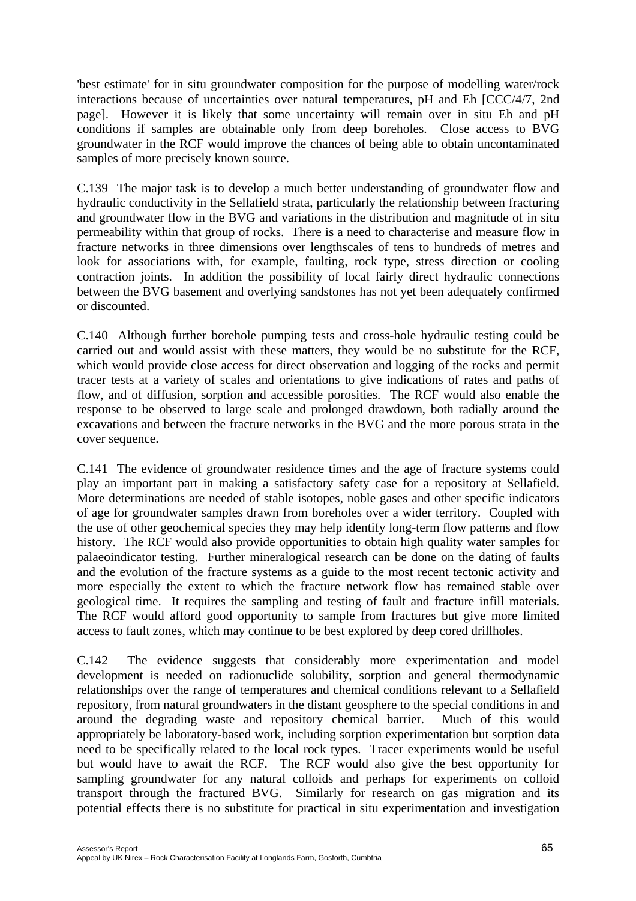'best estimate' for in situ groundwater composition for the purpose of modelling water/rock interactions because of uncertainties over natural temperatures, pH and Eh [CCC/4/7, 2nd page]. However it is likely that some uncertainty will remain over in situ Eh and pH conditions if samples are obtainable only from deep boreholes. Close access to BVG groundwater in the RCF would improve the chances of being able to obtain uncontaminated samples of more precisely known source.

C.139 The major task is to develop a much better understanding of groundwater flow and hydraulic conductivity in the Sellafield strata, particularly the relationship between fracturing and groundwater flow in the BVG and variations in the distribution and magnitude of in situ permeability within that group of rocks. There is a need to characterise and measure flow in fracture networks in three dimensions over lengthscales of tens to hundreds of metres and look for associations with, for example, faulting, rock type, stress direction or cooling contraction joints. In addition the possibility of local fairly direct hydraulic connections between the BVG basement and overlying sandstones has not yet been adequately confirmed or discounted.

C.140 Although further borehole pumping tests and cross-hole hydraulic testing could be carried out and would assist with these matters, they would be no substitute for the RCF, which would provide close access for direct observation and logging of the rocks and permit tracer tests at a variety of scales and orientations to give indications of rates and paths of flow, and of diffusion, sorption and accessible porosities. The RCF would also enable the response to be observed to large scale and prolonged drawdown, both radially around the excavations and between the fracture networks in the BVG and the more porous strata in the cover sequence.

C.141 The evidence of groundwater residence times and the age of fracture systems could play an important part in making a satisfactory safety case for a repository at Sellafield. More determinations are needed of stable isotopes, noble gases and other specific indicators of age for groundwater samples drawn from boreholes over a wider territory. Coupled with the use of other geochemical species they may help identify long-term flow patterns and flow history. The RCF would also provide opportunities to obtain high quality water samples for palaeoindicator testing. Further mineralogical research can be done on the dating of faults and the evolution of the fracture systems as a guide to the most recent tectonic activity and more especially the extent to which the fracture network flow has remained stable over geological time. It requires the sampling and testing of fault and fracture infill materials. The RCF would afford good opportunity to sample from fractures but give more limited access to fault zones, which may continue to be best explored by deep cored drillholes.

C.142 The evidence suggests that considerably more experimentation and model development is needed on radionuclide solubility, sorption and general thermodynamic relationships over the range of temperatures and chemical conditions relevant to a Sellafield repository, from natural groundwaters in the distant geosphere to the special conditions in and around the degrading waste and repository chemical barrier. Much of this would appropriately be laboratory-based work, including sorption experimentation but sorption data need to be specifically related to the local rock types. Tracer experiments would be useful but would have to await the RCF. The RCF would also give the best opportunity for sampling groundwater for any natural colloids and perhaps for experiments on colloid transport through the fractured BVG. Similarly for research on gas migration and its potential effects there is no substitute for practical in situ experimentation and investigation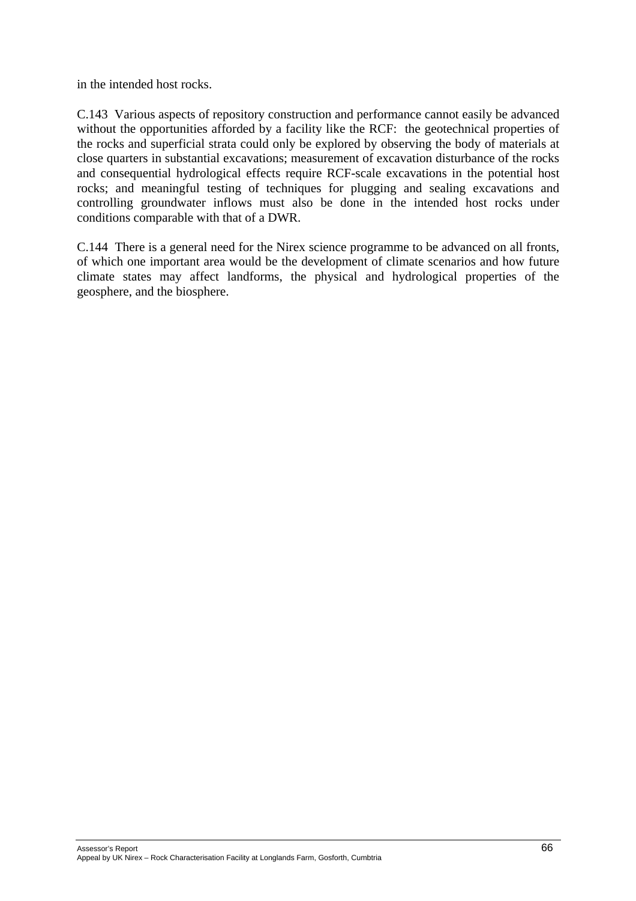in the intended host rocks.

C.143 Various aspects of repository construction and performance cannot easily be advanced without the opportunities afforded by a facility like the RCF: the geotechnical properties of the rocks and superficial strata could only be explored by observing the body of materials at close quarters in substantial excavations; measurement of excavation disturbance of the rocks and consequential hydrological effects require RCF-scale excavations in the potential host rocks; and meaningful testing of techniques for plugging and sealing excavations and controlling groundwater inflows must also be done in the intended host rocks under conditions comparable with that of a DWR.

C.144 There is a general need for the Nirex science programme to be advanced on all fronts, of which one important area would be the development of climate scenarios and how future climate states may affect landforms, the physical and hydrological properties of the geosphere, and the biosphere.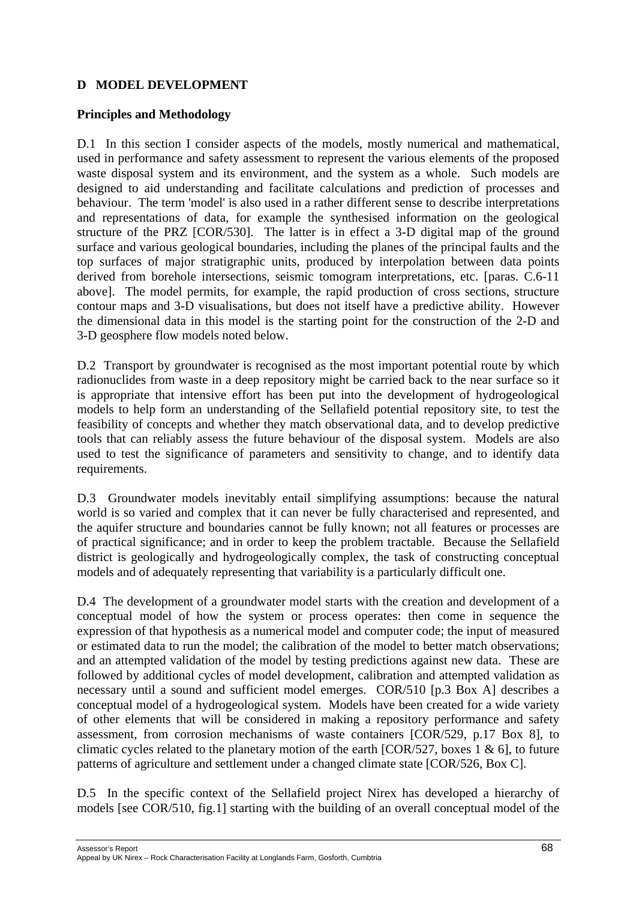## **D MODEL DEVELOPMENT**

#### **Principles and Methodology**

D.1 In this section I consider aspects of the models, mostly numerical and mathematical, used in performance and safety assessment to represent the various elements of the proposed waste disposal system and its environment, and the system as a whole. Such models are designed to aid understanding and facilitate calculations and prediction of processes and behaviour. The term 'model' is also used in a rather different sense to describe interpretations and representations of data, for example the synthesised information on the geological structure of the PRZ [COR/530]. The latter is in effect a 3-D digital map of the ground surface and various geological boundaries, including the planes of the principal faults and the top surfaces of major stratigraphic units, produced by interpolation between data points derived from borehole intersections, seismic tomogram interpretations, etc. [paras. C.6-11 above]. The model permits, for example, the rapid production of cross sections, structure contour maps and 3-D visualisations, but does not itself have a predictive ability. However the dimensional data in this model is the starting point for the construction of the 2-D and 3-D geosphere flow models noted below.

D.2 Transport by groundwater is recognised as the most important potential route by which radionuclides from waste in a deep repository might be carried back to the near surface so it is appropriate that intensive effort has been put into the development of hydrogeological models to help form an understanding of the Sellafield potential repository site, to test the feasibility of concepts and whether they match observational data, and to develop predictive tools that can reliably assess the future behaviour of the disposal system. Models are also used to test the significance of parameters and sensitivity to change, and to identify data requirements.

D.3 Groundwater models inevitably entail simplifying assumptions: because the natural world is so varied and complex that it can never be fully characterised and represented, and the aquifer structure and boundaries cannot be fully known; not all features or processes are of practical significance; and in order to keep the problem tractable. Because the Sellafield district is geologically and hydrogeologically complex, the task of constructing conceptual models and of adequately representing that variability is a particularly difficult one.

D.4 The development of a groundwater model starts with the creation and development of a conceptual model of how the system or process operates: then come in sequence the expression of that hypothesis as a numerical model and computer code; the input of measured or estimated data to run the model; the calibration of the model to better match observations; and an attempted validation of the model by testing predictions against new data. These are followed by additional cycles of model development, calibration and attempted validation as necessary until a sound and sufficient model emerges. COR/510 [p.3 Box A] describes a conceptual model of a hydrogeological system. Models have been created for a wide variety of other elements that will be considered in making a repository performance and safety assessment, from corrosion mechanisms of waste containers [COR/529, p.17 Box 8], to climatic cycles related to the planetary motion of the earth [COR/527, boxes 1 & 6], to future patterns of agriculture and settlement under a changed climate state [COR/526, Box C].

D.5 In the specific context of the Sellafield project Nirex has developed a hierarchy of models [see COR/510, fig.1] starting with the building of an overall conceptual model of the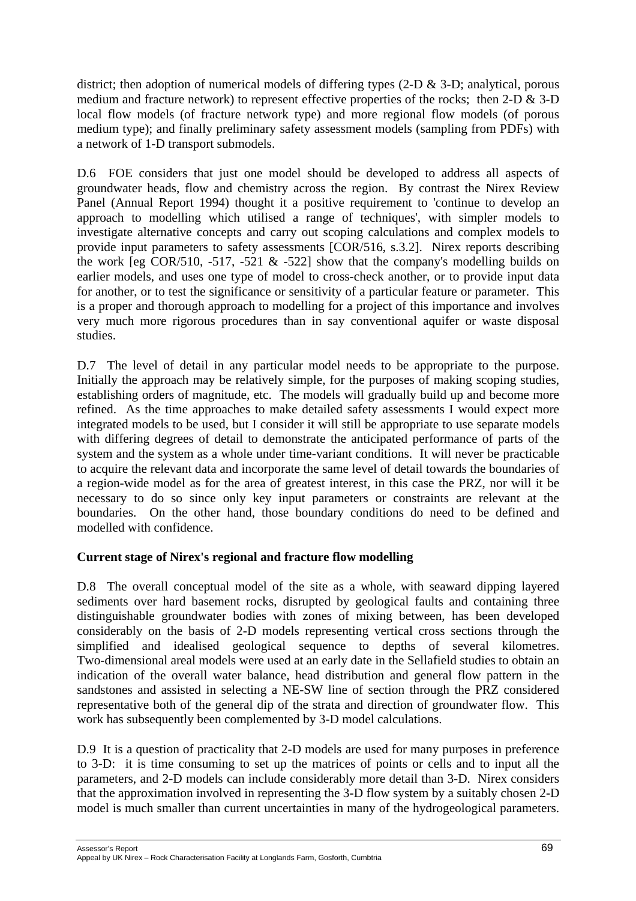district; then adoption of numerical models of differing types (2-D & 3-D; analytical, porous medium and fracture network) to represent effective properties of the rocks; then 2-D & 3-D local flow models (of fracture network type) and more regional flow models (of porous medium type); and finally preliminary safety assessment models (sampling from PDFs) with a network of 1-D transport submodels.

D.6 FOE considers that just one model should be developed to address all aspects of groundwater heads, flow and chemistry across the region. By contrast the Nirex Review Panel (Annual Report 1994) thought it a positive requirement to 'continue to develop an approach to modelling which utilised a range of techniques', with simpler models to investigate alternative concepts and carry out scoping calculations and complex models to provide input parameters to safety assessments [COR/516, s.3.2]. Nirex reports describing the work [eg COR/510, -517, -521  $&$  -522] show that the company's modelling builds on earlier models, and uses one type of model to cross-check another, or to provide input data for another, or to test the significance or sensitivity of a particular feature or parameter. This is a proper and thorough approach to modelling for a project of this importance and involves very much more rigorous procedures than in say conventional aquifer or waste disposal studies.

D.7 The level of detail in any particular model needs to be appropriate to the purpose. Initially the approach may be relatively simple, for the purposes of making scoping studies, establishing orders of magnitude, etc. The models will gradually build up and become more refined. As the time approaches to make detailed safety assessments I would expect more integrated models to be used, but I consider it will still be appropriate to use separate models with differing degrees of detail to demonstrate the anticipated performance of parts of the system and the system as a whole under time-variant conditions. It will never be practicable to acquire the relevant data and incorporate the same level of detail towards the boundaries of a region-wide model as for the area of greatest interest, in this case the PRZ, nor will it be necessary to do so since only key input parameters or constraints are relevant at the boundaries. On the other hand, those boundary conditions do need to be defined and modelled with confidence.

# **Current stage of Nirex's regional and fracture flow modelling**

D.8 The overall conceptual model of the site as a whole, with seaward dipping layered sediments over hard basement rocks, disrupted by geological faults and containing three distinguishable groundwater bodies with zones of mixing between, has been developed considerably on the basis of 2-D models representing vertical cross sections through the simplified and idealised geological sequence to depths of several kilometres. Two-dimensional areal models were used at an early date in the Sellafield studies to obtain an indication of the overall water balance, head distribution and general flow pattern in the sandstones and assisted in selecting a NE-SW line of section through the PRZ considered representative both of the general dip of the strata and direction of groundwater flow. This work has subsequently been complemented by 3-D model calculations.

D.9 It is a question of practicality that 2-D models are used for many purposes in preference to 3-D: it is time consuming to set up the matrices of points or cells and to input all the parameters, and 2-D models can include considerably more detail than 3-D. Nirex considers that the approximation involved in representing the 3-D flow system by a suitably chosen 2-D model is much smaller than current uncertainties in many of the hydrogeological parameters.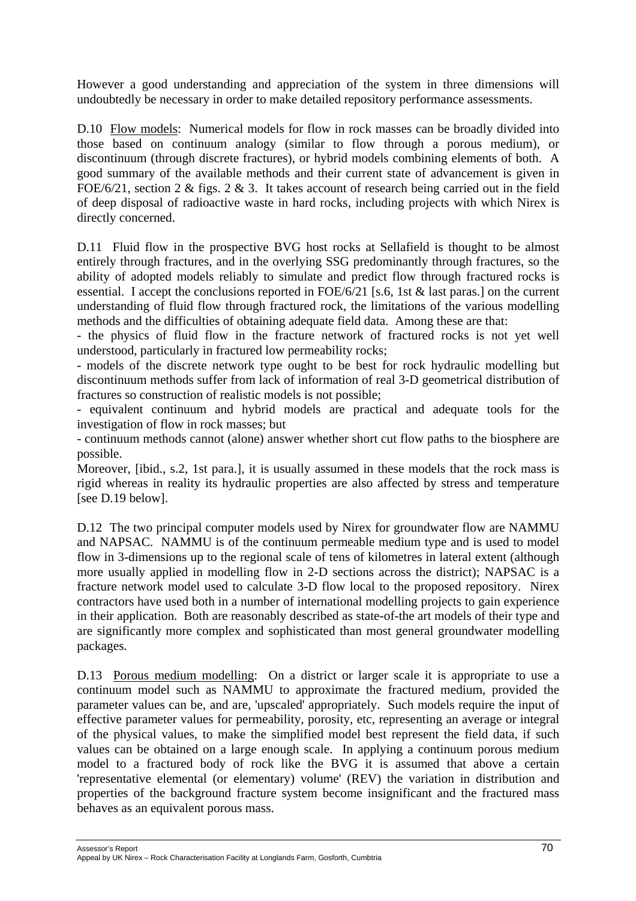However a good understanding and appreciation of the system in three dimensions will undoubtedly be necessary in order to make detailed repository performance assessments.

D.10 Flow models: Numerical models for flow in rock masses can be broadly divided into those based on continuum analogy (similar to flow through a porous medium), or discontinuum (through discrete fractures), or hybrid models combining elements of both. A good summary of the available methods and their current state of advancement is given in FOE/6/21, section 2 & figs. 2 & 3. It takes account of research being carried out in the field of deep disposal of radioactive waste in hard rocks, including projects with which Nirex is directly concerned.

D.11 Fluid flow in the prospective BVG host rocks at Sellafield is thought to be almost entirely through fractures, and in the overlying SSG predominantly through fractures, so the ability of adopted models reliably to simulate and predict flow through fractured rocks is essential. I accept the conclusions reported in FOE/6/21 [s.6, 1st & last paras.] on the current understanding of fluid flow through fractured rock, the limitations of the various modelling methods and the difficulties of obtaining adequate field data. Among these are that:

- the physics of fluid flow in the fracture network of fractured rocks is not yet well understood, particularly in fractured low permeability rocks;

- models of the discrete network type ought to be best for rock hydraulic modelling but discontinuum methods suffer from lack of information of real 3-D geometrical distribution of fractures so construction of realistic models is not possible;

- equivalent continuum and hybrid models are practical and adequate tools for the investigation of flow in rock masses; but

- continuum methods cannot (alone) answer whether short cut flow paths to the biosphere are possible.

Moreover, [ibid., s.2, 1st para.], it is usually assumed in these models that the rock mass is rigid whereas in reality its hydraulic properties are also affected by stress and temperature [see D.19 below].

D.12 The two principal computer models used by Nirex for groundwater flow are NAMMU and NAPSAC. NAMMU is of the continuum permeable medium type and is used to model flow in 3-dimensions up to the regional scale of tens of kilometres in lateral extent (although more usually applied in modelling flow in 2-D sections across the district); NAPSAC is a fracture network model used to calculate 3-D flow local to the proposed repository. Nirex contractors have used both in a number of international modelling projects to gain experience in their application. Both are reasonably described as state-of-the art models of their type and are significantly more complex and sophisticated than most general groundwater modelling packages.

D.13 Porous medium modelling: On a district or larger scale it is appropriate to use a continuum model such as NAMMU to approximate the fractured medium, provided the parameter values can be, and are, 'upscaled' appropriately. Such models require the input of effective parameter values for permeability, porosity, etc, representing an average or integral of the physical values, to make the simplified model best represent the field data, if such values can be obtained on a large enough scale. In applying a continuum porous medium model to a fractured body of rock like the BVG it is assumed that above a certain 'representative elemental (or elementary) volume' (REV) the variation in distribution and properties of the background fracture system become insignificant and the fractured mass behaves as an equivalent porous mass.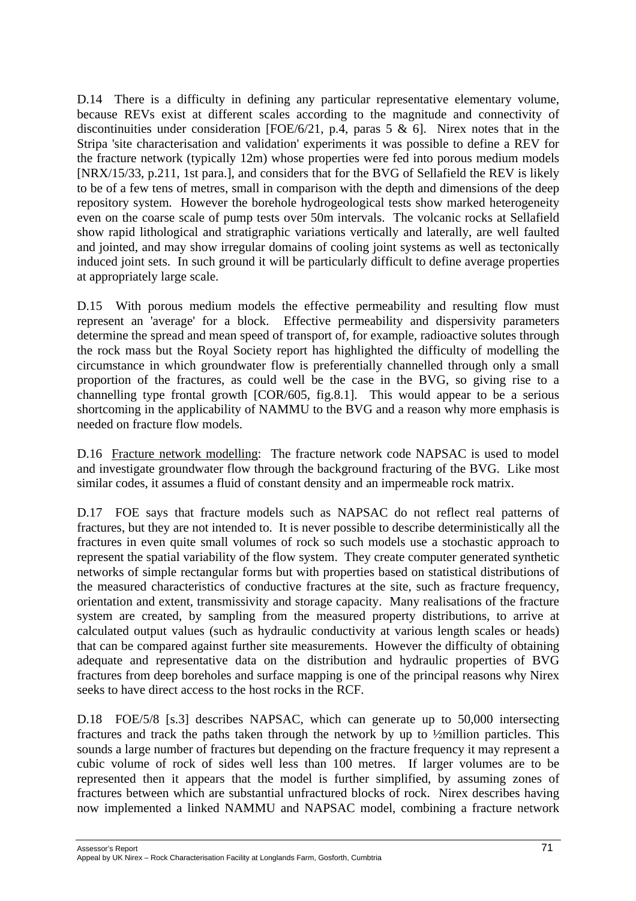D.14 There is a difficulty in defining any particular representative elementary volume, because REVs exist at different scales according to the magnitude and connectivity of discontinuities under consideration [FOE/6/21, p.4, paras  $5 \& 6$ ]. Nirex notes that in the Stripa 'site characterisation and validation' experiments it was possible to define a REV for the fracture network (typically 12m) whose properties were fed into porous medium models [NRX/15/33, p.211, 1st para.], and considers that for the BVG of Sellafield the REV is likely to be of a few tens of metres, small in comparison with the depth and dimensions of the deep repository system. However the borehole hydrogeological tests show marked heterogeneity even on the coarse scale of pump tests over 50m intervals. The volcanic rocks at Sellafield show rapid lithological and stratigraphic variations vertically and laterally, are well faulted and jointed, and may show irregular domains of cooling joint systems as well as tectonically induced joint sets. In such ground it will be particularly difficult to define average properties at appropriately large scale.

D.15 With porous medium models the effective permeability and resulting flow must represent an 'average' for a block. Effective permeability and dispersivity parameters determine the spread and mean speed of transport of, for example, radioactive solutes through the rock mass but the Royal Society report has highlighted the difficulty of modelling the circumstance in which groundwater flow is preferentially channelled through only a small proportion of the fractures, as could well be the case in the BVG, so giving rise to a channelling type frontal growth [COR/605, fig.8.1]. This would appear to be a serious shortcoming in the applicability of NAMMU to the BVG and a reason why more emphasis is needed on fracture flow models.

D.16 Fracture network modelling: The fracture network code NAPSAC is used to model and investigate groundwater flow through the background fracturing of the BVG. Like most similar codes, it assumes a fluid of constant density and an impermeable rock matrix.

D.17 FOE says that fracture models such as NAPSAC do not reflect real patterns of fractures, but they are not intended to. It is never possible to describe deterministically all the fractures in even quite small volumes of rock so such models use a stochastic approach to represent the spatial variability of the flow system. They create computer generated synthetic networks of simple rectangular forms but with properties based on statistical distributions of the measured characteristics of conductive fractures at the site, such as fracture frequency, orientation and extent, transmissivity and storage capacity. Many realisations of the fracture system are created, by sampling from the measured property distributions, to arrive at calculated output values (such as hydraulic conductivity at various length scales or heads) that can be compared against further site measurements. However the difficulty of obtaining adequate and representative data on the distribution and hydraulic properties of BVG fractures from deep boreholes and surface mapping is one of the principal reasons why Nirex seeks to have direct access to the host rocks in the RCF.

D.18 FOE/5/8 [s.3] describes NAPSAC, which can generate up to 50,000 intersecting fractures and track the paths taken through the network by up to ½million particles. This sounds a large number of fractures but depending on the fracture frequency it may represent a cubic volume of rock of sides well less than 100 metres. If larger volumes are to be represented then it appears that the model is further simplified, by assuming zones of fractures between which are substantial unfractured blocks of rock. Nirex describes having now implemented a linked NAMMU and NAPSAC model, combining a fracture network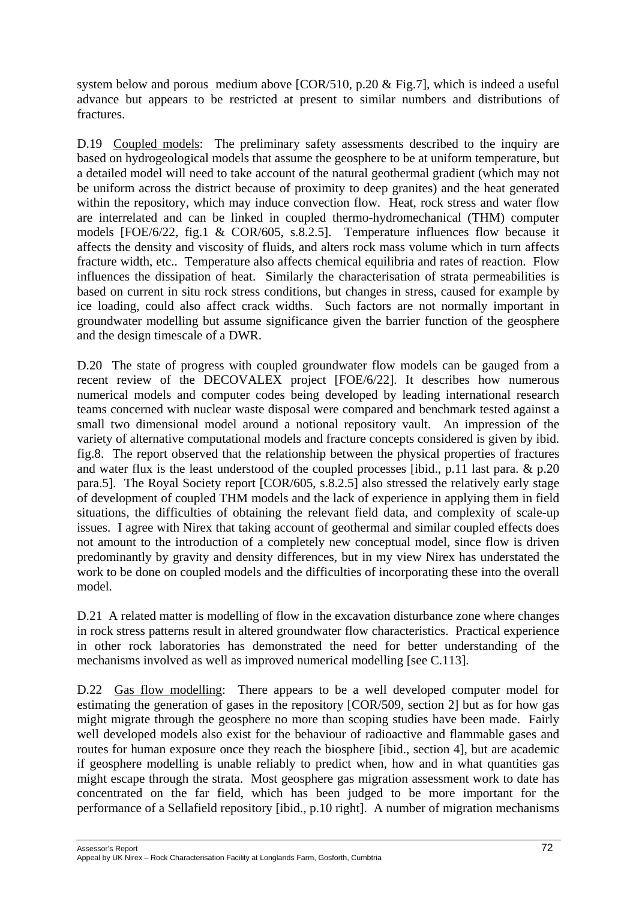system below and porous medium above [COR/510, p.20 & Fig.7], which is indeed a useful advance but appears to be restricted at present to similar numbers and distributions of fractures.

D.19 Coupled models: The preliminary safety assessments described to the inquiry are based on hydrogeological models that assume the geosphere to be at uniform temperature, but a detailed model will need to take account of the natural geothermal gradient (which may not be uniform across the district because of proximity to deep granites) and the heat generated within the repository, which may induce convection flow. Heat, rock stress and water flow are interrelated and can be linked in coupled thermo-hydromechanical (THM) computer models [FOE/6/22, fig.1 & COR/605, s.8.2.5]. Temperature influences flow because it affects the density and viscosity of fluids, and alters rock mass volume which in turn affects fracture width, etc.. Temperature also affects chemical equilibria and rates of reaction. Flow influences the dissipation of heat. Similarly the characterisation of strata permeabilities is based on current in situ rock stress conditions, but changes in stress, caused for example by ice loading, could also affect crack widths. Such factors are not normally important in groundwater modelling but assume significance given the barrier function of the geosphere and the design timescale of a DWR.

D.20 The state of progress with coupled groundwater flow models can be gauged from a recent review of the DECOVALEX project [FOE/6/22]. It describes how numerous numerical models and computer codes being developed by leading international research teams concerned with nuclear waste disposal were compared and benchmark tested against a small two dimensional model around a notional repository vault. An impression of the variety of alternative computational models and fracture concepts considered is given by ibid. fig.8. The report observed that the relationship between the physical properties of fractures and water flux is the least understood of the coupled processes [ibid., p.11 last para. & p.20 para.5]. The Royal Society report [COR/605, s.8.2.5] also stressed the relatively early stage of development of coupled THM models and the lack of experience in applying them in field situations, the difficulties of obtaining the relevant field data, and complexity of scale-up issues. I agree with Nirex that taking account of geothermal and similar coupled effects does not amount to the introduction of a completely new conceptual model, since flow is driven predominantly by gravity and density differences, but in my view Nirex has understated the work to be done on coupled models and the difficulties of incorporating these into the overall model.

D.21 A related matter is modelling of flow in the excavation disturbance zone where changes in rock stress patterns result in altered groundwater flow characteristics. Practical experience in other rock laboratories has demonstrated the need for better understanding of the mechanisms involved as well as improved numerical modelling [see C.113].

D.22 Gas flow modelling: There appears to be a well developed computer model for estimating the generation of gases in the repository [COR/509, section 2] but as for how gas might migrate through the geosphere no more than scoping studies have been made. Fairly well developed models also exist for the behaviour of radioactive and flammable gases and routes for human exposure once they reach the biosphere [ibid., section 4], but are academic if geosphere modelling is unable reliably to predict when, how and in what quantities gas might escape through the strata. Most geosphere gas migration assessment work to date has concentrated on the far field, which has been judged to be more important for the performance of a Sellafield repository [ibid., p.10 right]. A number of migration mechanisms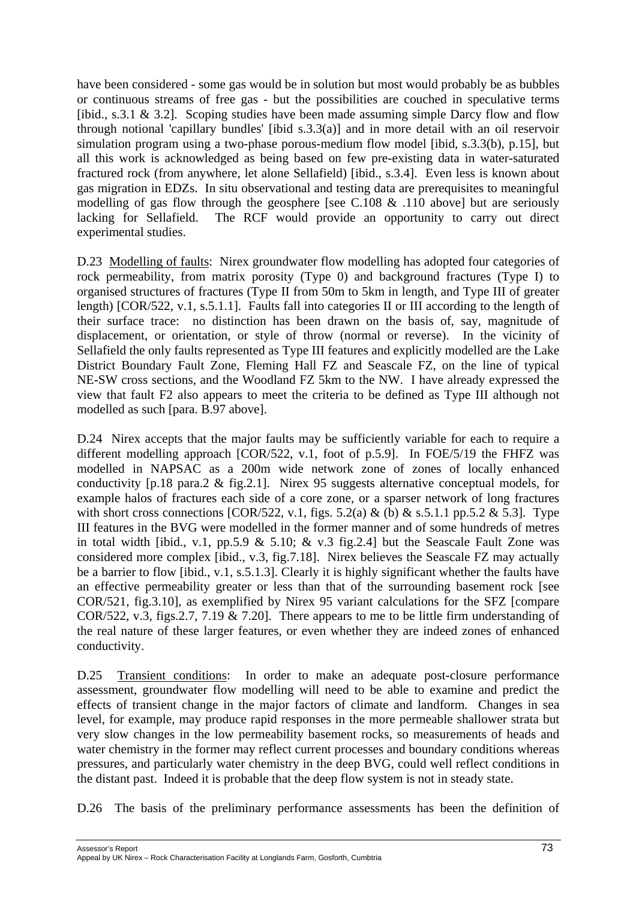have been considered - some gas would be in solution but most would probably be as bubbles or continuous streams of free gas - but the possibilities are couched in speculative terms [ibid., s.3.1  $\&$  3.2]. Scoping studies have been made assuming simple Darcy flow and flow through notional 'capillary bundles' [ibid s.3.3(a)] and in more detail with an oil reservoir simulation program using a two-phase porous-medium flow model [ibid, s.3.3(b), p.15], but all this work is acknowledged as being based on few pre-existing data in water-saturated fractured rock (from anywhere, let alone Sellafield) [ibid., s.3.4]. Even less is known about gas migration in EDZs. In situ observational and testing data are prerequisites to meaningful modelling of gas flow through the geosphere [see C.108 & .110 above] but are seriously lacking for Sellafield. The RCF would provide an opportunity to carry out direct experimental studies.

D.23 Modelling of faults: Nirex groundwater flow modelling has adopted four categories of rock permeability, from matrix porosity (Type 0) and background fractures (Type I) to organised structures of fractures (Type II from 50m to 5km in length, and Type III of greater length) [COR/522, v.1, s.5.1.1]. Faults fall into categories II or III according to the length of their surface trace: no distinction has been drawn on the basis of, say, magnitude of displacement, or orientation, or style of throw (normal or reverse). In the vicinity of Sellafield the only faults represented as Type III features and explicitly modelled are the Lake District Boundary Fault Zone, Fleming Hall FZ and Seascale FZ, on the line of typical NE-SW cross sections, and the Woodland FZ 5km to the NW. I have already expressed the view that fault F2 also appears to meet the criteria to be defined as Type III although not modelled as such [para. B.97 above].

D.24 Nirex accepts that the major faults may be sufficiently variable for each to require a different modelling approach [COR/522, v.1, foot of p.5.9]. In FOE/5/19 the FHFZ was modelled in NAPSAC as a 200m wide network zone of zones of locally enhanced conductivity [p.18 para.2 & fig.2.1]. Nirex 95 suggests alternative conceptual models, for example halos of fractures each side of a core zone, or a sparser network of long fractures with short cross connections  $[COR/522, v.1, figs. 5.2(a) & (b) & s.5.1.1 pp.5.2 & 5.3]$ . Type III features in the BVG were modelled in the former manner and of some hundreds of metres in total width [ibid., v.1, pp.5.9  $& 5.10; \& v.3$  fig. 2.4] but the Seascale Fault Zone was considered more complex [ibid., v.3, fig.7.18]. Nirex believes the Seascale FZ may actually be a barrier to flow [ibid., v.1, s.5.1.3]. Clearly it is highly significant whether the faults have an effective permeability greater or less than that of the surrounding basement rock [see COR/521, fig.3.10], as exemplified by Nirex 95 variant calculations for the SFZ [compare COR/522, v.3, figs.2.7, 7.19 & 7.20]. There appears to me to be little firm understanding of the real nature of these larger features, or even whether they are indeed zones of enhanced conductivity.

D.25 Transient conditions: In order to make an adequate post-closure performance assessment, groundwater flow modelling will need to be able to examine and predict the effects of transient change in the major factors of climate and landform. Changes in sea level, for example, may produce rapid responses in the more permeable shallower strata but very slow changes in the low permeability basement rocks, so measurements of heads and water chemistry in the former may reflect current processes and boundary conditions whereas pressures, and particularly water chemistry in the deep BVG, could well reflect conditions in the distant past. Indeed it is probable that the deep flow system is not in steady state.

D.26 The basis of the preliminary performance assessments has been the definition of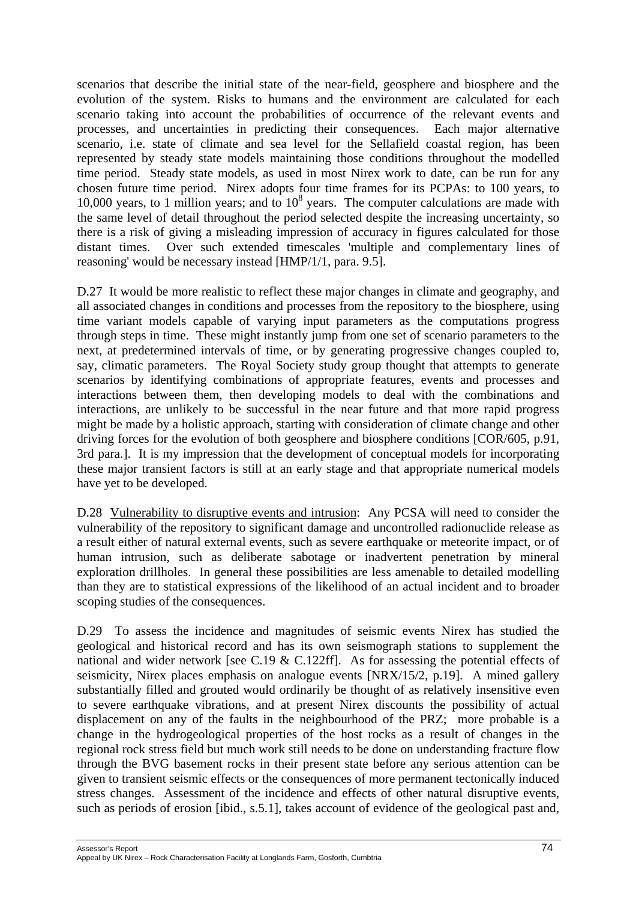scenarios that describe the initial state of the near-field, geosphere and biosphere and the evolution of the system. Risks to humans and the environment are calculated for each scenario taking into account the probabilities of occurrence of the relevant events and processes, and uncertainties in predicting their consequences. Each major alternative scenario, i.e. state of climate and sea level for the Sellafield coastal region, has been represented by steady state models maintaining those conditions throughout the modelled time period. Steady state models, as used in most Nirex work to date, can be run for any chosen future time period. Nirex adopts four time frames for its PCPAs: to 100 years, to 10,000 years, to 1 million years; and to  $10<sup>8</sup>$  years. The computer calculations are made with the same level of detail throughout the period selected despite the increasing uncertainty, so there is a risk of giving a misleading impression of accuracy in figures calculated for those distant times. Over such extended timescales 'multiple and complementary lines of reasoning' would be necessary instead [HMP/1/1, para. 9.5].

D.27 It would be more realistic to reflect these major changes in climate and geography, and all associated changes in conditions and processes from the repository to the biosphere, using time variant models capable of varying input parameters as the computations progress through steps in time. These might instantly jump from one set of scenario parameters to the next, at predetermined intervals of time, or by generating progressive changes coupled to, say, climatic parameters. The Royal Society study group thought that attempts to generate scenarios by identifying combinations of appropriate features, events and processes and interactions between them, then developing models to deal with the combinations and interactions, are unlikely to be successful in the near future and that more rapid progress might be made by a holistic approach, starting with consideration of climate change and other driving forces for the evolution of both geosphere and biosphere conditions [COR/605, p.91, 3rd para.]. It is my impression that the development of conceptual models for incorporating these major transient factors is still at an early stage and that appropriate numerical models have yet to be developed.

D.28 Vulnerability to disruptive events and intrusion: Any PCSA will need to consider the vulnerability of the repository to significant damage and uncontrolled radionuclide release as a result either of natural external events, such as severe earthquake or meteorite impact, or of human intrusion, such as deliberate sabotage or inadvertent penetration by mineral exploration drillholes. In general these possibilities are less amenable to detailed modelling than they are to statistical expressions of the likelihood of an actual incident and to broader scoping studies of the consequences.

D.29 To assess the incidence and magnitudes of seismic events Nirex has studied the geological and historical record and has its own seismograph stations to supplement the national and wider network [see C.19 & C.122ff]. As for assessing the potential effects of seismicity, Nirex places emphasis on analogue events [NRX/15/2, p.19]. A mined gallery substantially filled and grouted would ordinarily be thought of as relatively insensitive even to severe earthquake vibrations, and at present Nirex discounts the possibility of actual displacement on any of the faults in the neighbourhood of the PRZ; more probable is a change in the hydrogeological properties of the host rocks as a result of changes in the regional rock stress field but much work still needs to be done on understanding fracture flow through the BVG basement rocks in their present state before any serious attention can be given to transient seismic effects or the consequences of more permanent tectonically induced stress changes. Assessment of the incidence and effects of other natural disruptive events, such as periods of erosion [ibid., s.5.1], takes account of evidence of the geological past and,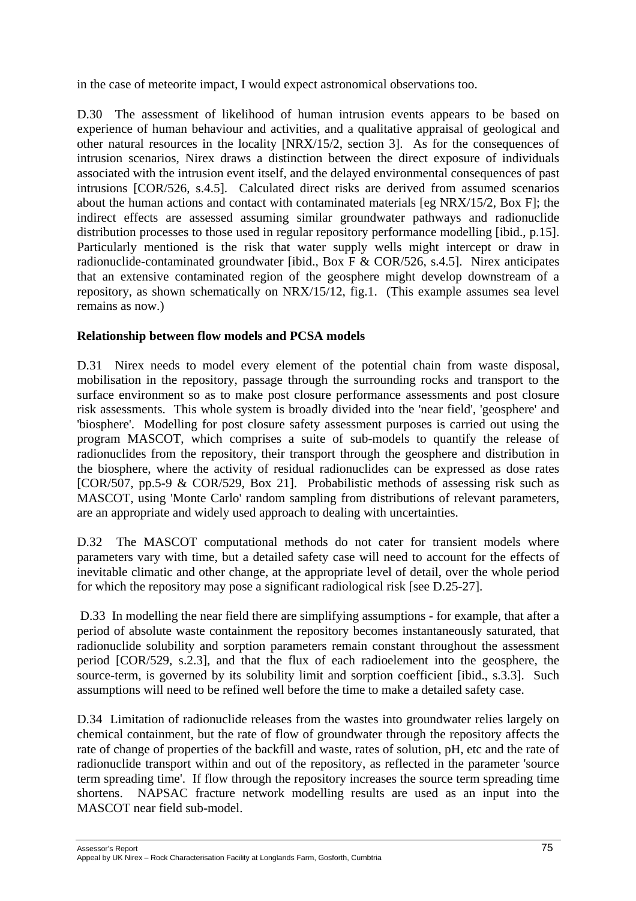in the case of meteorite impact, I would expect astronomical observations too.

D.30 The assessment of likelihood of human intrusion events appears to be based on experience of human behaviour and activities, and a qualitative appraisal of geological and other natural resources in the locality [NRX/15/2, section 3]. As for the consequences of intrusion scenarios, Nirex draws a distinction between the direct exposure of individuals associated with the intrusion event itself, and the delayed environmental consequences of past intrusions [COR/526, s.4.5]. Calculated direct risks are derived from assumed scenarios about the human actions and contact with contaminated materials [eg NRX/15/2, Box F]; the indirect effects are assessed assuming similar groundwater pathways and radionuclide distribution processes to those used in regular repository performance modelling [ibid., p.15]. Particularly mentioned is the risk that water supply wells might intercept or draw in radionuclide-contaminated groundwater [ibid., Box F & COR/526, s.4.5]. Nirex anticipates that an extensive contaminated region of the geosphere might develop downstream of a repository, as shown schematically on NRX/15/12, fig.1. (This example assumes sea level remains as now.)

# **Relationship between flow models and PCSA models**

D.31 Nirex needs to model every element of the potential chain from waste disposal, mobilisation in the repository, passage through the surrounding rocks and transport to the surface environment so as to make post closure performance assessments and post closure risk assessments. This whole system is broadly divided into the 'near field', 'geosphere' and 'biosphere'. Modelling for post closure safety assessment purposes is carried out using the program MASCOT, which comprises a suite of sub-models to quantify the release of radionuclides from the repository, their transport through the geosphere and distribution in the biosphere, where the activity of residual radionuclides can be expressed as dose rates [COR/507, pp.5-9 & COR/529, Box 21]. Probabilistic methods of assessing risk such as MASCOT, using 'Monte Carlo' random sampling from distributions of relevant parameters, are an appropriate and widely used approach to dealing with uncertainties.

D.32 The MASCOT computational methods do not cater for transient models where parameters vary with time, but a detailed safety case will need to account for the effects of inevitable climatic and other change, at the appropriate level of detail, over the whole period for which the repository may pose a significant radiological risk [see D.25-27].

 D.33 In modelling the near field there are simplifying assumptions - for example, that after a period of absolute waste containment the repository becomes instantaneously saturated, that radionuclide solubility and sorption parameters remain constant throughout the assessment period [COR/529, s.2.3], and that the flux of each radioelement into the geosphere, the source-term, is governed by its solubility limit and sorption coefficient [ibid., s.3.3]. Such assumptions will need to be refined well before the time to make a detailed safety case.

D.34 Limitation of radionuclide releases from the wastes into groundwater relies largely on chemical containment, but the rate of flow of groundwater through the repository affects the rate of change of properties of the backfill and waste, rates of solution, pH, etc and the rate of radionuclide transport within and out of the repository, as reflected in the parameter 'source term spreading time'. If flow through the repository increases the source term spreading time shortens. NAPSAC fracture network modelling results are used as an input into the MASCOT near field sub-model.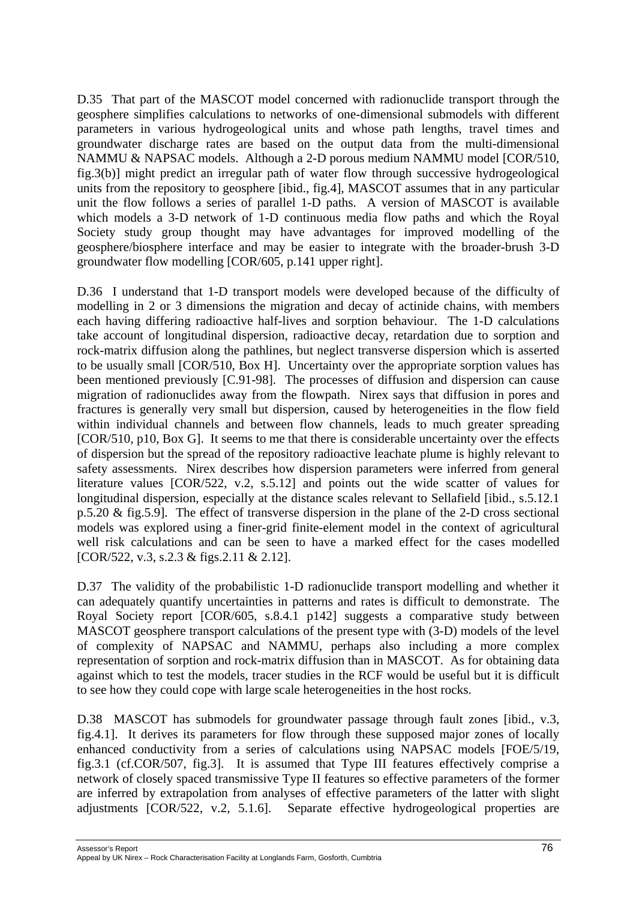D.35 That part of the MASCOT model concerned with radionuclide transport through the geosphere simplifies calculations to networks of one-dimensional submodels with different parameters in various hydrogeological units and whose path lengths, travel times and groundwater discharge rates are based on the output data from the multi-dimensional NAMMU & NAPSAC models. Although a 2-D porous medium NAMMU model [COR/510, fig.3(b)] might predict an irregular path of water flow through successive hydrogeological units from the repository to geosphere [ibid., fig.4], MASCOT assumes that in any particular unit the flow follows a series of parallel 1-D paths. A version of MASCOT is available which models a 3-D network of 1-D continuous media flow paths and which the Royal Society study group thought may have advantages for improved modelling of the geosphere/biosphere interface and may be easier to integrate with the broader-brush 3-D groundwater flow modelling [COR/605, p.141 upper right].

D.36 I understand that 1-D transport models were developed because of the difficulty of modelling in 2 or 3 dimensions the migration and decay of actinide chains, with members each having differing radioactive half-lives and sorption behaviour. The 1-D calculations take account of longitudinal dispersion, radioactive decay, retardation due to sorption and rock-matrix diffusion along the pathlines, but neglect transverse dispersion which is asserted to be usually small [COR/510, Box H]. Uncertainty over the appropriate sorption values has been mentioned previously [C.91-98]. The processes of diffusion and dispersion can cause migration of radionuclides away from the flowpath. Nirex says that diffusion in pores and fractures is generally very small but dispersion, caused by heterogeneities in the flow field within individual channels and between flow channels, leads to much greater spreading [COR/510, p10, Box G]. It seems to me that there is considerable uncertainty over the effects of dispersion but the spread of the repository radioactive leachate plume is highly relevant to safety assessments. Nirex describes how dispersion parameters were inferred from general literature values [COR/522, v.2, s.5.12] and points out the wide scatter of values for longitudinal dispersion, especially at the distance scales relevant to Sellafield [ibid., s.5.12.1 p.5.20 & fig.5.9]. The effect of transverse dispersion in the plane of the 2-D cross sectional models was explored using a finer-grid finite-element model in the context of agricultural well risk calculations and can be seen to have a marked effect for the cases modelled [COR/522, v.3, s.2.3 & figs.2.11 & 2.12].

D.37 The validity of the probabilistic 1-D radionuclide transport modelling and whether it can adequately quantify uncertainties in patterns and rates is difficult to demonstrate. The Royal Society report [COR/605, s.8.4.1 p142] suggests a comparative study between MASCOT geosphere transport calculations of the present type with (3-D) models of the level of complexity of NAPSAC and NAMMU, perhaps also including a more complex representation of sorption and rock-matrix diffusion than in MASCOT. As for obtaining data against which to test the models, tracer studies in the RCF would be useful but it is difficult to see how they could cope with large scale heterogeneities in the host rocks.

D.38 MASCOT has submodels for groundwater passage through fault zones [ibid., v.3, fig.4.1]. It derives its parameters for flow through these supposed major zones of locally enhanced conductivity from a series of calculations using NAPSAC models [FOE/5/19, fig.3.1 (cf.COR/507, fig.3]. It is assumed that Type III features effectively comprise a network of closely spaced transmissive Type II features so effective parameters of the former are inferred by extrapolation from analyses of effective parameters of the latter with slight adjustments [COR/522, v.2, 5.1.6]. Separate effective hydrogeological properties are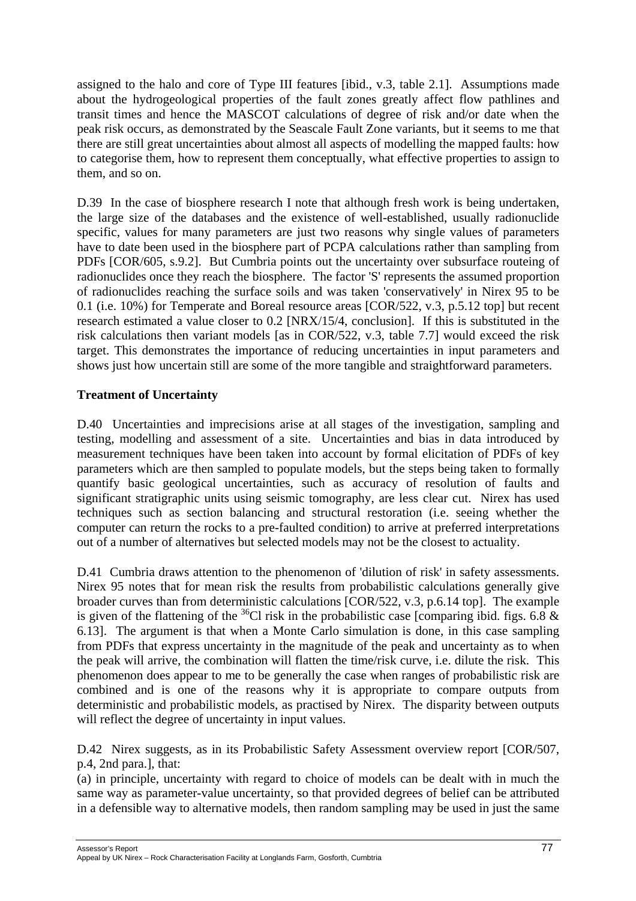assigned to the halo and core of Type III features [ibid., v.3, table 2.1]. Assumptions made about the hydrogeological properties of the fault zones greatly affect flow pathlines and transit times and hence the MASCOT calculations of degree of risk and/or date when the peak risk occurs, as demonstrated by the Seascale Fault Zone variants, but it seems to me that there are still great uncertainties about almost all aspects of modelling the mapped faults: how to categorise them, how to represent them conceptually, what effective properties to assign to them, and so on.

D.39 In the case of biosphere research I note that although fresh work is being undertaken, the large size of the databases and the existence of well-established, usually radionuclide specific, values for many parameters are just two reasons why single values of parameters have to date been used in the biosphere part of PCPA calculations rather than sampling from PDFs [COR/605, s.9.2]. But Cumbria points out the uncertainty over subsurface routeing of radionuclides once they reach the biosphere. The factor 'S' represents the assumed proportion of radionuclides reaching the surface soils and was taken 'conservatively' in Nirex 95 to be 0.1 (i.e. 10%) for Temperate and Boreal resource areas [COR/522, v.3, p.5.12 top] but recent research estimated a value closer to 0.2 [NRX/15/4, conclusion]. If this is substituted in the risk calculations then variant models [as in COR/522, v.3, table 7.7] would exceed the risk target. This demonstrates the importance of reducing uncertainties in input parameters and shows just how uncertain still are some of the more tangible and straightforward parameters.

## **Treatment of Uncertainty**

D.40 Uncertainties and imprecisions arise at all stages of the investigation, sampling and testing, modelling and assessment of a site. Uncertainties and bias in data introduced by measurement techniques have been taken into account by formal elicitation of PDFs of key parameters which are then sampled to populate models, but the steps being taken to formally quantify basic geological uncertainties, such as accuracy of resolution of faults and significant stratigraphic units using seismic tomography, are less clear cut. Nirex has used techniques such as section balancing and structural restoration (i.e. seeing whether the computer can return the rocks to a pre-faulted condition) to arrive at preferred interpretations out of a number of alternatives but selected models may not be the closest to actuality.

D.41 Cumbria draws attention to the phenomenon of 'dilution of risk' in safety assessments. Nirex 95 notes that for mean risk the results from probabilistic calculations generally give broader curves than from deterministic calculations [COR/522, v.3, p.6.14 top]. The example is given of the flattening of the <sup>36</sup>Cl risk in the probabilistic case [comparing ibid. figs. 6.8  $\&$ 6.13]. The argument is that when a Monte Carlo simulation is done, in this case sampling from PDFs that express uncertainty in the magnitude of the peak and uncertainty as to when the peak will arrive, the combination will flatten the time/risk curve, i.e. dilute the risk. This phenomenon does appear to me to be generally the case when ranges of probabilistic risk are combined and is one of the reasons why it is appropriate to compare outputs from deterministic and probabilistic models, as practised by Nirex. The disparity between outputs will reflect the degree of uncertainty in input values.

D.42 Nirex suggests, as in its Probabilistic Safety Assessment overview report [COR/507, p.4, 2nd para.], that:

(a) in principle, uncertainty with regard to choice of models can be dealt with in much the same way as parameter-value uncertainty, so that provided degrees of belief can be attributed in a defensible way to alternative models, then random sampling may be used in just the same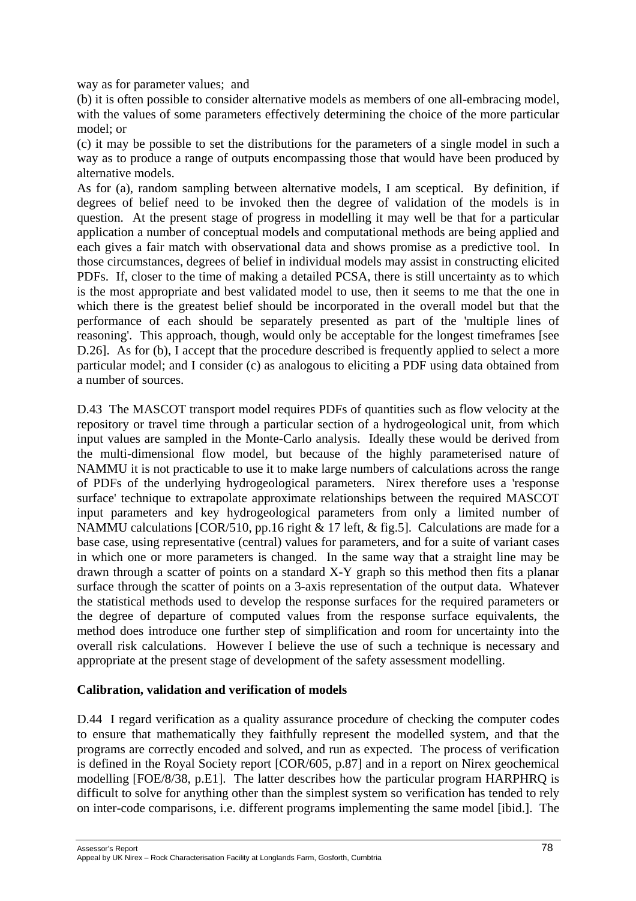way as for parameter values; and

(b) it is often possible to consider alternative models as members of one all-embracing model, with the values of some parameters effectively determining the choice of the more particular model; or

(c) it may be possible to set the distributions for the parameters of a single model in such a way as to produce a range of outputs encompassing those that would have been produced by alternative models.

As for (a), random sampling between alternative models, I am sceptical. By definition, if degrees of belief need to be invoked then the degree of validation of the models is in question. At the present stage of progress in modelling it may well be that for a particular application a number of conceptual models and computational methods are being applied and each gives a fair match with observational data and shows promise as a predictive tool. In those circumstances, degrees of belief in individual models may assist in constructing elicited PDFs. If, closer to the time of making a detailed PCSA, there is still uncertainty as to which is the most appropriate and best validated model to use, then it seems to me that the one in which there is the greatest belief should be incorporated in the overall model but that the performance of each should be separately presented as part of the 'multiple lines of reasoning'. This approach, though, would only be acceptable for the longest timeframes [see D.26]. As for (b), I accept that the procedure described is frequently applied to select a more particular model; and I consider (c) as analogous to eliciting a PDF using data obtained from a number of sources.

D.43 The MASCOT transport model requires PDFs of quantities such as flow velocity at the repository or travel time through a particular section of a hydrogeological unit, from which input values are sampled in the Monte-Carlo analysis. Ideally these would be derived from the multi-dimensional flow model, but because of the highly parameterised nature of NAMMU it is not practicable to use it to make large numbers of calculations across the range of PDFs of the underlying hydrogeological parameters. Nirex therefore uses a 'response surface' technique to extrapolate approximate relationships between the required MASCOT input parameters and key hydrogeological parameters from only a limited number of NAMMU calculations [COR/510, pp.16 right & 17 left, & fig.5]. Calculations are made for a base case, using representative (central) values for parameters, and for a suite of variant cases in which one or more parameters is changed. In the same way that a straight line may be drawn through a scatter of points on a standard X-Y graph so this method then fits a planar surface through the scatter of points on a 3-axis representation of the output data. Whatever the statistical methods used to develop the response surfaces for the required parameters or the degree of departure of computed values from the response surface equivalents, the method does introduce one further step of simplification and room for uncertainty into the overall risk calculations. However I believe the use of such a technique is necessary and appropriate at the present stage of development of the safety assessment modelling.

#### **Calibration, validation and verification of models**

D.44 I regard verification as a quality assurance procedure of checking the computer codes to ensure that mathematically they faithfully represent the modelled system, and that the programs are correctly encoded and solved, and run as expected. The process of verification is defined in the Royal Society report [COR/605, p.87] and in a report on Nirex geochemical modelling [FOE/8/38, p.E1]. The latter describes how the particular program HARPHRQ is difficult to solve for anything other than the simplest system so verification has tended to rely on inter-code comparisons, i.e. different programs implementing the same model [ibid.]. The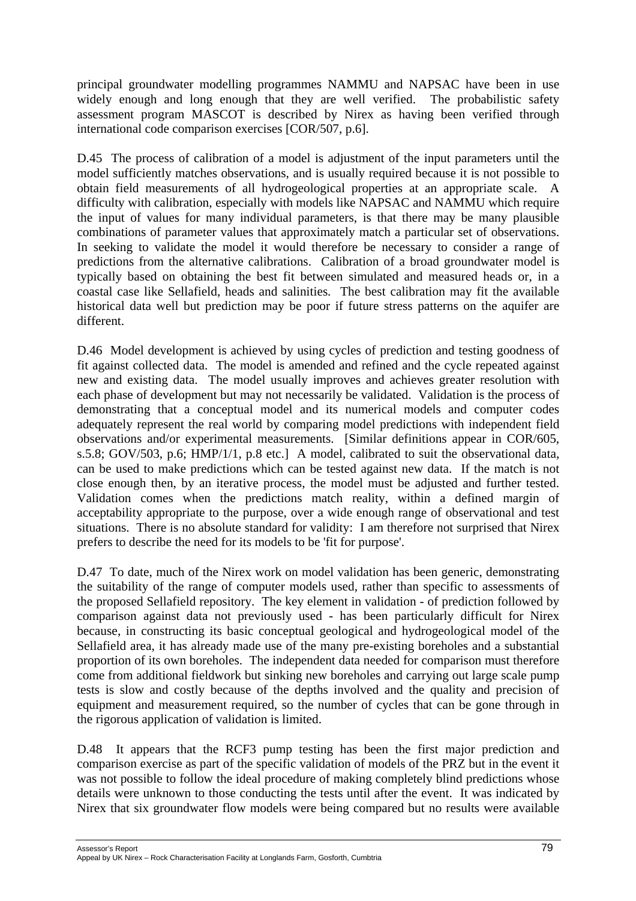principal groundwater modelling programmes NAMMU and NAPSAC have been in use widely enough and long enough that they are well verified. The probabilistic safety assessment program MASCOT is described by Nirex as having been verified through international code comparison exercises [COR/507, p.6].

D.45 The process of calibration of a model is adjustment of the input parameters until the model sufficiently matches observations, and is usually required because it is not possible to obtain field measurements of all hydrogeological properties at an appropriate scale. A difficulty with calibration, especially with models like NAPSAC and NAMMU which require the input of values for many individual parameters, is that there may be many plausible combinations of parameter values that approximately match a particular set of observations. In seeking to validate the model it would therefore be necessary to consider a range of predictions from the alternative calibrations. Calibration of a broad groundwater model is typically based on obtaining the best fit between simulated and measured heads or, in a coastal case like Sellafield, heads and salinities. The best calibration may fit the available historical data well but prediction may be poor if future stress patterns on the aquifer are different.

D.46 Model development is achieved by using cycles of prediction and testing goodness of fit against collected data. The model is amended and refined and the cycle repeated against new and existing data. The model usually improves and achieves greater resolution with each phase of development but may not necessarily be validated. Validation is the process of demonstrating that a conceptual model and its numerical models and computer codes adequately represent the real world by comparing model predictions with independent field observations and/or experimental measurements. [Similar definitions appear in COR/605, s.5.8; GOV/503, p.6; HMP/1/1, p.8 etc.] A model, calibrated to suit the observational data, can be used to make predictions which can be tested against new data. If the match is not close enough then, by an iterative process, the model must be adjusted and further tested. Validation comes when the predictions match reality, within a defined margin of acceptability appropriate to the purpose, over a wide enough range of observational and test situations. There is no absolute standard for validity: I am therefore not surprised that Nirex prefers to describe the need for its models to be 'fit for purpose'.

D.47 To date, much of the Nirex work on model validation has been generic, demonstrating the suitability of the range of computer models used, rather than specific to assessments of the proposed Sellafield repository. The key element in validation - of prediction followed by comparison against data not previously used - has been particularly difficult for Nirex because, in constructing its basic conceptual geological and hydrogeological model of the Sellafield area, it has already made use of the many pre-existing boreholes and a substantial proportion of its own boreholes. The independent data needed for comparison must therefore come from additional fieldwork but sinking new boreholes and carrying out large scale pump tests is slow and costly because of the depths involved and the quality and precision of equipment and measurement required, so the number of cycles that can be gone through in the rigorous application of validation is limited.

D.48 It appears that the RCF3 pump testing has been the first major prediction and comparison exercise as part of the specific validation of models of the PRZ but in the event it was not possible to follow the ideal procedure of making completely blind predictions whose details were unknown to those conducting the tests until after the event. It was indicated by Nirex that six groundwater flow models were being compared but no results were available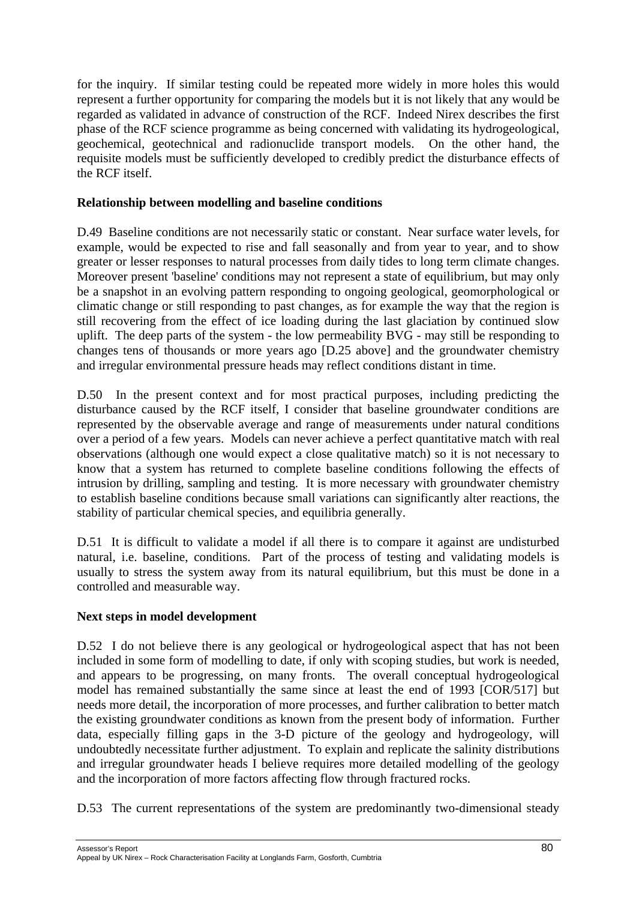for the inquiry. If similar testing could be repeated more widely in more holes this would represent a further opportunity for comparing the models but it is not likely that any would be regarded as validated in advance of construction of the RCF. Indeed Nirex describes the first phase of the RCF science programme as being concerned with validating its hydrogeological, geochemical, geotechnical and radionuclide transport models. On the other hand, the requisite models must be sufficiently developed to credibly predict the disturbance effects of the RCF itself.

## **Relationship between modelling and baseline conditions**

D.49 Baseline conditions are not necessarily static or constant. Near surface water levels, for example, would be expected to rise and fall seasonally and from year to year, and to show greater or lesser responses to natural processes from daily tides to long term climate changes. Moreover present 'baseline' conditions may not represent a state of equilibrium, but may only be a snapshot in an evolving pattern responding to ongoing geological, geomorphological or climatic change or still responding to past changes, as for example the way that the region is still recovering from the effect of ice loading during the last glaciation by continued slow uplift. The deep parts of the system - the low permeability BVG - may still be responding to changes tens of thousands or more years ago [D.25 above] and the groundwater chemistry and irregular environmental pressure heads may reflect conditions distant in time.

D.50 In the present context and for most practical purposes, including predicting the disturbance caused by the RCF itself, I consider that baseline groundwater conditions are represented by the observable average and range of measurements under natural conditions over a period of a few years. Models can never achieve a perfect quantitative match with real observations (although one would expect a close qualitative match) so it is not necessary to know that a system has returned to complete baseline conditions following the effects of intrusion by drilling, sampling and testing. It is more necessary with groundwater chemistry to establish baseline conditions because small variations can significantly alter reactions, the stability of particular chemical species, and equilibria generally.

D.51 It is difficult to validate a model if all there is to compare it against are undisturbed natural, i.e. baseline, conditions. Part of the process of testing and validating models is usually to stress the system away from its natural equilibrium, but this must be done in a controlled and measurable way.

# **Next steps in model development**

D.52 I do not believe there is any geological or hydrogeological aspect that has not been included in some form of modelling to date, if only with scoping studies, but work is needed, and appears to be progressing, on many fronts. The overall conceptual hydrogeological model has remained substantially the same since at least the end of 1993 [COR/517] but needs more detail, the incorporation of more processes, and further calibration to better match the existing groundwater conditions as known from the present body of information. Further data, especially filling gaps in the 3-D picture of the geology and hydrogeology, will undoubtedly necessitate further adjustment. To explain and replicate the salinity distributions and irregular groundwater heads I believe requires more detailed modelling of the geology and the incorporation of more factors affecting flow through fractured rocks.

D.53 The current representations of the system are predominantly two-dimensional steady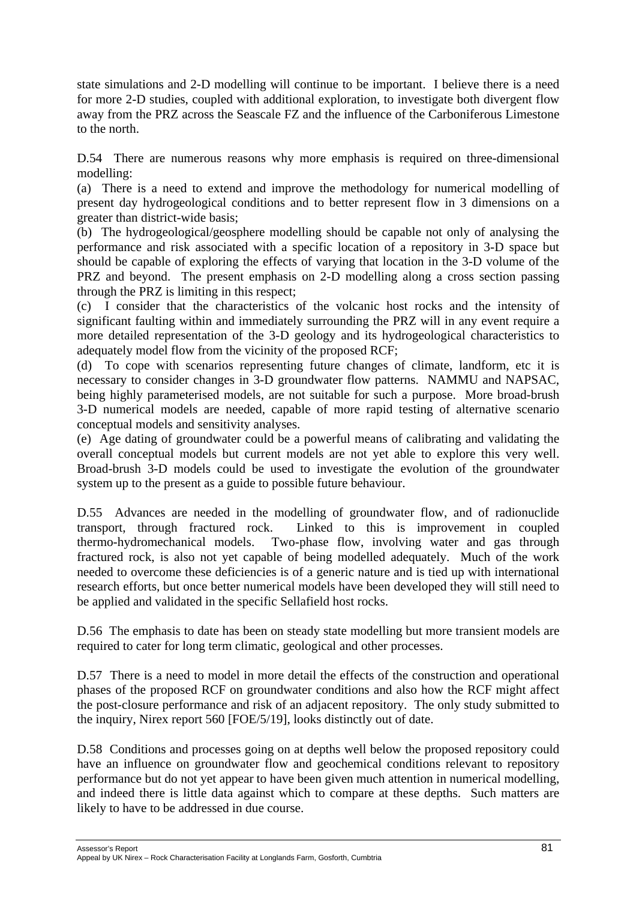state simulations and 2-D modelling will continue to be important. I believe there is a need for more 2-D studies, coupled with additional exploration, to investigate both divergent flow away from the PRZ across the Seascale FZ and the influence of the Carboniferous Limestone to the north.

D.54 There are numerous reasons why more emphasis is required on three-dimensional modelling:

(a) There is a need to extend and improve the methodology for numerical modelling of present day hydrogeological conditions and to better represent flow in 3 dimensions on a greater than district-wide basis;

(b) The hydrogeological/geosphere modelling should be capable not only of analysing the performance and risk associated with a specific location of a repository in 3-D space but should be capable of exploring the effects of varying that location in the 3-D volume of the PRZ and beyond. The present emphasis on 2-D modelling along a cross section passing through the PRZ is limiting in this respect;

(c) I consider that the characteristics of the volcanic host rocks and the intensity of significant faulting within and immediately surrounding the PRZ will in any event require a more detailed representation of the 3-D geology and its hydrogeological characteristics to adequately model flow from the vicinity of the proposed RCF;

(d) To cope with scenarios representing future changes of climate, landform, etc it is necessary to consider changes in 3-D groundwater flow patterns. NAMMU and NAPSAC, being highly parameterised models, are not suitable for such a purpose. More broad-brush 3-D numerical models are needed, capable of more rapid testing of alternative scenario conceptual models and sensitivity analyses.

(e) Age dating of groundwater could be a powerful means of calibrating and validating the overall conceptual models but current models are not yet able to explore this very well. Broad-brush 3-D models could be used to investigate the evolution of the groundwater system up to the present as a guide to possible future behaviour.

D.55 Advances are needed in the modelling of groundwater flow, and of radionuclide transport, through fractured rock. Linked to this is improvement in coupled thermo-hydromechanical models. Two-phase flow, involving water and gas through fractured rock, is also not yet capable of being modelled adequately. Much of the work needed to overcome these deficiencies is of a generic nature and is tied up with international research efforts, but once better numerical models have been developed they will still need to be applied and validated in the specific Sellafield host rocks.

D.56 The emphasis to date has been on steady state modelling but more transient models are required to cater for long term climatic, geological and other processes.

D.57 There is a need to model in more detail the effects of the construction and operational phases of the proposed RCF on groundwater conditions and also how the RCF might affect the post-closure performance and risk of an adjacent repository. The only study submitted to the inquiry, Nirex report 560 [FOE/5/19], looks distinctly out of date.

D.58 Conditions and processes going on at depths well below the proposed repository could have an influence on groundwater flow and geochemical conditions relevant to repository performance but do not yet appear to have been given much attention in numerical modelling, and indeed there is little data against which to compare at these depths. Such matters are likely to have to be addressed in due course.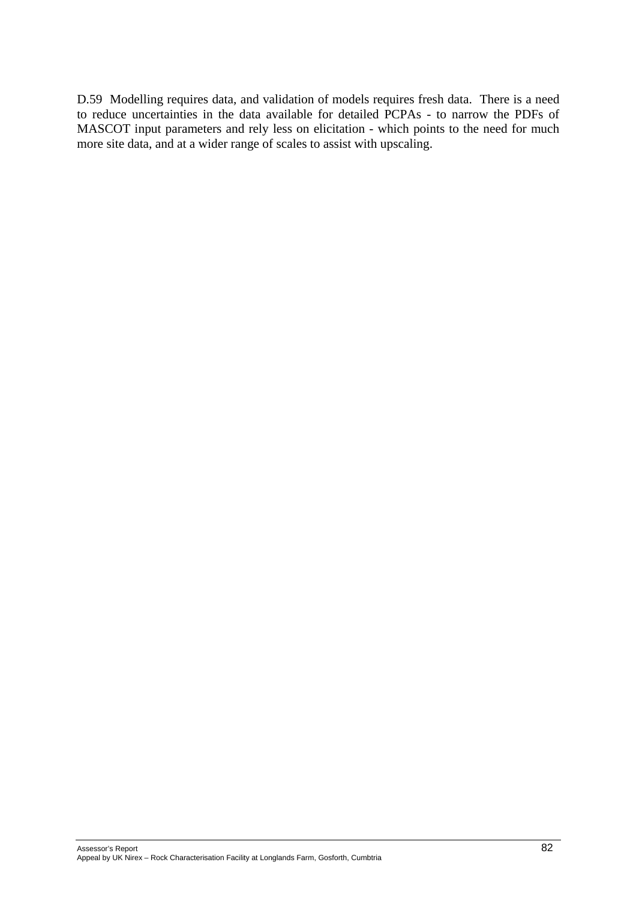D.59 Modelling requires data, and validation of models requires fresh data. There is a need to reduce uncertainties in the data available for detailed PCPAs - to narrow the PDFs of MASCOT input parameters and rely less on elicitation - which points to the need for much more site data, and at a wider range of scales to assist with upscaling.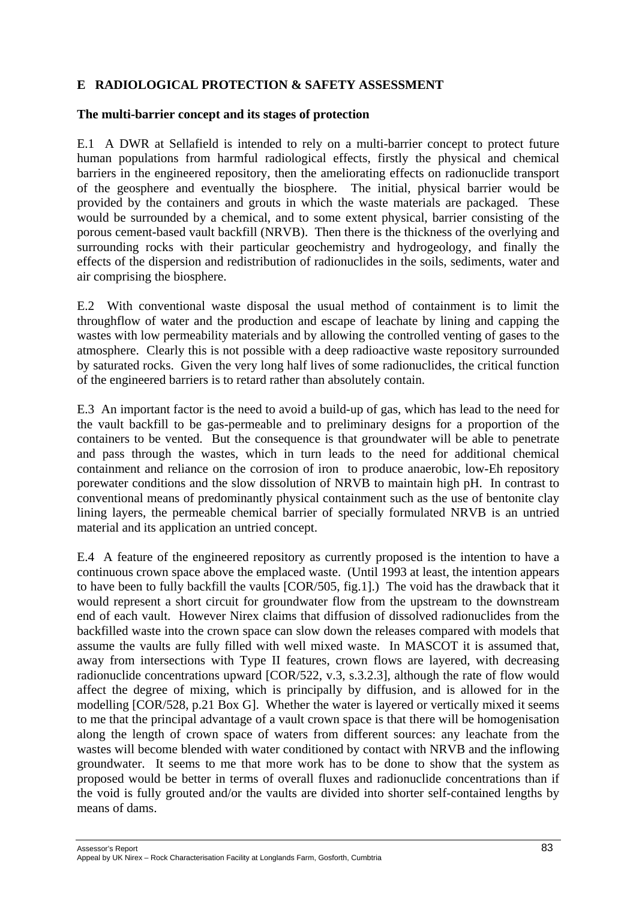# **E RADIOLOGICAL PROTECTION & SAFETY ASSESSMENT**

### **The multi-barrier concept and its stages of protection**

E.1 A DWR at Sellafield is intended to rely on a multi-barrier concept to protect future human populations from harmful radiological effects, firstly the physical and chemical barriers in the engineered repository, then the ameliorating effects on radionuclide transport of the geosphere and eventually the biosphere. The initial, physical barrier would be provided by the containers and grouts in which the waste materials are packaged. These would be surrounded by a chemical, and to some extent physical, barrier consisting of the porous cement-based vault backfill (NRVB). Then there is the thickness of the overlying and surrounding rocks with their particular geochemistry and hydrogeology, and finally the effects of the dispersion and redistribution of radionuclides in the soils, sediments, water and air comprising the biosphere.

E.2 With conventional waste disposal the usual method of containment is to limit the throughflow of water and the production and escape of leachate by lining and capping the wastes with low permeability materials and by allowing the controlled venting of gases to the atmosphere. Clearly this is not possible with a deep radioactive waste repository surrounded by saturated rocks. Given the very long half lives of some radionuclides, the critical function of the engineered barriers is to retard rather than absolutely contain.

E.3 An important factor is the need to avoid a build-up of gas, which has lead to the need for the vault backfill to be gas-permeable and to preliminary designs for a proportion of the containers to be vented. But the consequence is that groundwater will be able to penetrate and pass through the wastes, which in turn leads to the need for additional chemical containment and reliance on the corrosion of iron to produce anaerobic, low-Eh repository porewater conditions and the slow dissolution of NRVB to maintain high pH. In contrast to conventional means of predominantly physical containment such as the use of bentonite clay lining layers, the permeable chemical barrier of specially formulated NRVB is an untried material and its application an untried concept.

E.4 A feature of the engineered repository as currently proposed is the intention to have a continuous crown space above the emplaced waste. (Until 1993 at least, the intention appears to have been to fully backfill the vaults [COR/505, fig.1].) The void has the drawback that it would represent a short circuit for groundwater flow from the upstream to the downstream end of each vault. However Nirex claims that diffusion of dissolved radionuclides from the backfilled waste into the crown space can slow down the releases compared with models that assume the vaults are fully filled with well mixed waste. In MASCOT it is assumed that, away from intersections with Type II features, crown flows are layered, with decreasing radionuclide concentrations upward [COR/522, v.3, s.3.2.3], although the rate of flow would affect the degree of mixing, which is principally by diffusion, and is allowed for in the modelling [COR/528, p.21 Box G]. Whether the water is layered or vertically mixed it seems to me that the principal advantage of a vault crown space is that there will be homogenisation along the length of crown space of waters from different sources: any leachate from the wastes will become blended with water conditioned by contact with NRVB and the inflowing groundwater. It seems to me that more work has to be done to show that the system as proposed would be better in terms of overall fluxes and radionuclide concentrations than if the void is fully grouted and/or the vaults are divided into shorter self-contained lengths by means of dams.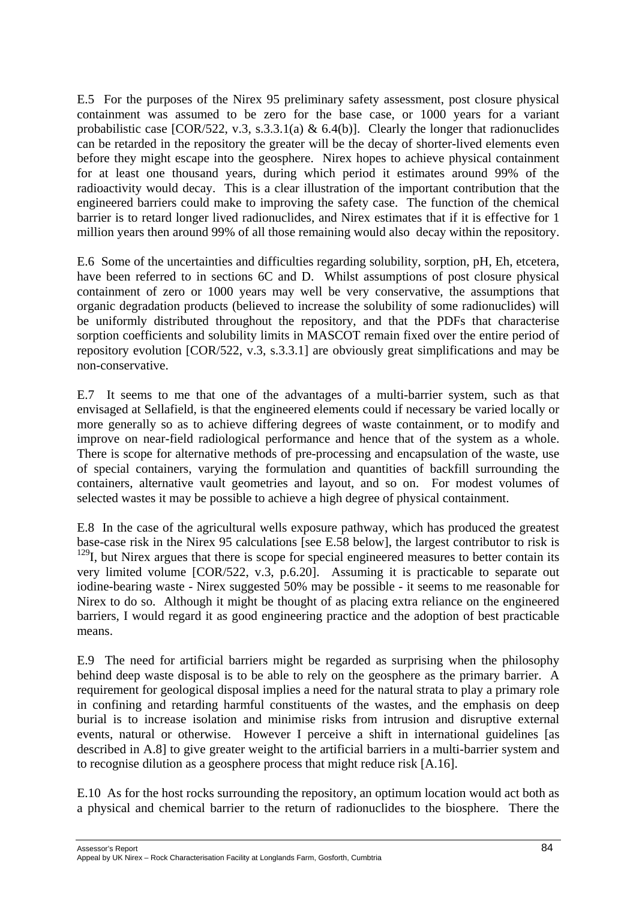E.5 For the purposes of the Nirex 95 preliminary safety assessment, post closure physical containment was assumed to be zero for the base case, or 1000 years for a variant probabilistic case  $[COR/522, v.3, s.3.3.1(a) & 6.4(b)].$  Clearly the longer that radionuclides can be retarded in the repository the greater will be the decay of shorter-lived elements even before they might escape into the geosphere. Nirex hopes to achieve physical containment for at least one thousand years, during which period it estimates around 99% of the radioactivity would decay. This is a clear illustration of the important contribution that the engineered barriers could make to improving the safety case. The function of the chemical barrier is to retard longer lived radionuclides, and Nirex estimates that if it is effective for 1 million years then around 99% of all those remaining would also decay within the repository.

E.6 Some of the uncertainties and difficulties regarding solubility, sorption, pH, Eh, etcetera, have been referred to in sections 6C and D. Whilst assumptions of post closure physical containment of zero or 1000 years may well be very conservative, the assumptions that organic degradation products (believed to increase the solubility of some radionuclides) will be uniformly distributed throughout the repository, and that the PDFs that characterise sorption coefficients and solubility limits in MASCOT remain fixed over the entire period of repository evolution [COR/522, v.3, s.3.3.1] are obviously great simplifications and may be non-conservative.

E.7 It seems to me that one of the advantages of a multi-barrier system, such as that envisaged at Sellafield, is that the engineered elements could if necessary be varied locally or more generally so as to achieve differing degrees of waste containment, or to modify and improve on near-field radiological performance and hence that of the system as a whole. There is scope for alternative methods of pre-processing and encapsulation of the waste, use of special containers, varying the formulation and quantities of backfill surrounding the containers, alternative vault geometries and layout, and so on. For modest volumes of selected wastes it may be possible to achieve a high degree of physical containment.

E.8 In the case of the agricultural wells exposure pathway, which has produced the greatest base-case risk in the Nirex 95 calculations [see E.58 below], the largest contributor to risk is <sup>129</sup>I, but Nirex argues that there is scope for special engineered measures to better contain its very limited volume [COR/522, v.3, p.6.20]. Assuming it is practicable to separate out iodine-bearing waste - Nirex suggested 50% may be possible - it seems to me reasonable for Nirex to do so. Although it might be thought of as placing extra reliance on the engineered barriers, I would regard it as good engineering practice and the adoption of best practicable means.

E.9 The need for artificial barriers might be regarded as surprising when the philosophy behind deep waste disposal is to be able to rely on the geosphere as the primary barrier. A requirement for geological disposal implies a need for the natural strata to play a primary role in confining and retarding harmful constituents of the wastes, and the emphasis on deep burial is to increase isolation and minimise risks from intrusion and disruptive external events, natural or otherwise. However I perceive a shift in international guidelines [as described in A.8] to give greater weight to the artificial barriers in a multi-barrier system and to recognise dilution as a geosphere process that might reduce risk [A.16].

E.10 As for the host rocks surrounding the repository, an optimum location would act both as a physical and chemical barrier to the return of radionuclides to the biosphere. There the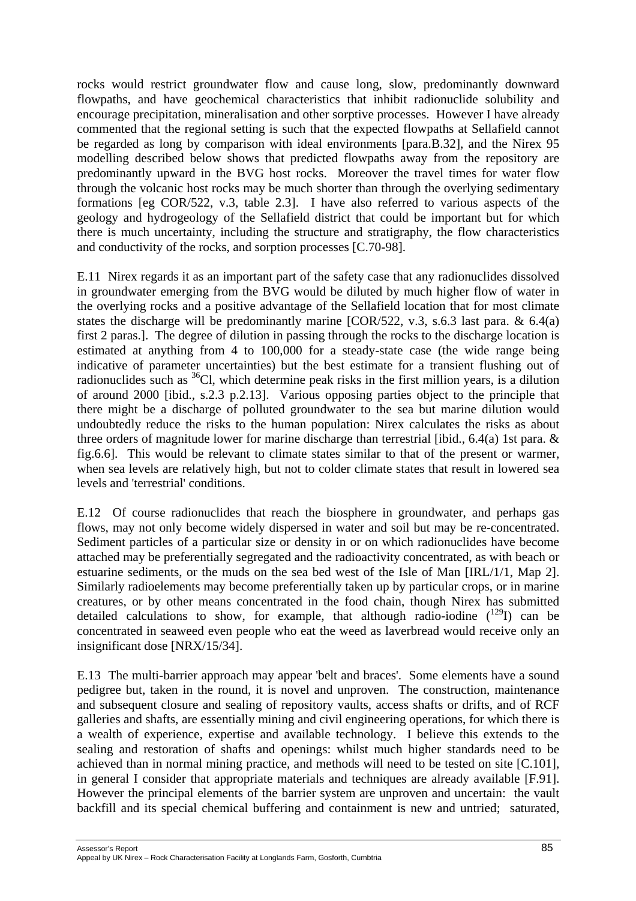rocks would restrict groundwater flow and cause long, slow, predominantly downward flowpaths, and have geochemical characteristics that inhibit radionuclide solubility and encourage precipitation, mineralisation and other sorptive processes. However I have already commented that the regional setting is such that the expected flowpaths at Sellafield cannot be regarded as long by comparison with ideal environments [para.B.32], and the Nirex 95 modelling described below shows that predicted flowpaths away from the repository are predominantly upward in the BVG host rocks. Moreover the travel times for water flow through the volcanic host rocks may be much shorter than through the overlying sedimentary formations [eg COR/522, v.3, table 2.3]. I have also referred to various aspects of the geology and hydrogeology of the Sellafield district that could be important but for which there is much uncertainty, including the structure and stratigraphy, the flow characteristics and conductivity of the rocks, and sorption processes [C.70-98].

E.11 Nirex regards it as an important part of the safety case that any radionuclides dissolved in groundwater emerging from the BVG would be diluted by much higher flow of water in the overlying rocks and a positive advantage of the Sellafield location that for most climate states the discharge will be predominantly marine  $[COR/522, v.3, s.6.3]$  last para. & 6.4(a) first 2 paras.]. The degree of dilution in passing through the rocks to the discharge location is estimated at anything from 4 to 100,000 for a steady-state case (the wide range being indicative of parameter uncertainties) but the best estimate for a transient flushing out of radionuclides such as  ${}^{36}$ Cl, which determine peak risks in the first million years, is a dilution of around 2000 [ibid., s.2.3 p.2.13]. Various opposing parties object to the principle that there might be a discharge of polluted groundwater to the sea but marine dilution would undoubtedly reduce the risks to the human population: Nirex calculates the risks as about three orders of magnitude lower for marine discharge than terrestrial [ibid., 6.4(a) 1st para. & fig.6.6]. This would be relevant to climate states similar to that of the present or warmer, when sea levels are relatively high, but not to colder climate states that result in lowered sea levels and 'terrestrial' conditions.

E.12 Of course radionuclides that reach the biosphere in groundwater, and perhaps gas flows, may not only become widely dispersed in water and soil but may be re-concentrated. Sediment particles of a particular size or density in or on which radionuclides have become attached may be preferentially segregated and the radioactivity concentrated, as with beach or estuarine sediments, or the muds on the sea bed west of the Isle of Man [IRL/1/1, Map 2]. Similarly radioelements may become preferentially taken up by particular crops, or in marine creatures, or by other means concentrated in the food chain, though Nirex has submitted detailed calculations to show, for example, that although radio-iodine  $(^{129}I)$  can be concentrated in seaweed even people who eat the weed as laverbread would receive only an insignificant dose [NRX/15/34].

E.13 The multi-barrier approach may appear 'belt and braces'. Some elements have a sound pedigree but, taken in the round, it is novel and unproven. The construction, maintenance and subsequent closure and sealing of repository vaults, access shafts or drifts, and of RCF galleries and shafts, are essentially mining and civil engineering operations, for which there is a wealth of experience, expertise and available technology. I believe this extends to the sealing and restoration of shafts and openings: whilst much higher standards need to be achieved than in normal mining practice, and methods will need to be tested on site [C.101], in general I consider that appropriate materials and techniques are already available [F.91]. However the principal elements of the barrier system are unproven and uncertain: the vault backfill and its special chemical buffering and containment is new and untried; saturated,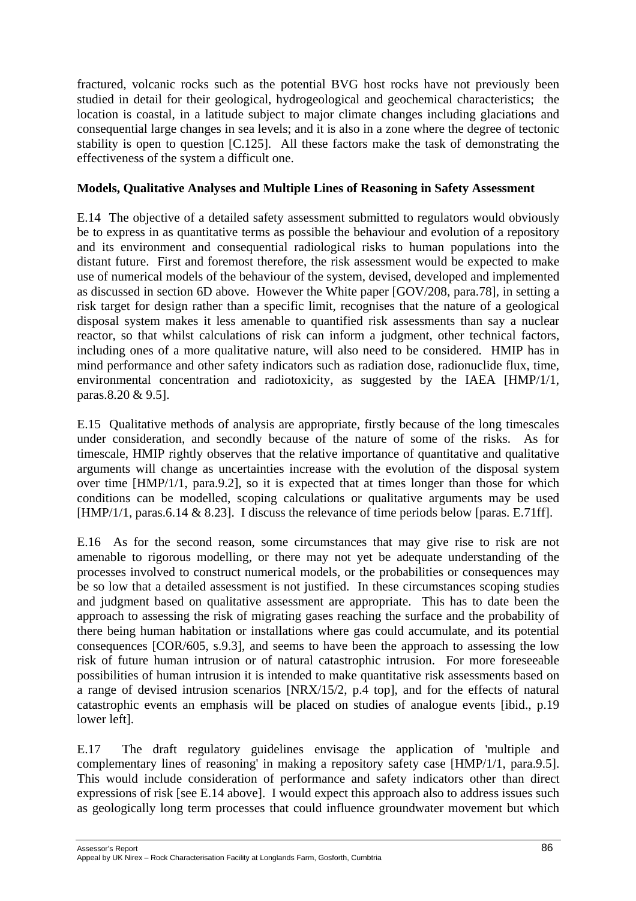fractured, volcanic rocks such as the potential BVG host rocks have not previously been studied in detail for their geological, hydrogeological and geochemical characteristics; the location is coastal, in a latitude subject to major climate changes including glaciations and consequential large changes in sea levels; and it is also in a zone where the degree of tectonic stability is open to question [C.125]. All these factors make the task of demonstrating the effectiveness of the system a difficult one.

## **Models, Qualitative Analyses and Multiple Lines of Reasoning in Safety Assessment**

E.14 The objective of a detailed safety assessment submitted to regulators would obviously be to express in as quantitative terms as possible the behaviour and evolution of a repository and its environment and consequential radiological risks to human populations into the distant future. First and foremost therefore, the risk assessment would be expected to make use of numerical models of the behaviour of the system, devised, developed and implemented as discussed in section 6D above. However the White paper [GOV/208, para.78], in setting a risk target for design rather than a specific limit, recognises that the nature of a geological disposal system makes it less amenable to quantified risk assessments than say a nuclear reactor, so that whilst calculations of risk can inform a judgment, other technical factors, including ones of a more qualitative nature, will also need to be considered. HMIP has in mind performance and other safety indicators such as radiation dose, radionuclide flux, time, environmental concentration and radiotoxicity, as suggested by the IAEA [HMP/1/1, paras.8.20 & 9.5].

E.15 Qualitative methods of analysis are appropriate, firstly because of the long timescales under consideration, and secondly because of the nature of some of the risks. As for timescale, HMIP rightly observes that the relative importance of quantitative and qualitative arguments will change as uncertainties increase with the evolution of the disposal system over time [HMP/1/1, para.9.2], so it is expected that at times longer than those for which conditions can be modelled, scoping calculations or qualitative arguments may be used [HMP/1/1, paras.6.14 & 8.23]. I discuss the relevance of time periods below [paras. E.71ff].

E.16 As for the second reason, some circumstances that may give rise to risk are not amenable to rigorous modelling, or there may not yet be adequate understanding of the processes involved to construct numerical models, or the probabilities or consequences may be so low that a detailed assessment is not justified. In these circumstances scoping studies and judgment based on qualitative assessment are appropriate. This has to date been the approach to assessing the risk of migrating gases reaching the surface and the probability of there being human habitation or installations where gas could accumulate, and its potential consequences [COR/605, s.9.3], and seems to have been the approach to assessing the low risk of future human intrusion or of natural catastrophic intrusion. For more foreseeable possibilities of human intrusion it is intended to make quantitative risk assessments based on a range of devised intrusion scenarios [NRX/15/2, p.4 top], and for the effects of natural catastrophic events an emphasis will be placed on studies of analogue events [ibid., p.19 lower left].

E.17 The draft regulatory guidelines envisage the application of 'multiple and complementary lines of reasoning' in making a repository safety case [HMP/1/1, para.9.5]. This would include consideration of performance and safety indicators other than direct expressions of risk [see E.14 above]. I would expect this approach also to address issues such as geologically long term processes that could influence groundwater movement but which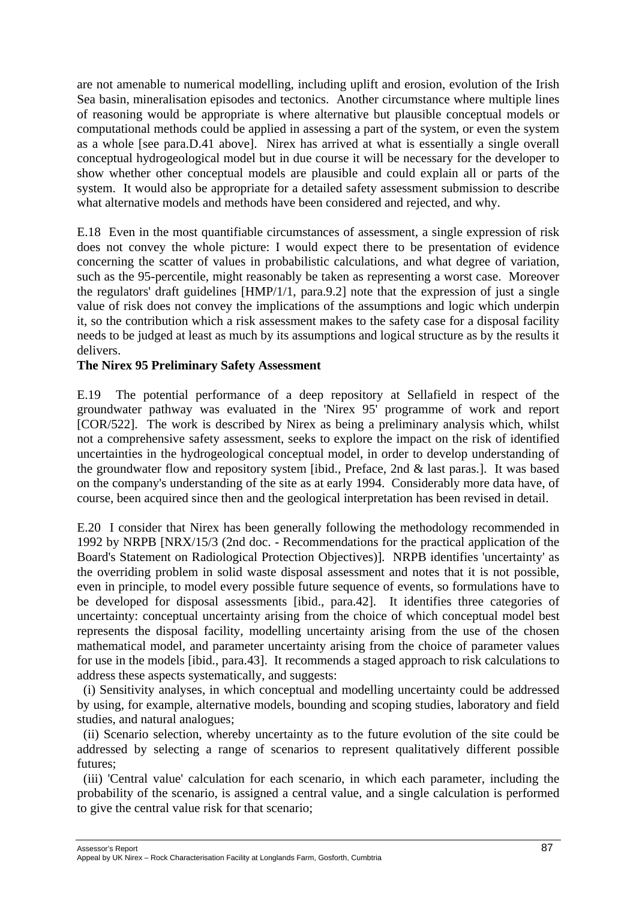are not amenable to numerical modelling, including uplift and erosion, evolution of the Irish Sea basin, mineralisation episodes and tectonics. Another circumstance where multiple lines of reasoning would be appropriate is where alternative but plausible conceptual models or computational methods could be applied in assessing a part of the system, or even the system as a whole [see para.D.41 above]. Nirex has arrived at what is essentially a single overall conceptual hydrogeological model but in due course it will be necessary for the developer to show whether other conceptual models are plausible and could explain all or parts of the system. It would also be appropriate for a detailed safety assessment submission to describe what alternative models and methods have been considered and rejected, and why.

E.18 Even in the most quantifiable circumstances of assessment, a single expression of risk does not convey the whole picture: I would expect there to be presentation of evidence concerning the scatter of values in probabilistic calculations, and what degree of variation, such as the 95-percentile, might reasonably be taken as representing a worst case. Moreover the regulators' draft guidelines [HMP/1/1, para.9.2] note that the expression of just a single value of risk does not convey the implications of the assumptions and logic which underpin it, so the contribution which a risk assessment makes to the safety case for a disposal facility needs to be judged at least as much by its assumptions and logical structure as by the results it delivers.

#### **The Nirex 95 Preliminary Safety Assessment**

E.19 The potential performance of a deep repository at Sellafield in respect of the groundwater pathway was evaluated in the 'Nirex 95' programme of work and report [COR/522]. The work is described by Nirex as being a preliminary analysis which, whilst not a comprehensive safety assessment, seeks to explore the impact on the risk of identified uncertainties in the hydrogeological conceptual model, in order to develop understanding of the groundwater flow and repository system [ibid., Preface, 2nd & last paras.]. It was based on the company's understanding of the site as at early 1994. Considerably more data have, of course, been acquired since then and the geological interpretation has been revised in detail.

E.20 I consider that Nirex has been generally following the methodology recommended in 1992 by NRPB [NRX/15/3 (2nd doc. - Recommendations for the practical application of the Board's Statement on Radiological Protection Objectives)]. NRPB identifies 'uncertainty' as the overriding problem in solid waste disposal assessment and notes that it is not possible, even in principle, to model every possible future sequence of events, so formulations have to be developed for disposal assessments [ibid., para.42]. It identifies three categories of uncertainty: conceptual uncertainty arising from the choice of which conceptual model best represents the disposal facility, modelling uncertainty arising from the use of the chosen mathematical model, and parameter uncertainty arising from the choice of parameter values for use in the models [ibid., para.43]. It recommends a staged approach to risk calculations to address these aspects systematically, and suggests:

(i) Sensitivity analyses, in which conceptual and modelling uncertainty could be addressed by using, for example, alternative models, bounding and scoping studies, laboratory and field studies, and natural analogues;

 (ii) Scenario selection, whereby uncertainty as to the future evolution of the site could be addressed by selecting a range of scenarios to represent qualitatively different possible futures;

(iii) 'Central value' calculation for each scenario, in which each parameter, including the probability of the scenario, is assigned a central value, and a single calculation is performed to give the central value risk for that scenario;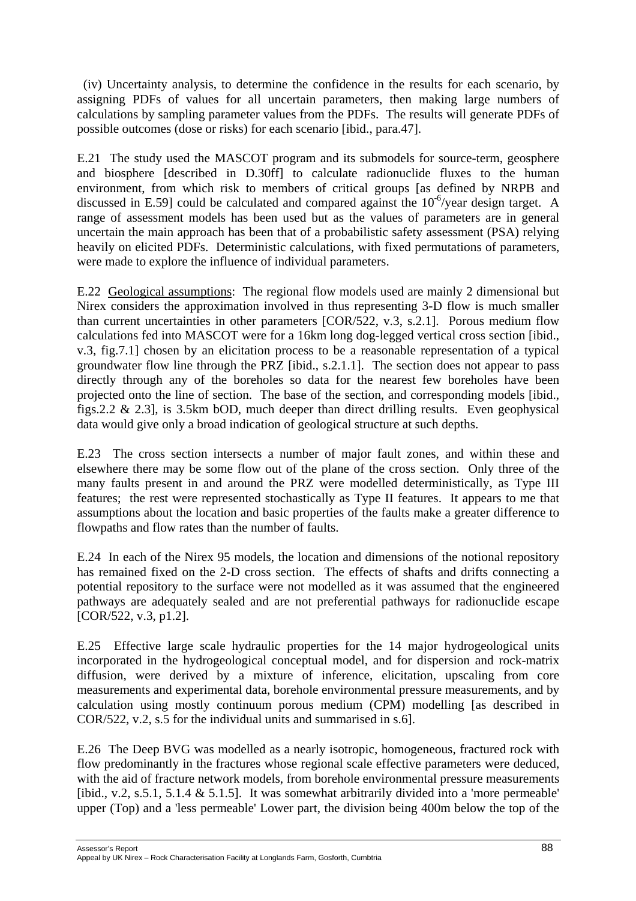(iv) Uncertainty analysis, to determine the confidence in the results for each scenario, by assigning PDFs of values for all uncertain parameters, then making large numbers of calculations by sampling parameter values from the PDFs. The results will generate PDFs of possible outcomes (dose or risks) for each scenario [ibid., para.47].

E.21 The study used the MASCOT program and its submodels for source-term, geosphere and biosphere [described in D.30ff] to calculate radionuclide fluxes to the human environment, from which risk to members of critical groups [as defined by NRPB and discussed in E.59] could be calculated and compared against the  $10^{-6}$ /year design target. A range of assessment models has been used but as the values of parameters are in general uncertain the main approach has been that of a probabilistic safety assessment (PSA) relying heavily on elicited PDFs. Deterministic calculations, with fixed permutations of parameters, were made to explore the influence of individual parameters.

E.22 Geological assumptions: The regional flow models used are mainly 2 dimensional but Nirex considers the approximation involved in thus representing 3-D flow is much smaller than current uncertainties in other parameters [COR/522, v.3, s.2.1]. Porous medium flow calculations fed into MASCOT were for a 16km long dog-legged vertical cross section [ibid., v.3, fig.7.1] chosen by an elicitation process to be a reasonable representation of a typical groundwater flow line through the PRZ [ibid., s.2.1.1]. The section does not appear to pass directly through any of the boreholes so data for the nearest few boreholes have been projected onto the line of section. The base of the section, and corresponding models [ibid., figs.2.2 & 2.3], is 3.5km bOD, much deeper than direct drilling results. Even geophysical data would give only a broad indication of geological structure at such depths.

E.23 The cross section intersects a number of major fault zones, and within these and elsewhere there may be some flow out of the plane of the cross section. Only three of the many faults present in and around the PRZ were modelled deterministically, as Type III features; the rest were represented stochastically as Type II features. It appears to me that assumptions about the location and basic properties of the faults make a greater difference to flowpaths and flow rates than the number of faults.

E.24 In each of the Nirex 95 models, the location and dimensions of the notional repository has remained fixed on the 2-D cross section. The effects of shafts and drifts connecting a potential repository to the surface were not modelled as it was assumed that the engineered pathways are adequately sealed and are not preferential pathways for radionuclide escape [COR/522, v.3, p1.2].

E.25 Effective large scale hydraulic properties for the 14 major hydrogeological units incorporated in the hydrogeological conceptual model, and for dispersion and rock-matrix diffusion, were derived by a mixture of inference, elicitation, upscaling from core measurements and experimental data, borehole environmental pressure measurements, and by calculation using mostly continuum porous medium (CPM) modelling [as described in COR/522, v.2, s.5 for the individual units and summarised in s.6].

E.26 The Deep BVG was modelled as a nearly isotropic, homogeneous, fractured rock with flow predominantly in the fractures whose regional scale effective parameters were deduced, with the aid of fracture network models, from borehole environmental pressure measurements [ibid., v.2, s.5.1, 5.1.4  $&$  5.1.5]. It was somewhat arbitrarily divided into a 'more permeable' upper (Top) and a 'less permeable' Lower part, the division being 400m below the top of the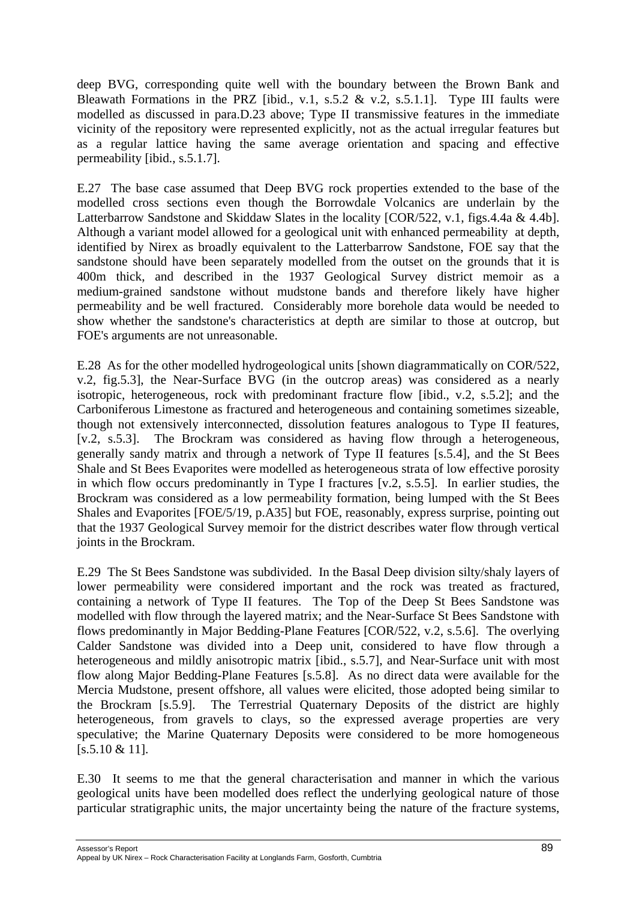deep BVG, corresponding quite well with the boundary between the Brown Bank and Bleawath Formations in the PRZ [ibid., v.1, s.5.2 & v.2, s.5.1.1]. Type III faults were modelled as discussed in para.D.23 above; Type II transmissive features in the immediate vicinity of the repository were represented explicitly, not as the actual irregular features but as a regular lattice having the same average orientation and spacing and effective permeability [ibid., s.5.1.7].

E.27 The base case assumed that Deep BVG rock properties extended to the base of the modelled cross sections even though the Borrowdale Volcanics are underlain by the Latterbarrow Sandstone and Skiddaw Slates in the locality  $ICOR/522$ , v.1, figs.4.4a & 4.4b]. Although a variant model allowed for a geological unit with enhanced permeability at depth, identified by Nirex as broadly equivalent to the Latterbarrow Sandstone, FOE say that the sandstone should have been separately modelled from the outset on the grounds that it is 400m thick, and described in the 1937 Geological Survey district memoir as a medium-grained sandstone without mudstone bands and therefore likely have higher permeability and be well fractured. Considerably more borehole data would be needed to show whether the sandstone's characteristics at depth are similar to those at outcrop, but FOE's arguments are not unreasonable.

E.28 As for the other modelled hydrogeological units [shown diagrammatically on COR/522, v.2, fig.5.3], the Near-Surface BVG (in the outcrop areas) was considered as a nearly isotropic, heterogeneous, rock with predominant fracture flow [ibid., v.2, s.5.2]; and the Carboniferous Limestone as fractured and heterogeneous and containing sometimes sizeable, though not extensively interconnected, dissolution features analogous to Type II features, [v.2, s.5.3]. The Brockram was considered as having flow through a heterogeneous, generally sandy matrix and through a network of Type II features [s.5.4], and the St Bees Shale and St Bees Evaporites were modelled as heterogeneous strata of low effective porosity in which flow occurs predominantly in Type I fractures [v.2, s.5.5]. In earlier studies, the Brockram was considered as a low permeability formation, being lumped with the St Bees Shales and Evaporites [FOE/5/19, p.A35] but FOE, reasonably, express surprise, pointing out that the 1937 Geological Survey memoir for the district describes water flow through vertical joints in the Brockram.

E.29 The St Bees Sandstone was subdivided. In the Basal Deep division silty/shaly layers of lower permeability were considered important and the rock was treated as fractured, containing a network of Type II features. The Top of the Deep St Bees Sandstone was modelled with flow through the layered matrix; and the Near-Surface St Bees Sandstone with flows predominantly in Major Bedding-Plane Features [COR/522, v.2, s.5.6]. The overlying Calder Sandstone was divided into a Deep unit, considered to have flow through a heterogeneous and mildly anisotropic matrix [ibid., s.5.7], and Near-Surface unit with most flow along Major Bedding-Plane Features [s.5.8]. As no direct data were available for the Mercia Mudstone, present offshore, all values were elicited, those adopted being similar to the Brockram [s.5.9]. The Terrestrial Quaternary Deposits of the district are highly heterogeneous, from gravels to clays, so the expressed average properties are very speculative; the Marine Quaternary Deposits were considered to be more homogeneous [s.5.10 & 11].

E.30 It seems to me that the general characterisation and manner in which the various geological units have been modelled does reflect the underlying geological nature of those particular stratigraphic units, the major uncertainty being the nature of the fracture systems,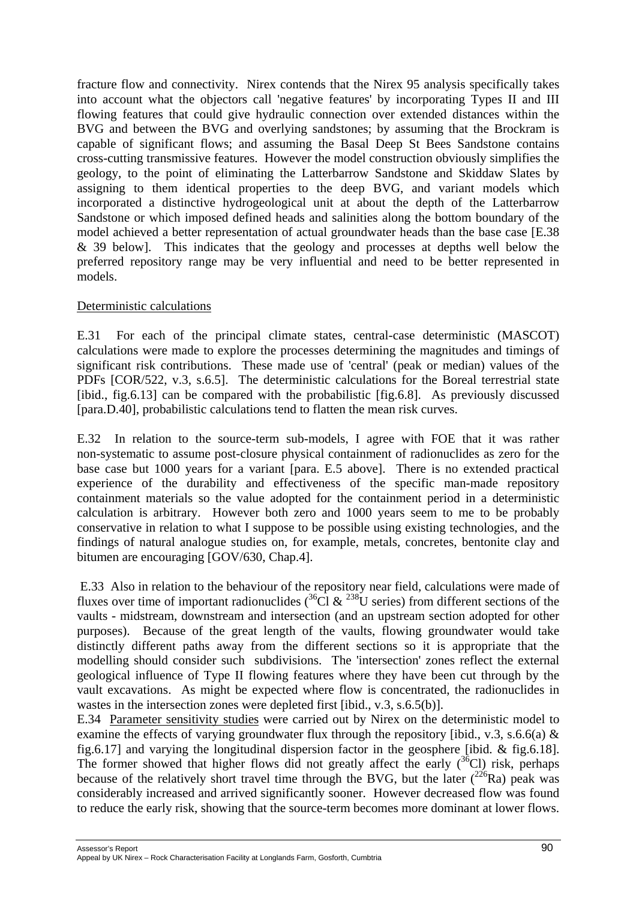fracture flow and connectivity. Nirex contends that the Nirex 95 analysis specifically takes into account what the objectors call 'negative features' by incorporating Types II and III flowing features that could give hydraulic connection over extended distances within the BVG and between the BVG and overlying sandstones; by assuming that the Brockram is capable of significant flows; and assuming the Basal Deep St Bees Sandstone contains cross-cutting transmissive features. However the model construction obviously simplifies the geology, to the point of eliminating the Latterbarrow Sandstone and Skiddaw Slates by assigning to them identical properties to the deep BVG, and variant models which incorporated a distinctive hydrogeological unit at about the depth of the Latterbarrow Sandstone or which imposed defined heads and salinities along the bottom boundary of the model achieved a better representation of actual groundwater heads than the base case [E.38 & 39 below]. This indicates that the geology and processes at depths well below the preferred repository range may be very influential and need to be better represented in models.

### Deterministic calculations

E.31 For each of the principal climate states, central-case deterministic (MASCOT) calculations were made to explore the processes determining the magnitudes and timings of significant risk contributions. These made use of 'central' (peak or median) values of the PDFs [COR/522, v.3, s.6.5]. The deterministic calculations for the Boreal terrestrial state [ibid., fig.6.13] can be compared with the probabilistic [fig.6.8]. As previously discussed [para.D.40], probabilistic calculations tend to flatten the mean risk curves.

E.32 In relation to the source-term sub-models, I agree with FOE that it was rather non-systematic to assume post-closure physical containment of radionuclides as zero for the base case but 1000 years for a variant [para. E.5 above]. There is no extended practical experience of the durability and effectiveness of the specific man-made repository containment materials so the value adopted for the containment period in a deterministic calculation is arbitrary. However both zero and 1000 years seem to me to be probably conservative in relation to what I suppose to be possible using existing technologies, and the findings of natural analogue studies on, for example, metals, concretes, bentonite clay and bitumen are encouraging [GOV/630, Chap.4].

E.33 Also in relation to the behaviour of the repository near field, calculations were made of fluxes over time of important radionuclides  $\binom{36}{1}$  &  $\frac{238}{1}$  series) from different sections of the vaults - midstream, downstream and intersection (and an upstream section adopted for other purposes). Because of the great length of the vaults, flowing groundwater would take distinctly different paths away from the different sections so it is appropriate that the modelling should consider such subdivisions. The 'intersection' zones reflect the external geological influence of Type II flowing features where they have been cut through by the vault excavations. As might be expected where flow is concentrated, the radionuclides in wastes in the intersection zones were depleted first [ibid., v.3, s.6.5(b)].

E.34 Parameter sensitivity studies were carried out by Nirex on the deterministic model to examine the effects of varying groundwater flux through the repository [ibid., v.3, s.6.6(a)  $\&$ fig.6.17] and varying the longitudinal dispersion factor in the geosphere [ibid. & fig.6.18]. The former showed that higher flows did not greatly affect the early  $({}^{36}Cl)$  risk, perhaps because of the relatively short travel time through the BVG, but the later  $\frac{226}{R}$ a) peak was considerably increased and arrived significantly sooner. However decreased flow was found to reduce the early risk, showing that the source-term becomes more dominant at lower flows.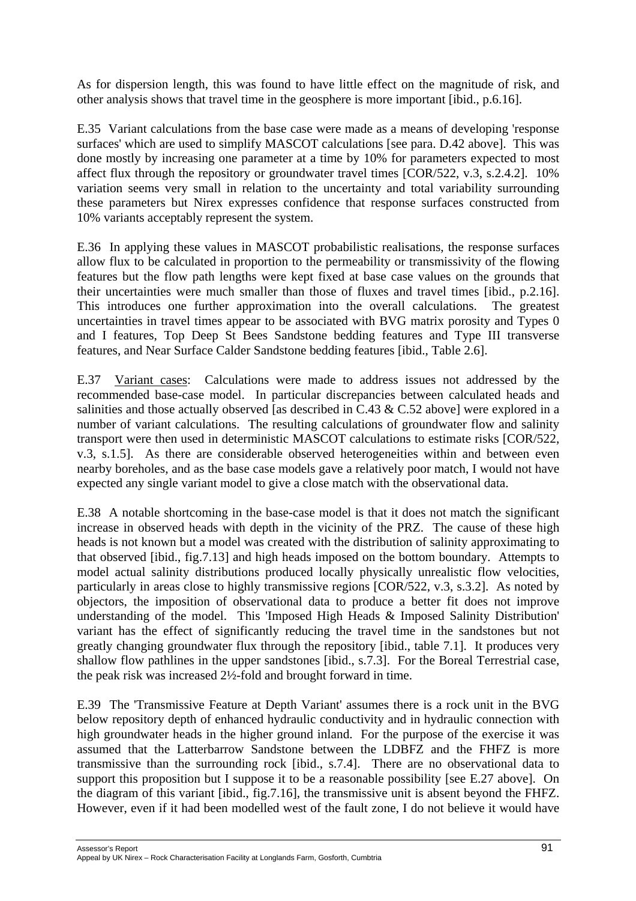As for dispersion length, this was found to have little effect on the magnitude of risk, and other analysis shows that travel time in the geosphere is more important [ibid., p.6.16].

E.35 Variant calculations from the base case were made as a means of developing 'response surfaces' which are used to simplify MASCOT calculations [see para. D.42 above]. This was done mostly by increasing one parameter at a time by 10% for parameters expected to most affect flux through the repository or groundwater travel times [COR/522, v.3, s.2.4.2]. 10% variation seems very small in relation to the uncertainty and total variability surrounding these parameters but Nirex expresses confidence that response surfaces constructed from 10% variants acceptably represent the system.

E.36 In applying these values in MASCOT probabilistic realisations, the response surfaces allow flux to be calculated in proportion to the permeability or transmissivity of the flowing features but the flow path lengths were kept fixed at base case values on the grounds that their uncertainties were much smaller than those of fluxes and travel times [ibid., p.2.16]. This introduces one further approximation into the overall calculations. The greatest uncertainties in travel times appear to be associated with BVG matrix porosity and Types 0 and I features, Top Deep St Bees Sandstone bedding features and Type III transverse features, and Near Surface Calder Sandstone bedding features [ibid., Table 2.6].

E.37 Variant cases: Calculations were made to address issues not addressed by the recommended base-case model. In particular discrepancies between calculated heads and salinities and those actually observed [as described in C.43 & C.52 above] were explored in a number of variant calculations. The resulting calculations of groundwater flow and salinity transport were then used in deterministic MASCOT calculations to estimate risks [COR/522, v.3, s.1.5]. As there are considerable observed heterogeneities within and between even nearby boreholes, and as the base case models gave a relatively poor match, I would not have expected any single variant model to give a close match with the observational data.

E.38 A notable shortcoming in the base-case model is that it does not match the significant increase in observed heads with depth in the vicinity of the PRZ. The cause of these high heads is not known but a model was created with the distribution of salinity approximating to that observed [ibid., fig.7.13] and high heads imposed on the bottom boundary. Attempts to model actual salinity distributions produced locally physically unrealistic flow velocities, particularly in areas close to highly transmissive regions [COR/522, v.3, s.3.2]. As noted by objectors, the imposition of observational data to produce a better fit does not improve understanding of the model. This 'Imposed High Heads & Imposed Salinity Distribution' variant has the effect of significantly reducing the travel time in the sandstones but not greatly changing groundwater flux through the repository [ibid., table 7.1]. It produces very shallow flow pathlines in the upper sandstones [ibid., s.7.3]. For the Boreal Terrestrial case, the peak risk was increased 2½-fold and brought forward in time.

E.39 The 'Transmissive Feature at Depth Variant' assumes there is a rock unit in the BVG below repository depth of enhanced hydraulic conductivity and in hydraulic connection with high groundwater heads in the higher ground inland. For the purpose of the exercise it was assumed that the Latterbarrow Sandstone between the LDBFZ and the FHFZ is more transmissive than the surrounding rock [ibid., s.7.4]. There are no observational data to support this proposition but I suppose it to be a reasonable possibility [see E.27 above]. On the diagram of this variant [ibid., fig.7.16], the transmissive unit is absent beyond the FHFZ. However, even if it had been modelled west of the fault zone, I do not believe it would have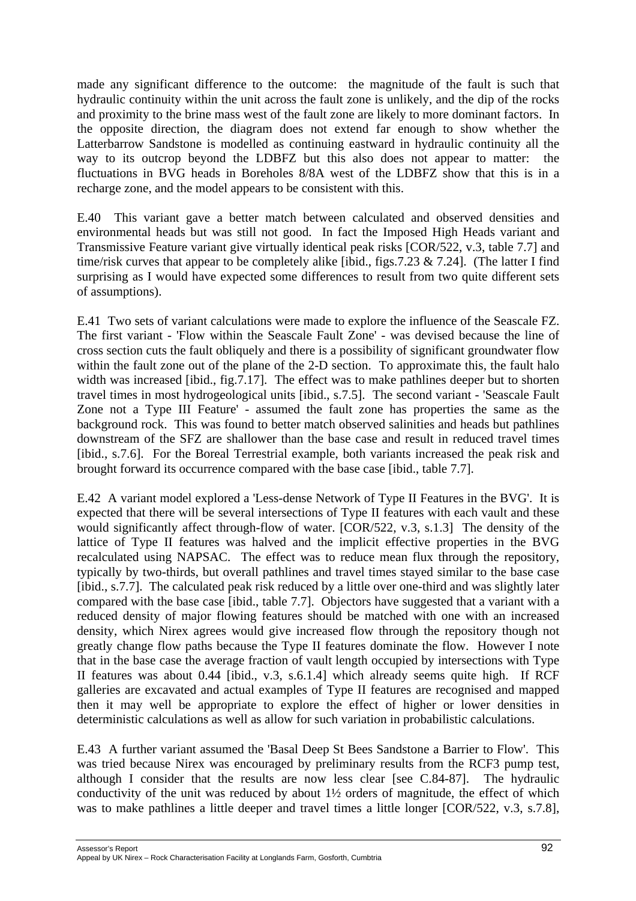made any significant difference to the outcome: the magnitude of the fault is such that hydraulic continuity within the unit across the fault zone is unlikely, and the dip of the rocks and proximity to the brine mass west of the fault zone are likely to more dominant factors. In the opposite direction, the diagram does not extend far enough to show whether the Latterbarrow Sandstone is modelled as continuing eastward in hydraulic continuity all the way to its outcrop beyond the LDBFZ but this also does not appear to matter: the fluctuations in BVG heads in Boreholes 8/8A west of the LDBFZ show that this is in a recharge zone, and the model appears to be consistent with this.

E.40 This variant gave a better match between calculated and observed densities and environmental heads but was still not good. In fact the Imposed High Heads variant and Transmissive Feature variant give virtually identical peak risks [COR/522, v.3, table 7.7] and time/risk curves that appear to be completely alike [ibid., figs.  $7.23 \& 7.24$ ]. (The latter I find surprising as I would have expected some differences to result from two quite different sets of assumptions).

E.41 Two sets of variant calculations were made to explore the influence of the Seascale FZ. The first variant - 'Flow within the Seascale Fault Zone' - was devised because the line of cross section cuts the fault obliquely and there is a possibility of significant groundwater flow within the fault zone out of the plane of the 2-D section. To approximate this, the fault halo width was increased [ibid., fig. 7.17]. The effect was to make pathlines deeper but to shorten travel times in most hydrogeological units [ibid., s.7.5]. The second variant - 'Seascale Fault Zone not a Type III Feature' - assumed the fault zone has properties the same as the background rock. This was found to better match observed salinities and heads but pathlines downstream of the SFZ are shallower than the base case and result in reduced travel times [ibid., s.7.6]. For the Boreal Terrestrial example, both variants increased the peak risk and brought forward its occurrence compared with the base case [ibid., table 7.7].

E.42 A variant model explored a 'Less-dense Network of Type II Features in the BVG'. It is expected that there will be several intersections of Type II features with each vault and these would significantly affect through-flow of water. [COR/522, v.3, s.1.3] The density of the lattice of Type II features was halved and the implicit effective properties in the BVG recalculated using NAPSAC. The effect was to reduce mean flux through the repository, typically by two-thirds, but overall pathlines and travel times stayed similar to the base case [ibid., s.7.7]. The calculated peak risk reduced by a little over one-third and was slightly later compared with the base case [ibid., table 7.7]. Objectors have suggested that a variant with a reduced density of major flowing features should be matched with one with an increased density, which Nirex agrees would give increased flow through the repository though not greatly change flow paths because the Type II features dominate the flow. However I note that in the base case the average fraction of vault length occupied by intersections with Type II features was about 0.44 [ibid., v.3, s.6.1.4] which already seems quite high. If RCF galleries are excavated and actual examples of Type II features are recognised and mapped then it may well be appropriate to explore the effect of higher or lower densities in deterministic calculations as well as allow for such variation in probabilistic calculations.

E.43 A further variant assumed the 'Basal Deep St Bees Sandstone a Barrier to Flow'. This was tried because Nirex was encouraged by preliminary results from the RCF3 pump test, although I consider that the results are now less clear [see C.84-87]. The hydraulic conductivity of the unit was reduced by about 1½ orders of magnitude, the effect of which was to make pathlines a little deeper and travel times a little longer [COR/522, v.3, s.7.8],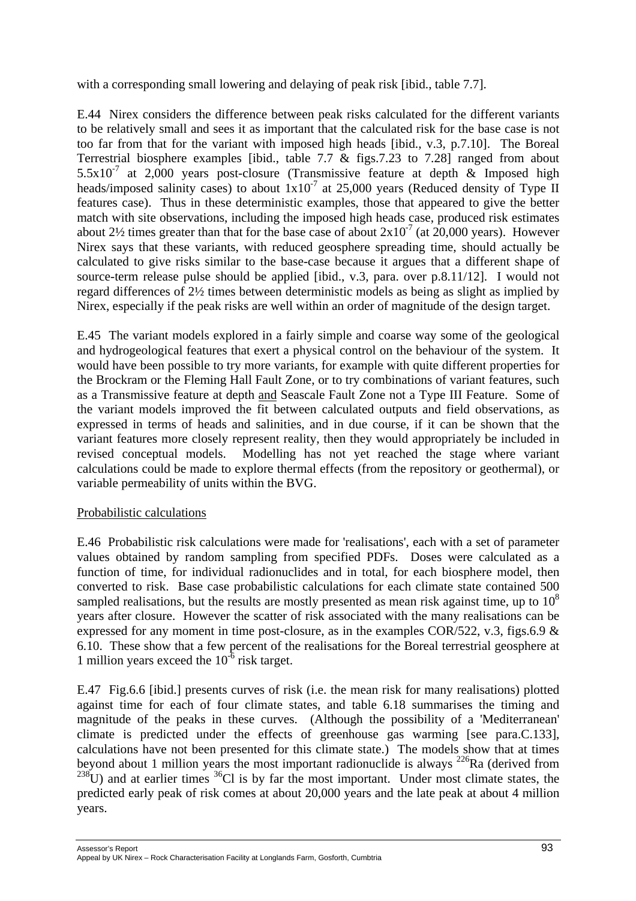with a corresponding small lowering and delaying of peak risk [ibid., table 7.7].

E.44 Nirex considers the difference between peak risks calculated for the different variants to be relatively small and sees it as important that the calculated risk for the base case is not too far from that for the variant with imposed high heads [ibid., v.3, p.7.10]. The Boreal Terrestrial biosphere examples [ibid., table 7.7 & figs.7.23 to 7.28] ranged from about  $5.5x10<sup>-7</sup>$  at 2,000 years post-closure (Transmissive feature at depth & Imposed high heads/imposed salinity cases) to about  $1x10<sup>-7</sup>$  at 25,000 years (Reduced density of Type II features case). Thus in these deterministic examples, those that appeared to give the better match with site observations, including the imposed high heads case, produced risk estimates about 2<sup>1</sup>/<sub>2</sub> times greater than that for the base case of about  $2x10^{-7}$  (at 20,000 years). However Nirex says that these variants, with reduced geosphere spreading time, should actually be calculated to give risks similar to the base-case because it argues that a different shape of source-term release pulse should be applied [ibid., v.3, para. over p.8.11/12]. I would not regard differences of 2½ times between deterministic models as being as slight as implied by Nirex, especially if the peak risks are well within an order of magnitude of the design target.

E.45 The variant models explored in a fairly simple and coarse way some of the geological and hydrogeological features that exert a physical control on the behaviour of the system. It would have been possible to try more variants, for example with quite different properties for the Brockram or the Fleming Hall Fault Zone, or to try combinations of variant features, such as a Transmissive feature at depth and Seascale Fault Zone not a Type III Feature. Some of the variant models improved the fit between calculated outputs and field observations, as expressed in terms of heads and salinities, and in due course, if it can be shown that the variant features more closely represent reality, then they would appropriately be included in revised conceptual models. Modelling has not yet reached the stage where variant calculations could be made to explore thermal effects (from the repository or geothermal), or variable permeability of units within the BVG.

# Probabilistic calculations

E.46 Probabilistic risk calculations were made for 'realisations', each with a set of parameter values obtained by random sampling from specified PDFs. Doses were calculated as a function of time, for individual radionuclides and in total, for each biosphere model, then converted to risk. Base case probabilistic calculations for each climate state contained 500 sampled realisations, but the results are mostly presented as mean risk against time, up to  $10<sup>8</sup>$ years after closure. However the scatter of risk associated with the many realisations can be expressed for any moment in time post-closure, as in the examples COR/522, v.3, figs.6.9  $\&$ 6.10. These show that a few percent of the realisations for the Boreal terrestrial geosphere at 1 million years exceed the  $10^{-6}$  risk target.

E.47 Fig.6.6 [ibid.] presents curves of risk (i.e. the mean risk for many realisations) plotted against time for each of four climate states, and table 6.18 summarises the timing and magnitude of the peaks in these curves. (Although the possibility of a 'Mediterranean' climate is predicted under the effects of greenhouse gas warming [see para.C.133], calculations have not been presented for this climate state.) The models show that at times beyond about 1 million years the most important radionuclide is always  $^{226}$ Ra (derived from  $238$ U) and at earlier times  $36$ Cl is by far the most important. Under most climate states, the predicted early peak of risk comes at about 20,000 years and the late peak at about 4 million years.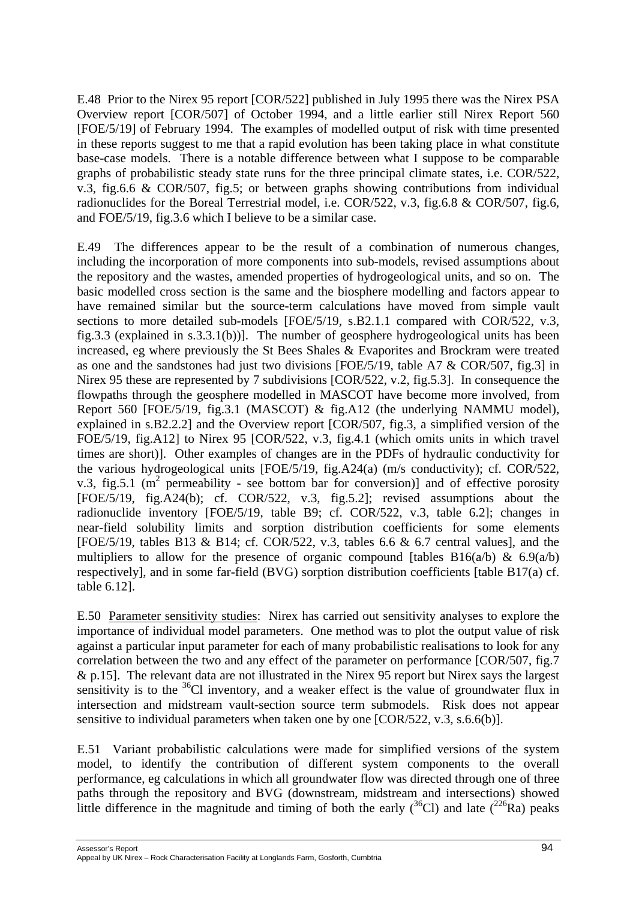E.48 Prior to the Nirex 95 report [COR/522] published in July 1995 there was the Nirex PSA Overview report [COR/507] of October 1994, and a little earlier still Nirex Report 560 [FOE/5/19] of February 1994. The examples of modelled output of risk with time presented in these reports suggest to me that a rapid evolution has been taking place in what constitute base-case models. There is a notable difference between what I suppose to be comparable graphs of probabilistic steady state runs for the three principal climate states, i.e. COR/522, v.3, fig.6.6 & COR/507, fig.5; or between graphs showing contributions from individual radionuclides for the Boreal Terrestrial model, i.e. COR/522, v.3, fig.6.8 & COR/507, fig.6, and FOE/5/19, fig.3.6 which I believe to be a similar case.

E.49 The differences appear to be the result of a combination of numerous changes, including the incorporation of more components into sub-models, revised assumptions about the repository and the wastes, amended properties of hydrogeological units, and so on. The basic modelled cross section is the same and the biosphere modelling and factors appear to have remained similar but the source-term calculations have moved from simple vault sections to more detailed sub-models [FOE/5/19, s.B2.1.1 compared with COR/522, v.3, fig.3.3 (explained in s.3.3.1(b))]. The number of geosphere hydrogeological units has been increased, eg where previously the St Bees Shales & Evaporites and Brockram were treated as one and the sandstones had just two divisions [FOE/5/19, table A7 & COR/507, fig.3] in Nirex 95 these are represented by 7 subdivisions [COR/522, v.2, fig.5.3]. In consequence the flowpaths through the geosphere modelled in MASCOT have become more involved, from Report 560 [FOE/5/19, fig.3.1 (MASCOT) & fig.A12 (the underlying NAMMU model), explained in s.B2.2.2] and the Overview report [COR/507, fig.3, a simplified version of the FOE/5/19, fig.A12] to Nirex 95 [COR/522, v.3, fig.4.1 (which omits units in which travel times are short)]. Other examples of changes are in the PDFs of hydraulic conductivity for the various hydrogeological units [FOE/5/19, fig.A24(a) (m/s conductivity); cf. COR/522, v.3, fig.5.1 ( $m^2$  permeability - see bottom bar for conversion)] and of effective porosity [FOE/5/19, fig.A24(b); cf. COR/522, v.3, fig.5.2]; revised assumptions about the radionuclide inventory [FOE/5/19, table B9; cf. COR/522, v.3, table 6.2]; changes in near-field solubility limits and sorption distribution coefficients for some elements [FOE/5/19, tables B13 & B14; cf. COR/522, v.3, tables 6.6 & 6.7 central values], and the multipliers to allow for the presence of organic compound [tables B16(a/b) &  $6.9(a/b)$ respectively], and in some far-field (BVG) sorption distribution coefficients [table B17(a) cf. table 6.12].

E.50 Parameter sensitivity studies: Nirex has carried out sensitivity analyses to explore the importance of individual model parameters. One method was to plot the output value of risk against a particular input parameter for each of many probabilistic realisations to look for any correlation between the two and any effect of the parameter on performance [COR/507, fig.7 & p.15]. The relevant data are not illustrated in the Nirex 95 report but Nirex says the largest sensitivity is to the  ${}^{36}Cl$  inventory, and a weaker effect is the value of groundwater flux in intersection and midstream vault-section source term submodels. Risk does not appear sensitive to individual parameters when taken one by one [COR/522, v.3, s.6.6(b)].

E.51 Variant probabilistic calculations were made for simplified versions of the system model, to identify the contribution of different system components to the overall performance, eg calculations in which all groundwater flow was directed through one of three paths through the repository and BVG (downstream, midstream and intersections) showed little difference in the magnitude and timing of both the early  $(^{36}Cl)$  and late  $(^{226}Ra)$  peaks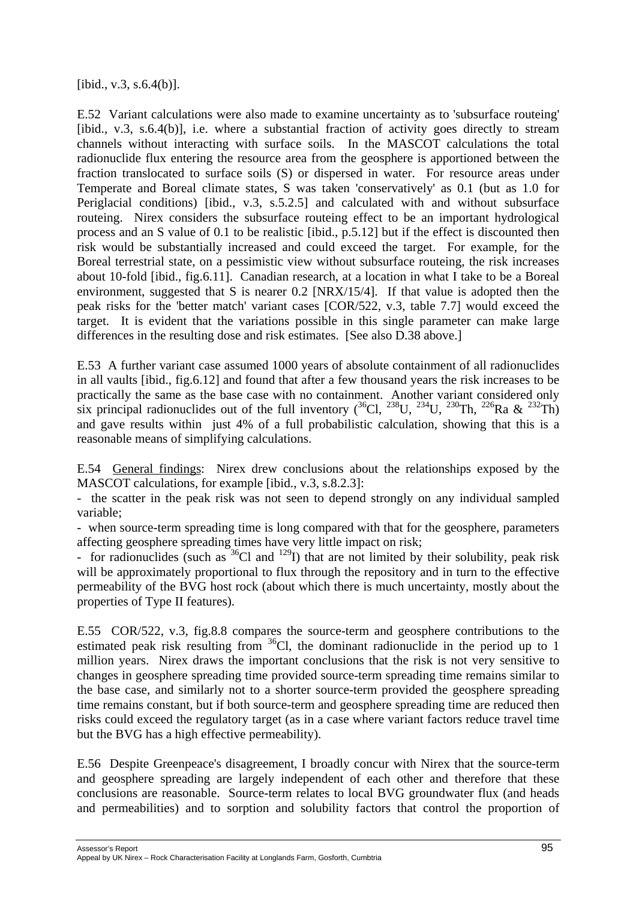[ibid., v.3, s.6.4(b)].

E.52 Variant calculations were also made to examine uncertainty as to 'subsurface routeing' [ibid., v.3, s.6.4(b)], i.e. where a substantial fraction of activity goes directly to stream channels without interacting with surface soils. In the MASCOT calculations the total radionuclide flux entering the resource area from the geosphere is apportioned between the fraction translocated to surface soils (S) or dispersed in water. For resource areas under Temperate and Boreal climate states, S was taken 'conservatively' as 0.1 (but as 1.0 for Periglacial conditions) [ibid., v.3, s.5.2.5] and calculated with and without subsurface routeing. Nirex considers the subsurface routeing effect to be an important hydrological process and an S value of 0.1 to be realistic [ibid., p.5.12] but if the effect is discounted then risk would be substantially increased and could exceed the target. For example, for the Boreal terrestrial state, on a pessimistic view without subsurface routeing, the risk increases about 10-fold [ibid., fig.6.11]. Canadian research, at a location in what I take to be a Boreal environment, suggested that S is nearer 0.2 [NRX/15/4]. If that value is adopted then the peak risks for the 'better match' variant cases [COR/522, v.3, table 7.7] would exceed the target. It is evident that the variations possible in this single parameter can make large differences in the resulting dose and risk estimates. [See also D.38 above.]

E.53 A further variant case assumed 1000 years of absolute containment of all radionuclides in all vaults [ibid., fig.6.12] and found that after a few thousand years the risk increases to be practically the same as the base case with no containment. Another variant considered only six principal radionuclides out of the full inventory  $(^{36}Cl, {}^{238}U, {}^{234}U, {}^{230}Th, {}^{226}Ra \& {}^{232}Th)$ and gave results within just 4% of a full probabilistic calculation, showing that this is a reasonable means of simplifying calculations.

E.54 General findings: Nirex drew conclusions about the relationships exposed by the MASCOT calculations, for example [ibid., v.3, s.8.2.3]:

- the scatter in the peak risk was not seen to depend strongly on any individual sampled variable;

- when source-term spreading time is long compared with that for the geosphere, parameters affecting geosphere spreading times have very little impact on risk;

- for radionuclides (such as  $^{36}$ Cl and  $^{129}$ I) that are not limited by their solubility, peak risk will be approximately proportional to flux through the repository and in turn to the effective permeability of the BVG host rock (about which there is much uncertainty, mostly about the properties of Type II features).

E.55 COR/522, v.3, fig.8.8 compares the source-term and geosphere contributions to the estimated peak risk resulting from  ${}^{36}$ Cl, the dominant radionuclide in the period up to 1 million years. Nirex draws the important conclusions that the risk is not very sensitive to changes in geosphere spreading time provided source-term spreading time remains similar to the base case, and similarly not to a shorter source-term provided the geosphere spreading time remains constant, but if both source-term and geosphere spreading time are reduced then risks could exceed the regulatory target (as in a case where variant factors reduce travel time but the BVG has a high effective permeability).

E.56 Despite Greenpeace's disagreement, I broadly concur with Nirex that the source-term and geosphere spreading are largely independent of each other and therefore that these conclusions are reasonable. Source-term relates to local BVG groundwater flux (and heads and permeabilities) and to sorption and solubility factors that control the proportion of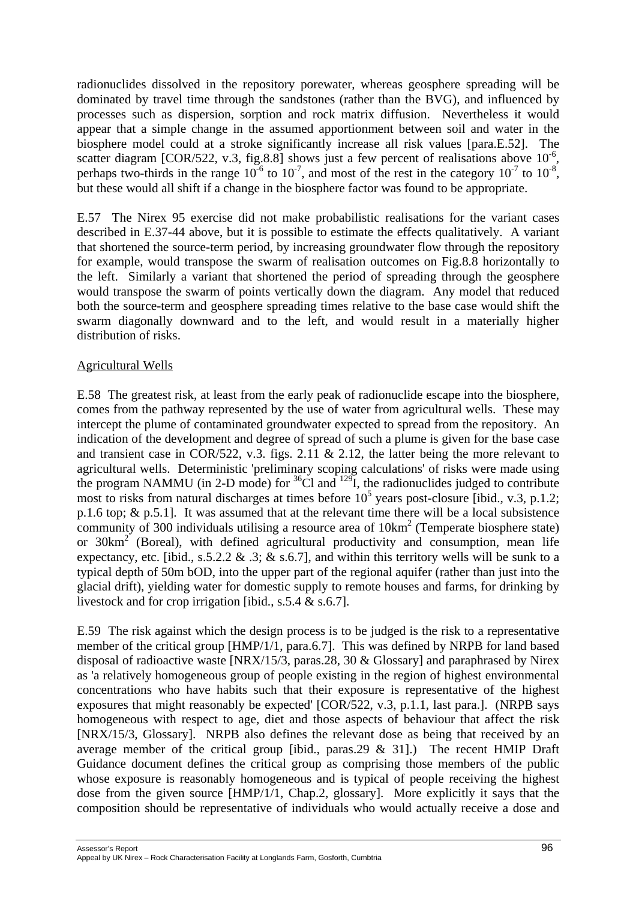radionuclides dissolved in the repository porewater, whereas geosphere spreading will be dominated by travel time through the sandstones (rather than the BVG), and influenced by processes such as dispersion, sorption and rock matrix diffusion. Nevertheless it would appear that a simple change in the assumed apportionment between soil and water in the biosphere model could at a stroke significantly increase all risk values [para.E.52]. The scatter diagram [COR/522, v.3, fig.8.8] shows just a few percent of realisations above  $10^{-6}$ . perhaps two-thirds in the range  $10^{-6}$  to  $10^{-7}$ , and most of the rest in the category  $10^{-7}$  to  $10^{-8}$ , but these would all shift if a change in the biosphere factor was found to be appropriate.

E.57 The Nirex 95 exercise did not make probabilistic realisations for the variant cases described in E.37-44 above, but it is possible to estimate the effects qualitatively. A variant that shortened the source-term period, by increasing groundwater flow through the repository for example, would transpose the swarm of realisation outcomes on Fig.8.8 horizontally to the left. Similarly a variant that shortened the period of spreading through the geosphere would transpose the swarm of points vertically down the diagram. Any model that reduced both the source-term and geosphere spreading times relative to the base case would shift the swarm diagonally downward and to the left, and would result in a materially higher distribution of risks.

### Agricultural Wells

E.58 The greatest risk, at least from the early peak of radionuclide escape into the biosphere, comes from the pathway represented by the use of water from agricultural wells. These may intercept the plume of contaminated groundwater expected to spread from the repository. An indication of the development and degree of spread of such a plume is given for the base case and transient case in COR/522, v.3. figs. 2.11 & 2.12, the latter being the more relevant to agricultural wells. Deterministic 'preliminary scoping calculations' of risks were made using the program NAMMU (in 2-D mode) for  ${}^{36}$ Cl and  ${}^{129}$ I, the radionuclides judged to contribute most to risks from natural discharges at times before  $10^5$  years post-closure [ibid., v.3, p.1.2; p.1.6 top; & p.5.1]. It was assumed that at the relevant time there will be a local subsistence community of 300 individuals utilising a resource area of  $10 \text{km}^2$  (Temperate biosphere state) or 30km<sup>2</sup> (Boreal), with defined agricultural productivity and consumption, mean life expectancy, etc. [ibid., s.5.2.2 & .3; & s.6.7], and within this territory wells will be sunk to a typical depth of 50m bOD, into the upper part of the regional aquifer (rather than just into the glacial drift), yielding water for domestic supply to remote houses and farms, for drinking by livestock and for crop irrigation [ibid., s.5.4 & s.6.7].

E.59 The risk against which the design process is to be judged is the risk to a representative member of the critical group [HMP/1/1, para.6.7]. This was defined by NRPB for land based disposal of radioactive waste [NRX/15/3, paras.28, 30 & Glossary] and paraphrased by Nirex as 'a relatively homogeneous group of people existing in the region of highest environmental concentrations who have habits such that their exposure is representative of the highest exposures that might reasonably be expected' [COR/522, v.3, p.1.1, last para.]. (NRPB says homogeneous with respect to age, diet and those aspects of behaviour that affect the risk [NRX/15/3, Glossary]. NRPB also defines the relevant dose as being that received by an average member of the critical group [ibid., paras. 29  $\&$  31].) The recent HMIP Draft Guidance document defines the critical group as comprising those members of the public whose exposure is reasonably homogeneous and is typical of people receiving the highest dose from the given source [HMP/1/1, Chap.2, glossary]. More explicitly it says that the composition should be representative of individuals who would actually receive a dose and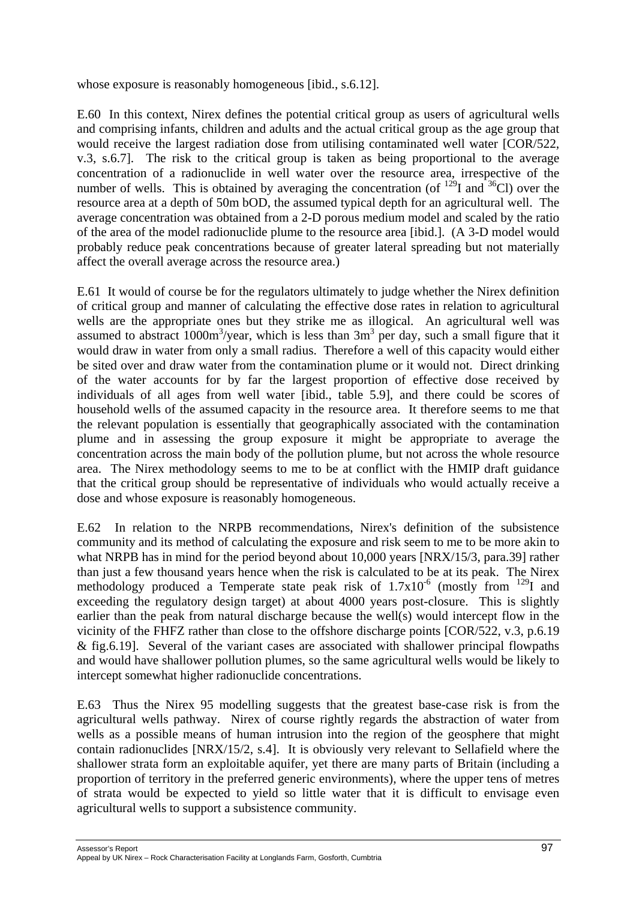whose exposure is reasonably homogeneous [ibid., s.6.12].

E.60 In this context, Nirex defines the potential critical group as users of agricultural wells and comprising infants, children and adults and the actual critical group as the age group that would receive the largest radiation dose from utilising contaminated well water [COR/522, v.3, s.6.7]. The risk to the critical group is taken as being proportional to the average concentration of a radionuclide in well water over the resource area, irrespective of the number of wells. This is obtained by averaging the concentration (of  $^{129}I$  and  $^{36}Cl$ ) over the resource area at a depth of 50m bOD, the assumed typical depth for an agricultural well. The average concentration was obtained from a 2-D porous medium model and scaled by the ratio of the area of the model radionuclide plume to the resource area [ibid.]. (A 3-D model would probably reduce peak concentrations because of greater lateral spreading but not materially affect the overall average across the resource area.)

E.61 It would of course be for the regulators ultimately to judge whether the Nirex definition of critical group and manner of calculating the effective dose rates in relation to agricultural wells are the appropriate ones but they strike me as illogical. An agricultural well was assumed to abstract  $1000 \text{m}^3/\text{year}$ , which is less than  $3 \text{m}^3$  per day, such a small figure that it would draw in water from only a small radius. Therefore a well of this capacity would either be sited over and draw water from the contamination plume or it would not. Direct drinking of the water accounts for by far the largest proportion of effective dose received by individuals of all ages from well water [ibid., table 5.9], and there could be scores of household wells of the assumed capacity in the resource area. It therefore seems to me that the relevant population is essentially that geographically associated with the contamination plume and in assessing the group exposure it might be appropriate to average the concentration across the main body of the pollution plume, but not across the whole resource area. The Nirex methodology seems to me to be at conflict with the HMIP draft guidance that the critical group should be representative of individuals who would actually receive a dose and whose exposure is reasonably homogeneous.

E.62 In relation to the NRPB recommendations, Nirex's definition of the subsistence community and its method of calculating the exposure and risk seem to me to be more akin to what NRPB has in mind for the period beyond about 10,000 years [NRX/15/3, para.39] rather than just a few thousand years hence when the risk is calculated to be at its peak. The Nirex methodology produced a Temperate state peak risk of  $1.7x10^{-6}$  (mostly from <sup>129</sup>I and exceeding the regulatory design target) at about 4000 years post-closure. This is slightly earlier than the peak from natural discharge because the well(s) would intercept flow in the vicinity of the FHFZ rather than close to the offshore discharge points [COR/522, v.3, p.6.19 & fig.6.19]. Several of the variant cases are associated with shallower principal flowpaths and would have shallower pollution plumes, so the same agricultural wells would be likely to intercept somewhat higher radionuclide concentrations.

E.63 Thus the Nirex 95 modelling suggests that the greatest base-case risk is from the agricultural wells pathway. Nirex of course rightly regards the abstraction of water from wells as a possible means of human intrusion into the region of the geosphere that might contain radionuclides [NRX/15/2, s.4]. It is obviously very relevant to Sellafield where the shallower strata form an exploitable aquifer, yet there are many parts of Britain (including a proportion of territory in the preferred generic environments), where the upper tens of metres of strata would be expected to yield so little water that it is difficult to envisage even agricultural wells to support a subsistence community.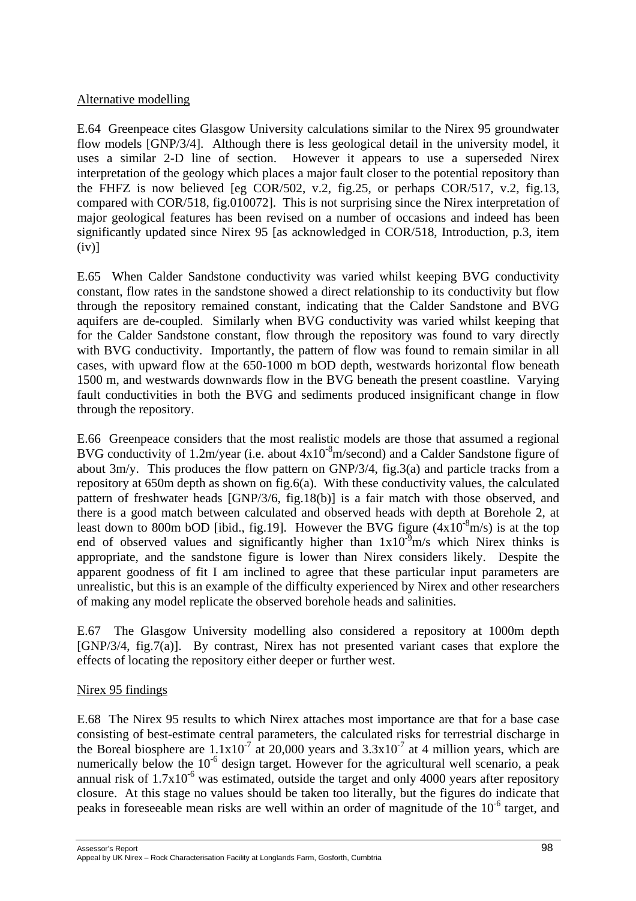### Alternative modelling

E.64 Greenpeace cites Glasgow University calculations similar to the Nirex 95 groundwater flow models [GNP/3/4]. Although there is less geological detail in the university model, it uses a similar 2-D line of section. However it appears to use a superseded Nirex interpretation of the geology which places a major fault closer to the potential repository than the FHFZ is now believed [eg COR/502, v.2, fig.25, or perhaps COR/517, v.2, fig.13, compared with COR/518, fig.010072]. This is not surprising since the Nirex interpretation of major geological features has been revised on a number of occasions and indeed has been significantly updated since Nirex 95 [as acknowledged in COR/518, Introduction, p.3, item  $(iv)$ ]

E.65 When Calder Sandstone conductivity was varied whilst keeping BVG conductivity constant, flow rates in the sandstone showed a direct relationship to its conductivity but flow through the repository remained constant, indicating that the Calder Sandstone and BVG aquifers are de-coupled. Similarly when BVG conductivity was varied whilst keeping that for the Calder Sandstone constant, flow through the repository was found to vary directly with BVG conductivity. Importantly, the pattern of flow was found to remain similar in all cases, with upward flow at the 650-1000 m bOD depth, westwards horizontal flow beneath 1500 m, and westwards downwards flow in the BVG beneath the present coastline. Varying fault conductivities in both the BVG and sediments produced insignificant change in flow through the repository.

E.66 Greenpeace considers that the most realistic models are those that assumed a regional BVG conductivity of 1.2m/year (i.e. about  $4x10^{-8}$ m/second) and a Calder Sandstone figure of about 3m/y. This produces the flow pattern on GNP/3/4, fig.3(a) and particle tracks from a repository at 650m depth as shown on fig.6(a). With these conductivity values, the calculated pattern of freshwater heads [GNP/3/6, fig.18(b)] is a fair match with those observed, and there is a good match between calculated and observed heads with depth at Borehole 2, at least down to 800m bOD [ibid., fig.19]. However the BVG figure  $(4x10^{-8}m/s)$  is at the top end of observed values and significantly higher than  $1x10^{-9}$ m/s which Nirex thinks is appropriate, and the sandstone figure is lower than Nirex considers likely. Despite the apparent goodness of fit I am inclined to agree that these particular input parameters are unrealistic, but this is an example of the difficulty experienced by Nirex and other researchers of making any model replicate the observed borehole heads and salinities.

E.67 The Glasgow University modelling also considered a repository at 1000m depth [GNP/3/4, fig.7(a)]. By contrast, Nirex has not presented variant cases that explore the effects of locating the repository either deeper or further west.

### Nirex 95 findings

E.68 The Nirex 95 results to which Nirex attaches most importance are that for a base case consisting of best-estimate central parameters, the calculated risks for terrestrial discharge in the Boreal biosphere are  $1.1x10^{-7}$  at 20,000 years and  $3.3x10^{-7}$  at 4 million years, which are numerically below the  $10^{-6}$  design target. However for the agricultural well scenario, a peak annual risk of  $1.7x10^{-6}$  was estimated, outside the target and only 4000 years after repository closure. At this stage no values should be taken too literally, but the figures do indicate that peaks in foreseeable mean risks are well within an order of magnitude of the  $10^{-6}$  target, and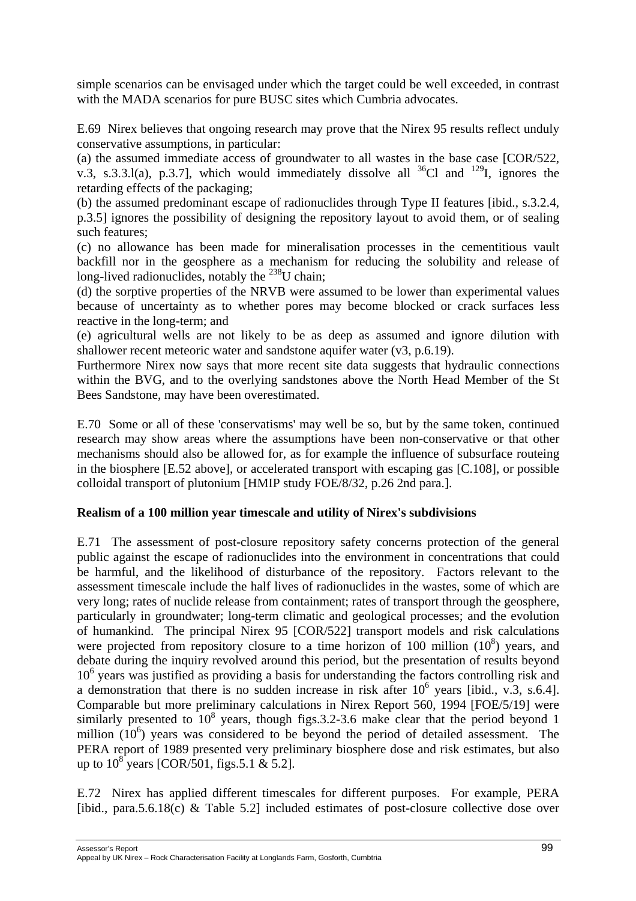simple scenarios can be envisaged under which the target could be well exceeded, in contrast with the MADA scenarios for pure BUSC sites which Cumbria advocates.

E.69 Nirex believes that ongoing research may prove that the Nirex 95 results reflect unduly conservative assumptions, in particular:

(a) the assumed immediate access of groundwater to all wastes in the base case [COR/522, v.3, s.3.3.1(a), p.3.7], which would immediately dissolve all  $^{36}Cl$  and  $^{129}I$ , ignores the retarding effects of the packaging;

(b) the assumed predominant escape of radionuclides through Type II features [ibid., s.3.2.4, p.3.5] ignores the possibility of designing the repository layout to avoid them, or of sealing such features;

(c) no allowance has been made for mineralisation processes in the cementitious vault backfill nor in the geosphere as a mechanism for reducing the solubility and release of long-lived radionuclides, notably the  $^{238}$ U chain;

(d) the sorptive properties of the NRVB were assumed to be lower than experimental values because of uncertainty as to whether pores may become blocked or crack surfaces less reactive in the long-term; and

(e) agricultural wells are not likely to be as deep as assumed and ignore dilution with shallower recent meteoric water and sandstone aquifer water (v3, p.6.19).

Furthermore Nirex now says that more recent site data suggests that hydraulic connections within the BVG, and to the overlying sandstones above the North Head Member of the St Bees Sandstone, may have been overestimated.

E.70 Some or all of these 'conservatisms' may well be so, but by the same token, continued research may show areas where the assumptions have been non-conservative or that other mechanisms should also be allowed for, as for example the influence of subsurface routeing in the biosphere [E.52 above], or accelerated transport with escaping gas [C.108], or possible colloidal transport of plutonium [HMIP study FOE/8/32, p.26 2nd para.].

### **Realism of a 100 million year timescale and utility of Nirex's subdivisions**

E.71 The assessment of post-closure repository safety concerns protection of the general public against the escape of radionuclides into the environment in concentrations that could be harmful, and the likelihood of disturbance of the repository. Factors relevant to the assessment timescale include the half lives of radionuclides in the wastes, some of which are very long; rates of nuclide release from containment; rates of transport through the geosphere, particularly in groundwater; long-term climatic and geological processes; and the evolution of humankind. The principal Nirex 95 [COR/522] transport models and risk calculations were projected from repository closure to a time horizon of 100 million  $(10^8)$  years, and debate during the inquiry revolved around this period, but the presentation of results beyond 10<sup>6</sup> years was justified as providing a basis for understanding the factors controlling risk and a demonstration that there is no sudden increase in risk after  $10^6$  years [ibid., v.3, s.6.4]. Comparable but more preliminary calculations in Nirex Report 560, 1994 [FOE/5/19] were similarly presented to  $10^8$  years, though figs. 3.2-3.6 make clear that the period beyond 1 million  $(10^6)$  years was considered to be beyond the period of detailed assessment. The PERA report of 1989 presented very preliminary biosphere dose and risk estimates, but also up to  $10^8$  years [COR/501, figs.5.1 & 5.2].

E.72 Nirex has applied different timescales for different purposes. For example, PERA [ibid., para.5.6.18(c) & Table 5.2] included estimates of post-closure collective dose over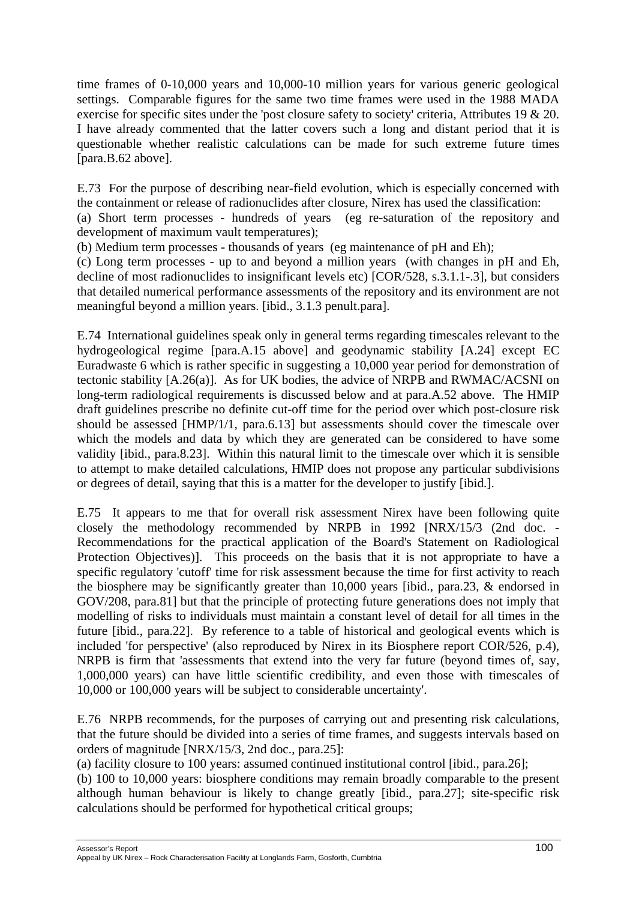time frames of 0-10,000 years and 10,000-10 million years for various generic geological settings. Comparable figures for the same two time frames were used in the 1988 MADA exercise for specific sites under the 'post closure safety to society' criteria, Attributes 19 & 20. I have already commented that the latter covers such a long and distant period that it is questionable whether realistic calculations can be made for such extreme future times [para.B.62 above].

E.73 For the purpose of describing near-field evolution, which is especially concerned with the containment or release of radionuclides after closure, Nirex has used the classification:

(a) Short term processes - hundreds of years (eg re-saturation of the repository and development of maximum vault temperatures);

(b) Medium term processes - thousands of years (eg maintenance of pH and Eh);

(c) Long term processes - up to and beyond a million years (with changes in pH and Eh, decline of most radionuclides to insignificant levels etc) [COR/528, s.3.1.1-.3], but considers that detailed numerical performance assessments of the repository and its environment are not meaningful beyond a million years. [ibid., 3.1.3 penult.para].

E.74 International guidelines speak only in general terms regarding timescales relevant to the hydrogeological regime [para.A.15 above] and geodynamic stability [A.24] except EC Euradwaste 6 which is rather specific in suggesting a 10,000 year period for demonstration of tectonic stability [A.26(a)]. As for UK bodies, the advice of NRPB and RWMAC/ACSNI on long-term radiological requirements is discussed below and at para.A.52 above. The HMIP draft guidelines prescribe no definite cut-off time for the period over which post-closure risk should be assessed [HMP/1/1, para.6.13] but assessments should cover the timescale over which the models and data by which they are generated can be considered to have some validity [ibid., para.8.23]. Within this natural limit to the timescale over which it is sensible to attempt to make detailed calculations, HMIP does not propose any particular subdivisions or degrees of detail, saying that this is a matter for the developer to justify [ibid.].

E.75 It appears to me that for overall risk assessment Nirex have been following quite closely the methodology recommended by NRPB in 1992 [NRX/15/3 (2nd doc. - Recommendations for the practical application of the Board's Statement on Radiological Protection Objectives)]. This proceeds on the basis that it is not appropriate to have a specific regulatory 'cutoff' time for risk assessment because the time for first activity to reach the biosphere may be significantly greater than 10,000 years [ibid., para.23, & endorsed in GOV/208, para.81] but that the principle of protecting future generations does not imply that modelling of risks to individuals must maintain a constant level of detail for all times in the future [ibid., para.22]. By reference to a table of historical and geological events which is included 'for perspective' (also reproduced by Nirex in its Biosphere report COR/526, p.4), NRPB is firm that 'assessments that extend into the very far future (beyond times of, say, 1,000,000 years) can have little scientific credibility, and even those with timescales of 10,000 or 100,000 years will be subject to considerable uncertainty'.

E.76 NRPB recommends, for the purposes of carrying out and presenting risk calculations, that the future should be divided into a series of time frames, and suggests intervals based on orders of magnitude [NRX/15/3, 2nd doc., para.25]:

(a) facility closure to 100 years: assumed continued institutional control [ibid., para.26];

(b) 100 to 10,000 years: biosphere conditions may remain broadly comparable to the present although human behaviour is likely to change greatly [ibid., para.27]; site-specific risk calculations should be performed for hypothetical critical groups;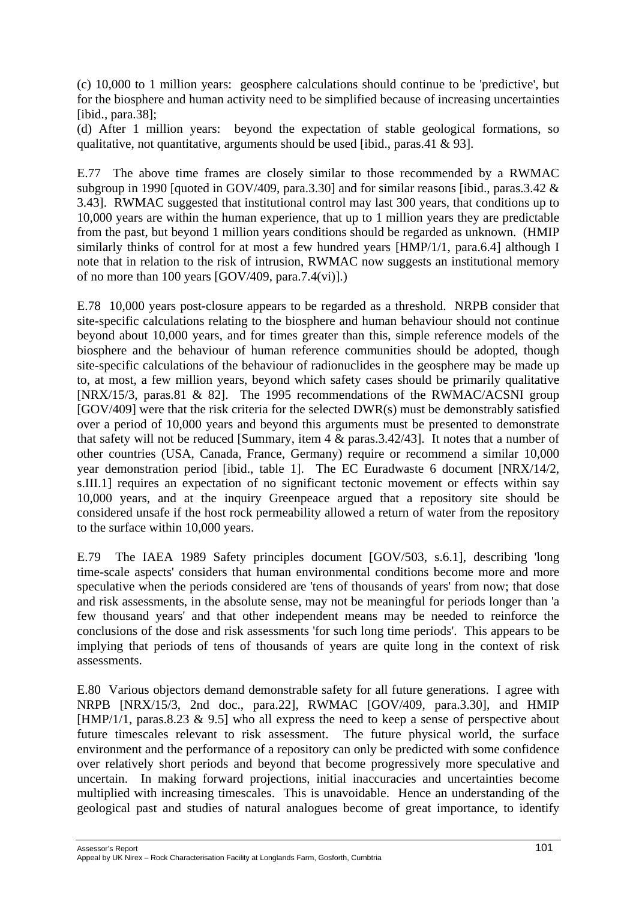(c) 10,000 to 1 million years: geosphere calculations should continue to be 'predictive', but for the biosphere and human activity need to be simplified because of increasing uncertainties [ibid., para.38];

(d) After 1 million years: beyond the expectation of stable geological formations, so qualitative, not quantitative, arguments should be used [ibid., paras.41 & 93].

E.77 The above time frames are closely similar to those recommended by a RWMAC subgroup in 1990 [quoted in GOV/409, para.3.30] and for similar reasons [ibid., paras.3.42 & 3.43]. RWMAC suggested that institutional control may last 300 years, that conditions up to 10,000 years are within the human experience, that up to 1 million years they are predictable from the past, but beyond 1 million years conditions should be regarded as unknown. (HMIP similarly thinks of control for at most a few hundred years [HMP/1/1, para.6.4] although I note that in relation to the risk of intrusion, RWMAC now suggests an institutional memory of no more than 100 years [GOV/409, para.7.4(vi)].)

E.78 10,000 years post-closure appears to be regarded as a threshold. NRPB consider that site-specific calculations relating to the biosphere and human behaviour should not continue beyond about 10,000 years, and for times greater than this, simple reference models of the biosphere and the behaviour of human reference communities should be adopted, though site-specific calculations of the behaviour of radionuclides in the geosphere may be made up to, at most, a few million years, beyond which safety cases should be primarily qualitative [NRX/15/3, paras.81 & 82]. The 1995 recommendations of the RWMAC/ACSNI group  $[GOV/409]$  were that the risk criteria for the selected  $DWR(s)$  must be demonstrably satisfied over a period of 10,000 years and beyond this arguments must be presented to demonstrate that safety will not be reduced [Summary, item 4 & paras.3.42/43]. It notes that a number of other countries (USA, Canada, France, Germany) require or recommend a similar 10,000 year demonstration period [ibid., table 1]. The EC Euradwaste 6 document [NRX/14/2, s.III.1] requires an expectation of no significant tectonic movement or effects within say 10,000 years, and at the inquiry Greenpeace argued that a repository site should be considered unsafe if the host rock permeability allowed a return of water from the repository to the surface within 10,000 years.

E.79 The IAEA 1989 Safety principles document [GOV/503, s.6.1], describing 'long time-scale aspects' considers that human environmental conditions become more and more speculative when the periods considered are 'tens of thousands of years' from now; that dose and risk assessments, in the absolute sense, may not be meaningful for periods longer than 'a few thousand years' and that other independent means may be needed to reinforce the conclusions of the dose and risk assessments 'for such long time periods'. This appears to be implying that periods of tens of thousands of years are quite long in the context of risk assessments.

E.80 Various objectors demand demonstrable safety for all future generations. I agree with NRPB [NRX/15/3, 2nd doc., para.22], RWMAC [GOV/409, para.3.30], and HMIP [HMP/1/1, paras.8.23 & 9.5] who all express the need to keep a sense of perspective about future timescales relevant to risk assessment. The future physical world, the surface environment and the performance of a repository can only be predicted with some confidence over relatively short periods and beyond that become progressively more speculative and uncertain. In making forward projections, initial inaccuracies and uncertainties become multiplied with increasing timescales. This is unavoidable. Hence an understanding of the geological past and studies of natural analogues become of great importance, to identify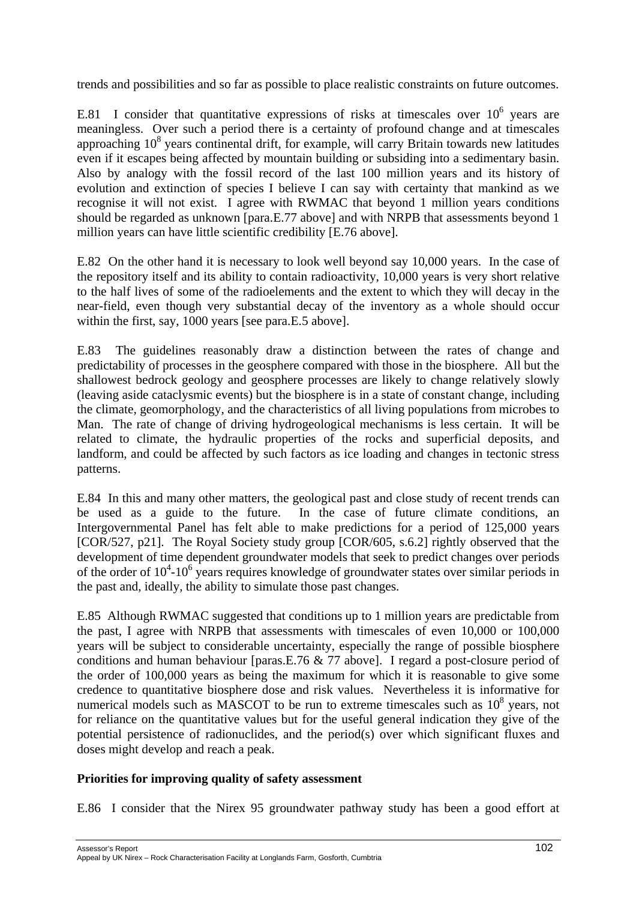trends and possibilities and so far as possible to place realistic constraints on future outcomes.

E.81 I consider that quantitative expressions of risks at timescales over  $10^6$  years are meaningless. Over such a period there is a certainty of profound change and at timescales approaching  $10^8$  years continental drift, for example, will carry Britain towards new latitudes even if it escapes being affected by mountain building or subsiding into a sedimentary basin. Also by analogy with the fossil record of the last 100 million years and its history of evolution and extinction of species I believe I can say with certainty that mankind as we recognise it will not exist. I agree with RWMAC that beyond 1 million years conditions should be regarded as unknown [para.E.77 above] and with NRPB that assessments beyond 1 million years can have little scientific credibility [E.76 above].

E.82 On the other hand it is necessary to look well beyond say 10,000 years. In the case of the repository itself and its ability to contain radioactivity, 10,000 years is very short relative to the half lives of some of the radioelements and the extent to which they will decay in the near-field, even though very substantial decay of the inventory as a whole should occur within the first, say, 1000 years [see para.E.5 above].

E.83 The guidelines reasonably draw a distinction between the rates of change and predictability of processes in the geosphere compared with those in the biosphere. All but the shallowest bedrock geology and geosphere processes are likely to change relatively slowly (leaving aside cataclysmic events) but the biosphere is in a state of constant change, including the climate, geomorphology, and the characteristics of all living populations from microbes to Man. The rate of change of driving hydrogeological mechanisms is less certain. It will be related to climate, the hydraulic properties of the rocks and superficial deposits, and landform, and could be affected by such factors as ice loading and changes in tectonic stress patterns.

E.84 In this and many other matters, the geological past and close study of recent trends can be used as a guide to the future. In the case of future climate conditions, an Intergovernmental Panel has felt able to make predictions for a period of 125,000 years [COR/527, p21]. The Royal Society study group [COR/605, s.6.2] rightly observed that the development of time dependent groundwater models that seek to predict changes over periods of the order of  $10^4$ - $10^6$  years requires knowledge of groundwater states over similar periods in the past and, ideally, the ability to simulate those past changes.

E.85 Although RWMAC suggested that conditions up to 1 million years are predictable from the past, I agree with NRPB that assessments with timescales of even 10,000 or 100,000 years will be subject to considerable uncertainty, especially the range of possible biosphere conditions and human behaviour [paras.E.76 & 77 above]. I regard a post-closure period of the order of 100,000 years as being the maximum for which it is reasonable to give some credence to quantitative biosphere dose and risk values. Nevertheless it is informative for numerical models such as MASCOT to be run to extreme timescales such as  $10^8$  years, not for reliance on the quantitative values but for the useful general indication they give of the potential persistence of radionuclides, and the period(s) over which significant fluxes and doses might develop and reach a peak.

### **Priorities for improving quality of safety assessment**

E.86 I consider that the Nirex 95 groundwater pathway study has been a good effort at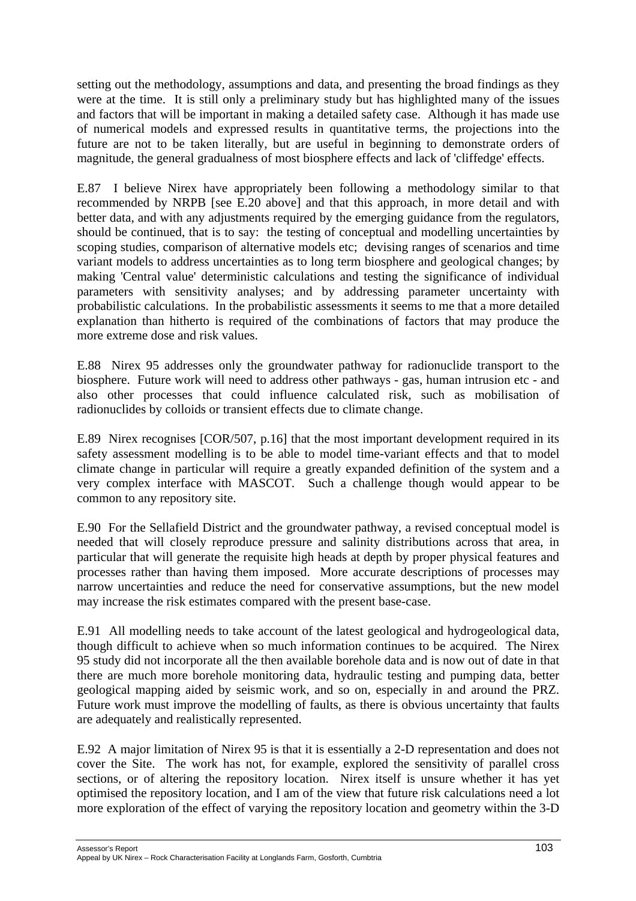setting out the methodology, assumptions and data, and presenting the broad findings as they were at the time. It is still only a preliminary study but has highlighted many of the issues and factors that will be important in making a detailed safety case. Although it has made use of numerical models and expressed results in quantitative terms, the projections into the future are not to be taken literally, but are useful in beginning to demonstrate orders of magnitude, the general gradualness of most biosphere effects and lack of 'cliffedge' effects.

E.87 I believe Nirex have appropriately been following a methodology similar to that recommended by NRPB [see E.20 above] and that this approach, in more detail and with better data, and with any adjustments required by the emerging guidance from the regulators, should be continued, that is to say: the testing of conceptual and modelling uncertainties by scoping studies, comparison of alternative models etc; devising ranges of scenarios and time variant models to address uncertainties as to long term biosphere and geological changes; by making 'Central value' deterministic calculations and testing the significance of individual parameters with sensitivity analyses; and by addressing parameter uncertainty with probabilistic calculations. In the probabilistic assessments it seems to me that a more detailed explanation than hitherto is required of the combinations of factors that may produce the more extreme dose and risk values.

E.88 Nirex 95 addresses only the groundwater pathway for radionuclide transport to the biosphere. Future work will need to address other pathways - gas, human intrusion etc - and also other processes that could influence calculated risk, such as mobilisation of radionuclides by colloids or transient effects due to climate change.

E.89 Nirex recognises [COR/507, p.16] that the most important development required in its safety assessment modelling is to be able to model time-variant effects and that to model climate change in particular will require a greatly expanded definition of the system and a very complex interface with MASCOT. Such a challenge though would appear to be common to any repository site.

E.90 For the Sellafield District and the groundwater pathway, a revised conceptual model is needed that will closely reproduce pressure and salinity distributions across that area, in particular that will generate the requisite high heads at depth by proper physical features and processes rather than having them imposed. More accurate descriptions of processes may narrow uncertainties and reduce the need for conservative assumptions, but the new model may increase the risk estimates compared with the present base-case.

E.91 All modelling needs to take account of the latest geological and hydrogeological data, though difficult to achieve when so much information continues to be acquired. The Nirex 95 study did not incorporate all the then available borehole data and is now out of date in that there are much more borehole monitoring data, hydraulic testing and pumping data, better geological mapping aided by seismic work, and so on, especially in and around the PRZ. Future work must improve the modelling of faults, as there is obvious uncertainty that faults are adequately and realistically represented.

E.92 A major limitation of Nirex 95 is that it is essentially a 2-D representation and does not cover the Site. The work has not, for example, explored the sensitivity of parallel cross sections, or of altering the repository location. Nirex itself is unsure whether it has yet optimised the repository location, and I am of the view that future risk calculations need a lot more exploration of the effect of varying the repository location and geometry within the 3-D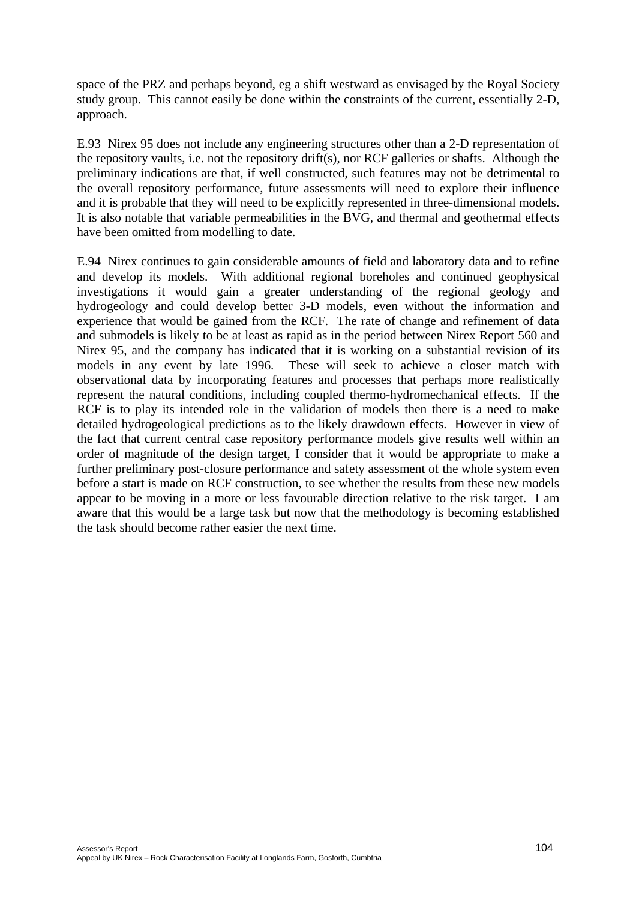space of the PRZ and perhaps beyond, eg a shift westward as envisaged by the Royal Society study group. This cannot easily be done within the constraints of the current, essentially 2-D, approach.

E.93 Nirex 95 does not include any engineering structures other than a 2-D representation of the repository vaults, i.e. not the repository drift(s), nor RCF galleries or shafts. Although the preliminary indications are that, if well constructed, such features may not be detrimental to the overall repository performance, future assessments will need to explore their influence and it is probable that they will need to be explicitly represented in three-dimensional models. It is also notable that variable permeabilities in the BVG, and thermal and geothermal effects have been omitted from modelling to date.

E.94 Nirex continues to gain considerable amounts of field and laboratory data and to refine and develop its models. With additional regional boreholes and continued geophysical investigations it would gain a greater understanding of the regional geology and hydrogeology and could develop better 3-D models, even without the information and experience that would be gained from the RCF. The rate of change and refinement of data and submodels is likely to be at least as rapid as in the period between Nirex Report 560 and Nirex 95, and the company has indicated that it is working on a substantial revision of its models in any event by late 1996. These will seek to achieve a closer match with observational data by incorporating features and processes that perhaps more realistically represent the natural conditions, including coupled thermo-hydromechanical effects. If the RCF is to play its intended role in the validation of models then there is a need to make detailed hydrogeological predictions as to the likely drawdown effects. However in view of the fact that current central case repository performance models give results well within an order of magnitude of the design target, I consider that it would be appropriate to make a further preliminary post-closure performance and safety assessment of the whole system even before a start is made on RCF construction, to see whether the results from these new models appear to be moving in a more or less favourable direction relative to the risk target. I am aware that this would be a large task but now that the methodology is becoming established the task should become rather easier the next time.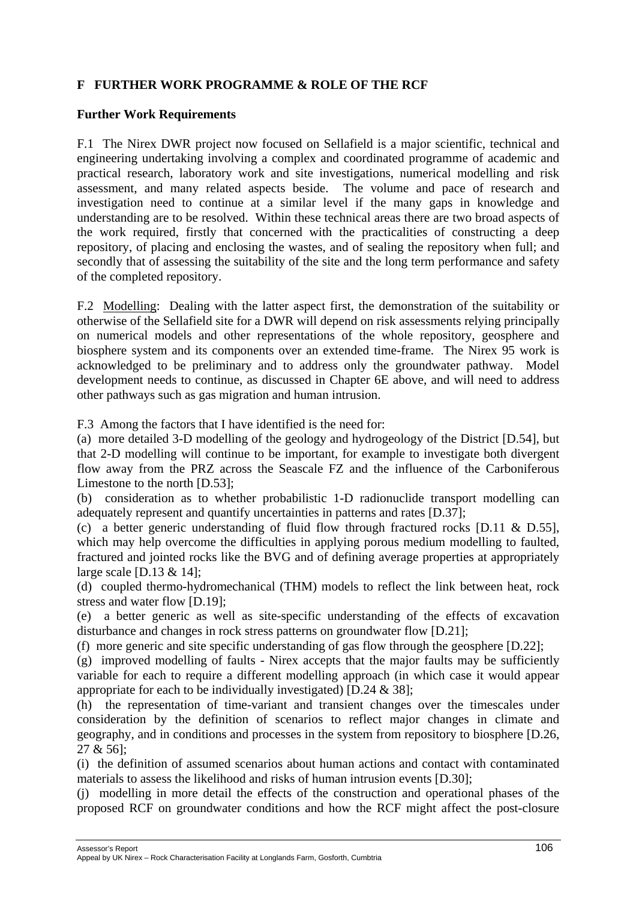# **F FURTHER WORK PROGRAMME & ROLE OF THE RCF**

#### **Further Work Requirements**

F.1 The Nirex DWR project now focused on Sellafield is a major scientific, technical and engineering undertaking involving a complex and coordinated programme of academic and practical research, laboratory work and site investigations, numerical modelling and risk assessment, and many related aspects beside. The volume and pace of research and investigation need to continue at a similar level if the many gaps in knowledge and understanding are to be resolved. Within these technical areas there are two broad aspects of the work required, firstly that concerned with the practicalities of constructing a deep repository, of placing and enclosing the wastes, and of sealing the repository when full; and secondly that of assessing the suitability of the site and the long term performance and safety of the completed repository.

F.2 Modelling: Dealing with the latter aspect first, the demonstration of the suitability or otherwise of the Sellafield site for a DWR will depend on risk assessments relying principally on numerical models and other representations of the whole repository, geosphere and biosphere system and its components over an extended time-frame. The Nirex 95 work is acknowledged to be preliminary and to address only the groundwater pathway. Model development needs to continue, as discussed in Chapter 6E above, and will need to address other pathways such as gas migration and human intrusion.

F.3 Among the factors that I have identified is the need for:

(a) more detailed 3-D modelling of the geology and hydrogeology of the District [D.54], but that 2-D modelling will continue to be important, for example to investigate both divergent flow away from the PRZ across the Seascale FZ and the influence of the Carboniferous Limestone to the north [D.53];

(b) consideration as to whether probabilistic 1-D radionuclide transport modelling can adequately represent and quantify uncertainties in patterns and rates [D.37];

(c) a better generic understanding of fluid flow through fractured rocks [D.11 & D.55], which may help overcome the difficulties in applying porous medium modelling to faulted, fractured and jointed rocks like the BVG and of defining average properties at appropriately large scale [D.13 & 14];

(d) coupled thermo-hydromechanical (THM) models to reflect the link between heat, rock stress and water flow [D.19];

(e) a better generic as well as site-specific understanding of the effects of excavation disturbance and changes in rock stress patterns on groundwater flow [D.21];

(f) more generic and site specific understanding of gas flow through the geosphere [D.22];

(g) improved modelling of faults - Nirex accepts that the major faults may be sufficiently variable for each to require a different modelling approach (in which case it would appear appropriate for each to be individually investigated) [D.24 & 38];

(h) the representation of time-variant and transient changes over the timescales under consideration by the definition of scenarios to reflect major changes in climate and geography, and in conditions and processes in the system from repository to biosphere [D.26, 27 & 56];

(i) the definition of assumed scenarios about human actions and contact with contaminated materials to assess the likelihood and risks of human intrusion events [D.30];

(j) modelling in more detail the effects of the construction and operational phases of the proposed RCF on groundwater conditions and how the RCF might affect the post-closure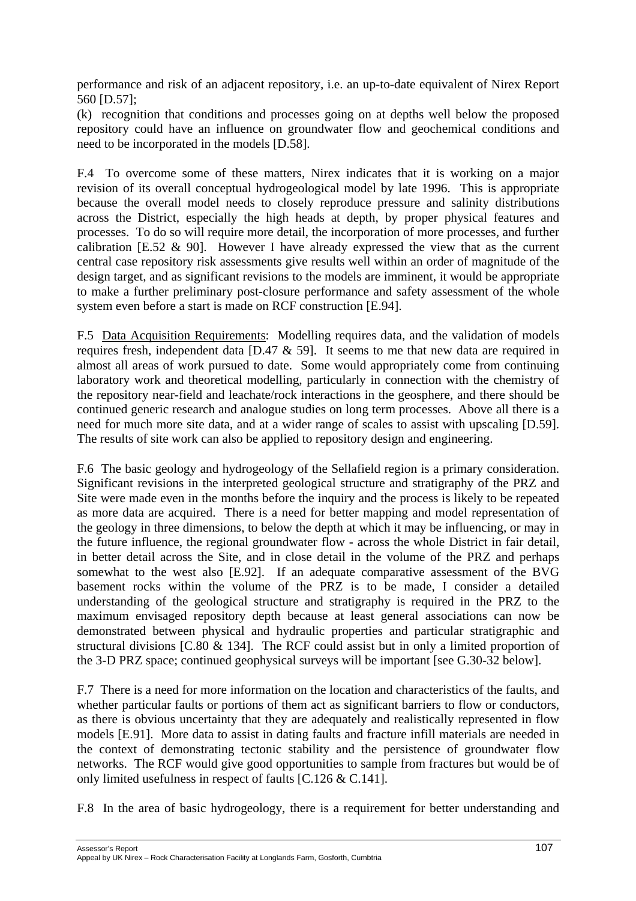performance and risk of an adjacent repository, i.e. an up-to-date equivalent of Nirex Report 560 [D.57];

(k) recognition that conditions and processes going on at depths well below the proposed repository could have an influence on groundwater flow and geochemical conditions and need to be incorporated in the models [D.58].

F.4 To overcome some of these matters, Nirex indicates that it is working on a major revision of its overall conceptual hydrogeological model by late 1996. This is appropriate because the overall model needs to closely reproduce pressure and salinity distributions across the District, especially the high heads at depth, by proper physical features and processes. To do so will require more detail, the incorporation of more processes, and further calibration [E.52  $\&$  90]. However I have already expressed the view that as the current central case repository risk assessments give results well within an order of magnitude of the design target, and as significant revisions to the models are imminent, it would be appropriate to make a further preliminary post-closure performance and safety assessment of the whole system even before a start is made on RCF construction [E.94].

F.5 Data Acquisition Requirements: Modelling requires data, and the validation of models requires fresh, independent data [D.47 & 59]. It seems to me that new data are required in almost all areas of work pursued to date. Some would appropriately come from continuing laboratory work and theoretical modelling, particularly in connection with the chemistry of the repository near-field and leachate/rock interactions in the geosphere, and there should be continued generic research and analogue studies on long term processes. Above all there is a need for much more site data, and at a wider range of scales to assist with upscaling [D.59]. The results of site work can also be applied to repository design and engineering.

F.6 The basic geology and hydrogeology of the Sellafield region is a primary consideration. Significant revisions in the interpreted geological structure and stratigraphy of the PRZ and Site were made even in the months before the inquiry and the process is likely to be repeated as more data are acquired. There is a need for better mapping and model representation of the geology in three dimensions, to below the depth at which it may be influencing, or may in the future influence, the regional groundwater flow - across the whole District in fair detail, in better detail across the Site, and in close detail in the volume of the PRZ and perhaps somewhat to the west also [E.92]. If an adequate comparative assessment of the BVG basement rocks within the volume of the PRZ is to be made, I consider a detailed understanding of the geological structure and stratigraphy is required in the PRZ to the maximum envisaged repository depth because at least general associations can now be demonstrated between physical and hydraulic properties and particular stratigraphic and structural divisions [C.80 & 134]. The RCF could assist but in only a limited proportion of the 3-D PRZ space; continued geophysical surveys will be important [see G.30-32 below].

F.7 There is a need for more information on the location and characteristics of the faults, and whether particular faults or portions of them act as significant barriers to flow or conductors, as there is obvious uncertainty that they are adequately and realistically represented in flow models [E.91]. More data to assist in dating faults and fracture infill materials are needed in the context of demonstrating tectonic stability and the persistence of groundwater flow networks. The RCF would give good opportunities to sample from fractures but would be of only limited usefulness in respect of faults [C.126 & C.141].

F.8 In the area of basic hydrogeology, there is a requirement for better understanding and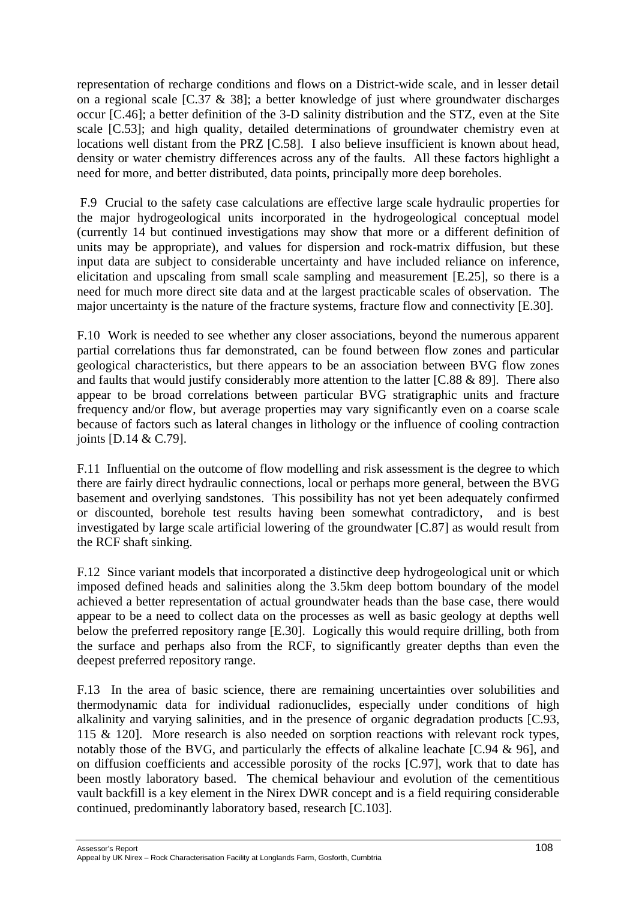representation of recharge conditions and flows on a District-wide scale, and in lesser detail on a regional scale [C.37 & 38]; a better knowledge of just where groundwater discharges occur [C.46]; a better definition of the 3-D salinity distribution and the STZ, even at the Site scale [C.53]; and high quality, detailed determinations of groundwater chemistry even at locations well distant from the PRZ [C.58]. I also believe insufficient is known about head, density or water chemistry differences across any of the faults. All these factors highlight a need for more, and better distributed, data points, principally more deep boreholes.

F.9 Crucial to the safety case calculations are effective large scale hydraulic properties for the major hydrogeological units incorporated in the hydrogeological conceptual model (currently 14 but continued investigations may show that more or a different definition of units may be appropriate), and values for dispersion and rock-matrix diffusion, but these input data are subject to considerable uncertainty and have included reliance on inference, elicitation and upscaling from small scale sampling and measurement [E.25], so there is a need for much more direct site data and at the largest practicable scales of observation. The major uncertainty is the nature of the fracture systems, fracture flow and connectivity [E.30].

F.10 Work is needed to see whether any closer associations, beyond the numerous apparent partial correlations thus far demonstrated, can be found between flow zones and particular geological characteristics, but there appears to be an association between BVG flow zones and faults that would justify considerably more attention to the latter [C.88 & 89]. There also appear to be broad correlations between particular BVG stratigraphic units and fracture frequency and/or flow, but average properties may vary significantly even on a coarse scale because of factors such as lateral changes in lithology or the influence of cooling contraction joints [D.14 & C.79].

F.11 Influential on the outcome of flow modelling and risk assessment is the degree to which there are fairly direct hydraulic connections, local or perhaps more general, between the BVG basement and overlying sandstones. This possibility has not yet been adequately confirmed or discounted, borehole test results having been somewhat contradictory, and is best investigated by large scale artificial lowering of the groundwater [C.87] as would result from the RCF shaft sinking.

F.12 Since variant models that incorporated a distinctive deep hydrogeological unit or which imposed defined heads and salinities along the 3.5km deep bottom boundary of the model achieved a better representation of actual groundwater heads than the base case, there would appear to be a need to collect data on the processes as well as basic geology at depths well below the preferred repository range [E.30]. Logically this would require drilling, both from the surface and perhaps also from the RCF, to significantly greater depths than even the deepest preferred repository range.

F.13 In the area of basic science, there are remaining uncertainties over solubilities and thermodynamic data for individual radionuclides, especially under conditions of high alkalinity and varying salinities, and in the presence of organic degradation products [C.93, 115 & 120]. More research is also needed on sorption reactions with relevant rock types, notably those of the BVG, and particularly the effects of alkaline leachate [C.94 & 96], and on diffusion coefficients and accessible porosity of the rocks [C.97], work that to date has been mostly laboratory based. The chemical behaviour and evolution of the cementitious vault backfill is a key element in the Nirex DWR concept and is a field requiring considerable continued, predominantly laboratory based, research [C.103].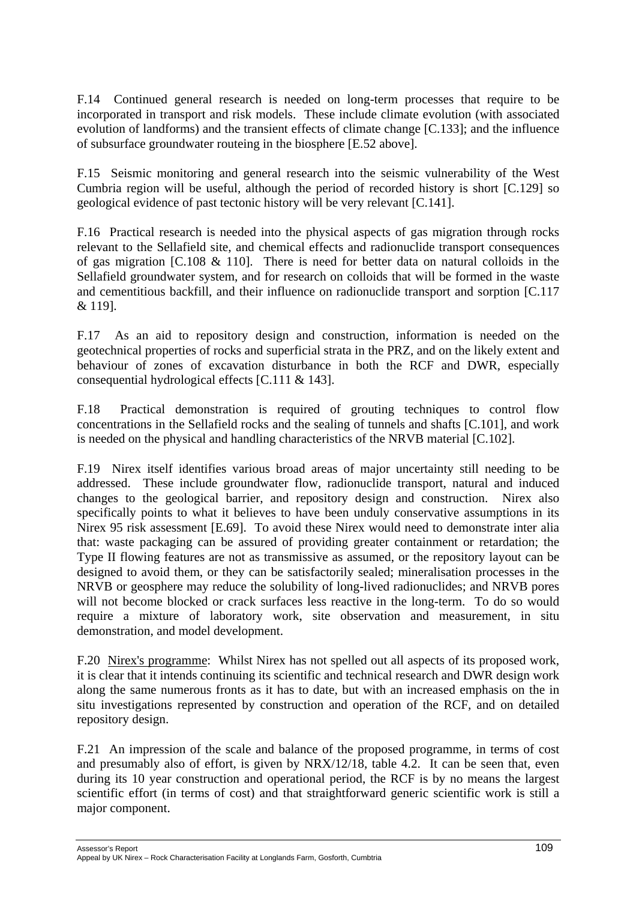F.14 Continued general research is needed on long-term processes that require to be incorporated in transport and risk models. These include climate evolution (with associated evolution of landforms) and the transient effects of climate change [C.133]; and the influence of subsurface groundwater routeing in the biosphere [E.52 above].

F.15 Seismic monitoring and general research into the seismic vulnerability of the West Cumbria region will be useful, although the period of recorded history is short [C.129] so geological evidence of past tectonic history will be very relevant [C.141].

F.16 Practical research is needed into the physical aspects of gas migration through rocks relevant to the Sellafield site, and chemical effects and radionuclide transport consequences of gas migration [C.108  $\&$  110]. There is need for better data on natural colloids in the Sellafield groundwater system, and for research on colloids that will be formed in the waste and cementitious backfill, and their influence on radionuclide transport and sorption [C.117 & 119].

F.17 As an aid to repository design and construction, information is needed on the geotechnical properties of rocks and superficial strata in the PRZ, and on the likely extent and behaviour of zones of excavation disturbance in both the RCF and DWR, especially consequential hydrological effects [C.111 & 143].

F.18 Practical demonstration is required of grouting techniques to control flow concentrations in the Sellafield rocks and the sealing of tunnels and shafts [C.101], and work is needed on the physical and handling characteristics of the NRVB material [C.102].

F.19 Nirex itself identifies various broad areas of major uncertainty still needing to be addressed. These include groundwater flow, radionuclide transport, natural and induced changes to the geological barrier, and repository design and construction. Nirex also specifically points to what it believes to have been unduly conservative assumptions in its Nirex 95 risk assessment [E.69]. To avoid these Nirex would need to demonstrate inter alia that: waste packaging can be assured of providing greater containment or retardation; the Type II flowing features are not as transmissive as assumed, or the repository layout can be designed to avoid them, or they can be satisfactorily sealed; mineralisation processes in the NRVB or geosphere may reduce the solubility of long-lived radionuclides; and NRVB pores will not become blocked or crack surfaces less reactive in the long-term. To do so would require a mixture of laboratory work, site observation and measurement, in situ demonstration, and model development.

F.20 Nirex's programme: Whilst Nirex has not spelled out all aspects of its proposed work, it is clear that it intends continuing its scientific and technical research and DWR design work along the same numerous fronts as it has to date, but with an increased emphasis on the in situ investigations represented by construction and operation of the RCF, and on detailed repository design.

F.21 An impression of the scale and balance of the proposed programme, in terms of cost and presumably also of effort, is given by NRX/12/18, table 4.2. It can be seen that, even during its 10 year construction and operational period, the RCF is by no means the largest scientific effort (in terms of cost) and that straightforward generic scientific work is still a major component.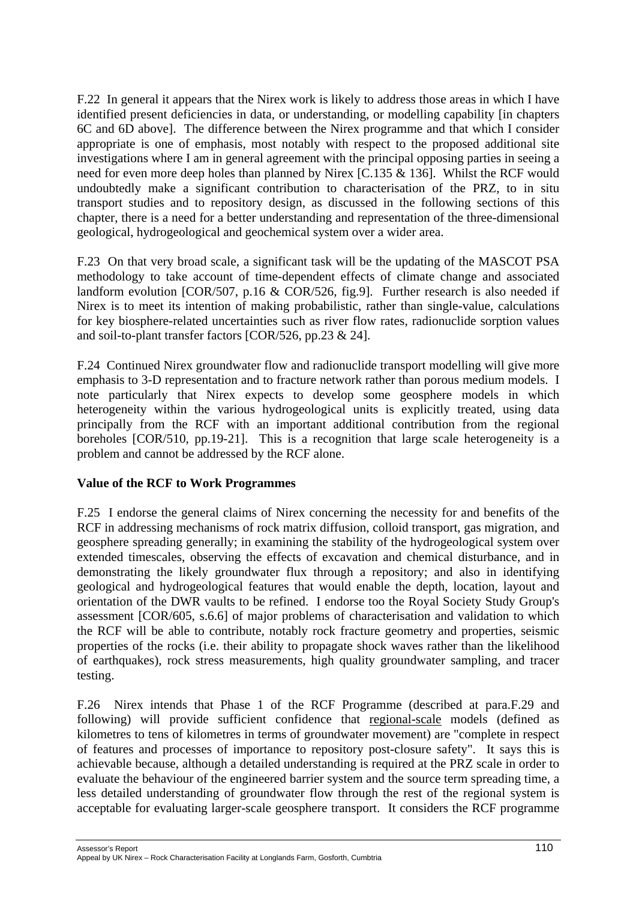F.22 In general it appears that the Nirex work is likely to address those areas in which I have identified present deficiencies in data, or understanding, or modelling capability [in chapters 6C and 6D above]. The difference between the Nirex programme and that which I consider appropriate is one of emphasis, most notably with respect to the proposed additional site investigations where I am in general agreement with the principal opposing parties in seeing a need for even more deep holes than planned by Nirex [C.135 & 136]. Whilst the RCF would undoubtedly make a significant contribution to characterisation of the PRZ, to in situ transport studies and to repository design, as discussed in the following sections of this chapter, there is a need for a better understanding and representation of the three-dimensional geological, hydrogeological and geochemical system over a wider area.

F.23 On that very broad scale, a significant task will be the updating of the MASCOT PSA methodology to take account of time-dependent effects of climate change and associated landform evolution [COR/507, p.16 & COR/526, fig.9]. Further research is also needed if Nirex is to meet its intention of making probabilistic, rather than single-value, calculations for key biosphere-related uncertainties such as river flow rates, radionuclide sorption values and soil-to-plant transfer factors [COR/526, pp.23 & 24].

F.24 Continued Nirex groundwater flow and radionuclide transport modelling will give more emphasis to 3-D representation and to fracture network rather than porous medium models. I note particularly that Nirex expects to develop some geosphere models in which heterogeneity within the various hydrogeological units is explicitly treated, using data principally from the RCF with an important additional contribution from the regional boreholes [COR/510, pp.19-21]. This is a recognition that large scale heterogeneity is a problem and cannot be addressed by the RCF alone.

# **Value of the RCF to Work Programmes**

F.25 I endorse the general claims of Nirex concerning the necessity for and benefits of the RCF in addressing mechanisms of rock matrix diffusion, colloid transport, gas migration, and geosphere spreading generally; in examining the stability of the hydrogeological system over extended timescales, observing the effects of excavation and chemical disturbance, and in demonstrating the likely groundwater flux through a repository; and also in identifying geological and hydrogeological features that would enable the depth, location, layout and orientation of the DWR vaults to be refined. I endorse too the Royal Society Study Group's assessment [COR/605, s.6.6] of major problems of characterisation and validation to which the RCF will be able to contribute, notably rock fracture geometry and properties, seismic properties of the rocks (i.e. their ability to propagate shock waves rather than the likelihood of earthquakes), rock stress measurements, high quality groundwater sampling, and tracer testing.

F.26 Nirex intends that Phase 1 of the RCF Programme (described at para.F.29 and following) will provide sufficient confidence that regional-scale models (defined as kilometres to tens of kilometres in terms of groundwater movement) are "complete in respect of features and processes of importance to repository post-closure safety". It says this is achievable because, although a detailed understanding is required at the PRZ scale in order to evaluate the behaviour of the engineered barrier system and the source term spreading time, a less detailed understanding of groundwater flow through the rest of the regional system is acceptable for evaluating larger-scale geosphere transport. It considers the RCF programme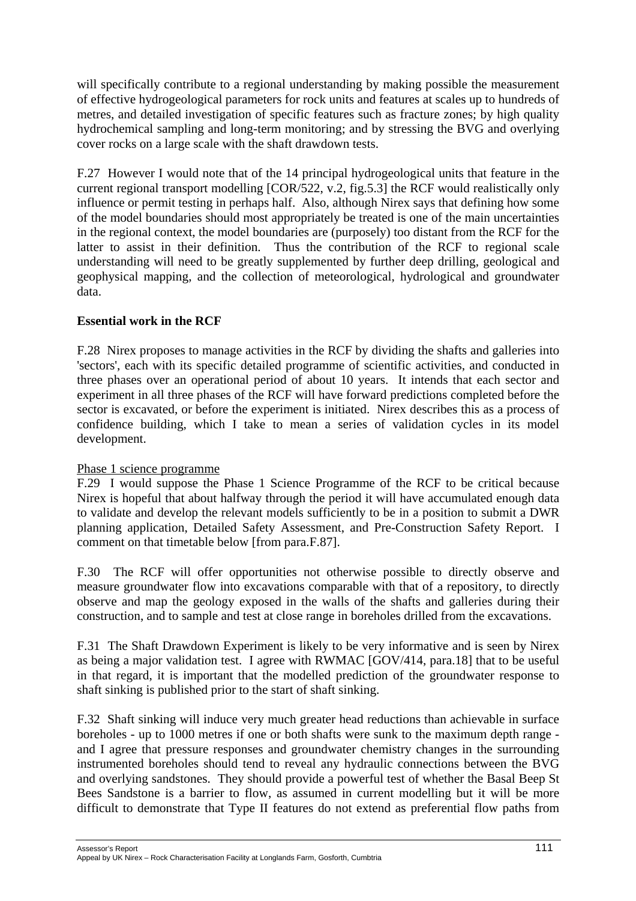will specifically contribute to a regional understanding by making possible the measurement of effective hydrogeological parameters for rock units and features at scales up to hundreds of metres, and detailed investigation of specific features such as fracture zones; by high quality hydrochemical sampling and long-term monitoring; and by stressing the BVG and overlying cover rocks on a large scale with the shaft drawdown tests.

F.27 However I would note that of the 14 principal hydrogeological units that feature in the current regional transport modelling [COR/522, v.2, fig.5.3] the RCF would realistically only influence or permit testing in perhaps half. Also, although Nirex says that defining how some of the model boundaries should most appropriately be treated is one of the main uncertainties in the regional context, the model boundaries are (purposely) too distant from the RCF for the latter to assist in their definition. Thus the contribution of the RCF to regional scale understanding will need to be greatly supplemented by further deep drilling, geological and geophysical mapping, and the collection of meteorological, hydrological and groundwater data.

### **Essential work in the RCF**

F.28 Nirex proposes to manage activities in the RCF by dividing the shafts and galleries into 'sectors', each with its specific detailed programme of scientific activities, and conducted in three phases over an operational period of about 10 years. It intends that each sector and experiment in all three phases of the RCF will have forward predictions completed before the sector is excavated, or before the experiment is initiated. Nirex describes this as a process of confidence building, which I take to mean a series of validation cycles in its model development.

#### Phase 1 science programme

F.29 I would suppose the Phase 1 Science Programme of the RCF to be critical because Nirex is hopeful that about halfway through the period it will have accumulated enough data to validate and develop the relevant models sufficiently to be in a position to submit a DWR planning application, Detailed Safety Assessment, and Pre-Construction Safety Report. I comment on that timetable below [from para.F.87].

F.30 The RCF will offer opportunities not otherwise possible to directly observe and measure groundwater flow into excavations comparable with that of a repository, to directly observe and map the geology exposed in the walls of the shafts and galleries during their construction, and to sample and test at close range in boreholes drilled from the excavations.

F.31 The Shaft Drawdown Experiment is likely to be very informative and is seen by Nirex as being a major validation test. I agree with RWMAC [GOV/414, para.18] that to be useful in that regard, it is important that the modelled prediction of the groundwater response to shaft sinking is published prior to the start of shaft sinking.

F.32 Shaft sinking will induce very much greater head reductions than achievable in surface boreholes - up to 1000 metres if one or both shafts were sunk to the maximum depth range and I agree that pressure responses and groundwater chemistry changes in the surrounding instrumented boreholes should tend to reveal any hydraulic connections between the BVG and overlying sandstones. They should provide a powerful test of whether the Basal Beep St Bees Sandstone is a barrier to flow, as assumed in current modelling but it will be more difficult to demonstrate that Type II features do not extend as preferential flow paths from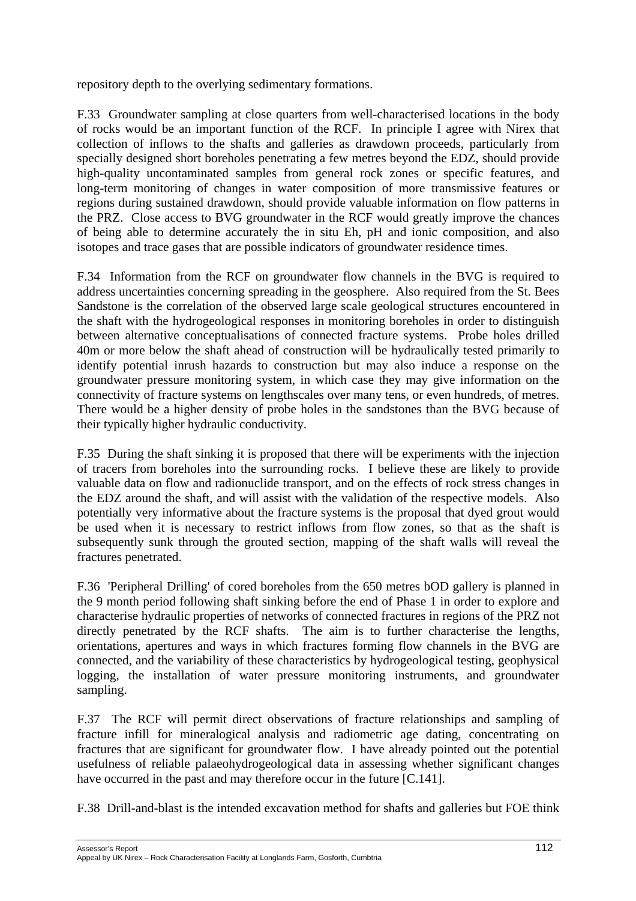repository depth to the overlying sedimentary formations.

F.33 Groundwater sampling at close quarters from well-characterised locations in the body of rocks would be an important function of the RCF. In principle I agree with Nirex that collection of inflows to the shafts and galleries as drawdown proceeds, particularly from specially designed short boreholes penetrating a few metres beyond the EDZ, should provide high-quality uncontaminated samples from general rock zones or specific features, and long-term monitoring of changes in water composition of more transmissive features or regions during sustained drawdown, should provide valuable information on flow patterns in the PRZ. Close access to BVG groundwater in the RCF would greatly improve the chances of being able to determine accurately the in situ Eh, pH and ionic composition, and also isotopes and trace gases that are possible indicators of groundwater residence times.

F.34 Information from the RCF on groundwater flow channels in the BVG is required to address uncertainties concerning spreading in the geosphere. Also required from the St. Bees Sandstone is the correlation of the observed large scale geological structures encountered in the shaft with the hydrogeological responses in monitoring boreholes in order to distinguish between alternative conceptualisations of connected fracture systems. Probe holes drilled 40m or more below the shaft ahead of construction will be hydraulically tested primarily to identify potential inrush hazards to construction but may also induce a response on the groundwater pressure monitoring system, in which case they may give information on the connectivity of fracture systems on lengthscales over many tens, or even hundreds, of metres. There would be a higher density of probe holes in the sandstones than the BVG because of their typically higher hydraulic conductivity.

F.35 During the shaft sinking it is proposed that there will be experiments with the injection of tracers from boreholes into the surrounding rocks. I believe these are likely to provide valuable data on flow and radionuclide transport, and on the effects of rock stress changes in the EDZ around the shaft, and will assist with the validation of the respective models. Also potentially very informative about the fracture systems is the proposal that dyed grout would be used when it is necessary to restrict inflows from flow zones, so that as the shaft is subsequently sunk through the grouted section, mapping of the shaft walls will reveal the fractures penetrated.

F.36 'Peripheral Drilling' of cored boreholes from the 650 metres bOD gallery is planned in the 9 month period following shaft sinking before the end of Phase 1 in order to explore and characterise hydraulic properties of networks of connected fractures in regions of the PRZ not directly penetrated by the RCF shafts. The aim is to further characterise the lengths, orientations, apertures and ways in which fractures forming flow channels in the BVG are connected, and the variability of these characteristics by hydrogeological testing, geophysical logging, the installation of water pressure monitoring instruments, and groundwater sampling.

F.37 The RCF will permit direct observations of fracture relationships and sampling of fracture infill for mineralogical analysis and radiometric age dating, concentrating on fractures that are significant for groundwater flow. I have already pointed out the potential usefulness of reliable palaeohydrogeological data in assessing whether significant changes have occurred in the past and may therefore occur in the future [C.141].

F.38 Drill-and-blast is the intended excavation method for shafts and galleries but FOE think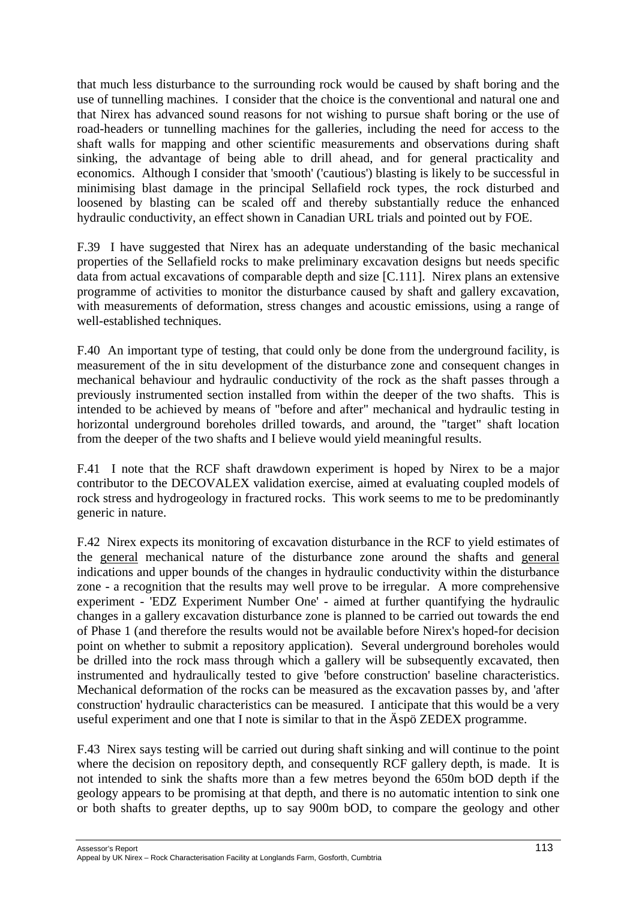that much less disturbance to the surrounding rock would be caused by shaft boring and the use of tunnelling machines. I consider that the choice is the conventional and natural one and that Nirex has advanced sound reasons for not wishing to pursue shaft boring or the use of road-headers or tunnelling machines for the galleries, including the need for access to the shaft walls for mapping and other scientific measurements and observations during shaft sinking, the advantage of being able to drill ahead, and for general practicality and economics. Although I consider that 'smooth' ('cautious') blasting is likely to be successful in minimising blast damage in the principal Sellafield rock types, the rock disturbed and loosened by blasting can be scaled off and thereby substantially reduce the enhanced hydraulic conductivity, an effect shown in Canadian URL trials and pointed out by FOE.

F.39 I have suggested that Nirex has an adequate understanding of the basic mechanical properties of the Sellafield rocks to make preliminary excavation designs but needs specific data from actual excavations of comparable depth and size [C.111]. Nirex plans an extensive programme of activities to monitor the disturbance caused by shaft and gallery excavation, with measurements of deformation, stress changes and acoustic emissions, using a range of well-established techniques.

F.40 An important type of testing, that could only be done from the underground facility, is measurement of the in situ development of the disturbance zone and consequent changes in mechanical behaviour and hydraulic conductivity of the rock as the shaft passes through a previously instrumented section installed from within the deeper of the two shafts. This is intended to be achieved by means of "before and after" mechanical and hydraulic testing in horizontal underground boreholes drilled towards, and around, the "target" shaft location from the deeper of the two shafts and I believe would yield meaningful results.

F.41 I note that the RCF shaft drawdown experiment is hoped by Nirex to be a major contributor to the DECOVALEX validation exercise, aimed at evaluating coupled models of rock stress and hydrogeology in fractured rocks. This work seems to me to be predominantly generic in nature.

F.42 Nirex expects its monitoring of excavation disturbance in the RCF to yield estimates of the general mechanical nature of the disturbance zone around the shafts and general indications and upper bounds of the changes in hydraulic conductivity within the disturbance zone - a recognition that the results may well prove to be irregular. A more comprehensive experiment - 'EDZ Experiment Number One' - aimed at further quantifying the hydraulic changes in a gallery excavation disturbance zone is planned to be carried out towards the end of Phase 1 (and therefore the results would not be available before Nirex's hoped-for decision point on whether to submit a repository application). Several underground boreholes would be drilled into the rock mass through which a gallery will be subsequently excavated, then instrumented and hydraulically tested to give 'before construction' baseline characteristics. Mechanical deformation of the rocks can be measured as the excavation passes by, and 'after construction' hydraulic characteristics can be measured. I anticipate that this would be a very useful experiment and one that I note is similar to that in the Äspö ZEDEX programme.

F.43 Nirex says testing will be carried out during shaft sinking and will continue to the point where the decision on repository depth, and consequently RCF gallery depth, is made. It is not intended to sink the shafts more than a few metres beyond the 650m bOD depth if the geology appears to be promising at that depth, and there is no automatic intention to sink one or both shafts to greater depths, up to say 900m bOD, to compare the geology and other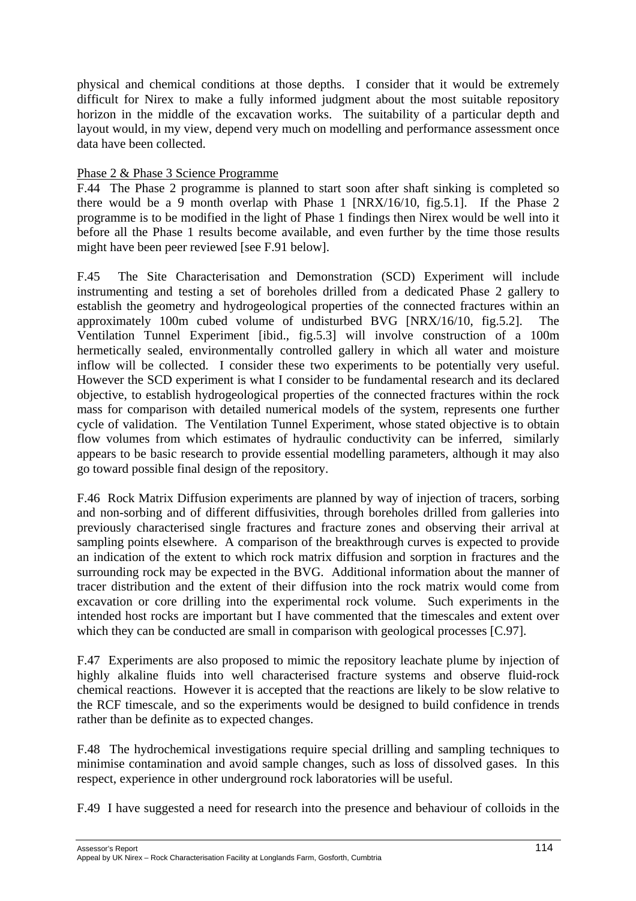physical and chemical conditions at those depths. I consider that it would be extremely difficult for Nirex to make a fully informed judgment about the most suitable repository horizon in the middle of the excavation works. The suitability of a particular depth and layout would, in my view, depend very much on modelling and performance assessment once data have been collected.

## Phase 2 & Phase 3 Science Programme

F.44 The Phase 2 programme is planned to start soon after shaft sinking is completed so there would be a 9 month overlap with Phase 1 [NRX/16/10, fig.5.1]. If the Phase 2 programme is to be modified in the light of Phase 1 findings then Nirex would be well into it before all the Phase 1 results become available, and even further by the time those results might have been peer reviewed [see F.91 below].

F.45 The Site Characterisation and Demonstration (SCD) Experiment will include instrumenting and testing a set of boreholes drilled from a dedicated Phase 2 gallery to establish the geometry and hydrogeological properties of the connected fractures within an approximately 100m cubed volume of undisturbed BVG [NRX/16/10, fig.5.2]. The Ventilation Tunnel Experiment [ibid., fig.5.3] will involve construction of a 100m hermetically sealed, environmentally controlled gallery in which all water and moisture inflow will be collected. I consider these two experiments to be potentially very useful. However the SCD experiment is what I consider to be fundamental research and its declared objective, to establish hydrogeological properties of the connected fractures within the rock mass for comparison with detailed numerical models of the system, represents one further cycle of validation. The Ventilation Tunnel Experiment, whose stated objective is to obtain flow volumes from which estimates of hydraulic conductivity can be inferred, similarly appears to be basic research to provide essential modelling parameters, although it may also go toward possible final design of the repository.

F.46 Rock Matrix Diffusion experiments are planned by way of injection of tracers, sorbing and non-sorbing and of different diffusivities, through boreholes drilled from galleries into previously characterised single fractures and fracture zones and observing their arrival at sampling points elsewhere. A comparison of the breakthrough curves is expected to provide an indication of the extent to which rock matrix diffusion and sorption in fractures and the surrounding rock may be expected in the BVG. Additional information about the manner of tracer distribution and the extent of their diffusion into the rock matrix would come from excavation or core drilling into the experimental rock volume. Such experiments in the intended host rocks are important but I have commented that the timescales and extent over which they can be conducted are small in comparison with geological processes [C.97].

F.47 Experiments are also proposed to mimic the repository leachate plume by injection of highly alkaline fluids into well characterised fracture systems and observe fluid-rock chemical reactions. However it is accepted that the reactions are likely to be slow relative to the RCF timescale, and so the experiments would be designed to build confidence in trends rather than be definite as to expected changes.

F.48 The hydrochemical investigations require special drilling and sampling techniques to minimise contamination and avoid sample changes, such as loss of dissolved gases. In this respect, experience in other underground rock laboratories will be useful.

F.49 I have suggested a need for research into the presence and behaviour of colloids in the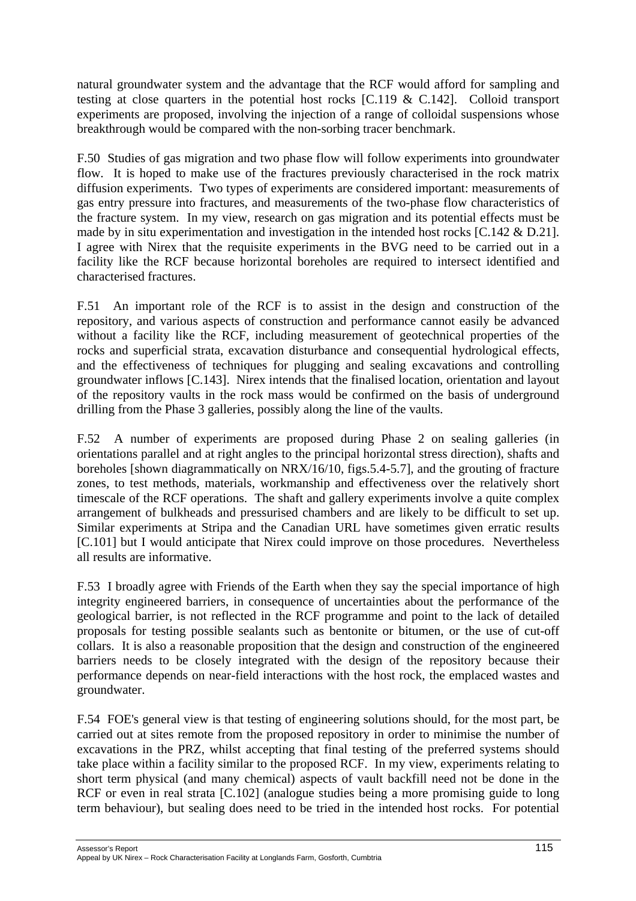natural groundwater system and the advantage that the RCF would afford for sampling and testing at close quarters in the potential host rocks [C.119 & C.142]. Colloid transport experiments are proposed, involving the injection of a range of colloidal suspensions whose breakthrough would be compared with the non-sorbing tracer benchmark.

F.50 Studies of gas migration and two phase flow will follow experiments into groundwater flow. It is hoped to make use of the fractures previously characterised in the rock matrix diffusion experiments. Two types of experiments are considered important: measurements of gas entry pressure into fractures, and measurements of the two-phase flow characteristics of the fracture system. In my view, research on gas migration and its potential effects must be made by in situ experimentation and investigation in the intended host rocks [C.142 & D.21]. I agree with Nirex that the requisite experiments in the BVG need to be carried out in a facility like the RCF because horizontal boreholes are required to intersect identified and characterised fractures.

F.51 An important role of the RCF is to assist in the design and construction of the repository, and various aspects of construction and performance cannot easily be advanced without a facility like the RCF, including measurement of geotechnical properties of the rocks and superficial strata, excavation disturbance and consequential hydrological effects, and the effectiveness of techniques for plugging and sealing excavations and controlling groundwater inflows [C.143]. Nirex intends that the finalised location, orientation and layout of the repository vaults in the rock mass would be confirmed on the basis of underground drilling from the Phase 3 galleries, possibly along the line of the vaults.

F.52 A number of experiments are proposed during Phase 2 on sealing galleries (in orientations parallel and at right angles to the principal horizontal stress direction), shafts and boreholes [shown diagrammatically on NRX/16/10, figs.5.4-5.7], and the grouting of fracture zones, to test methods, materials, workmanship and effectiveness over the relatively short timescale of the RCF operations. The shaft and gallery experiments involve a quite complex arrangement of bulkheads and pressurised chambers and are likely to be difficult to set up. Similar experiments at Stripa and the Canadian URL have sometimes given erratic results [C.101] but I would anticipate that Nirex could improve on those procedures. Nevertheless all results are informative.

F.53 I broadly agree with Friends of the Earth when they say the special importance of high integrity engineered barriers, in consequence of uncertainties about the performance of the geological barrier, is not reflected in the RCF programme and point to the lack of detailed proposals for testing possible sealants such as bentonite or bitumen, or the use of cut-off collars. It is also a reasonable proposition that the design and construction of the engineered barriers needs to be closely integrated with the design of the repository because their performance depends on near-field interactions with the host rock, the emplaced wastes and groundwater.

F.54 FOE's general view is that testing of engineering solutions should, for the most part, be carried out at sites remote from the proposed repository in order to minimise the number of excavations in the PRZ, whilst accepting that final testing of the preferred systems should take place within a facility similar to the proposed RCF. In my view, experiments relating to short term physical (and many chemical) aspects of vault backfill need not be done in the RCF or even in real strata [C.102] (analogue studies being a more promising guide to long term behaviour), but sealing does need to be tried in the intended host rocks. For potential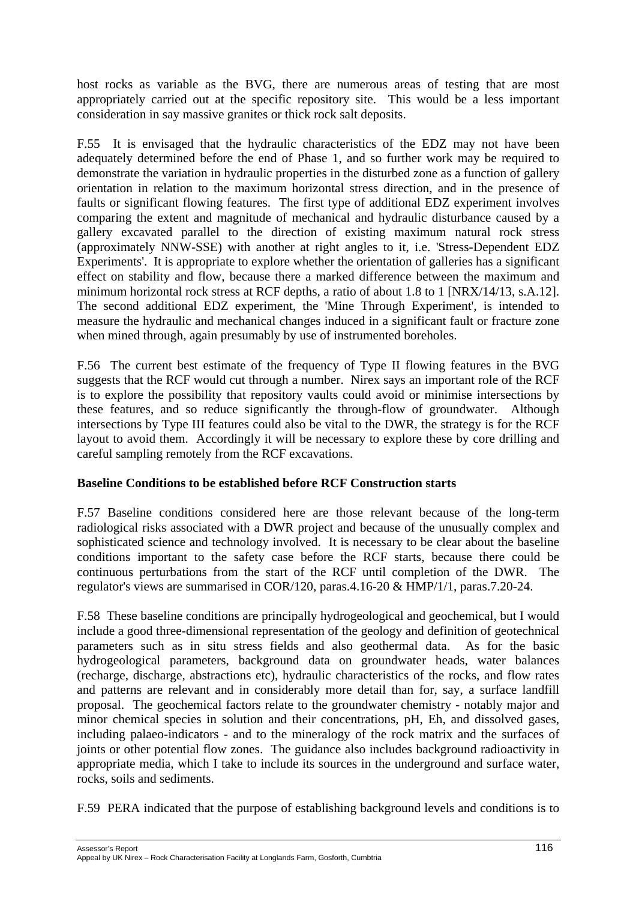host rocks as variable as the BVG, there are numerous areas of testing that are most appropriately carried out at the specific repository site. This would be a less important consideration in say massive granites or thick rock salt deposits.

F.55 It is envisaged that the hydraulic characteristics of the EDZ may not have been adequately determined before the end of Phase 1, and so further work may be required to demonstrate the variation in hydraulic properties in the disturbed zone as a function of gallery orientation in relation to the maximum horizontal stress direction, and in the presence of faults or significant flowing features. The first type of additional EDZ experiment involves comparing the extent and magnitude of mechanical and hydraulic disturbance caused by a gallery excavated parallel to the direction of existing maximum natural rock stress (approximately NNW-SSE) with another at right angles to it, i.e. 'Stress-Dependent EDZ Experiments'. It is appropriate to explore whether the orientation of galleries has a significant effect on stability and flow, because there a marked difference between the maximum and minimum horizontal rock stress at RCF depths, a ratio of about 1.8 to 1 [NRX/14/13, s.A.12]. The second additional EDZ experiment, the 'Mine Through Experiment', is intended to measure the hydraulic and mechanical changes induced in a significant fault or fracture zone when mined through, again presumably by use of instrumented boreholes.

F.56 The current best estimate of the frequency of Type II flowing features in the BVG suggests that the RCF would cut through a number. Nirex says an important role of the RCF is to explore the possibility that repository vaults could avoid or minimise intersections by these features, and so reduce significantly the through-flow of groundwater. Although intersections by Type III features could also be vital to the DWR, the strategy is for the RCF layout to avoid them. Accordingly it will be necessary to explore these by core drilling and careful sampling remotely from the RCF excavations.

# **Baseline Conditions to be established before RCF Construction starts**

F.57 Baseline conditions considered here are those relevant because of the long-term radiological risks associated with a DWR project and because of the unusually complex and sophisticated science and technology involved. It is necessary to be clear about the baseline conditions important to the safety case before the RCF starts, because there could be continuous perturbations from the start of the RCF until completion of the DWR. The regulator's views are summarised in COR/120, paras.4.16-20 & HMP/1/1, paras.7.20-24.

F.58 These baseline conditions are principally hydrogeological and geochemical, but I would include a good three-dimensional representation of the geology and definition of geotechnical parameters such as in situ stress fields and also geothermal data. As for the basic hydrogeological parameters, background data on groundwater heads, water balances (recharge, discharge, abstractions etc), hydraulic characteristics of the rocks, and flow rates and patterns are relevant and in considerably more detail than for, say, a surface landfill proposal. The geochemical factors relate to the groundwater chemistry - notably major and minor chemical species in solution and their concentrations, pH, Eh, and dissolved gases, including palaeo-indicators - and to the mineralogy of the rock matrix and the surfaces of joints or other potential flow zones. The guidance also includes background radioactivity in appropriate media, which I take to include its sources in the underground and surface water, rocks, soils and sediments.

F.59 PERA indicated that the purpose of establishing background levels and conditions is to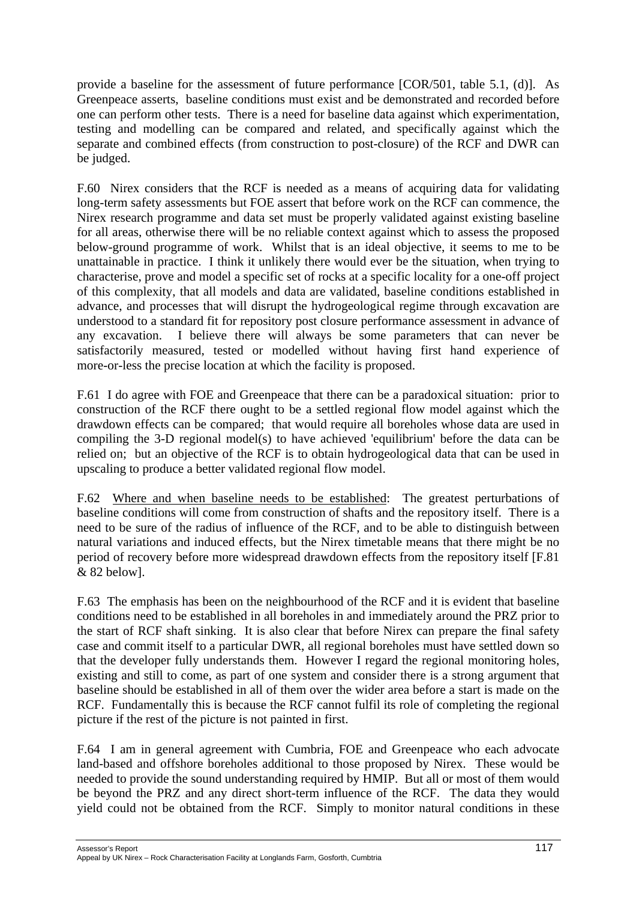provide a baseline for the assessment of future performance [COR/501, table 5.1, (d)]. As Greenpeace asserts, baseline conditions must exist and be demonstrated and recorded before one can perform other tests. There is a need for baseline data against which experimentation, testing and modelling can be compared and related, and specifically against which the separate and combined effects (from construction to post-closure) of the RCF and DWR can be judged.

F.60 Nirex considers that the RCF is needed as a means of acquiring data for validating long-term safety assessments but FOE assert that before work on the RCF can commence, the Nirex research programme and data set must be properly validated against existing baseline for all areas, otherwise there will be no reliable context against which to assess the proposed below-ground programme of work. Whilst that is an ideal objective, it seems to me to be unattainable in practice. I think it unlikely there would ever be the situation, when trying to characterise, prove and model a specific set of rocks at a specific locality for a one-off project of this complexity, that all models and data are validated, baseline conditions established in advance, and processes that will disrupt the hydrogeological regime through excavation are understood to a standard fit for repository post closure performance assessment in advance of any excavation. I believe there will always be some parameters that can never be satisfactorily measured, tested or modelled without having first hand experience of more-or-less the precise location at which the facility is proposed.

F.61 I do agree with FOE and Greenpeace that there can be a paradoxical situation: prior to construction of the RCF there ought to be a settled regional flow model against which the drawdown effects can be compared; that would require all boreholes whose data are used in compiling the 3-D regional model(s) to have achieved 'equilibrium' before the data can be relied on; but an objective of the RCF is to obtain hydrogeological data that can be used in upscaling to produce a better validated regional flow model.

F.62 Where and when baseline needs to be established: The greatest perturbations of baseline conditions will come from construction of shafts and the repository itself. There is a need to be sure of the radius of influence of the RCF, and to be able to distinguish between natural variations and induced effects, but the Nirex timetable means that there might be no period of recovery before more widespread drawdown effects from the repository itself [F.81 & 82 below].

F.63 The emphasis has been on the neighbourhood of the RCF and it is evident that baseline conditions need to be established in all boreholes in and immediately around the PRZ prior to the start of RCF shaft sinking. It is also clear that before Nirex can prepare the final safety case and commit itself to a particular DWR, all regional boreholes must have settled down so that the developer fully understands them. However I regard the regional monitoring holes, existing and still to come, as part of one system and consider there is a strong argument that baseline should be established in all of them over the wider area before a start is made on the RCF. Fundamentally this is because the RCF cannot fulfil its role of completing the regional picture if the rest of the picture is not painted in first.

F.64 I am in general agreement with Cumbria, FOE and Greenpeace who each advocate land-based and offshore boreholes additional to those proposed by Nirex. These would be needed to provide the sound understanding required by HMIP. But all or most of them would be beyond the PRZ and any direct short-term influence of the RCF. The data they would yield could not be obtained from the RCF. Simply to monitor natural conditions in these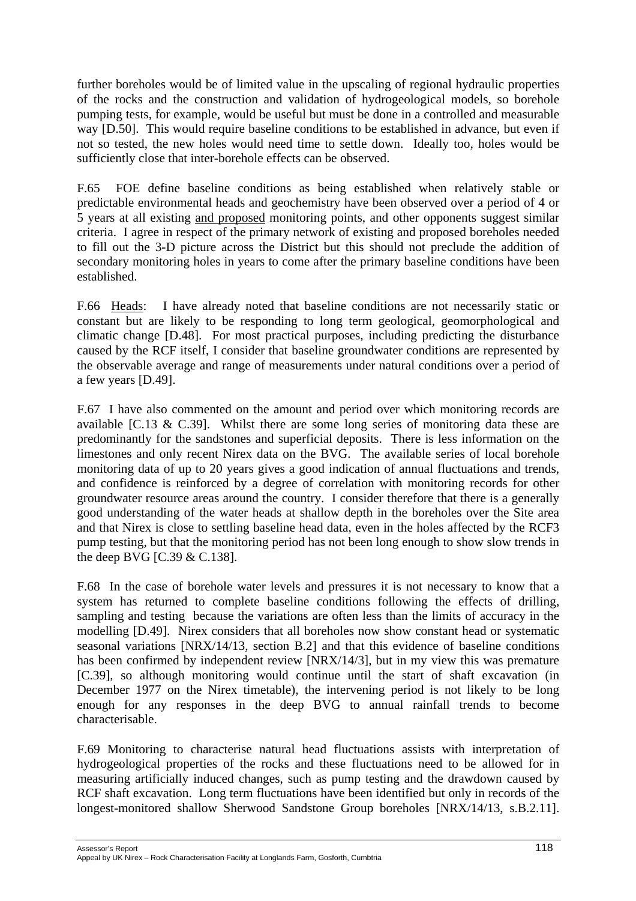further boreholes would be of limited value in the upscaling of regional hydraulic properties of the rocks and the construction and validation of hydrogeological models, so borehole pumping tests, for example, would be useful but must be done in a controlled and measurable way [D.50]. This would require baseline conditions to be established in advance, but even if not so tested, the new holes would need time to settle down. Ideally too, holes would be sufficiently close that inter-borehole effects can be observed.

F.65 FOE define baseline conditions as being established when relatively stable or predictable environmental heads and geochemistry have been observed over a period of 4 or 5 years at all existing and proposed monitoring points, and other opponents suggest similar criteria. I agree in respect of the primary network of existing and proposed boreholes needed to fill out the 3-D picture across the District but this should not preclude the addition of secondary monitoring holes in years to come after the primary baseline conditions have been established.

F.66 Heads: I have already noted that baseline conditions are not necessarily static or constant but are likely to be responding to long term geological, geomorphological and climatic change [D.48]. For most practical purposes, including predicting the disturbance caused by the RCF itself, I consider that baseline groundwater conditions are represented by the observable average and range of measurements under natural conditions over a period of a few years [D.49].

F.67 I have also commented on the amount and period over which monitoring records are available [C.13 & C.39]. Whilst there are some long series of monitoring data these are predominantly for the sandstones and superficial deposits. There is less information on the limestones and only recent Nirex data on the BVG. The available series of local borehole monitoring data of up to 20 years gives a good indication of annual fluctuations and trends, and confidence is reinforced by a degree of correlation with monitoring records for other groundwater resource areas around the country. I consider therefore that there is a generally good understanding of the water heads at shallow depth in the boreholes over the Site area and that Nirex is close to settling baseline head data, even in the holes affected by the RCF3 pump testing, but that the monitoring period has not been long enough to show slow trends in the deep BVG [C.39 & C.138].

F.68 In the case of borehole water levels and pressures it is not necessary to know that a system has returned to complete baseline conditions following the effects of drilling, sampling and testing because the variations are often less than the limits of accuracy in the modelling [D.49]. Nirex considers that all boreholes now show constant head or systematic seasonal variations [NRX/14/13, section B.2] and that this evidence of baseline conditions has been confirmed by independent review [NRX/14/3], but in my view this was premature [C.39], so although monitoring would continue until the start of shaft excavation (in December 1977 on the Nirex timetable), the intervening period is not likely to be long enough for any responses in the deep BVG to annual rainfall trends to become characterisable.

F.69 Monitoring to characterise natural head fluctuations assists with interpretation of hydrogeological properties of the rocks and these fluctuations need to be allowed for in measuring artificially induced changes, such as pump testing and the drawdown caused by RCF shaft excavation. Long term fluctuations have been identified but only in records of the longest-monitored shallow Sherwood Sandstone Group boreholes [NRX/14/13, s.B.2.11].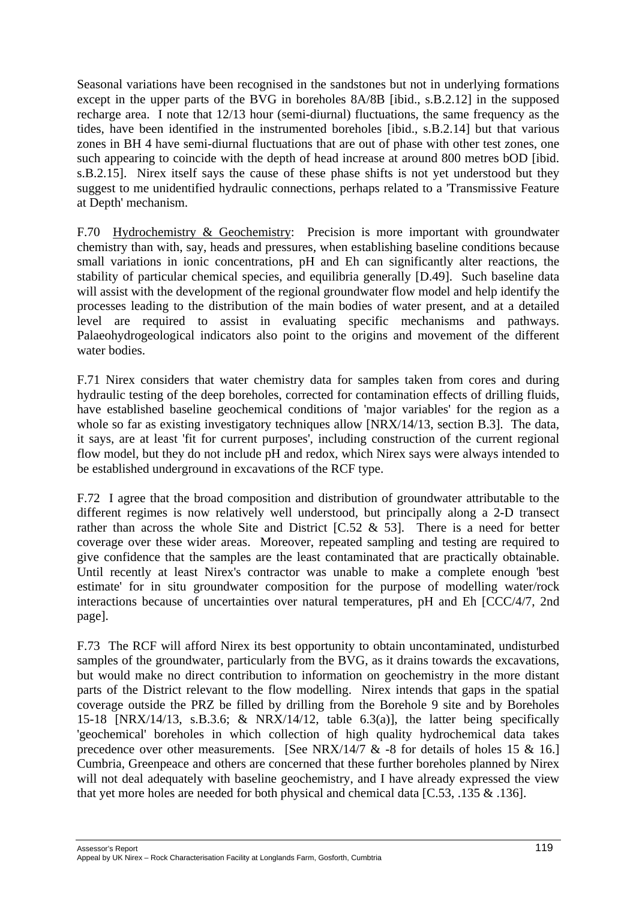Seasonal variations have been recognised in the sandstones but not in underlying formations except in the upper parts of the BVG in boreholes 8A/8B [ibid., s.B.2.12] in the supposed recharge area. I note that 12/13 hour (semi-diurnal) fluctuations, the same frequency as the tides, have been identified in the instrumented boreholes [ibid., s.B.2.14] but that various zones in BH 4 have semi-diurnal fluctuations that are out of phase with other test zones, one such appearing to coincide with the depth of head increase at around 800 metres bOD [ibid. s.B.2.15]. Nirex itself says the cause of these phase shifts is not yet understood but they suggest to me unidentified hydraulic connections, perhaps related to a 'Transmissive Feature at Depth' mechanism.

F.70 Hydrochemistry & Geochemistry: Precision is more important with groundwater chemistry than with, say, heads and pressures, when establishing baseline conditions because small variations in ionic concentrations, pH and Eh can significantly alter reactions, the stability of particular chemical species, and equilibria generally [D.49]. Such baseline data will assist with the development of the regional groundwater flow model and help identify the processes leading to the distribution of the main bodies of water present, and at a detailed level are required to assist in evaluating specific mechanisms and pathways. Palaeohydrogeological indicators also point to the origins and movement of the different water bodies.

F.71 Nirex considers that water chemistry data for samples taken from cores and during hydraulic testing of the deep boreholes, corrected for contamination effects of drilling fluids, have established baseline geochemical conditions of 'major variables' for the region as a whole so far as existing investigatory techniques allow [NRX/14/13, section B.3]. The data, it says, are at least 'fit for current purposes', including construction of the current regional flow model, but they do not include pH and redox, which Nirex says were always intended to be established underground in excavations of the RCF type.

F.72 I agree that the broad composition and distribution of groundwater attributable to the different regimes is now relatively well understood, but principally along a 2-D transect rather than across the whole Site and District  $[C.52 \& 53]$ . There is a need for better coverage over these wider areas. Moreover, repeated sampling and testing are required to give confidence that the samples are the least contaminated that are practically obtainable. Until recently at least Nirex's contractor was unable to make a complete enough 'best estimate' for in situ groundwater composition for the purpose of modelling water/rock interactions because of uncertainties over natural temperatures, pH and Eh [CCC/4/7, 2nd page].

F.73 The RCF will afford Nirex its best opportunity to obtain uncontaminated, undisturbed samples of the groundwater, particularly from the BVG, as it drains towards the excavations, but would make no direct contribution to information on geochemistry in the more distant parts of the District relevant to the flow modelling. Nirex intends that gaps in the spatial coverage outside the PRZ be filled by drilling from the Borehole 9 site and by Boreholes 15-18 [NRX/14/13, s.B.3.6; & NRX/14/12, table 6.3(a)], the latter being specifically 'geochemical' boreholes in which collection of high quality hydrochemical data takes precedence over other measurements. [See NRX/14/7 & -8 for details of holes 15 & 16.] Cumbria, Greenpeace and others are concerned that these further boreholes planned by Nirex will not deal adequately with baseline geochemistry, and I have already expressed the view that yet more holes are needed for both physical and chemical data [C.53, .135 & .136].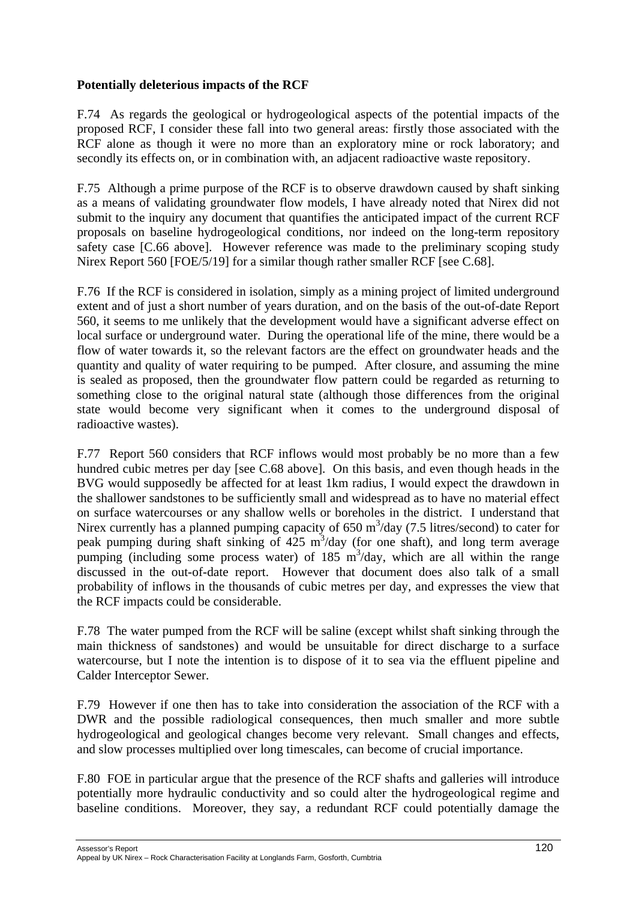## **Potentially deleterious impacts of the RCF**

F.74 As regards the geological or hydrogeological aspects of the potential impacts of the proposed RCF, I consider these fall into two general areas: firstly those associated with the RCF alone as though it were no more than an exploratory mine or rock laboratory; and secondly its effects on, or in combination with, an adjacent radioactive waste repository.

F.75 Although a prime purpose of the RCF is to observe drawdown caused by shaft sinking as a means of validating groundwater flow models, I have already noted that Nirex did not submit to the inquiry any document that quantifies the anticipated impact of the current RCF proposals on baseline hydrogeological conditions, nor indeed on the long-term repository safety case [C.66 above]. However reference was made to the preliminary scoping study Nirex Report 560 [FOE/5/19] for a similar though rather smaller RCF [see C.68].

F.76 If the RCF is considered in isolation, simply as a mining project of limited underground extent and of just a short number of years duration, and on the basis of the out-of-date Report 560, it seems to me unlikely that the development would have a significant adverse effect on local surface or underground water. During the operational life of the mine, there would be a flow of water towards it, so the relevant factors are the effect on groundwater heads and the quantity and quality of water requiring to be pumped. After closure, and assuming the mine is sealed as proposed, then the groundwater flow pattern could be regarded as returning to something close to the original natural state (although those differences from the original state would become very significant when it comes to the underground disposal of radioactive wastes).

F.77 Report 560 considers that RCF inflows would most probably be no more than a few hundred cubic metres per day [see C.68 above]. On this basis, and even though heads in the BVG would supposedly be affected for at least 1km radius, I would expect the drawdown in the shallower sandstones to be sufficiently small and widespread as to have no material effect on surface watercourses or any shallow wells or boreholes in the district. I understand that Nirex currently has a planned pumping capacity of  $650 \text{ m}^3/\text{day}$  (7.5 litres/second) to cater for peak pumping during shaft sinking of  $425 \text{ m}^3$ /day (for one shaft), and long term average pumping (including some process water) of  $185 \text{ m}^3/\text{day}$ , which are all within the range discussed in the out-of-date report. However that document does also talk of a small probability of inflows in the thousands of cubic metres per day, and expresses the view that the RCF impacts could be considerable.

F.78 The water pumped from the RCF will be saline (except whilst shaft sinking through the main thickness of sandstones) and would be unsuitable for direct discharge to a surface watercourse, but I note the intention is to dispose of it to sea via the effluent pipeline and Calder Interceptor Sewer.

F.79 However if one then has to take into consideration the association of the RCF with a DWR and the possible radiological consequences, then much smaller and more subtle hydrogeological and geological changes become very relevant. Small changes and effects, and slow processes multiplied over long timescales, can become of crucial importance.

F.80 FOE in particular argue that the presence of the RCF shafts and galleries will introduce potentially more hydraulic conductivity and so could alter the hydrogeological regime and baseline conditions. Moreover, they say, a redundant RCF could potentially damage the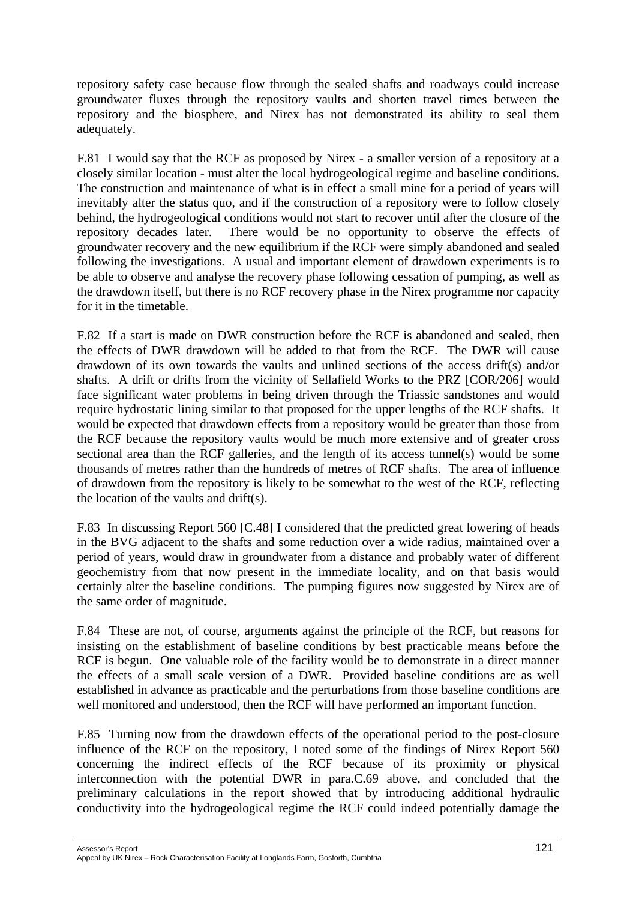repository safety case because flow through the sealed shafts and roadways could increase groundwater fluxes through the repository vaults and shorten travel times between the repository and the biosphere, and Nirex has not demonstrated its ability to seal them adequately.

F.81 I would say that the RCF as proposed by Nirex - a smaller version of a repository at a closely similar location - must alter the local hydrogeological regime and baseline conditions. The construction and maintenance of what is in effect a small mine for a period of years will inevitably alter the status quo, and if the construction of a repository were to follow closely behind, the hydrogeological conditions would not start to recover until after the closure of the repository decades later. There would be no opportunity to observe the effects of groundwater recovery and the new equilibrium if the RCF were simply abandoned and sealed following the investigations. A usual and important element of drawdown experiments is to be able to observe and analyse the recovery phase following cessation of pumping, as well as the drawdown itself, but there is no RCF recovery phase in the Nirex programme nor capacity for it in the timetable.

F.82 If a start is made on DWR construction before the RCF is abandoned and sealed, then the effects of DWR drawdown will be added to that from the RCF. The DWR will cause drawdown of its own towards the vaults and unlined sections of the access drift(s) and/or shafts. A drift or drifts from the vicinity of Sellafield Works to the PRZ [COR/206] would face significant water problems in being driven through the Triassic sandstones and would require hydrostatic lining similar to that proposed for the upper lengths of the RCF shafts. It would be expected that drawdown effects from a repository would be greater than those from the RCF because the repository vaults would be much more extensive and of greater cross sectional area than the RCF galleries, and the length of its access tunnel(s) would be some thousands of metres rather than the hundreds of metres of RCF shafts. The area of influence of drawdown from the repository is likely to be somewhat to the west of the RCF, reflecting the location of the vaults and drift(s).

F.83 In discussing Report 560 [C.48] I considered that the predicted great lowering of heads in the BVG adjacent to the shafts and some reduction over a wide radius, maintained over a period of years, would draw in groundwater from a distance and probably water of different geochemistry from that now present in the immediate locality, and on that basis would certainly alter the baseline conditions. The pumping figures now suggested by Nirex are of the same order of magnitude.

F.84 These are not, of course, arguments against the principle of the RCF, but reasons for insisting on the establishment of baseline conditions by best practicable means before the RCF is begun. One valuable role of the facility would be to demonstrate in a direct manner the effects of a small scale version of a DWR. Provided baseline conditions are as well established in advance as practicable and the perturbations from those baseline conditions are well monitored and understood, then the RCF will have performed an important function.

F.85 Turning now from the drawdown effects of the operational period to the post-closure influence of the RCF on the repository, I noted some of the findings of Nirex Report 560 concerning the indirect effects of the RCF because of its proximity or physical interconnection with the potential DWR in para.C.69 above, and concluded that the preliminary calculations in the report showed that by introducing additional hydraulic conductivity into the hydrogeological regime the RCF could indeed potentially damage the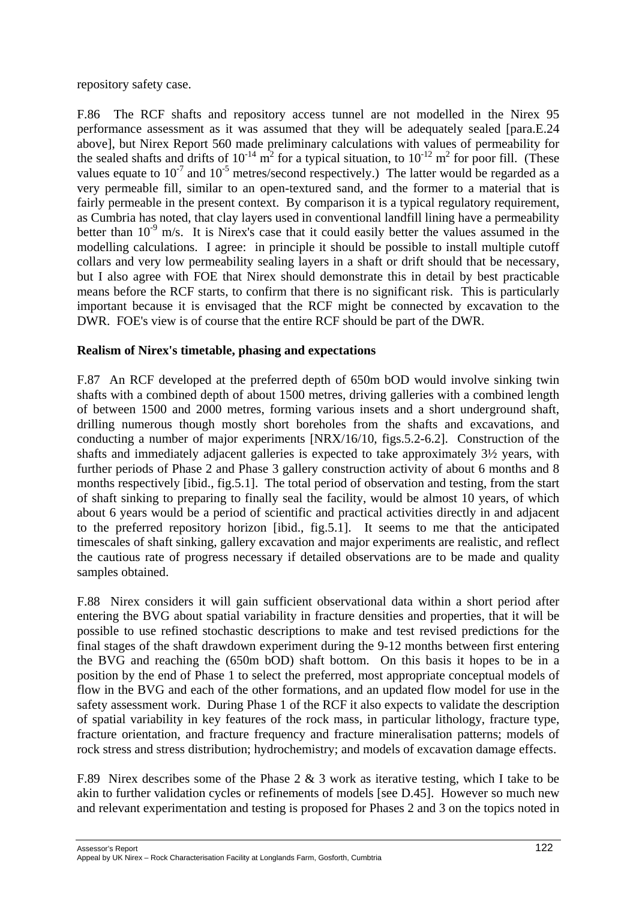repository safety case.

F.86 The RCF shafts and repository access tunnel are not modelled in the Nirex 95 performance assessment as it was assumed that they will be adequately sealed [para.E.24 above], but Nirex Report 560 made preliminary calculations with values of permeability for the sealed shafts and drifts of  $10^{-14}$  m<sup>2</sup> for a typical situation, to  $10^{-12}$  m<sup>2</sup> for poor fill. (These values equate to  $10^{-7}$  and  $10^{-5}$  metres/second respectively.) The latter would be regarded as a very permeable fill, similar to an open-textured sand, and the former to a material that is fairly permeable in the present context. By comparison it is a typical regulatory requirement, as Cumbria has noted, that clay layers used in conventional landfill lining have a permeability better than  $10^{-9}$  m/s. It is Nirex's case that it could easily better the values assumed in the modelling calculations. I agree: in principle it should be possible to install multiple cutoff collars and very low permeability sealing layers in a shaft or drift should that be necessary, but I also agree with FOE that Nirex should demonstrate this in detail by best practicable means before the RCF starts, to confirm that there is no significant risk. This is particularly important because it is envisaged that the RCF might be connected by excavation to the DWR. FOE's view is of course that the entire RCF should be part of the DWR.

### **Realism of Nirex's timetable, phasing and expectations**

F.87 An RCF developed at the preferred depth of 650m bOD would involve sinking twin shafts with a combined depth of about 1500 metres, driving galleries with a combined length of between 1500 and 2000 metres, forming various insets and a short underground shaft, drilling numerous though mostly short boreholes from the shafts and excavations, and conducting a number of major experiments [NRX/16/10, figs.5.2-6.2]. Construction of the shafts and immediately adjacent galleries is expected to take approximately 3½ years, with further periods of Phase 2 and Phase 3 gallery construction activity of about 6 months and 8 months respectively [ibid., fig.5.1]. The total period of observation and testing, from the start of shaft sinking to preparing to finally seal the facility, would be almost 10 years, of which about 6 years would be a period of scientific and practical activities directly in and adjacent to the preferred repository horizon [ibid., fig.5.1]. It seems to me that the anticipated timescales of shaft sinking, gallery excavation and major experiments are realistic, and reflect the cautious rate of progress necessary if detailed observations are to be made and quality samples obtained.

F.88 Nirex considers it will gain sufficient observational data within a short period after entering the BVG about spatial variability in fracture densities and properties, that it will be possible to use refined stochastic descriptions to make and test revised predictions for the final stages of the shaft drawdown experiment during the 9-12 months between first entering the BVG and reaching the (650m bOD) shaft bottom. On this basis it hopes to be in a position by the end of Phase 1 to select the preferred, most appropriate conceptual models of flow in the BVG and each of the other formations, and an updated flow model for use in the safety assessment work. During Phase 1 of the RCF it also expects to validate the description of spatial variability in key features of the rock mass, in particular lithology, fracture type, fracture orientation, and fracture frequency and fracture mineralisation patterns; models of rock stress and stress distribution; hydrochemistry; and models of excavation damage effects.

F.89 Nirex describes some of the Phase 2 & 3 work as iterative testing, which I take to be akin to further validation cycles or refinements of models [see D.45]. However so much new and relevant experimentation and testing is proposed for Phases 2 and 3 on the topics noted in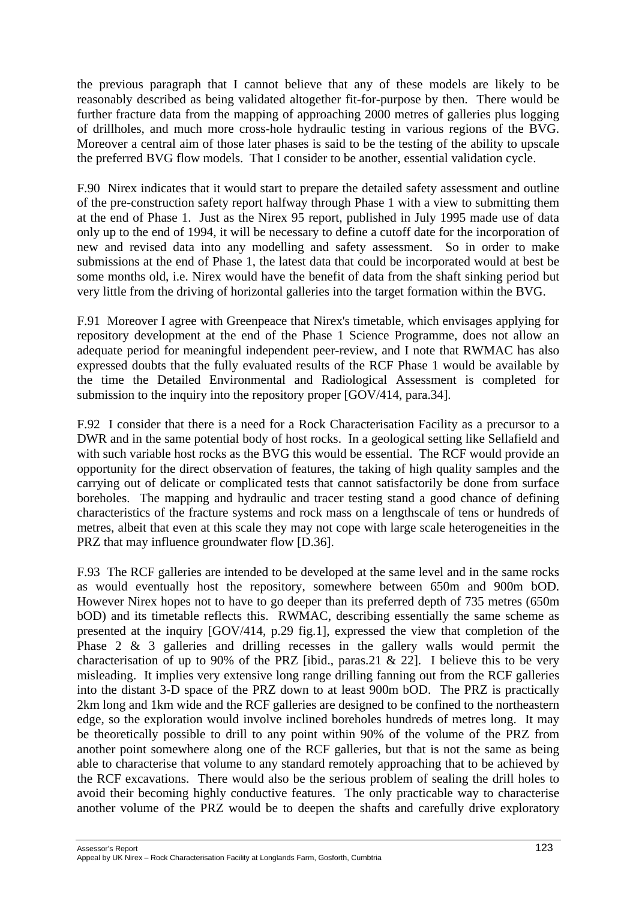the previous paragraph that I cannot believe that any of these models are likely to be reasonably described as being validated altogether fit-for-purpose by then. There would be further fracture data from the mapping of approaching 2000 metres of galleries plus logging of drillholes, and much more cross-hole hydraulic testing in various regions of the BVG. Moreover a central aim of those later phases is said to be the testing of the ability to upscale the preferred BVG flow models. That I consider to be another, essential validation cycle.

F.90 Nirex indicates that it would start to prepare the detailed safety assessment and outline of the pre-construction safety report halfway through Phase 1 with a view to submitting them at the end of Phase 1. Just as the Nirex 95 report, published in July 1995 made use of data only up to the end of 1994, it will be necessary to define a cutoff date for the incorporation of new and revised data into any modelling and safety assessment. So in order to make submissions at the end of Phase 1, the latest data that could be incorporated would at best be some months old, i.e. Nirex would have the benefit of data from the shaft sinking period but very little from the driving of horizontal galleries into the target formation within the BVG.

F.91 Moreover I agree with Greenpeace that Nirex's timetable, which envisages applying for repository development at the end of the Phase 1 Science Programme, does not allow an adequate period for meaningful independent peer-review, and I note that RWMAC has also expressed doubts that the fully evaluated results of the RCF Phase 1 would be available by the time the Detailed Environmental and Radiological Assessment is completed for submission to the inquiry into the repository proper [GOV/414, para.34].

F.92 I consider that there is a need for a Rock Characterisation Facility as a precursor to a DWR and in the same potential body of host rocks. In a geological setting like Sellafield and with such variable host rocks as the BVG this would be essential. The RCF would provide an opportunity for the direct observation of features, the taking of high quality samples and the carrying out of delicate or complicated tests that cannot satisfactorily be done from surface boreholes. The mapping and hydraulic and tracer testing stand a good chance of defining characteristics of the fracture systems and rock mass on a lengthscale of tens or hundreds of metres, albeit that even at this scale they may not cope with large scale heterogeneities in the PRZ that may influence groundwater flow [D.36].

F.93 The RCF galleries are intended to be developed at the same level and in the same rocks as would eventually host the repository, somewhere between 650m and 900m bOD. However Nirex hopes not to have to go deeper than its preferred depth of 735 metres (650m bOD) and its timetable reflects this. RWMAC, describing essentially the same scheme as presented at the inquiry [GOV/414, p.29 fig.1], expressed the view that completion of the Phase 2 & 3 galleries and drilling recesses in the gallery walls would permit the characterisation of up to 90% of the PRZ [ibid., paras. 21 & 22]. I believe this to be very misleading. It implies very extensive long range drilling fanning out from the RCF galleries into the distant 3-D space of the PRZ down to at least 900m bOD. The PRZ is practically 2km long and 1km wide and the RCF galleries are designed to be confined to the northeastern edge, so the exploration would involve inclined boreholes hundreds of metres long. It may be theoretically possible to drill to any point within 90% of the volume of the PRZ from another point somewhere along one of the RCF galleries, but that is not the same as being able to characterise that volume to any standard remotely approaching that to be achieved by the RCF excavations. There would also be the serious problem of sealing the drill holes to avoid their becoming highly conductive features. The only practicable way to characterise another volume of the PRZ would be to deepen the shafts and carefully drive exploratory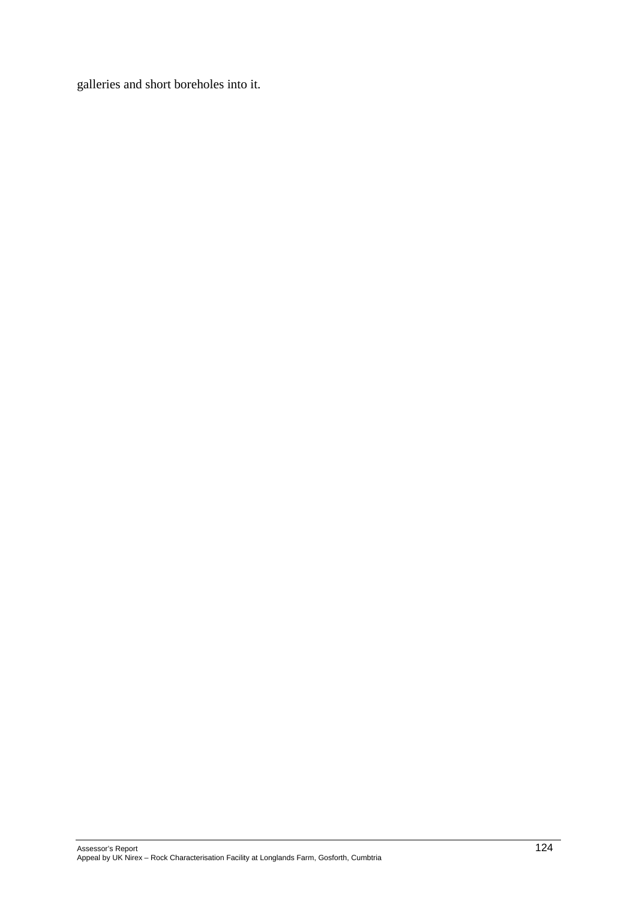galleries and short boreholes into it.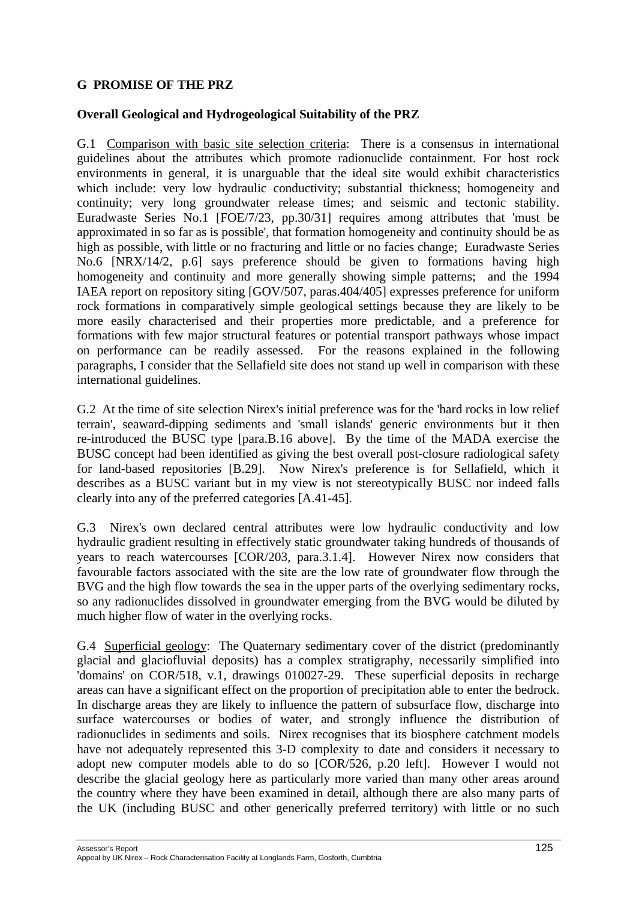## **G PROMISE OF THE PRZ**

#### **Overall Geological and Hydrogeological Suitability of the PRZ**

G.1 Comparison with basic site selection criteria: There is a consensus in international guidelines about the attributes which promote radionuclide containment. For host rock environments in general, it is unarguable that the ideal site would exhibit characteristics which include: very low hydraulic conductivity; substantial thickness; homogeneity and continuity; very long groundwater release times; and seismic and tectonic stability. Euradwaste Series No.1 [FOE/7/23, pp.30/31] requires among attributes that 'must be approximated in so far as is possible', that formation homogeneity and continuity should be as high as possible, with little or no fracturing and little or no facies change; Euradwaste Series No.6 [NRX/14/2, p.6] says preference should be given to formations having high homogeneity and continuity and more generally showing simple patterns; and the 1994 IAEA report on repository siting [GOV/507, paras.404/405] expresses preference for uniform rock formations in comparatively simple geological settings because they are likely to be more easily characterised and their properties more predictable, and a preference for formations with few major structural features or potential transport pathways whose impact on performance can be readily assessed. For the reasons explained in the following paragraphs, I consider that the Sellafield site does not stand up well in comparison with these international guidelines.

G.2 At the time of site selection Nirex's initial preference was for the 'hard rocks in low relief terrain', seaward-dipping sediments and 'small islands' generic environments but it then re-introduced the BUSC type [para.B.16 above]. By the time of the MADA exercise the BUSC concept had been identified as giving the best overall post-closure radiological safety for land-based repositories [B.29]. Now Nirex's preference is for Sellafield, which it describes as a BUSC variant but in my view is not stereotypically BUSC nor indeed falls clearly into any of the preferred categories [A.41-45].

G.3 Nirex's own declared central attributes were low hydraulic conductivity and low hydraulic gradient resulting in effectively static groundwater taking hundreds of thousands of years to reach watercourses [COR/203, para.3.1.4]. However Nirex now considers that favourable factors associated with the site are the low rate of groundwater flow through the BVG and the high flow towards the sea in the upper parts of the overlying sedimentary rocks, so any radionuclides dissolved in groundwater emerging from the BVG would be diluted by much higher flow of water in the overlying rocks.

G.4 Superficial geology: The Quaternary sedimentary cover of the district (predominantly glacial and glaciofluvial deposits) has a complex stratigraphy, necessarily simplified into 'domains' on COR/518, v.1, drawings 010027-29. These superficial deposits in recharge areas can have a significant effect on the proportion of precipitation able to enter the bedrock. In discharge areas they are likely to influence the pattern of subsurface flow, discharge into surface watercourses or bodies of water, and strongly influence the distribution of radionuclides in sediments and soils. Nirex recognises that its biosphere catchment models have not adequately represented this 3-D complexity to date and considers it necessary to adopt new computer models able to do so [COR/526, p.20 left]. However I would not describe the glacial geology here as particularly more varied than many other areas around the country where they have been examined in detail, although there are also many parts of the UK (including BUSC and other generically preferred territory) with little or no such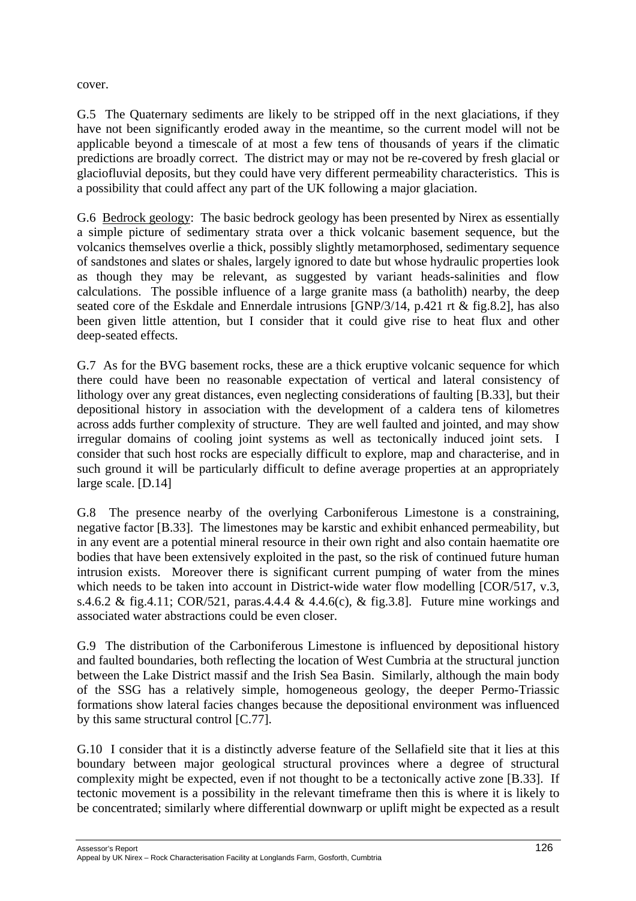cover.

G.5 The Quaternary sediments are likely to be stripped off in the next glaciations, if they have not been significantly eroded away in the meantime, so the current model will not be applicable beyond a timescale of at most a few tens of thousands of years if the climatic predictions are broadly correct. The district may or may not be re-covered by fresh glacial or glaciofluvial deposits, but they could have very different permeability characteristics. This is a possibility that could affect any part of the UK following a major glaciation.

G.6 Bedrock geology: The basic bedrock geology has been presented by Nirex as essentially a simple picture of sedimentary strata over a thick volcanic basement sequence, but the volcanics themselves overlie a thick, possibly slightly metamorphosed, sedimentary sequence of sandstones and slates or shales, largely ignored to date but whose hydraulic properties look as though they may be relevant, as suggested by variant heads-salinities and flow calculations. The possible influence of a large granite mass (a batholith) nearby, the deep seated core of the Eskdale and Ennerdale intrusions [GNP/3/14, p.421 rt & fig.8.2], has also been given little attention, but I consider that it could give rise to heat flux and other deep-seated effects.

G.7 As for the BVG basement rocks, these are a thick eruptive volcanic sequence for which there could have been no reasonable expectation of vertical and lateral consistency of lithology over any great distances, even neglecting considerations of faulting [B.33], but their depositional history in association with the development of a caldera tens of kilometres across adds further complexity of structure. They are well faulted and jointed, and may show irregular domains of cooling joint systems as well as tectonically induced joint sets. I consider that such host rocks are especially difficult to explore, map and characterise, and in such ground it will be particularly difficult to define average properties at an appropriately large scale. [D.14]

G.8 The presence nearby of the overlying Carboniferous Limestone is a constraining, negative factor [B.33]. The limestones may be karstic and exhibit enhanced permeability, but in any event are a potential mineral resource in their own right and also contain haematite ore bodies that have been extensively exploited in the past, so the risk of continued future human intrusion exists. Moreover there is significant current pumping of water from the mines which needs to be taken into account in District-wide water flow modelling [COR/517, v.3, s.4.6.2 & fig.4.11; COR/521, paras.4.4.4 & 4.4.6(c), & fig.3.8]. Future mine workings and associated water abstractions could be even closer.

G.9 The distribution of the Carboniferous Limestone is influenced by depositional history and faulted boundaries, both reflecting the location of West Cumbria at the structural junction between the Lake District massif and the Irish Sea Basin. Similarly, although the main body of the SSG has a relatively simple, homogeneous geology, the deeper Permo-Triassic formations show lateral facies changes because the depositional environment was influenced by this same structural control [C.77].

G.10 I consider that it is a distinctly adverse feature of the Sellafield site that it lies at this boundary between major geological structural provinces where a degree of structural complexity might be expected, even if not thought to be a tectonically active zone [B.33]. If tectonic movement is a possibility in the relevant timeframe then this is where it is likely to be concentrated; similarly where differential downwarp or uplift might be expected as a result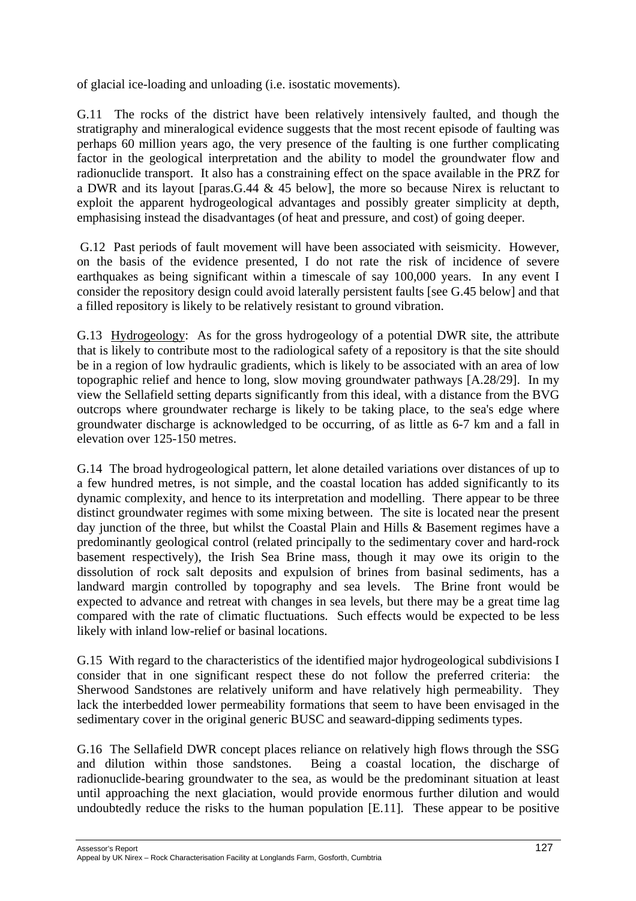of glacial ice-loading and unloading (i.e. isostatic movements).

G.11 The rocks of the district have been relatively intensively faulted, and though the stratigraphy and mineralogical evidence suggests that the most recent episode of faulting was perhaps 60 million years ago, the very presence of the faulting is one further complicating factor in the geological interpretation and the ability to model the groundwater flow and radionuclide transport. It also has a constraining effect on the space available in the PRZ for a DWR and its layout [paras.G.44 & 45 below], the more so because Nirex is reluctant to exploit the apparent hydrogeological advantages and possibly greater simplicity at depth, emphasising instead the disadvantages (of heat and pressure, and cost) of going deeper.

G.12 Past periods of fault movement will have been associated with seismicity. However, on the basis of the evidence presented, I do not rate the risk of incidence of severe earthquakes as being significant within a timescale of say 100,000 years. In any event I consider the repository design could avoid laterally persistent faults [see G.45 below] and that a filled repository is likely to be relatively resistant to ground vibration.

G.13 Hydrogeology: As for the gross hydrogeology of a potential DWR site, the attribute that is likely to contribute most to the radiological safety of a repository is that the site should be in a region of low hydraulic gradients, which is likely to be associated with an area of low topographic relief and hence to long, slow moving groundwater pathways [A.28/29]. In my view the Sellafield setting departs significantly from this ideal, with a distance from the BVG outcrops where groundwater recharge is likely to be taking place, to the sea's edge where groundwater discharge is acknowledged to be occurring, of as little as 6-7 km and a fall in elevation over 125-150 metres.

G.14 The broad hydrogeological pattern, let alone detailed variations over distances of up to a few hundred metres, is not simple, and the coastal location has added significantly to its dynamic complexity, and hence to its interpretation and modelling. There appear to be three distinct groundwater regimes with some mixing between. The site is located near the present day junction of the three, but whilst the Coastal Plain and Hills & Basement regimes have a predominantly geological control (related principally to the sedimentary cover and hard-rock basement respectively), the Irish Sea Brine mass, though it may owe its origin to the dissolution of rock salt deposits and expulsion of brines from basinal sediments, has a landward margin controlled by topography and sea levels. The Brine front would be expected to advance and retreat with changes in sea levels, but there may be a great time lag compared with the rate of climatic fluctuations. Such effects would be expected to be less likely with inland low-relief or basinal locations.

G.15 With regard to the characteristics of the identified major hydrogeological subdivisions I consider that in one significant respect these do not follow the preferred criteria: the Sherwood Sandstones are relatively uniform and have relatively high permeability. They lack the interbedded lower permeability formations that seem to have been envisaged in the sedimentary cover in the original generic BUSC and seaward-dipping sediments types.

G.16 The Sellafield DWR concept places reliance on relatively high flows through the SSG and dilution within those sandstones. Being a coastal location, the discharge of radionuclide-bearing groundwater to the sea, as would be the predominant situation at least until approaching the next glaciation, would provide enormous further dilution and would undoubtedly reduce the risks to the human population [E.11]. These appear to be positive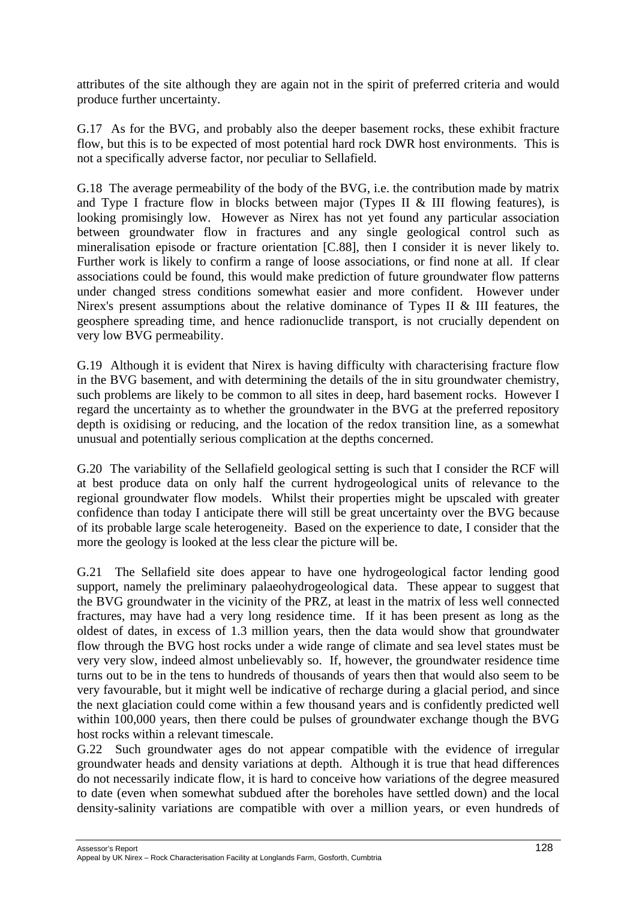attributes of the site although they are again not in the spirit of preferred criteria and would produce further uncertainty.

G.17 As for the BVG, and probably also the deeper basement rocks, these exhibit fracture flow, but this is to be expected of most potential hard rock DWR host environments. This is not a specifically adverse factor, nor peculiar to Sellafield.

G.18 The average permeability of the body of the BVG, i.e. the contribution made by matrix and Type I fracture flow in blocks between major (Types II & III flowing features), is looking promisingly low. However as Nirex has not yet found any particular association between groundwater flow in fractures and any single geological control such as mineralisation episode or fracture orientation [C.88], then I consider it is never likely to. Further work is likely to confirm a range of loose associations, or find none at all. If clear associations could be found, this would make prediction of future groundwater flow patterns under changed stress conditions somewhat easier and more confident. However under Nirex's present assumptions about the relative dominance of Types II & III features, the geosphere spreading time, and hence radionuclide transport, is not crucially dependent on very low BVG permeability.

G.19 Although it is evident that Nirex is having difficulty with characterising fracture flow in the BVG basement, and with determining the details of the in situ groundwater chemistry, such problems are likely to be common to all sites in deep, hard basement rocks. However I regard the uncertainty as to whether the groundwater in the BVG at the preferred repository depth is oxidising or reducing, and the location of the redox transition line, as a somewhat unusual and potentially serious complication at the depths concerned.

G.20 The variability of the Sellafield geological setting is such that I consider the RCF will at best produce data on only half the current hydrogeological units of relevance to the regional groundwater flow models. Whilst their properties might be upscaled with greater confidence than today I anticipate there will still be great uncertainty over the BVG because of its probable large scale heterogeneity. Based on the experience to date, I consider that the more the geology is looked at the less clear the picture will be.

G.21 The Sellafield site does appear to have one hydrogeological factor lending good support, namely the preliminary palaeohydrogeological data. These appear to suggest that the BVG groundwater in the vicinity of the PRZ, at least in the matrix of less well connected fractures, may have had a very long residence time. If it has been present as long as the oldest of dates, in excess of 1.3 million years, then the data would show that groundwater flow through the BVG host rocks under a wide range of climate and sea level states must be very very slow, indeed almost unbelievably so. If, however, the groundwater residence time turns out to be in the tens to hundreds of thousands of years then that would also seem to be very favourable, but it might well be indicative of recharge during a glacial period, and since the next glaciation could come within a few thousand years and is confidently predicted well within 100,000 years, then there could be pulses of groundwater exchange though the BVG host rocks within a relevant timescale.

G.22 Such groundwater ages do not appear compatible with the evidence of irregular groundwater heads and density variations at depth. Although it is true that head differences do not necessarily indicate flow, it is hard to conceive how variations of the degree measured to date (even when somewhat subdued after the boreholes have settled down) and the local density-salinity variations are compatible with over a million years, or even hundreds of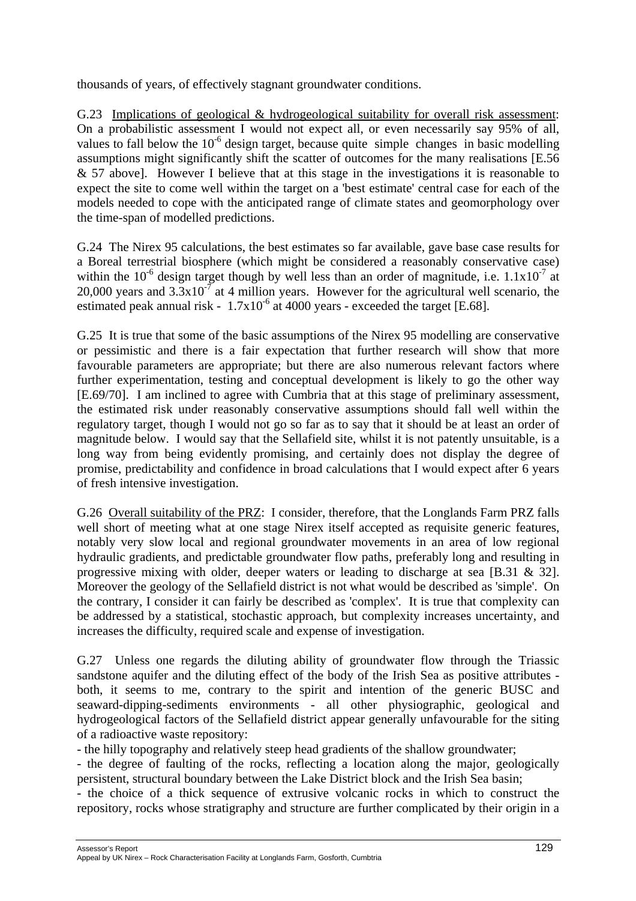thousands of years, of effectively stagnant groundwater conditions.

G.23 Implications of geological & hydrogeological suitability for overall risk assessment: On a probabilistic assessment I would not expect all, or even necessarily say 95% of all, values to fall below the  $10^{-6}$  design target, because quite simple changes in basic modelling assumptions might significantly shift the scatter of outcomes for the many realisations [E.56 & 57 above]. However I believe that at this stage in the investigations it is reasonable to expect the site to come well within the target on a 'best estimate' central case for each of the models needed to cope with the anticipated range of climate states and geomorphology over the time-span of modelled predictions.

G.24 The Nirex 95 calculations, the best estimates so far available, gave base case results for a Boreal terrestrial biosphere (which might be considered a reasonably conservative case) within the 10<sup>-6</sup> design target though by well less than an order of magnitude, i.e.  $1.1x10^{-7}$  at  $20,000$  years and  $3.3 \times 10^{-7}$  at 4 million years. However for the agricultural well scenario, the estimated peak annual risk -  $1.7x10^{-6}$  at 4000 years - exceeded the target [E.68].

G.25 It is true that some of the basic assumptions of the Nirex 95 modelling are conservative or pessimistic and there is a fair expectation that further research will show that more favourable parameters are appropriate; but there are also numerous relevant factors where further experimentation, testing and conceptual development is likely to go the other way [E.69/70]. I am inclined to agree with Cumbria that at this stage of preliminary assessment, the estimated risk under reasonably conservative assumptions should fall well within the regulatory target, though I would not go so far as to say that it should be at least an order of magnitude below. I would say that the Sellafield site, whilst it is not patently unsuitable, is a long way from being evidently promising, and certainly does not display the degree of promise, predictability and confidence in broad calculations that I would expect after 6 years of fresh intensive investigation.

G.26 Overall suitability of the PRZ: I consider, therefore, that the Longlands Farm PRZ falls well short of meeting what at one stage Nirex itself accepted as requisite generic features, notably very slow local and regional groundwater movements in an area of low regional hydraulic gradients, and predictable groundwater flow paths, preferably long and resulting in progressive mixing with older, deeper waters or leading to discharge at sea [B.31 & 32]. Moreover the geology of the Sellafield district is not what would be described as 'simple'. On the contrary, I consider it can fairly be described as 'complex'. It is true that complexity can be addressed by a statistical, stochastic approach, but complexity increases uncertainty, and increases the difficulty, required scale and expense of investigation.

G.27 Unless one regards the diluting ability of groundwater flow through the Triassic sandstone aquifer and the diluting effect of the body of the Irish Sea as positive attributes both, it seems to me, contrary to the spirit and intention of the generic BUSC and seaward-dipping-sediments environments - all other physiographic, geological and hydrogeological factors of the Sellafield district appear generally unfavourable for the siting of a radioactive waste repository:

- the hilly topography and relatively steep head gradients of the shallow groundwater;

- the degree of faulting of the rocks, reflecting a location along the major, geologically persistent, structural boundary between the Lake District block and the Irish Sea basin;

- the choice of a thick sequence of extrusive volcanic rocks in which to construct the repository, rocks whose stratigraphy and structure are further complicated by their origin in a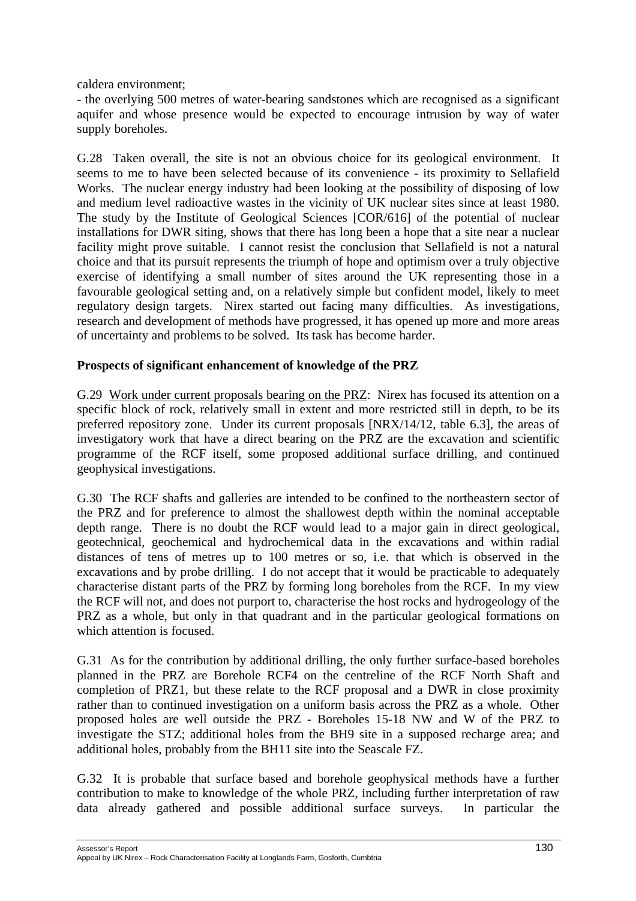caldera environment;

- the overlying 500 metres of water-bearing sandstones which are recognised as a significant aquifer and whose presence would be expected to encourage intrusion by way of water supply boreholes.

G.28 Taken overall, the site is not an obvious choice for its geological environment. It seems to me to have been selected because of its convenience - its proximity to Sellafield Works. The nuclear energy industry had been looking at the possibility of disposing of low and medium level radioactive wastes in the vicinity of UK nuclear sites since at least 1980. The study by the Institute of Geological Sciences [COR/616] of the potential of nuclear installations for DWR siting, shows that there has long been a hope that a site near a nuclear facility might prove suitable. I cannot resist the conclusion that Sellafield is not a natural choice and that its pursuit represents the triumph of hope and optimism over a truly objective exercise of identifying a small number of sites around the UK representing those in a favourable geological setting and, on a relatively simple but confident model, likely to meet regulatory design targets. Nirex started out facing many difficulties. As investigations, research and development of methods have progressed, it has opened up more and more areas of uncertainty and problems to be solved. Its task has become harder.

#### **Prospects of significant enhancement of knowledge of the PRZ**

G.29 Work under current proposals bearing on the PRZ: Nirex has focused its attention on a specific block of rock, relatively small in extent and more restricted still in depth, to be its preferred repository zone. Under its current proposals [NRX/14/12, table 6.3], the areas of investigatory work that have a direct bearing on the PRZ are the excavation and scientific programme of the RCF itself, some proposed additional surface drilling, and continued geophysical investigations.

G.30 The RCF shafts and galleries are intended to be confined to the northeastern sector of the PRZ and for preference to almost the shallowest depth within the nominal acceptable depth range. There is no doubt the RCF would lead to a major gain in direct geological, geotechnical, geochemical and hydrochemical data in the excavations and within radial distances of tens of metres up to 100 metres or so, i.e. that which is observed in the excavations and by probe drilling. I do not accept that it would be practicable to adequately characterise distant parts of the PRZ by forming long boreholes from the RCF. In my view the RCF will not, and does not purport to, characterise the host rocks and hydrogeology of the PRZ as a whole, but only in that quadrant and in the particular geological formations on which attention is focused.

G.31 As for the contribution by additional drilling, the only further surface-based boreholes planned in the PRZ are Borehole RCF4 on the centreline of the RCF North Shaft and completion of PRZ1, but these relate to the RCF proposal and a DWR in close proximity rather than to continued investigation on a uniform basis across the PRZ as a whole. Other proposed holes are well outside the PRZ - Boreholes 15-18 NW and W of the PRZ to investigate the STZ; additional holes from the BH9 site in a supposed recharge area; and additional holes, probably from the BH11 site into the Seascale FZ.

G.32 It is probable that surface based and borehole geophysical methods have a further contribution to make to knowledge of the whole PRZ, including further interpretation of raw data already gathered and possible additional surface surveys. In particular the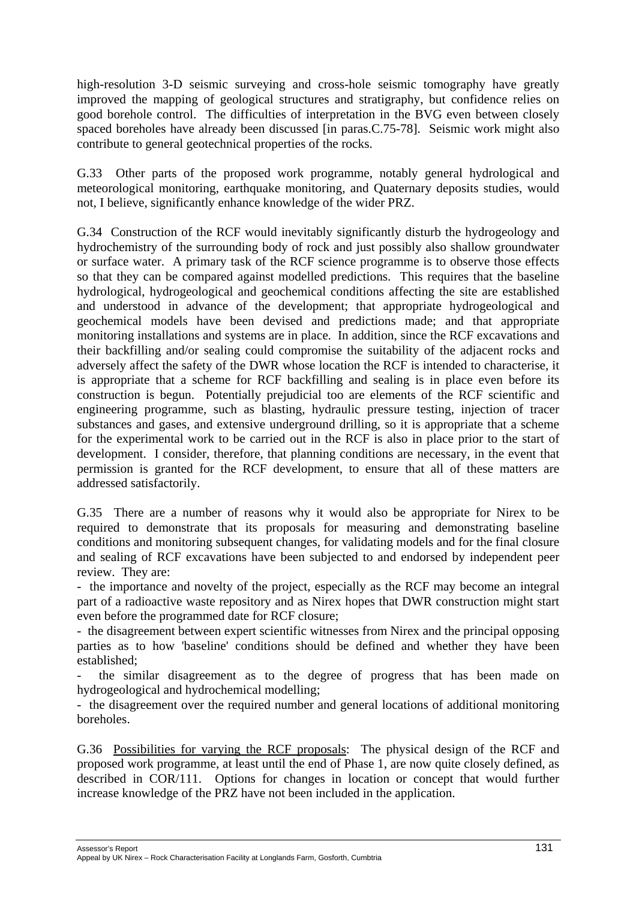high-resolution 3-D seismic surveying and cross-hole seismic tomography have greatly improved the mapping of geological structures and stratigraphy, but confidence relies on good borehole control. The difficulties of interpretation in the BVG even between closely spaced boreholes have already been discussed [in paras.C.75-78]. Seismic work might also contribute to general geotechnical properties of the rocks.

G.33 Other parts of the proposed work programme, notably general hydrological and meteorological monitoring, earthquake monitoring, and Quaternary deposits studies, would not, I believe, significantly enhance knowledge of the wider PRZ.

G.34 Construction of the RCF would inevitably significantly disturb the hydrogeology and hydrochemistry of the surrounding body of rock and just possibly also shallow groundwater or surface water. A primary task of the RCF science programme is to observe those effects so that they can be compared against modelled predictions. This requires that the baseline hydrological, hydrogeological and geochemical conditions affecting the site are established and understood in advance of the development; that appropriate hydrogeological and geochemical models have been devised and predictions made; and that appropriate monitoring installations and systems are in place. In addition, since the RCF excavations and their backfilling and/or sealing could compromise the suitability of the adjacent rocks and adversely affect the safety of the DWR whose location the RCF is intended to characterise, it is appropriate that a scheme for RCF backfilling and sealing is in place even before its construction is begun. Potentially prejudicial too are elements of the RCF scientific and engineering programme, such as blasting, hydraulic pressure testing, injection of tracer substances and gases, and extensive underground drilling, so it is appropriate that a scheme for the experimental work to be carried out in the RCF is also in place prior to the start of development. I consider, therefore, that planning conditions are necessary, in the event that permission is granted for the RCF development, to ensure that all of these matters are addressed satisfactorily.

G.35 There are a number of reasons why it would also be appropriate for Nirex to be required to demonstrate that its proposals for measuring and demonstrating baseline conditions and monitoring subsequent changes, for validating models and for the final closure and sealing of RCF excavations have been subjected to and endorsed by independent peer review. They are:

- the importance and novelty of the project, especially as the RCF may become an integral part of a radioactive waste repository and as Nirex hopes that DWR construction might start even before the programmed date for RCF closure;

- the disagreement between expert scientific witnesses from Nirex and the principal opposing parties as to how 'baseline' conditions should be defined and whether they have been established;

- the similar disagreement as to the degree of progress that has been made on hydrogeological and hydrochemical modelling;

- the disagreement over the required number and general locations of additional monitoring boreholes.

G.36 Possibilities for varying the RCF proposals: The physical design of the RCF and proposed work programme, at least until the end of Phase 1, are now quite closely defined, as described in COR/111. Options for changes in location or concept that would further increase knowledge of the PRZ have not been included in the application.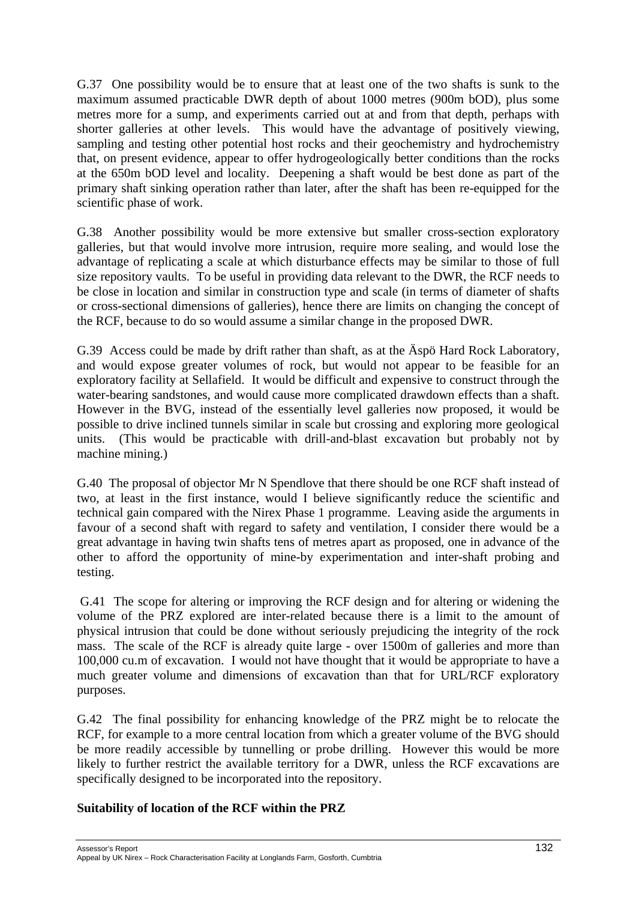G.37 One possibility would be to ensure that at least one of the two shafts is sunk to the maximum assumed practicable DWR depth of about 1000 metres (900m bOD), plus some metres more for a sump, and experiments carried out at and from that depth, perhaps with shorter galleries at other levels. This would have the advantage of positively viewing, sampling and testing other potential host rocks and their geochemistry and hydrochemistry that, on present evidence, appear to offer hydrogeologically better conditions than the rocks at the 650m bOD level and locality. Deepening a shaft would be best done as part of the primary shaft sinking operation rather than later, after the shaft has been re-equipped for the scientific phase of work.

G.38 Another possibility would be more extensive but smaller cross-section exploratory galleries, but that would involve more intrusion, require more sealing, and would lose the advantage of replicating a scale at which disturbance effects may be similar to those of full size repository vaults. To be useful in providing data relevant to the DWR, the RCF needs to be close in location and similar in construction type and scale (in terms of diameter of shafts or cross-sectional dimensions of galleries), hence there are limits on changing the concept of the RCF, because to do so would assume a similar change in the proposed DWR.

G.39 Access could be made by drift rather than shaft, as at the Äspö Hard Rock Laboratory, and would expose greater volumes of rock, but would not appear to be feasible for an exploratory facility at Sellafield. It would be difficult and expensive to construct through the water-bearing sandstones, and would cause more complicated drawdown effects than a shaft. However in the BVG, instead of the essentially level galleries now proposed, it would be possible to drive inclined tunnels similar in scale but crossing and exploring more geological units. (This would be practicable with drill-and-blast excavation but probably not by machine mining.)

G.40 The proposal of objector Mr N Spendlove that there should be one RCF shaft instead of two, at least in the first instance, would I believe significantly reduce the scientific and technical gain compared with the Nirex Phase 1 programme. Leaving aside the arguments in favour of a second shaft with regard to safety and ventilation, I consider there would be a great advantage in having twin shafts tens of metres apart as proposed, one in advance of the other to afford the opportunity of mine-by experimentation and inter-shaft probing and testing.

G.41 The scope for altering or improving the RCF design and for altering or widening the volume of the PRZ explored are inter-related because there is a limit to the amount of physical intrusion that could be done without seriously prejudicing the integrity of the rock mass. The scale of the RCF is already quite large - over 1500m of galleries and more than 100,000 cu.m of excavation. I would not have thought that it would be appropriate to have a much greater volume and dimensions of excavation than that for URL/RCF exploratory purposes.

G.42 The final possibility for enhancing knowledge of the PRZ might be to relocate the RCF, for example to a more central location from which a greater volume of the BVG should be more readily accessible by tunnelling or probe drilling. However this would be more likely to further restrict the available territory for a DWR, unless the RCF excavations are specifically designed to be incorporated into the repository.

# **Suitability of location of the RCF within the PRZ**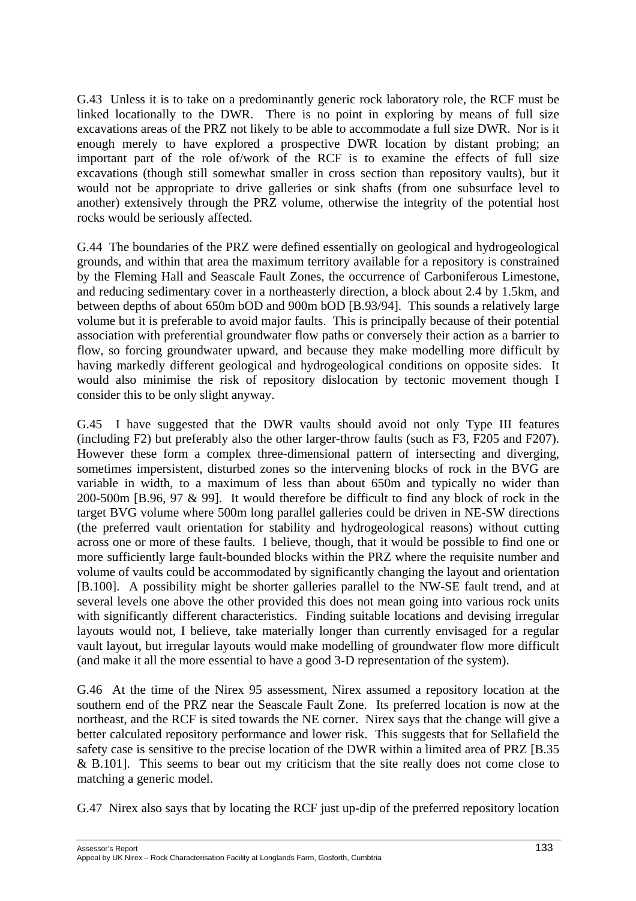G.43 Unless it is to take on a predominantly generic rock laboratory role, the RCF must be linked locationally to the DWR. There is no point in exploring by means of full size excavations areas of the PRZ not likely to be able to accommodate a full size DWR. Nor is it enough merely to have explored a prospective DWR location by distant probing; an important part of the role of/work of the RCF is to examine the effects of full size excavations (though still somewhat smaller in cross section than repository vaults), but it would not be appropriate to drive galleries or sink shafts (from one subsurface level to another) extensively through the PRZ volume, otherwise the integrity of the potential host rocks would be seriously affected.

G.44 The boundaries of the PRZ were defined essentially on geological and hydrogeological grounds, and within that area the maximum territory available for a repository is constrained by the Fleming Hall and Seascale Fault Zones, the occurrence of Carboniferous Limestone, and reducing sedimentary cover in a northeasterly direction, a block about 2.4 by 1.5km, and between depths of about 650m bOD and 900m bOD [B.93/94]. This sounds a relatively large volume but it is preferable to avoid major faults. This is principally because of their potential association with preferential groundwater flow paths or conversely their action as a barrier to flow, so forcing groundwater upward, and because they make modelling more difficult by having markedly different geological and hydrogeological conditions on opposite sides. It would also minimise the risk of repository dislocation by tectonic movement though I consider this to be only slight anyway.

G.45 I have suggested that the DWR vaults should avoid not only Type III features (including F2) but preferably also the other larger-throw faults (such as F3, F205 and F207). However these form a complex three-dimensional pattern of intersecting and diverging, sometimes impersistent, disturbed zones so the intervening blocks of rock in the BVG are variable in width, to a maximum of less than about 650m and typically no wider than 200-500m [B.96, 97 & 99]. It would therefore be difficult to find any block of rock in the target BVG volume where 500m long parallel galleries could be driven in NE-SW directions (the preferred vault orientation for stability and hydrogeological reasons) without cutting across one or more of these faults. I believe, though, that it would be possible to find one or more sufficiently large fault-bounded blocks within the PRZ where the requisite number and volume of vaults could be accommodated by significantly changing the layout and orientation [B.100]. A possibility might be shorter galleries parallel to the NW-SE fault trend, and at several levels one above the other provided this does not mean going into various rock units with significantly different characteristics. Finding suitable locations and devising irregular layouts would not, I believe, take materially longer than currently envisaged for a regular vault layout, but irregular layouts would make modelling of groundwater flow more difficult (and make it all the more essential to have a good 3-D representation of the system).

G.46 At the time of the Nirex 95 assessment, Nirex assumed a repository location at the southern end of the PRZ near the Seascale Fault Zone. Its preferred location is now at the northeast, and the RCF is sited towards the NE corner. Nirex says that the change will give a better calculated repository performance and lower risk. This suggests that for Sellafield the safety case is sensitive to the precise location of the DWR within a limited area of PRZ [B.35 & B.101]. This seems to bear out my criticism that the site really does not come close to matching a generic model.

G.47 Nirex also says that by locating the RCF just up-dip of the preferred repository location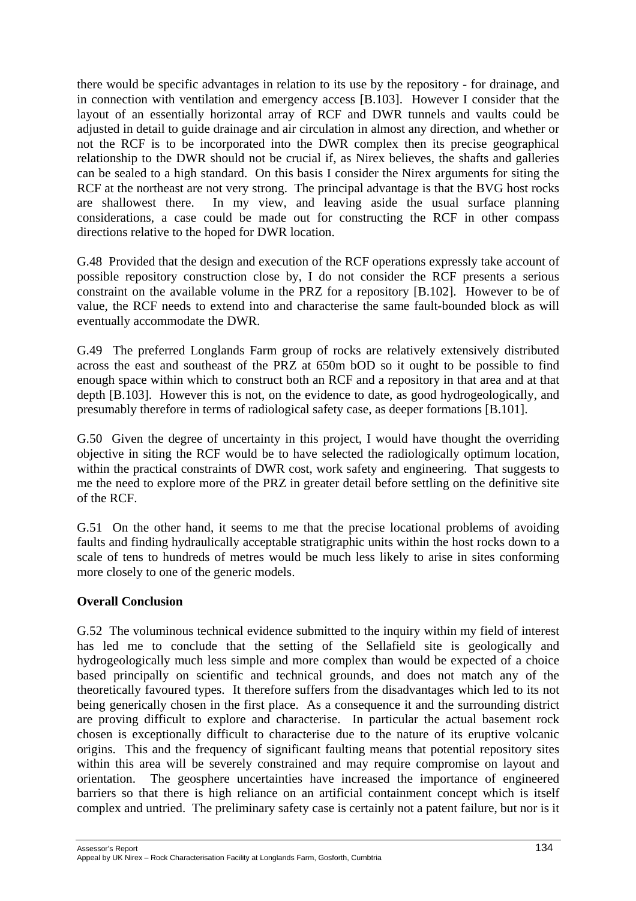there would be specific advantages in relation to its use by the repository - for drainage, and in connection with ventilation and emergency access [B.103]. However I consider that the layout of an essentially horizontal array of RCF and DWR tunnels and vaults could be adjusted in detail to guide drainage and air circulation in almost any direction, and whether or not the RCF is to be incorporated into the DWR complex then its precise geographical relationship to the DWR should not be crucial if, as Nirex believes, the shafts and galleries can be sealed to a high standard. On this basis I consider the Nirex arguments for siting the RCF at the northeast are not very strong. The principal advantage is that the BVG host rocks are shallowest there. In my view, and leaving aside the usual surface planning considerations, a case could be made out for constructing the RCF in other compass directions relative to the hoped for DWR location.

G.48 Provided that the design and execution of the RCF operations expressly take account of possible repository construction close by, I do not consider the RCF presents a serious constraint on the available volume in the PRZ for a repository [B.102]. However to be of value, the RCF needs to extend into and characterise the same fault-bounded block as will eventually accommodate the DWR.

G.49 The preferred Longlands Farm group of rocks are relatively extensively distributed across the east and southeast of the PRZ at 650m bOD so it ought to be possible to find enough space within which to construct both an RCF and a repository in that area and at that depth [B.103]. However this is not, on the evidence to date, as good hydrogeologically, and presumably therefore in terms of radiological safety case, as deeper formations [B.101].

G.50 Given the degree of uncertainty in this project, I would have thought the overriding objective in siting the RCF would be to have selected the radiologically optimum location, within the practical constraints of DWR cost, work safety and engineering. That suggests to me the need to explore more of the PRZ in greater detail before settling on the definitive site of the RCF.

G.51 On the other hand, it seems to me that the precise locational problems of avoiding faults and finding hydraulically acceptable stratigraphic units within the host rocks down to a scale of tens to hundreds of metres would be much less likely to arise in sites conforming more closely to one of the generic models.

#### **Overall Conclusion**

G.52 The voluminous technical evidence submitted to the inquiry within my field of interest has led me to conclude that the setting of the Sellafield site is geologically and hydrogeologically much less simple and more complex than would be expected of a choice based principally on scientific and technical grounds, and does not match any of the theoretically favoured types. It therefore suffers from the disadvantages which led to its not being generically chosen in the first place. As a consequence it and the surrounding district are proving difficult to explore and characterise. In particular the actual basement rock chosen is exceptionally difficult to characterise due to the nature of its eruptive volcanic origins. This and the frequency of significant faulting means that potential repository sites within this area will be severely constrained and may require compromise on layout and orientation. The geosphere uncertainties have increased the importance of engineered barriers so that there is high reliance on an artificial containment concept which is itself complex and untried. The preliminary safety case is certainly not a patent failure, but nor is it